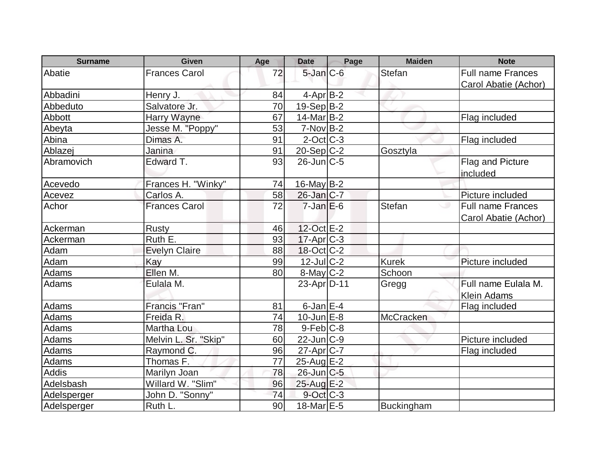| <b>Surname</b> | <b>Given</b>         | Age | <b>Date</b>       | Page | <b>Maiden</b> | <b>Note</b>              |
|----------------|----------------------|-----|-------------------|------|---------------|--------------------------|
| Abatie         | <b>Frances Carol</b> | 72  | $5$ -Jan $C$ -6   |      | <b>Stefan</b> | <b>Full name Frances</b> |
|                |                      |     |                   |      |               | Carol Abatie (Achor)     |
| Abbadini       | Henry J.             | 84  | $4$ -Apr $B-2$    |      |               |                          |
| Abbeduto       | Salvatore Jr.        | 70  | $19-Sep B-2$      |      |               |                          |
| Abbott         | Harry Wayne          | 67  | $14$ -Mar $ B-2 $ |      |               | Flag included            |
| Abeyta         | Jesse M. "Poppy"     | 53  | $7-Nov B-2$       |      |               |                          |
| Abina          | Dimas A.             | 91  | $2$ -Oct C-3      |      |               | Flag included            |
| Ablazej        | Janina               | 91  | $20-Sep C-2$      |      | Gosztyla      |                          |
| Abramovich     | Edward T.            | 93  | $26$ -Jun $C$ -5  |      |               | Flag and Picture         |
|                |                      |     |                   |      |               | included                 |
| Acevedo        | Frances H. "Winky"   | 74  | $16$ -May B-2     |      |               |                          |
| Acevez         | Carlos A.            | 58  | $26$ -Jan $C-7$   |      |               | Picture included         |
| Achor          | <b>Frances Carol</b> | 72  | $7$ -Jan $E$ -6   |      | <b>Stefan</b> | <b>Full name Frances</b> |
|                |                      |     |                   |      |               | Carol Abatie (Achor)     |
| Ackerman       | <b>Rusty</b>         | 46  | 12-Oct E-2        |      |               |                          |
| Ackerman       | Ruth E.              | 93  | $17$ -Apr $ C-3 $ |      |               |                          |
| Adam           | <b>Evelyn Claire</b> | 88  | $18-Oct$ $C-2$    |      |               |                          |
| Adam           | Kay                  | 99  | 12-Jul C-2        |      | <b>Kurek</b>  | Picture included         |
| Adams          | Ellen M.             | 80  | $8$ -May $C$ -2   |      | Schoon        |                          |
| Adams          | Eulala M.            |     | 23-Apr D-11       |      | Gregg         | Full name Eulala M.      |
|                |                      |     |                   |      |               | <b>Klein Adams</b>       |
| Adams          | Francis "Fran"       | 81  | $6$ -Jan $E-4$    |      |               | Flag included            |
| <b>Adams</b>   | Freida R.            | 74  | $10$ -Jun $E-8$   |      | McCracken     |                          |
| Adams          | Martha Lou           | 78  | $9$ -Feb $ C-8$   |      |               |                          |
| Adams          | Melvin L. Sr. "Skip" | 60  | $22$ -Jun $C-9$   |      |               | Picture included         |
| Adams          | Raymond C.           | 96  | $27$ -Apr $ C-7 $ |      |               | Flag included            |
| Adams          | Thomas F.            | 77  | $25$ -Aug $E-2$   |      |               |                          |
| <b>Addis</b>   | Marilyn Joan         | 78  | 26-Jun C-5        |      |               |                          |
| Adelsbash      | Willard W. "Slim"    | 96  | 25-Aug E-2        |      |               |                          |
| Adelsperger    | John D. "Sonny"      | 74  | 9-Oct C-3         |      |               |                          |
| Adelsperger    | Ruth <sub>L.</sub>   | 90  | $18$ -Mar $E-5$   |      | Buckingham    |                          |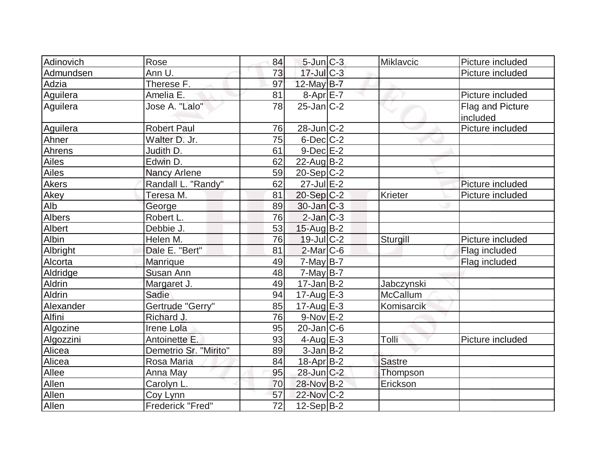| Adinovich    | Rose                  | 84 | $5$ -Jun $C-3$    | Miklavcic     | Picture included             |
|--------------|-----------------------|----|-------------------|---------------|------------------------------|
| Admundsen    | Ann U.                | 73 | $17$ -Jul $C-3$   |               | Picture included             |
| Adzia        | Therese F.            | 97 | 12-May $B-7$      |               |                              |
| Aguilera     | Amelia E.             | 81 | $8-Apr$ $E-7$     |               | Picture included             |
| Aguilera     | Jose A. "Lalo"        | 78 | $25$ -Jan $ C-2 $ |               | Flag and Picture<br>included |
| Aguilera     | <b>Robert Paul</b>    | 76 | 28-Jun C-2        |               | Picture included             |
| Ahner        | Walter D. Jr.         | 75 | $6$ -Dec $C$ -2   |               |                              |
| Ahrens       | Judith D.             | 61 | $9-Dec$ $E-2$     |               |                              |
| Ailes        | Edwin D.              | 62 | $22$ -AugB-2      |               |                              |
| Ailes        | Nancy Arlene          | 59 | $20-Sep C-2$      |               |                              |
| <b>Akers</b> | Randall L. "Randy"    | 62 | $27$ -Jul $E-2$   |               | Picture included             |
| Akey         | Teresa M.             | 81 | $20-Sep C-2$      | Krieter       | Picture included             |
| Alb          | George                | 89 | $30$ -Jan $ C-3 $ |               |                              |
| Albers       | Robert L.             | 76 | $2$ -Jan $C-3$    |               |                              |
| Albert       | Debbie J.             | 53 | 15-Aug B-2        |               |                              |
| Albin        | Helen M.              | 76 | $19$ -Jul $C-2$   | Sturgill      | Picture included             |
| Albright     | Dale E. "Bert"        | 81 | $2$ -Mar $ C-6$   |               | Flag included                |
| Alcorta      | Manrique              | 49 | $7$ -May B-7      |               | Flag included                |
| Aldridge     | Susan Ann             | 48 | $7$ -May B-7      |               |                              |
| Aldrin       | Margaret J.           | 49 | $17$ -Jan $ B-2 $ | Jabczynski    |                              |
| Aldrin       | Sadie                 | 94 | $17$ -Aug $E-3$   | McCallum      |                              |
| Alexander    | Gertrude "Gerry"      | 85 | $17-Aug$ $E-3$    | Komisarcik    |                              |
| Alfini       | Richard J.            | 76 | $9-Nov$ E-2       |               |                              |
| Algozine     | <b>Irene Lola</b>     | 95 | $20$ -Jan $ C-6 $ |               |                              |
| Algozzini    | Antoinette E.         | 93 | 4-Aug $E-3$       | Tolli         | Picture included             |
| Alicea       | Demetrio Sr. "Mirito" | 89 | $3$ -Jan $B-2$    |               |                              |
| Alicea       | Rosa Maria            | 84 | 18-Apr B-2        | <b>Sastre</b> |                              |
| Allee        | Anna May              | 95 | $28$ -Jun $C-2$   | Thompson      |                              |
| Allen        | Carolyn L.            | 70 | 28-Nov B-2        | Erickson      |                              |
| Allen        | Coy Lynn              | 57 | 22-Nov C-2        |               |                              |
| Allen        | Frederick "Fred"      | 72 | $12-Sep B-2$      |               |                              |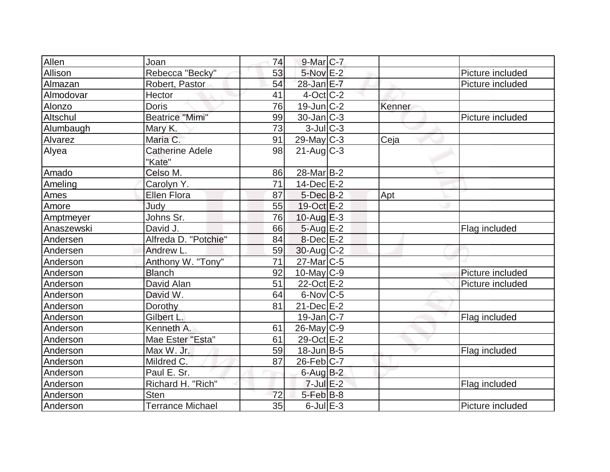| Allen      | Joan                    | 74 | $9$ -Mar $ C-7 $       |        |                  |
|------------|-------------------------|----|------------------------|--------|------------------|
| Allison    | Rebecca "Becky"         | 53 | 5-Nov <sup>IE-2</sup>  |        | Picture included |
| Almazan    | Robert, Pastor          | 54 | $28$ -Jan E-7          |        | Picture included |
| Almodovar  | Hector                  | 41 | $4$ -Oct $ C-2 $       |        |                  |
| Alonzo     | <b>Doris</b>            | 76 | $19$ -Jun $C-2$        | Kenner |                  |
| Altschul   | <b>Beatrice "Mimi"</b>  | 99 | $30 - Jan$ $C-3$       |        | Picture included |
| Alumbaugh  | Mary K.                 | 73 | $3$ -Jul $ C-3 $       |        |                  |
| Alvarez    | Maria C.                | 91 | $29$ -May C-3          | Ceja   |                  |
| Alyea      | <b>Catherine Adele</b>  | 98 | $21$ -Aug $C-3$        |        |                  |
|            | "Kate"                  |    |                        |        |                  |
| Amado      | Celso M.                | 86 | 28-Mar <sub>B</sub> -2 |        |                  |
| Ameling    | Carolyn Y.              | 71 | $14$ -Dec $E-2$        |        |                  |
| Ames       | <b>Ellen Flora</b>      | 87 | $5$ -Dec $B-2$         | Apt    |                  |
| Amore      | Judy                    | 55 | $19-Oct$ $E-2$         |        |                  |
| Amptmeyer  | Johns Sr.               | 76 | $10$ -Aug $E-3$        |        |                  |
| Anaszewski | David J.                | 66 | 5-Aug E-2              |        | Flag included    |
| Andersen   | Alfreda D. "Potchie"    | 84 | $8$ -Dec $E-2$         |        |                  |
| Andersen   | Andrew L.               | 59 | $30$ -Aug C-2          |        |                  |
| Anderson   | Anthony W. "Tony"       | 71 | $27$ -Mar $ C-5 $      |        |                  |
| Anderson   | <b>Blanch</b>           | 92 | $10$ -May $C$ -9       |        | Picture included |
| Anderson   | David Alan              | 51 | 22-Oct E-2             |        | Picture included |
| Anderson   | David W.                | 64 | $6$ -Nov $ C$ -5       |        |                  |
| Anderson   | Dorothy                 | 81 | $21$ -Dec $E-2$        |        |                  |
| Anderson   | Gilbert L.              |    | $19$ -Jan $ C-7 $      |        | Flag included    |
| Anderson   | Kenneth A.              | 61 | $26$ -May C-9          |        |                  |
| Anderson   | Mae Ester "Esta"        | 61 | 29-Oct E-2             |        |                  |
| Anderson   | Max W. Jr.              | 59 | $18$ -Jun $B$ -5       |        | Flag included    |
| Anderson   | Mildred C.              | 87 | $26$ -Feb $C$ -7       |        |                  |
| Anderson   | Paul E. Sr.             |    | 6-Aug B-2              |        |                  |
| Anderson   | Richard H. "Rich"       |    | $7$ -Jul $E-2$         |        | Flag included    |
| Anderson   | <b>Sten</b>             | 72 | $5$ -Feb $ B-8$        |        |                  |
| Anderson   | <b>Terrance Michael</b> | 35 | $6$ -Jul $E-3$         |        | Picture included |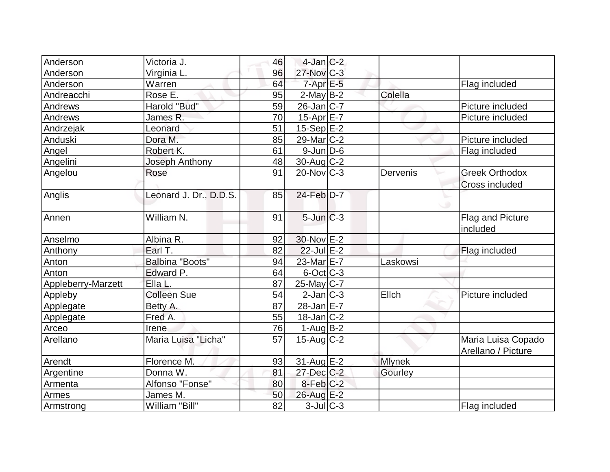| Anderson           | Victoria J.            | 46 | $4$ -Jan $C-2$         |               |                       |
|--------------------|------------------------|----|------------------------|---------------|-----------------------|
| Anderson           | Virginia L.            | 96 | $27$ -Nov $C-3$        |               |                       |
| Anderson           | Warren                 | 64 | $7$ -Apr $E$ -5        |               | Flag included         |
| Andreacchi         | Rose E.                | 95 | $2$ -May B-2           | Colella       |                       |
| Andrews            | Harold "Bud"           | 59 | $26$ -Jan $ C-7 $      |               | Picture included      |
| Andrews            | James R.               | 70 | 15-Apr E-7             |               | Picture included      |
| Andrzejak          | Leonard                | 51 | $15-Sep$ $E-2$         |               |                       |
| Anduski            | Dora M.                | 85 | 29-Mar C-2             |               | Picture included      |
| Angel              | Robert K.              | 61 | $9$ -Jun $D$ -6        |               | Flag included         |
| Angelini           | Joseph Anthony         | 48 | $30$ -Aug C-2          |               |                       |
| Angelou            | Rose                   | 91 | $20$ -Nov $ C-3 $      | Dervenis      | <b>Greek Orthodox</b> |
|                    |                        |    |                        |               | <b>Cross included</b> |
| Anglis             | Leonard J. Dr., D.D.S. | 85 | 24-Feb D-7             |               |                       |
|                    |                        |    |                        |               |                       |
| Annen              | William N.             | 91 | $5$ -Jun $C-3$         |               | Flag and Picture      |
|                    |                        |    |                        |               | included              |
| Anselmo            | Albina R.              | 92 | 30-Nov E-2             |               |                       |
| Anthony            | Earl T.                | 82 | $22$ -Jul $E-2$        |               | Flag included         |
| Anton              | Balbina "Boots"        | 94 | 23-Mar <sub>IE-7</sub> | Laskowsi      |                       |
| Anton              | Edward P.              | 64 | $6$ -Oct $C$ -3        |               |                       |
| Appleberry-Marzett | Ella L.                | 87 | $25$ -May C-7          |               |                       |
| Appleby            | <b>Colleen Sue</b>     | 54 | $2$ -Jan $ C-3 $       | Ellch         | Picture included      |
| Applegate          | Betty A.               | 87 | $28$ -Jan $E-7$        |               |                       |
| Applegate          | Fred A.                | 55 | $18$ -Jan $ C-2 $      |               |                       |
| Arceo              | Irene                  | 76 | $1-Auq$ B-2            |               |                       |
| Arellano           | Maria Luisa "Licha"    | 57 | $15$ -Aug C-2          |               | Maria Luisa Copado    |
|                    |                        |    |                        |               | Arellano / Picture    |
| Arendt             | Florence M.            | 93 | $31$ -Aug E-2          | <b>Mlynek</b> |                       |
| Argentine          | Donna W.               | 81 | $27 - Dec$ $C-2$       | Gourley       |                       |
| Armenta            | Alfonso "Fonse"        | 80 | $8$ -Feb $C-2$         |               |                       |
| Armes              | James M.               | 50 | 26-Aug E-2             |               |                       |
| Armstrong          | William "Bill"         | 82 | $3$ -Jul $C$ -3        |               | Flag included         |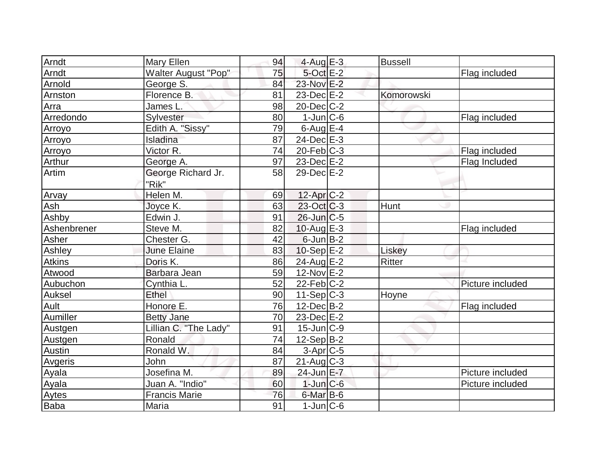| Arndt       | Mary Ellen                  | 94 | $4$ -Aug E-3      | <b>Bussell</b> |                  |
|-------------|-----------------------------|----|-------------------|----------------|------------------|
| Arndt       | <b>Walter August "Pop"</b>  | 75 | $5$ -Oct $E-2$    |                | Flag included    |
| Arnold      | George S.                   | 84 | 23-Nov E-2        |                |                  |
| Arnston     | Florence B.                 | 81 | $23$ -Dec $E-2$   | Komorowski     |                  |
| Arra        | James L.                    | 98 | $20$ -Dec $C-2$   |                |                  |
| Arredondo   | Sylvester                   | 80 | $1$ -Jun $C$ -6   |                | Flag included    |
| Arroyo      | Edith A. "Sissy"            | 79 | $6$ -Aug $E-4$    |                |                  |
| Arroyo      | Isladina                    | 87 | $24$ -Dec $E-3$   |                |                  |
| Arroyo      | Victor R.                   | 74 | $20$ -Feb $ C-3$  |                | Flag included    |
| Arthur      | George A.                   | 97 | $23$ -Dec $E-2$   |                | Flag Included    |
| Artim       | George Richard Jr.<br>"Rik" | 58 | $29$ -Dec $E-2$   |                |                  |
| Arvay       | Helen M.                    | 69 | $12$ -Apr $C-2$   |                |                  |
| Ash         | Joyce K.                    | 63 | $23-Oct$ $C-3$    | Hunt           |                  |
| Ashby       | Edwin J.                    | 91 | $26$ -Jun $ C$ -5 |                |                  |
| Ashenbrener | Steve M.                    | 82 | 10-Aug $E-3$      |                | Flag included    |
| Asher       | Chester G.                  | 42 | $6$ -Jun $B-2$    |                |                  |
| Ashley      | <b>June Elaine</b>          | 83 | $10-Sep$ E-2      | Liskey         |                  |
| Atkins      | Doris K.                    | 86 | 24-Aug E-2        | <b>Ritter</b>  |                  |
| Atwood      | Barbara Jean                | 59 | $12-Nov$ E-2      |                |                  |
| Aubuchon    | Cynthia L.                  | 52 | $22$ -Feb $ C-2 $ |                | Picture included |
| Auksel      | Ethel                       | 90 | $11-Sep C-3$      | Hoyne          |                  |
| Ault        | Honore E.                   | 76 | $12$ -Dec $B-2$   |                | Flag included    |
| Aumiller    | <b>Betty Jane</b>           | 70 | $23$ -Dec $E-2$   |                |                  |
| Austgen     | Lillian C. "The Lady"       | 91 | $15$ -Jun $ C-9$  |                |                  |
| Austgen     | Ronald                      | 74 | $12-Sep$ B-2      |                |                  |
| Austin      | Ronald W.                   | 84 | $3-Apr$ $C-5$     |                |                  |
| Avgeris     | John                        | 87 | $21$ -Aug C-3     |                |                  |
| Ayala       | Josefina M.                 | 89 | 24-Jun E-7        |                | Picture included |
| Ayala       | Juan A. "Indio"             | 60 | $1$ -Jun $C$ -6   |                | Picture included |
| Aytes       | <b>Francis Marie</b>        | 76 | $6$ -Mar B-6      |                |                  |
| Baba        | Maria                       | 91 | $1$ -Jun $ C$ -6  |                |                  |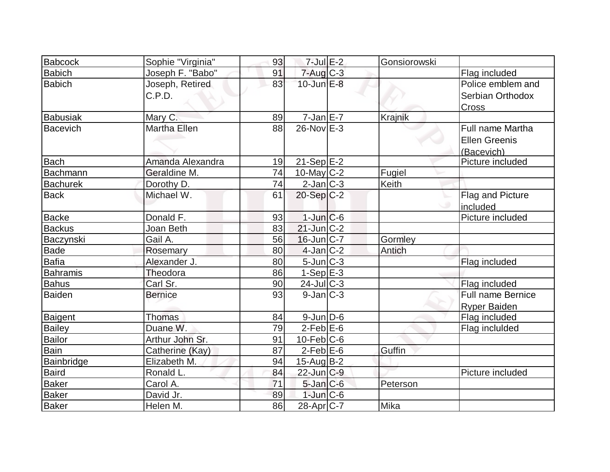| Babcock         | Sophie "Virginia"   | 93 | $7$ -Jul $E-2$    | Gonsiorowski |                          |
|-----------------|---------------------|----|-------------------|--------------|--------------------------|
| Babich          | Joseph F. "Babo"    | 91 | $7 - Aug$ $C - 3$ |              | Flag included            |
| <b>Babich</b>   | Joseph, Retired     | 83 | $10$ -Jun $E-8$   |              | Police emblem and        |
|                 | C.P.D.              |    |                   |              | Serbian Orthodox         |
|                 |                     |    |                   |              | <b>Cross</b>             |
| Babusiak        | Mary C.             | 89 | $7$ -Jan $E - 7$  | Krajnik      |                          |
| Bacevich        | <b>Martha Ellen</b> | 88 | $26$ -Nov $E-3$   |              | <b>Full name Martha</b>  |
|                 |                     |    |                   |              | <b>Ellen Greenis</b>     |
|                 |                     |    |                   |              | (Bacevich)               |
| <b>Bach</b>     | Amanda Alexandra    | 19 | $21-Sep$ E-2      |              | Picture included         |
| Bachmann        | Geraldine M.        | 74 | 10-May C-2        | Fugiel       |                          |
| <b>Bachurek</b> | Dorothy D.          | 74 | $2$ -Jan $ C-3 $  | Keith        |                          |
| <b>Back</b>     | Michael W.          | 61 | $20-Sep C-2$      |              | <b>Flag and Picture</b>  |
|                 |                     |    |                   | ◡            | included                 |
| Backe           | Donald F.           | 93 | $1$ -Jun $C$ -6   |              | Picture included         |
| <b>Backus</b>   | Joan Beth           | 83 | $21$ -Jun $ C-2 $ |              |                          |
| Baczynski       | Gail A.             | 56 | $16$ -Jun $ C-7 $ | Gormley      |                          |
| <b>Bade</b>     | Rosemary            | 80 | $4$ -Jan $ C-2 $  | Antich       |                          |
| Bafia           | Alexander J.        | 80 | 5-Jun C-3         |              | Flag included            |
| <b>Bahramis</b> | Theodora            | 86 | $1-Sep$ $E-3$     |              |                          |
| <b>Bahus</b>    | Carl Sr.            | 90 | $24$ -Jul $C-3$   |              | Flag included            |
| Baiden          | <b>Bernice</b>      | 93 | $9$ -Jan $ C-3 $  |              | <b>Full name Bernice</b> |
|                 |                     |    |                   |              | <b>Ryper Baiden</b>      |
| Baigent         | <b>Thomas</b>       | 84 | $9$ -Jun $D$ -6   |              | Flag included            |
| <b>Bailey</b>   | Duane W.            | 79 | $2$ -Feb $E$ -6   |              | Flag incluided           |
| Bailor          | Arthur John Sr.     | 91 | $10$ -Feb $ C$ -6 |              |                          |
| <b>Bain</b>     | Catherine (Kay)     | 87 | $2$ -Feb $E$ -6   | Guffin       |                          |
| Bainbridge      | Elizabeth M.        | 94 | $15$ -Aug $B-2$   |              |                          |
| <b>Baird</b>    | Ronald L.           | 84 | 22-Jun C-9        |              | Picture included         |
| <b>Baker</b>    | Carol A.            | 71 | $5$ -Jan $C$ -6   | Peterson     |                          |
| <b>Baker</b>    | David Jr.           | 89 | $1$ -Jun $C$ -6   |              |                          |
| <b>Baker</b>    | Helen M.            | 86 | $28$ -Apr $ C-7 $ | Mika         |                          |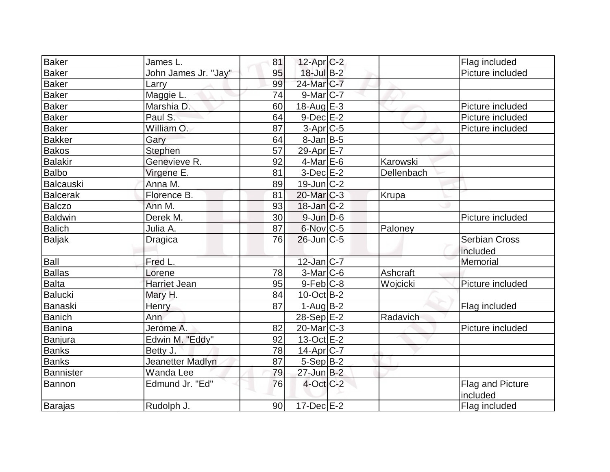| Baker           | James L.             | 81 | $12$ -Apr $C-2$   |            | Flag included                    |
|-----------------|----------------------|----|-------------------|------------|----------------------------------|
| Baker           | John James Jr. "Jay" | 95 | $18$ -Jul B-2     |            | Picture included                 |
| Baker           | Larry                | 99 | 24-Mar C-7        |            |                                  |
| <b>Baker</b>    | Maggie L.            | 74 | $9$ -Mar $ C-7$   |            |                                  |
| <b>Baker</b>    | Marshia D.           | 60 | 18-Aug $E-3$      |            | Picture included                 |
| Baker           | Paul S.              | 64 | $9$ -Dec $E-2$    |            | Picture included                 |
| <b>Baker</b>    | William O.           | 87 | 3-Apr C-5         |            | Picture included                 |
| <b>Bakker</b>   | Gary                 | 64 | $8$ -Jan $B$ -5   |            |                                  |
| <b>Bakos</b>    | Stephen              | 57 | 29-Apr E-7        |            |                                  |
| <b>Balakir</b>  | Genevieve R.         | 92 | $4$ -Mar $E$ -6   | Karowski   |                                  |
| Balbo           | Virgene E.           | 81 | $3-Dec$ $E-2$     | Dellenbach |                                  |
| Balcauski       | Anna M.              | 89 | $19$ -Jun $C-2$   |            |                                  |
| <b>Balcerak</b> | Florence B.          | 81 | $20$ -Mar $C-3$   | Krupa      |                                  |
| Balczo          | Ann M.               | 93 | $18$ -Jan $C-2$   |            |                                  |
| <b>Baldwin</b>  | Derek M.             | 30 | $9$ -Jun $D$ -6   |            | Picture included                 |
| <b>Balich</b>   | Julia A.             | 87 | $6$ -Nov $ C$ -5  | Paloney    |                                  |
| <b>Baljak</b>   | Dragica              | 76 | $26$ -Jun $C-5$   |            | <b>Serbian Cross</b><br>included |
| Ball            | Fred L.              |    | $12$ -Jan $ C-7 $ |            | Memorial                         |
| Ballas          | Lorene               | 78 | $3-Mar$ $C-6$     | Ashcraft   |                                  |
| Balta           | <b>Harriet Jean</b>  | 95 | $9-Feb$ C-8       | Wojcicki   | Picture included                 |
| Balucki         | Mary H.              | 84 | $10$ -Oct B-2     |            |                                  |
| Banaski         | Henry                | 87 | $1-Auq$ B-2       |            | Flag included                    |
| <b>Banich</b>   | Ann                  |    | $28-Sep$ $E-2$    | Radavich   |                                  |
| Banina          | Jerome A.            | 82 | $20$ -Mar $C-3$   |            | Picture included                 |
| Banjura         | Edwin M. "Eddy"      | 92 | $13-Oct$ E-2      |            |                                  |
| <b>Banks</b>    | Betty J.             | 78 | $14$ -Apr $ C-7 $ |            |                                  |
| <b>Banks</b>    | Jeanetter Madlyn     | 87 | $5-Sep$ B-2       |            |                                  |
| Bannister       | Wanda Lee            | 79 | $27$ -Jun $B-2$   |            |                                  |
| Bannon          | Edmund Jr. "Ed"      | 76 | $4$ -Oct $C-2$    |            | Flag and Picture<br>included     |
| Barajas         | Rudolph J.           | 90 | $17 - Dec$ $E-2$  |            | Flag included                    |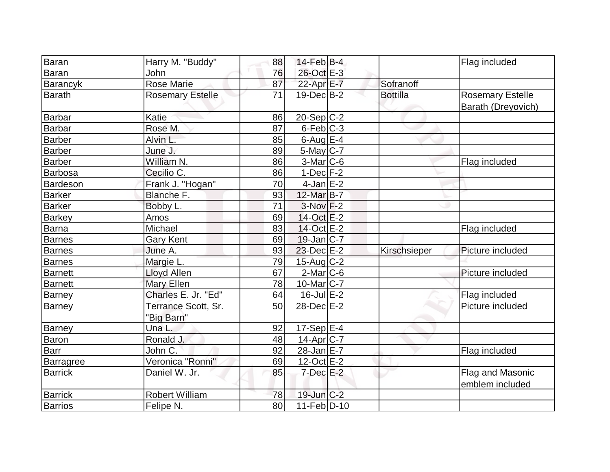| Baran            | Harry M. "Buddy"                  | 88 | $14$ -Feb $ B-4$        |                 | Flag included                                 |
|------------------|-----------------------------------|----|-------------------------|-----------------|-----------------------------------------------|
| <b>Baran</b>     | John                              | 76 | 26-Oct E-3              |                 |                                               |
| <b>Barancyk</b>  | <b>Rose Marie</b>                 | 87 | 22-Apr E-7              | Sofranoff       |                                               |
| <b>Barath</b>    | <b>Rosemary Estelle</b>           | 71 | $19$ -Dec $B$ -2        | <b>Bottilla</b> | <b>Rosemary Estelle</b><br>Barath (Dreyovich) |
| Barbar           | Katie                             | 86 | $20-Sep C-2$            |                 |                                               |
| Barbar           | Rose M.                           | 87 | $6$ -Feb $ C-3 $        |                 |                                               |
| <b>Barber</b>    | Alvin L.                          | 85 | 6-Aug $E-4$             |                 |                                               |
| Barber           | June J.                           | 89 | 5-May C-7               |                 |                                               |
| Barber           | William N.                        | 86 | $3-Mar$ C-6             |                 | Flag included                                 |
| <b>Barbosa</b>   | Cecilio C.                        | 86 | $1-Dec$ F-2             |                 |                                               |
| Bardeson         | Frank J. "Hogan"                  | 70 | $4$ -Jan $E-2$          |                 |                                               |
| <b>Barker</b>    | Blanche F.                        | 93 | 12-Mar B-7              |                 |                                               |
| <b>Barker</b>    | Bobby L.                          | 71 | $3-Nov$ F-2             |                 |                                               |
| <b>Barkey</b>    | Amos                              | 69 | $14-Oct$ $E-2$          |                 |                                               |
| Barna            | Michael                           | 83 | 14-Oct E-2              |                 | Flag included                                 |
| <b>Barnes</b>    | <b>Gary Kent</b>                  | 69 | $19$ -Jan $C$ -7        |                 |                                               |
| <b>Barnes</b>    | June A.                           | 93 | $23$ -Dec $E-2$         | Kirschsieper    | Picture included                              |
| <b>Barnes</b>    | Margie L.                         | 79 | $15$ -Aug C-2           |                 |                                               |
| Barnett          | <b>Lloyd Allen</b>                | 67 | $2$ -Mar $C$ -6         |                 | Picture included                              |
| <b>Barnett</b>   | <b>Mary Ellen</b>                 | 78 | 10-Mar C-7              |                 |                                               |
| <b>Barney</b>    | Charles E. Jr. "Ed"               | 64 | $16$ -Jul $E-2$         |                 | Flag included                                 |
| <b>Barney</b>    | Terrance Scott, Sr.<br>"Big Barn" | 50 | 28-Dec E-2              |                 | Picture included                              |
| <b>Barney</b>    | Una L.                            | 92 | $17-Sep$ <sup>E-4</sup> |                 |                                               |
| Baron            | Ronald J.                         | 48 | 14-Apr <sub>C-7</sub>   |                 |                                               |
| <b>Barr</b>      | John C.                           | 92 | $28 - Jan$ E-7          |                 | Flag included                                 |
| <b>Barragree</b> | Veronica "Ronni"                  | 69 | $12-Oct$ $E-2$          |                 |                                               |
| <b>Barrick</b>   | Daniel W. Jr.                     | 85 | $7$ -Dec $E-2$          |                 | Flag and Masonic<br>emblem included           |
| <b>Barrick</b>   | <b>Robert William</b>             | 78 | $19$ -Jun $C-2$         |                 |                                               |
| <b>Barrios</b>   | Felipe N.                         | 80 | $11-Feb$ D-10           |                 |                                               |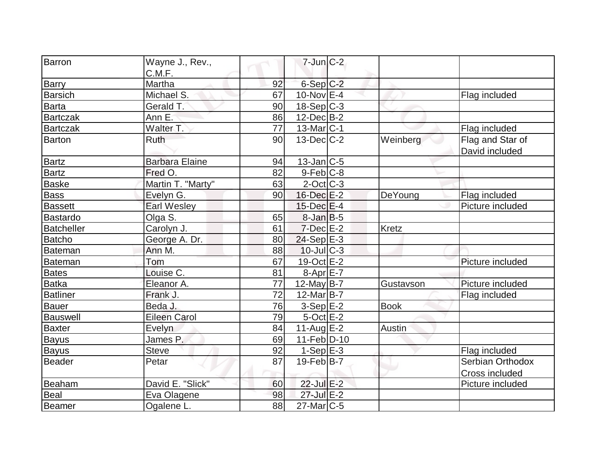| Barron            | Wayne J., Rev.,<br>C.M.F. |    | $7$ -Jun $C-2$    |              |                                    |
|-------------------|---------------------------|----|-------------------|--------------|------------------------------------|
| <b>Barry</b>      | Martha                    | 92 | $6-Sep$ $C-2$     |              |                                    |
| <b>Barsich</b>    | Michael S.                | 67 | $10$ -Nov $E-4$   |              | Flag included                      |
| <b>Barta</b>      | Gerald T.                 | 90 | $18-Sep C-3$      |              |                                    |
| <b>Bartczak</b>   | Ann E.                    | 86 | $12$ -Dec $B-2$   |              |                                    |
| <b>Bartczak</b>   | Walter T.                 | 77 | $13$ -Mar $ C-1$  |              | Flag included                      |
| <b>Barton</b>     | Ruth                      | 90 | $13$ -Dec $C-2$   | Weinberg     | Flag and Star of<br>David included |
| <b>Bartz</b>      | <b>Barbara Elaine</b>     | 94 | $13$ -Jan $ C-5 $ |              |                                    |
| <b>Bartz</b>      | Fred O.                   | 82 | $9$ -Feb $ C-8$   |              |                                    |
| <b>Baske</b>      | Martin T. "Marty"         | 63 | $2$ -Oct C-3      |              |                                    |
| Bass              | Evelyn G.                 | 90 | $16$ -Dec $E-2$   | DeYoung      | Flag included                      |
| <b>Bassett</b>    | <b>Earl Wesley</b>        |    | $15$ -Dec $E$ -4  |              | Picture included                   |
| Bastardo          | Olga S.                   | 65 | $8$ -Jan $B$ -5   |              |                                    |
| <b>Batcheller</b> | Carolyn J.                | 61 | $7$ -Dec $E-2$    | <b>Kretz</b> |                                    |
| <b>Batcho</b>     | George A. Dr.             | 80 | $24-Sep$ $E-3$    |              |                                    |
| Bateman           | Ann M.                    | 88 | $10$ -Jul $C-3$   |              |                                    |
| <b>Bateman</b>    | Tom                       | 67 | 19-Oct $E-2$      |              | Picture included                   |
| <b>Bates</b>      | Louise C.                 | 81 | $8-Apr$ $E-7$     |              |                                    |
| <b>Batka</b>      | Eleanor A.                | 77 | $12$ -May B-7     | Gustavson    | Picture included                   |
| Batliner          | Frank J.                  | 72 | 12-Mar B-7        |              | Flag included                      |
| <b>Bauer</b>      | Beda J.                   | 76 | $3-Sep$ $E-2$     | <b>Book</b>  |                                    |
| <b>Bauswell</b>   | <b>Eileen Carol</b>       | 79 | $5$ -Oct $E-2$    |              |                                    |
| <b>Baxter</b>     | Evelyn                    | 84 | $11-Auq$ $E-2$    | Austin       |                                    |
| <b>Bayus</b>      | James P.                  | 69 | $11-Feb D-10$     |              |                                    |
| <b>Bayus</b>      | <b>Steve</b>              | 92 | $1-Sep$ $E-3$     |              | Flag included                      |
| <b>Beader</b>     | Petar                     | 87 | $19$ -Feb $ B-7 $ |              | Serbian Orthodox<br>Cross included |
| Beaham            | David E. "Slick"          | 60 | 22-Jul E-2        |              | Picture included                   |
| Beal              | Eva Olagene               | 98 | 27-Jul E-2        |              |                                    |
| Beamer            | Ogalene L.                | 88 | $27$ -Mar $ C-5 $ |              |                                    |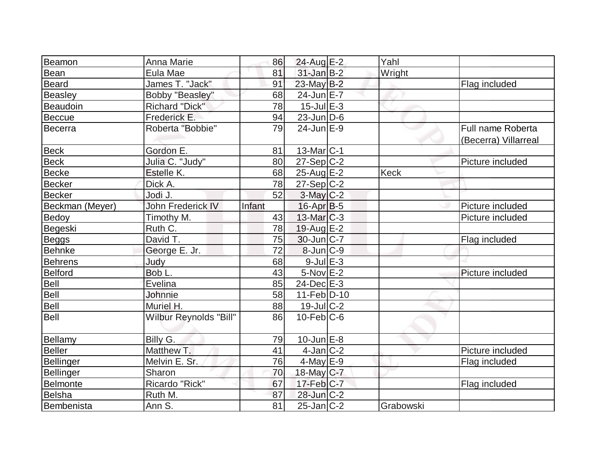| Beamon            | Anna Marie               | 86     | 24-Aug E-2        | Yahl        |                                                  |
|-------------------|--------------------------|--------|-------------------|-------------|--------------------------------------------------|
| Bean              | Eula Mae                 | 81     | $31$ -Jan $B-2$   | Wright      |                                                  |
| <b>Beard</b>      | James T. "Jack"          | 91     | 23-May B-2        |             | Flag included                                    |
| Beasley           | Bobby "Beasley"          | 68     | 24-Jun E-7        |             |                                                  |
| Beaudoin          | Richard "Dick"           | 78     | $15$ -Jul $E-3$   |             |                                                  |
| Beccue            | Frederick E.             | 94     | $23$ -Jun $ D-6$  |             |                                                  |
| Becerra           | Roberta "Bobbie"         | 79     | $24$ -Jun $E-9$   |             | <b>Full name Roberta</b><br>(Becerra) Villarreal |
| <b>Beck</b>       | Gordon E.                | 81     | $13$ -Mar $ C-1$  |             |                                                  |
| <b>Beck</b>       | Julia C. "Judy"          | 80     | $27-Sep C-2$      |             | Picture included                                 |
| <b>Becke</b>      | Estelle K.               | 68     | $25$ -Aug $E-2$   | <b>Keck</b> |                                                  |
| Becker            | Dick A.                  | 78     | $27-Sep C-2$      |             |                                                  |
| <b>Becker</b>     | Jodi J.                  | 52     | $3-May$ C-2       |             |                                                  |
| Beckman (Meyer)   | <b>John Frederick IV</b> | Infant | $16$ -Apr $ B-5 $ |             | Picture included                                 |
| Bedoy             | Timothy M.               | 43     | $13$ -Mar $ C-3 $ |             | Picture included                                 |
| Begeski           | Ruth C.                  | 78     | 19-Aug E-2        |             |                                                  |
| <b>Beggs</b>      | David T.                 | 75     | $30$ -Jun $ C-7$  |             | Flag included                                    |
| Behnke            | George E. Jr.            | 72     | $8$ -Jun $C-9$    |             |                                                  |
| Behrens           | Judy                     | 68     | $9$ -Jul $E-3$    |             |                                                  |
| Belford           | Bob L.                   | 43     | $5-Nov$ $E-2$     |             | Picture included                                 |
| <b>Bell</b>       | Evelina                  | 85     | $24$ -Dec $E-3$   |             |                                                  |
| Bell              | Johnnie                  | 58     | $11-Feb D-10$     |             |                                                  |
| Bell              | Muriel H.                | 88     | $19$ -Jul $C-2$   |             |                                                  |
| Bell              | Wilbur Reynolds "Bill"   | 86     | $10$ -Feb $ C$ -6 |             |                                                  |
| <b>Bellamy</b>    | Billy G.                 | 79     | $10$ -Jun $E - 8$ |             |                                                  |
| Beller            | Matthew T.               | 41     | $4$ -Jan $ C-2 $  |             | Picture included                                 |
| Bellinger         | Melvin E. Sr.            | 76     | $4$ -May $E-9$    |             | Flag included                                    |
| Bellinger         | Sharon                   | 70     | $18$ -May C-7     |             |                                                  |
| Belmonte          | Ricardo "Rick"           | 67     | $17$ -Feb $ C-7 $ |             | Flag included                                    |
| <b>Belsha</b>     | Ruth M.                  | 87     | $28$ -Jun $C-2$   |             |                                                  |
| <b>Bembenista</b> | Ann S.                   | 81     | $25$ -Jan $ C-2 $ | Grabowski   |                                                  |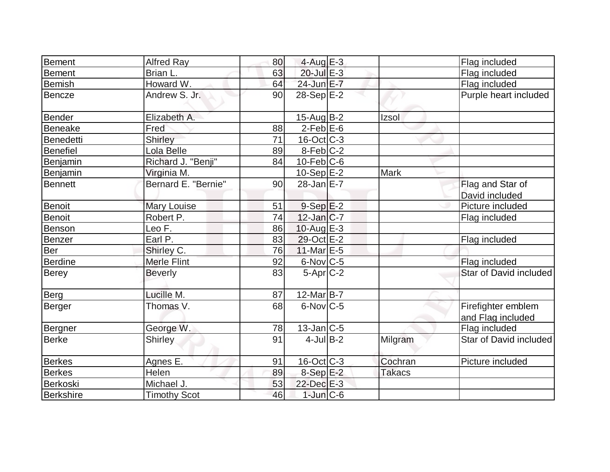| Bement         | <b>Alfred Ray</b>   | 80 | $4$ -Aug $E-3$    |               | Flag included          |
|----------------|---------------------|----|-------------------|---------------|------------------------|
| <b>Bement</b>  | Brian L.            | 63 | 20-Jul E-3        |               | Flag included          |
| <b>Bemish</b>  | Howard W.           | 64 | 24-Jun E-7        |               | Flag included          |
| Bencze         | Andrew S. Jr.       | 90 | 28-Sep E-2        |               | Purple heart included  |
| Bender         | Elizabeth A.        |    | 15-Aug B-2        | Izsol         |                        |
| Beneake        | Fred                | 88 | $2-Feb$ $E-6$     |               |                        |
| Benedetti      | <b>Shirley</b>      | 71 | $16$ -Oct $ C-3 $ |               |                        |
| Benefiel       | Lola Belle          | 89 | $8-Feb C-2$       |               |                        |
| Benjamin       | Richard J. "Benji"  | 84 | $10$ -Feb $C$ -6  |               |                        |
| Benjamin       | Virginia M.         |    | $10-Sep$ $E-2$    | <b>Mark</b>   |                        |
| <b>Bennett</b> | Bernard E. "Bernie" | 90 | $28$ -Jan $E-7$   |               | Flag and Star of       |
|                |                     |    |                   |               | David included         |
| <b>Benoit</b>  | <b>Mary Louise</b>  | 51 | $9-Sep$ $E-2$     |               | Picture included       |
| Benoit         | Robert P.           | 74 | $12$ -Jan $ C-7 $ |               | Flag included          |
| Benson         | Leo F.              | 86 | 10-Aug $E-3$      |               |                        |
| Benzer         | Earl P.             | 83 | $29$ -Oct $E-2$   |               | Flag included          |
| Ber            | Shirley C.          | 76 | 11-Mar $E-5$      |               |                        |
| <b>Berdine</b> | Merle Flint         | 92 | $6$ -Nov $C$ -5   |               | Flag included          |
| <b>Berey</b>   | <b>Beverly</b>      | 83 | $5-Apr$ $C-2$     |               | Star of David included |
| Berg           | Lucille M.          | 87 | $12$ -Mar $ B-7 $ |               |                        |
| Berger         | Thomas V.           | 68 | $6$ -Nov $ C$ -5  |               | Firefighter emblem     |
|                |                     |    |                   |               | and Flag included      |
| Bergner        | George W.           | 78 | $13$ -Jan $ C-5 $ |               | Flag included          |
| Berke          | <b>Shirley</b>      | 91 | $4$ -Jul B-2      | Milgram       | Star of David included |
| <b>Berkes</b>  | Agnes E.            | 91 | $16$ -Oct $ C-3 $ | Cochran       | Picture included       |
| <b>Berkes</b>  | Helen               | 89 | 8-Sep E-2         | <b>Takacs</b> |                        |
| Berkoski       | Michael J.          | 53 | 22-Dec E-3        |               |                        |
| Berkshire      | <b>Timothy Scot</b> | 46 | $1$ -Jun $C$ -6   |               |                        |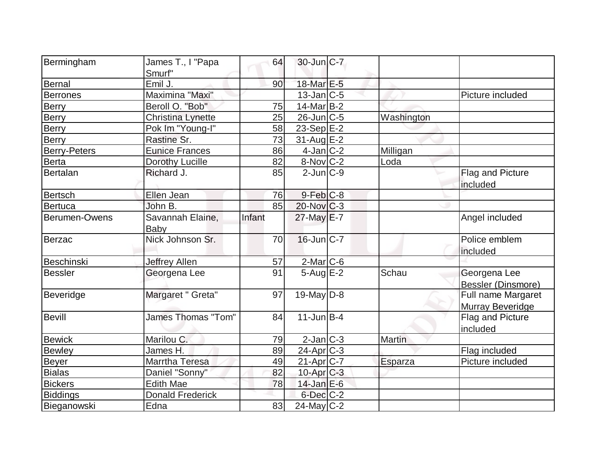| Bermingham          | James T., I "Papa        | 64     | $30$ -Jun $ C-7 $      |            |                         |
|---------------------|--------------------------|--------|------------------------|------------|-------------------------|
|                     | Smurf"                   |        |                        |            |                         |
| Bernal              | Emil J.                  | 90     | 18-Mar E-5             |            |                         |
| <b>Berrones</b>     | Maximina "Maxi"          |        | $13$ -Jan $ C-5 $      |            | Picture included        |
| <b>Berry</b>        | Beroll O. "Bob"          | 75     | $14$ -Mar $ B-2 $      |            |                         |
| <b>Berry</b>        | <b>Christina Lynette</b> | 25     | $26$ -Jun $C$ -5       | Washington |                         |
| <b>Berry</b>        | Pok Im "Young-I"         | 58     | 23-Sep E-2             |            |                         |
| Berry               | Rastine Sr.              | 73     | $31-Aug$ $E-2$         |            |                         |
| <b>Berry-Peters</b> | <b>Eunice Frances</b>    | 86     | $4$ -Jan $ C-2 $       | Milligan   |                         |
| Berta               | Dorothy Lucille          | 82     | $8-Nov$ <sub>C-2</sub> | Loda       |                         |
| Bertalan            | Richard J.               | 85     | $2$ -Jun $ C-9 $       |            | <b>Flag and Picture</b> |
|                     |                          |        |                        |            | included                |
| Bertsch             | Ellen Jean               | 76     | $9$ -Feb $C-8$         |            |                         |
| Bertuca             | John B.                  | 85     | $20$ -Nov $ C-3 $      |            |                         |
| Berumen-Owens       | Savannah Elaine,         | Infant | $27$ -May $E-7$        |            | Angel included          |
|                     | Baby                     |        |                        |            |                         |
| Berzac              | Nick Johnson Sr.         | 70     | $16$ -Jun $ C-7 $      |            | Police emblem           |
|                     |                          |        |                        |            | included                |
| Beschinski          | <b>Jeffrey Allen</b>     | 57     | 2-Mar C-6              |            |                         |
| <b>Bessler</b>      | Georgena Lee             | 91     | $5 - Aug$ E-2          | Schau      | Georgena Lee            |
|                     |                          |        |                        |            | Bessler (Dinsmore)      |
| Beveridge           | Margaret " Greta"        | 97     | 19-May $D-8$           |            | Full name Margaret      |
|                     |                          |        |                        |            | Murray Beveridge        |
| <b>Bevill</b>       | James Thomas "Tom"       | 84     | $11$ -Jun $B - 4$      |            | Flag and Picture        |
|                     |                          |        |                        |            | included                |
| <b>Bewick</b>       | Marilou C.               | 79     | $2$ -Jan $C-3$         | Martin     |                         |
| Bewley              | James H.                 | 89     | $24$ -Apr $C-3$        |            | Flag included           |
| <b>Beyer</b>        | Marrtha Teresa           | 49     | 21-Apr C-7             | Esparza    | Picture included        |
| <b>Bialas</b>       | Daniel "Sonny"           | 82     | 10-Apr C-3             |            |                         |
| <b>Bickers</b>      | <b>Edith Mae</b>         | 78     | $14$ -Jan $E-6$        |            |                         |
| <b>Biddings</b>     | <b>Donald Frederick</b>  |        | $6$ -Dec $C-2$         |            |                         |
| Bieganowski         | Edna                     | 83     | $24$ -May C-2          |            |                         |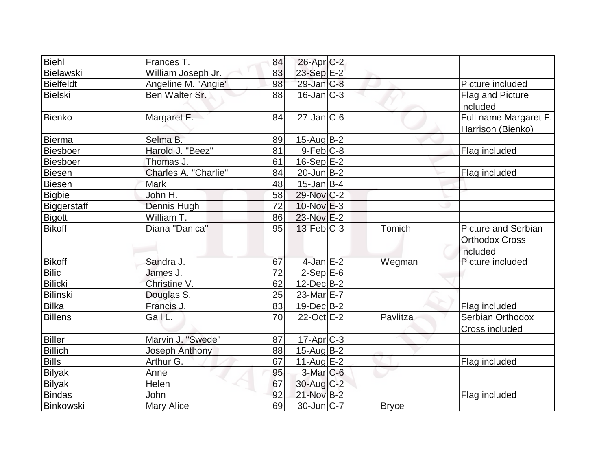| Biehl            | Frances T.           | 84 | $26$ -Apr $C-2$   |              |                                                                 |
|------------------|----------------------|----|-------------------|--------------|-----------------------------------------------------------------|
| Bielawski        | William Joseph Jr.   | 83 | 23-Sep E-2        |              |                                                                 |
| <b>Bielfeldt</b> | Angeline M. "Angie"  | 98 | $29$ -Jan $C-8$   |              | Picture included                                                |
| Bielski          | Ben Walter Sr.       | 88 | $16$ -Jan $ C-3 $ |              | Flag and Picture<br>included                                    |
| Bienko           | Margaret F.          | 84 | $27$ -Jan $ C-6 $ |              | Full name Margaret F.<br>Harrison (Bienko)                      |
| Bierma           | Selma B.             | 89 | $15$ -Aug B-2     |              |                                                                 |
| <b>Biesboer</b>  | Harold J. "Beez"     | 81 | $9-Feb$ $C-8$     |              | Flag included                                                   |
| Biesboer         | Thomas J.            | 61 | $16-Sep$ E-2      |              |                                                                 |
| Biesen           | Charles A. "Charlie" | 84 | $20$ -Jun $B-2$   |              | Flag included                                                   |
| <b>Biesen</b>    | <b>Mark</b>          | 48 | $15$ -Jan B-4     |              |                                                                 |
| <b>Bigbie</b>    | John H.              | 58 | 29-Nov C-2        |              |                                                                 |
| Biggerstaff      | Dennis Hugh          | 72 | $10$ -Nov $E-3$   |              |                                                                 |
| Bigott           | William T.           | 86 | $23-Nov$ $E-2$    |              |                                                                 |
| <b>Bikoff</b>    | Diana "Danica"       | 95 | $13$ -Feb $C-3$   | Tomich       | <b>Picture and Serbian</b><br><b>Orthodox Cross</b><br>included |
| <b>Bikoff</b>    | Sandra J.            | 67 | $4$ -Jan $E-2$    | Wegman       | Picture included                                                |
| <b>Bilic</b>     | James J.             | 72 | $2-Sep$ $E-6$     |              |                                                                 |
| <b>Bilicki</b>   | Christine V.         | 62 | $12$ -Dec $B-2$   |              |                                                                 |
| Bilinski         | Douglas S.           | 25 | 23-Mar E-7        |              |                                                                 |
| <b>Bilka</b>     | Francis J.           | 83 | $19$ -Dec $B$ -2  |              | Flag included                                                   |
| <b>Billens</b>   | Gail L.              | 70 | 22-Oct E-2        | Pavlitza     | Serbian Orthodox<br><b>Cross included</b>                       |
| <b>Biller</b>    | Marvin J. "Swede"    | 87 | $17$ -Apr $C-3$   |              |                                                                 |
| <b>Billich</b>   | Joseph Anthony       | 88 | $15$ -Aug B-2     |              |                                                                 |
| <b>Bills</b>     | Arthur G.            | 67 | 11-Aug $E-2$      |              | Flag included                                                   |
| <b>Bilyak</b>    | Anne                 | 95 | $3$ -Mar $C$ -6   |              |                                                                 |
| <b>Bilyak</b>    | Helen                | 67 | $30$ -Aug $C-2$   |              |                                                                 |
| <b>Bindas</b>    | John                 | 92 | 21-Nov B-2        |              | Flag included                                                   |
| Binkowski        | <b>Mary Alice</b>    | 69 | $30$ -Jun $ C-7 $ | <b>Bryce</b> |                                                                 |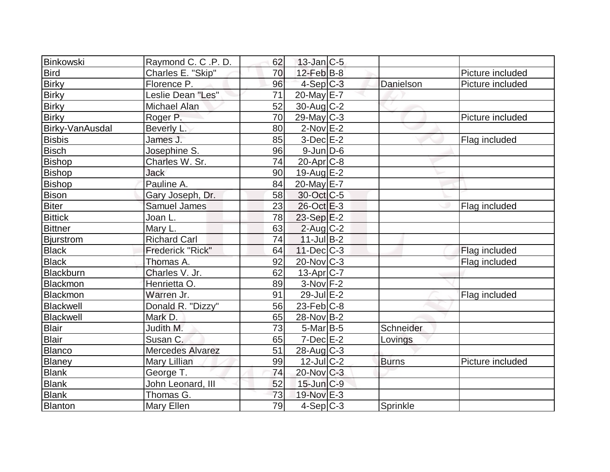| Binkowski        | Raymond C. C.P. D.      | 62 | $13$ -Jan $ C-5$  |              |                  |
|------------------|-------------------------|----|-------------------|--------------|------------------|
| <b>Bird</b>      | Charles E. "Skip"       | 70 | $12$ -Feb $B$ -8  |              | Picture included |
| <b>Birky</b>     | Florence P.             | 96 | $4-Sep C-3$       | Danielson    | Picture included |
| <b>Birky</b>     | Leslie Dean "Les"       | 71 | 20-May E-7        |              |                  |
| <b>Birky</b>     | Michael Alan            | 52 | $30$ -Aug C-2     |              |                  |
| <b>Birky</b>     | Roger P.                | 70 | $29$ -May C-3     |              | Picture included |
| Birky-VanAusdal  | Beverly L.              | 80 | $2$ -Nov $E-2$    |              |                  |
| Bisbis           | James J.                | 85 | $3-Dec$ $E-2$     |              | Flag included    |
| Bisch            | Josephine S.            | 96 | $9$ -Jun $D$ -6   |              |                  |
| <b>Bishop</b>    | Charles W. Sr.          | 74 | $20$ -Apr $C$ -8  |              |                  |
| <b>Bishop</b>    | <b>Jack</b>             | 90 | $19$ -Aug $E-2$   |              |                  |
| <b>Bishop</b>    | Pauline A.              | 84 | 20-May E-7        |              |                  |
| <b>Bison</b>     | Gary Joseph, Dr.        | 58 | 30-Oct C-5        |              |                  |
| <b>Biter</b>     | Samuel James            | 23 | $26$ -Oct $E-3$   |              | Flag included    |
| <b>Bittick</b>   | Joan L.                 | 78 | $23-Sep$ $E-2$    |              |                  |
| <b>Bittner</b>   | Mary L.                 | 63 | $2$ -Aug C-2      |              |                  |
| <b>Bjurstrom</b> | <b>Richard Carl</b>     | 74 | $11$ -Jul B-2     |              |                  |
| <b>Black</b>     | Frederick "Rick"        | 64 | $11$ -Dec $C-3$   |              | Flag included    |
| <b>Black</b>     | Thomas A.               | 92 | $20$ -Nov $C-3$   |              | Flag included    |
| Blackburn        | Charles V. Jr.          | 62 | $13$ -Apr $ C-7 $ |              |                  |
| Blackmon         | Henrietta O.            | 89 | $3-Nov$ F-2       |              |                  |
| Blackmon         | Warren Jr.              | 91 | 29-Jul E-2        |              | Flag included    |
| Blackwell        | Donald R. "Dizzy"       | 56 | $23$ -Feb $ C-8$  |              |                  |
| Blackwell        | Mark D.                 | 65 | 28-Nov B-2        |              |                  |
| <b>Blair</b>     | Judith M.               | 73 | $5$ -Mar $ B-5 $  | Schneider    |                  |
| <b>Blair</b>     | Susan C.                | 65 | $7$ -Dec $E-2$    | Lovings      |                  |
| Blanco           | <b>Mercedes Alvarez</b> | 51 | $28$ -Aug $C-3$   |              |                  |
| Blaney           | Mary Lillian            | 99 | $12$ -Jul $C-2$   | <b>Burns</b> | Picture included |
| <b>Blank</b>     | George T.               | 74 | $20$ -Nov $C-3$   |              |                  |
| <b>Blank</b>     | John Leonard, III       | 52 | $15$ -Jun $ C-9 $ |              |                  |
| <b>Blank</b>     | Thomas G.               | 73 | 19-Nov E-3        |              |                  |
| Blanton          | <b>Mary Ellen</b>       | 79 | $4-Sep C-3$       | Sprinkle     |                  |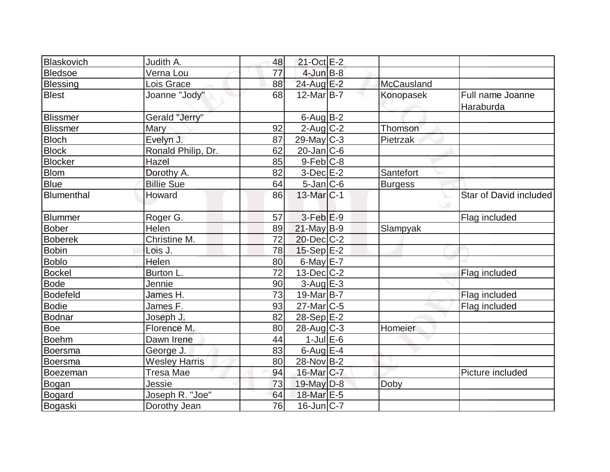| Blaskovich        | Judith A.            | 48              | 21-Oct E-2        |                |                               |
|-------------------|----------------------|-----------------|-------------------|----------------|-------------------------------|
| <b>Bledsoe</b>    | Verna Lou            | 77              | $4$ -Jun $B-8$    |                |                               |
| <b>Blessing</b>   | Lois Grace           | 88              | 24-Aug E-2        | McCausland     |                               |
| <b>Blest</b>      | Joanne "Jody"        | 68              | $12$ -Mar $ B-7 $ | Konopasek      | Full name Joanne<br>Haraburda |
| <b>Blissmer</b>   | Gerald "Jerry"       |                 | $6$ -Aug $B$ -2   |                |                               |
| <b>Blissmer</b>   | Mary                 | 92              | $2$ -Aug $C-2$    | Thomson        |                               |
| <b>Bloch</b>      | Evelyn J.            | 87              | $29$ -May C-3     | Pietrzak       |                               |
| <b>Block</b>      | Ronald Philip, Dr.   | 62              | $20$ -Jan $ C$ -6 |                |                               |
| <b>Blocker</b>    | Hazel                | 85              | $9-Feb$ C-8       |                |                               |
| <b>Blom</b>       | Dorothy A.           | 82              | $3-Dec$ $E-2$     | Santefort      |                               |
| <b>Blue</b>       | <b>Billie Sue</b>    | 64              | $5$ -Jan $ C$ -6  | <b>Burgess</b> |                               |
| <b>Blumenthal</b> | Howard               | 86              | 13-Mar $ C-1 $    |                | Star of David included        |
| Blummer           | Roger G.             | 57              | $3-Feb$ $E-9$     |                | Flag included                 |
| <b>Bober</b>      | Helen                | 89              | $21$ -May B-9     | Slampyak       |                               |
| <b>Boberek</b>    | Christine M.         | 72              | $20$ -Dec $C-2$   |                |                               |
| <b>Bobin</b>      | Lois J.              | 78              | $15-Sep$ E-2      |                |                               |
| <b>Boblo</b>      | Helen                | 80              | 6-May E-7         |                |                               |
| Bockel            | Burton L.            | 72              | $13$ -Dec $ C-2 $ |                | Flag included                 |
| <b>Bode</b>       | Jennie               | 90              | $3-Aug$ $E-3$     |                |                               |
| <b>Bodefeld</b>   | James H.             | 73              | 19-Mar B-7        |                | Flag included                 |
| <b>Bodie</b>      | James F.             | 93              | $27$ -Mar $ C-5$  |                | Flag included                 |
| <b>Bodnar</b>     | Joseph J.            | 82              | $28-Sep$ $E-2$    |                |                               |
| Boe               | Florence M.          | 80              | $28$ -Aug C-3     | Homeier        |                               |
| <b>Boehm</b>      | Dawn Irene           | 44              | $1$ -Jul $E$ -6   |                |                               |
| <b>Boersma</b>    | George J.            | 83              | $6$ -Aug $E-4$    |                |                               |
| Boersma           | <b>Wesley Harris</b> | 80              | 28-Nov B-2        |                |                               |
| Boezeman          | Tresa Mae            | 94              | 16-Mar C-7        |                | Picture included              |
| Bogan             | Jessie               | 73              | $19$ -May $D-8$   | Doby           |                               |
| <b>Bogard</b>     | Joseph R. "Joe"      | 64              | 18-Mar E-5        |                |                               |
| Bogaski           | Dorothy Jean         | $\overline{76}$ | $16$ -Jun $ C-7 $ |                |                               |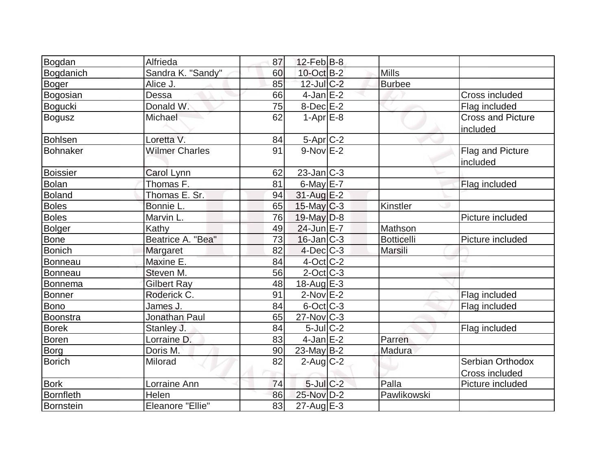| Bogdan           | Alfrieda                | 87 | $12$ -Feb $ B-8 $ |                   |                                      |
|------------------|-------------------------|----|-------------------|-------------------|--------------------------------------|
| Bogdanich        | Sandra K. "Sandy"       | 60 | 10-Oct B-2        | <b>Mills</b>      |                                      |
| <b>Boger</b>     | Alice J.                | 85 | $12$ -Jul C-2     | <b>Burbee</b>     |                                      |
| Bogosian         | Dessa                   | 66 | $4$ -Jan $E-2$    |                   | Cross included                       |
| Bogucki          | Donald W.               | 75 | $8-Dec$ $E-2$     |                   | Flag included                        |
| <b>Bogusz</b>    | Michael                 | 62 | $1-Apr$ $E-8$     |                   | <b>Cross and Picture</b><br>included |
| <b>Bohlsen</b>   | Loretta V.              | 84 | $5-Apr$ $C-2$     |                   |                                      |
| <b>Bohnaker</b>  | <b>Wilmer Charles</b>   | 91 | $9-Nov$ E-2       |                   | Flag and Picture<br>included         |
| <b>Boissier</b>  | Carol Lynn              | 62 | $23$ -Jan $ C-3 $ |                   |                                      |
| <b>Bolan</b>     | Thomas F.               | 81 | $6$ -May $E$ -7   |                   | Flag included                        |
| <b>Boland</b>    | Thomas E. Sr.           | 94 | $31$ -Aug E-2     |                   |                                      |
| <b>Boles</b>     | Bonnie L.               | 65 | $15$ -May $C-3$   | Kinstler          |                                      |
| <b>Boles</b>     | Marvin L.               | 76 | $19$ -May $D-8$   |                   | Picture included                     |
| <b>Bolger</b>    | Kathy                   | 49 | 24-Jun E-7        | Mathson           |                                      |
| <b>Bone</b>      | Beatrice A. "Bea"       | 73 | $16$ -Jan $ C-3 $ | <b>Botticelli</b> | Picture included                     |
| <b>Bonich</b>    | Margaret                | 82 | $4$ -Dec $C$ -3   | Marsili           |                                      |
| Bonneau          | Maxine E.               | 84 | $4$ -Oct $ C-2 $  |                   |                                      |
| Bonneau          | Steven M.               | 56 | $2$ -Oct C-3      |                   |                                      |
| <b>Bonnema</b>   | Gilbert Ray             | 48 | 18-Aug $E-3$      |                   |                                      |
| <b>Bonner</b>    | Roderick C.             | 91 | $2$ -Nov $E-2$    |                   | Flag included                        |
| <b>Bono</b>      | James J.                | 84 | $6$ -Oct $ C$ -3  |                   | Flag included                        |
| Boonstra         | Jonathan Paul           | 65 | $27$ -Nov $ C-3 $ |                   |                                      |
| <b>Borek</b>     | Stanley J.              | 84 | $5$ -Jul $C-2$    |                   | Flag included                        |
| <b>Boren</b>     | Lorraine D.             | 83 | $4$ -Jan $E-2$    | Parren            |                                      |
| <b>Borg</b>      | Doris M.                | 90 | $23$ -May B-2     | Madura            |                                      |
| <b>Borich</b>    | Milorad                 | 82 | $2$ -Aug $ C-2 $  |                   | Serbian Orthodox<br>Cross included   |
| <b>Bork</b>      | Lorraine Ann            | 74 | $5$ -Jul $C$ -2   | Palla             | Picture included                     |
| <b>Bornfleth</b> | Helen                   | 86 | 25-Nov D-2        | Pawlikowski       |                                      |
| Bornstein        | <b>Eleanore "Ellie"</b> | 83 | $27$ -Aug $E-3$   |                   |                                      |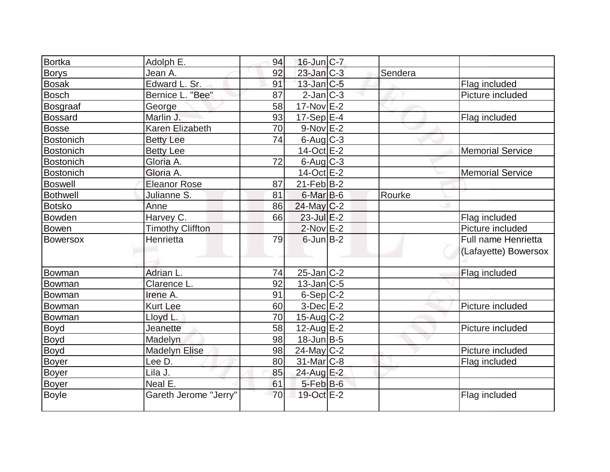| Bortka           | Adolph E.               | 94 | $16$ -Jun $ C-7 $ |         |                         |
|------------------|-------------------------|----|-------------------|---------|-------------------------|
| <b>Borys</b>     | Jean A.                 | 92 | $23$ -Jan $C-3$   | Sendera |                         |
| <b>Bosak</b>     | Edward L. Sr.           | 91 | $13$ -Jan $ C-5 $ |         | Flag included           |
| <b>Bosch</b>     | Bernice L. "Bee"        | 87 | $2$ -Jan $ C-3 $  |         | Picture included        |
| Bosgraaf         | George                  | 58 | $17-Nov$ E-2      |         |                         |
| <b>Bossard</b>   | Marlin J.               | 93 | $17-Sep$ E-4      |         | Flag included           |
| Bosse            | Karen Elizabeth         | 70 | $9-Nov$ $E-2$     |         |                         |
| <b>Bostonich</b> | <b>Betty Lee</b>        | 74 | $6$ -Aug $C$ -3   |         |                         |
| Bostonich        | <b>Betty Lee</b>        |    | $14-Oct$ E-2      |         | <b>Memorial Service</b> |
| Bostonich        | Gloria A.               | 72 | $6$ -Aug $C$ -3   |         |                         |
| Bostonich        | Gloria A.               |    | $14-Oct$ $E-2$    |         | <b>Memorial Service</b> |
| <b>Boswell</b>   | <b>Eleanor Rose</b>     | 87 | $21$ -Feb $ B-2 $ |         |                         |
| <b>Bothwell</b>  | Julianne S.             | 81 | $6$ -Mar $B$ -6   | Rourke  |                         |
| <b>Botsko</b>    | Anne                    | 86 | $24$ -May C-2     |         |                         |
| Bowden           | Harvey C.               | 66 | 23-Jul E-2        |         | Flag included           |
| Bowen            | <b>Timothy Cliffton</b> |    | $2$ -Nov $E-2$    |         | Picture included        |
| Bowersox         | Henrietta               | 79 | $6$ -Jun $B-2$    |         | Full name Henrietta     |
|                  |                         |    |                   |         | (Lafayette) Bowersox    |
|                  |                         |    |                   |         |                         |
| Bowman           | Adrian L.               | 74 | $25$ -Jan $ C-2 $ |         | Flag included           |
| Bowman           | Clarence L              | 92 | $13$ -Jan $ C-5 $ |         |                         |
| Bowman           | Irene A.                | 91 | $6-Sep C-2$       |         |                         |
| Bowman           | <b>Kurt Lee</b>         | 60 | $3-Dec$ $E-2$     |         | Picture included        |
| Bowman           | Lloyd L.                | 70 | $15$ -Aug $C-2$   |         |                         |
| <b>Boyd</b>      | Jeanette                | 58 | $12$ -Aug $E-2$   |         | Picture included        |
| <b>Boyd</b>      | Madelyn                 | 98 | 18-Jun B-5        |         |                         |
| Boyd             | <b>Madelyn Elise</b>    | 98 | $24$ -May C-2     |         | Picture included        |
| Boyer            | Lee D.                  | 80 | $31$ -Mar $C-8$   |         | Flag included           |
| Boyer            | Lila J.                 | 85 | 24-Aug E-2        |         |                         |
| <b>Boyer</b>     | Neal E.                 | 61 | $5$ -Feb $B$ -6   |         |                         |
| <b>Boyle</b>     | Gareth Jerome "Jerry"   | 70 | 19-Oct E-2        |         | Flag included           |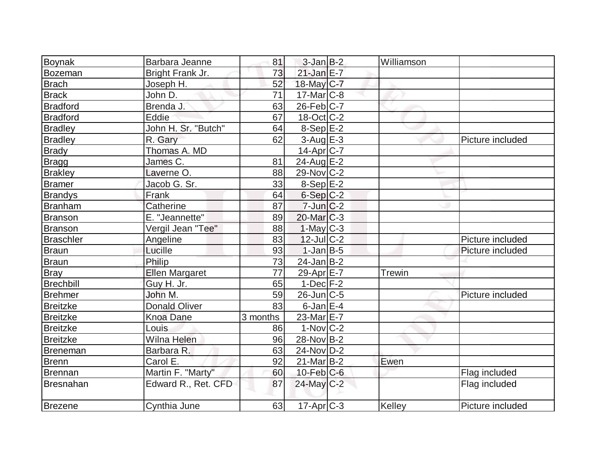| <b>Boynak</b>    | Barbara Jeanne        | 81              | $3$ -Jan B-2            | Williamson    |                  |
|------------------|-----------------------|-----------------|-------------------------|---------------|------------------|
| Bozeman          | Bright Frank Jr.      | 73              | $21$ -Jan $E-7$         |               |                  |
| <b>Brach</b>     | Joseph H.             | 52              | 18-May C-7              |               |                  |
| <b>Brack</b>     | John D.               | 71              | $17$ -Mar $ C-8$        |               |                  |
| Bradford         | Brenda J.             | 63              | $26$ -Feb $ C-7 $       |               |                  |
| <b>Bradford</b>  | Eddie                 | 67              | $18$ -Oct $ C-2 $       |               |                  |
| <b>Bradley</b>   | John H. Sr. "Butch"   | 64              | $8-Sep$ $E-2$           |               |                  |
| <b>Bradley</b>   | R. Gary               | 62              | $3-Aug$ $E-3$           |               | Picture included |
| <b>Brady</b>     | Thomas A. MD          |                 | $14$ -Apr $ C-7 $       |               |                  |
| Bragg            | James C.              | 81              | $24$ -Aug $E-2$         |               |                  |
| <b>Brakley</b>   | Laverne O.            | 88              | $29-Nov$ C-2            |               |                  |
| <b>Bramer</b>    | Jacob G. Sr.          | 33              | $8-Sep$ $E-2$           |               |                  |
| <b>Brandys</b>   | Frank                 | 64              | $6-Sep C-2$             |               |                  |
| Branham          | Catherine             | 87              | $7 - Jun$ $C - 2$       |               |                  |
| Branson          | E. "Jeannette"        | 89              | $20$ -Mar $ C-3 $       |               |                  |
| <b>Branson</b>   | Vergil Jean "Tee"     | 88              | $1-May$ <sub>C</sub> -3 |               |                  |
| <b>Braschler</b> | Angeline              | 83              | $12$ -JulC-2            |               | Picture included |
| Braun            | Lucille               | 93              | $1$ -Jan $B$ -5         |               | Picture included |
| Braun            | Philip                | 73              | $24$ -Jan $B-2$         |               |                  |
| <b>Bray</b>      | <b>Ellen Margaret</b> | $\overline{77}$ | $29-Apr \E-7$           | <b>Trewin</b> |                  |
| Brechbill        | Guy H. Jr.            | 65              | $1-Dec$ $F-2$           |               |                  |
| Brehmer          | John M.               | 59              | $26$ -Jun $C$ -5        |               | Picture included |
| <b>Breitzke</b>  | <b>Donald Oliver</b>  | 83              | $6$ -Jan $E-4$          |               |                  |
| <b>Breitzke</b>  | <b>Knoa Dane</b>      | 3 months        | 23-Mar E-7              |               |                  |
| <b>Breitzke</b>  | Louis                 | 86              | $1-Nov$ <sub>C</sub> -2 |               |                  |
| Breitzke         | Wilna Helen           | 96              | $28-Nov B-2$            |               |                  |
| Breneman         | Barbara R.            | 63              | 24-Nov D-2              |               |                  |
| Brenn            | Carol E.              | 92              | $21$ -Mar $B-2$         | Ewen          |                  |
| Brennan          | Martin F. "Marty"     | 60              | $10$ -Feb $C$ -6        |               | Flag included    |
| Bresnahan        | Edward R., Ret. CFD   | 87              | $24$ -May C-2           |               | Flag included    |
| Brezene          | Cynthia June          | 63              | $17$ -Apr $ C-3 $       | Kelley        | Picture included |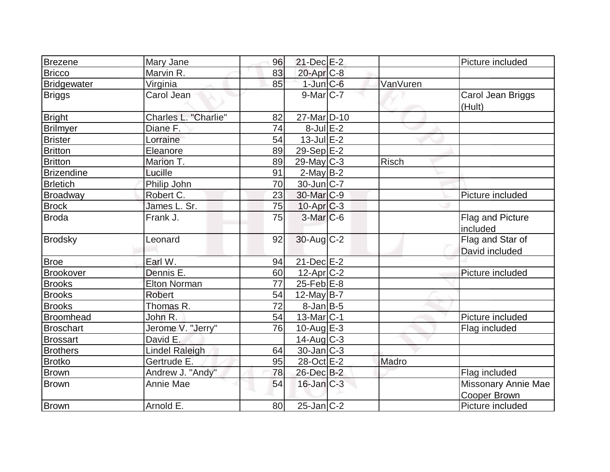| Brezene            | Mary Jane                   | 96 | $21$ -Dec $E-2$       |              | Picture included                   |
|--------------------|-----------------------------|----|-----------------------|--------------|------------------------------------|
| <b>Bricco</b>      | Marvin R.                   | 83 | 20-Apr <sub>C-8</sub> |              |                                    |
| <b>Bridgewater</b> | Virginia                    | 85 | $1$ -Jun $C$ -6       | VanVuren     |                                    |
| <b>Briggs</b>      | Carol Jean                  |    | $9$ -Mar $ C-7 $      |              | Carol Jean Briggs<br>(Hult)        |
| <b>Bright</b>      | <b>Charles L. "Charlie"</b> | 82 | 27-MarD-10            |              |                                    |
| <b>Brilmyer</b>    | Diane F.                    | 74 | $8$ -Jul $E-2$        |              |                                    |
| <b>Brister</b>     | Lorraine                    | 54 | $13$ -Jul $E-2$       |              |                                    |
| <b>Britton</b>     | Eleanore                    | 89 | 29-Sep $E-2$          |              |                                    |
| <b>Britton</b>     | Marion T.                   | 89 | $29$ -May C-3         | <b>Risch</b> |                                    |
| <b>Brizendine</b>  | Lucille                     | 91 | $2$ -May B-2          |              |                                    |
| <b>Brletich</b>    | Philip John                 | 70 | $30$ -Jun $ C-7 $     |              |                                    |
| Broadway           | Robert C.                   | 23 | 30-Mar C-9            |              | Picture included                   |
| <b>Brock</b>       | James L. Sr.                | 75 | $10$ -Apr $C-3$       |              |                                    |
| <b>Broda</b>       | Frank J.                    | 75 | $3-Mar$ $C-6$         |              | Flag and Picture<br>included       |
| <b>Brodsky</b>     | Leonard                     | 92 | $30$ -Aug C-2         |              | Flag and Star of<br>David included |
| <b>Broe</b>        | Earl W.                     | 94 | $21$ -Dec $E$ -2      |              |                                    |
| <b>Brookover</b>   | Dennis E.                   | 60 | $12-Apr$ $C-2$        |              | Picture included                   |
| <b>Brooks</b>      | <b>Elton Norman</b>         | 77 | $25$ -Feb $E$ -8      |              |                                    |
| <b>Brooks</b>      | Robert                      | 54 | 12-May B-7            |              |                                    |
| <b>Brooks</b>      | Thomas R.                   | 72 | $8$ -Jan B-5          |              |                                    |
| <b>Broomhead</b>   | John R.                     | 54 | $13$ -Mar $ C-1$      |              | Picture included                   |
| <b>Broschart</b>   | Jerome V. "Jerry"           | 76 | 10-Aug $E-3$          |              | Flag included                      |
| <b>Brossart</b>    | David E.                    |    | 14-Aug C-3            |              |                                    |
| <b>Brothers</b>    | <b>Lindel Raleigh</b>       | 64 | $30$ -Jan $ C-3 $     |              |                                    |
| <b>Brotko</b>      | Gertrude E.                 | 95 | 28-Oct E-2            | Madro        |                                    |
| <b>Brown</b>       | Andrew J. "Andy"            | 78 | 26-Dec B-2            |              | Flag included                      |
| Brown              | Annie Mae                   | 54 | $16$ -Jan $C-3$       |              | Missonary Annie Mae                |
|                    |                             |    |                       |              | <b>Cooper Brown</b>                |
| <b>Brown</b>       | Arnold E.                   | 80 | $25$ -Jan $ C-2 $     |              | Picture included                   |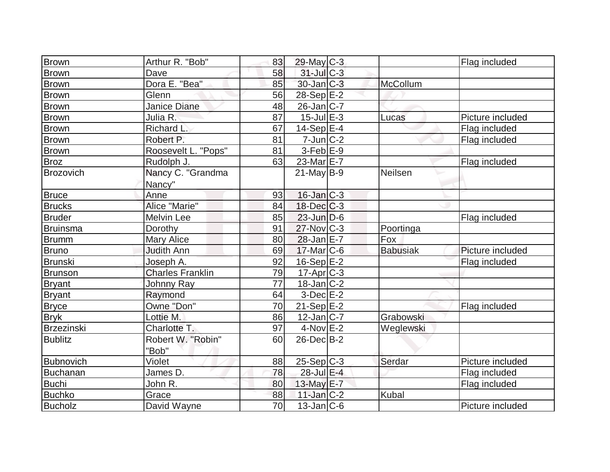| Brown             | Arthur R. "Bob"         | 83 | 29-May C-3        |                 | Flag included    |
|-------------------|-------------------------|----|-------------------|-----------------|------------------|
| <b>Brown</b>      | Dave                    | 58 | 31-Jul C-3        |                 |                  |
| <b>Brown</b>      | Dora E. "Bea"           | 85 | $30$ -Jan $C-3$   | McCollum        |                  |
| <b>Brown</b>      | Glenn                   | 56 | $28-Sep$ $E-2$    |                 |                  |
| <b>Brown</b>      | <b>Janice Diane</b>     | 48 | $26$ -Jan $ C-7 $ |                 |                  |
| <b>Brown</b>      | Julia R.                | 87 | $15$ -Jul $E-3$   | Lucas           | Picture included |
| <b>Brown</b>      | Richard L.              | 67 | $14-Sep$ E-4      |                 | Flag included    |
| Brown             | Robert P.               | 81 | $7$ -Jun $ C-2 $  |                 | Flag included    |
| <b>Brown</b>      | Roosevelt L. "Pops"     | 81 | $3-Feb$ $E-9$     |                 |                  |
| <b>Broz</b>       | Rudolph J.              | 63 | 23-Mar E-7        |                 | Flag included    |
| Brozovich         | Nancy C. "Grandma       |    | $21$ -May B-9     | Neilsen         |                  |
|                   | Nancy"                  |    |                   |                 |                  |
| <b>Bruce</b>      | Anne                    | 93 | $16$ -Jan $ C-3 $ |                 |                  |
| <b>Brucks</b>     | Alice "Marie"           | 84 | $18$ -Dec $C-3$   |                 |                  |
| <b>Bruder</b>     | Melvin Lee              | 85 | $23$ -Jun $D-6$   |                 | Flag included    |
| Bruinsma          | Dorothy                 | 91 | $27$ -Nov $ C-3 $ | Poortinga       |                  |
| <b>Brumm</b>      | Mary Alice              | 80 | $28$ -Jan $E-7$   | Fox             |                  |
| <b>Bruno</b>      | <b>Judith Ann</b>       | 69 | $17$ -Mar $C$ -6  | <b>Babusiak</b> | Picture included |
| <b>Brunski</b>    | Joseph A.               | 92 | $16-Sep$ $E-2$    |                 | Flag included    |
| Brunson           | <b>Charles Franklin</b> | 79 | $17$ -Apr $ C-3 $ |                 |                  |
| <b>Bryant</b>     | <b>Johnny Ray</b>       | 77 | $18$ -Jan $ C-2 $ |                 |                  |
| <b>Bryant</b>     | Raymond                 | 64 | $3$ -Dec $E-2$    |                 |                  |
| <b>Bryce</b>      | Owne "Don"              | 70 | $21-Sep$ E-2      |                 | Flag included    |
| <b>Bryk</b>       | Lottie M.               | 86 | $12$ -Jan $ C-7 $ | Grabowski       |                  |
| <b>Brzezinski</b> | Charlotte T.            | 97 | $4$ -Nov $E-2$    | Weglewski       |                  |
| <b>Bublitz</b>    | Robert W. "Robin"       | 60 | 26-Dec B-2        |                 |                  |
|                   | "Bob"                   |    |                   |                 |                  |
| <b>Bubnovich</b>  | Violet                  | 88 | $25-Sep C-3$      | Serdar          | Picture included |
| <b>Buchanan</b>   | James D.                | 78 | 28-Jul E-4        |                 | Flag included    |
| <b>Buchi</b>      | John R.                 | 80 | 13-May E-7        |                 | Flag included    |
| <b>Buchko</b>     | Grace                   | 88 | $11$ -Jan $C-2$   | <b>Kubal</b>    |                  |
| <b>Bucholz</b>    | David Wayne             | 70 | $13$ -Jan $ C-6$  |                 | Picture included |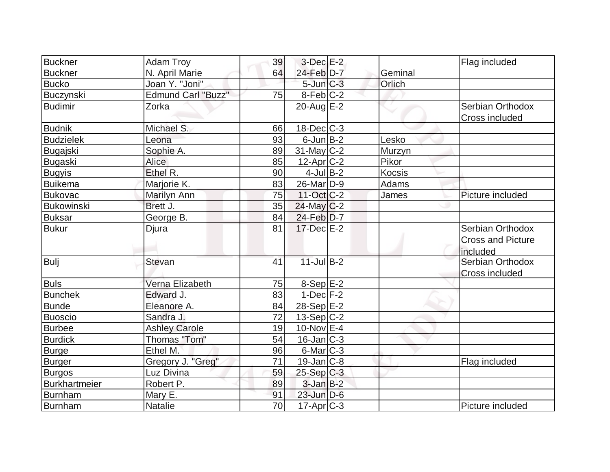| <b>Buckner</b>       | <b>Adam Troy</b>          | 39 | $3-Dec$ $E-2$          |               | Flag included                                            |
|----------------------|---------------------------|----|------------------------|---------------|----------------------------------------------------------|
| <b>Buckner</b>       | N. April Marie            | 64 | 24-Feb D-7             | Geminal       |                                                          |
| <b>Bucko</b>         | Joan Y. "Joni"            |    | $5$ -Jun $C-3$         | Orlich        |                                                          |
| Buczynski            | <b>Edmund Carl "Buzz"</b> | 75 | $8-Feb$ <sub>C-2</sub> |               |                                                          |
| Budimir              | Zorka                     |    | 20-Aug $E-2$           |               | Serbian Orthodox<br>Cross included                       |
| <b>Budnik</b>        | Michael S.                | 66 | $18$ -Dec $C$ -3       |               |                                                          |
| <b>Budzielek</b>     | Leona                     | 93 | $6$ -Jun $B$ -2        | Lesko         |                                                          |
| Bugajski             | Sophie A.                 | 89 | $31$ -May C-2          | Murzyn        |                                                          |
| Bugaski              | Alice                     | 85 | $12$ -Apr $C-2$        | Pikor         |                                                          |
| <b>Bugyis</b>        | Ethel R.                  | 90 | $4$ -Jul B-2           | <b>Kocsis</b> |                                                          |
| <b>Buikema</b>       | Marjorie K.               | 83 | 26-Mar <sub>D-9</sub>  | <b>Adams</b>  |                                                          |
| <b>Bukovac</b>       | Marilyn Ann               | 75 | 11-Oct C-2             | James         | Picture included                                         |
| Bukowinski           | Brett J.                  | 35 | $24$ -May C-2          |               |                                                          |
| <b>Buksar</b>        | George B.                 | 84 | $24$ -Feb $D-7$        |               |                                                          |
| <b>Bukur</b>         | Djura                     | 81 | 17-Dec E-2             |               | Serbian Orthodox<br><b>Cross and Picture</b><br>included |
| Bulj                 | Stevan                    | 41 | $11$ -Jul $B-2$        |               | Serbian Orthodox<br>Cross included                       |
| <b>Buls</b>          | Verna Elizabeth           | 75 | $8-Sep$ $E-2$          |               |                                                          |
| <b>Bunchek</b>       | Edward J.                 | 83 | $1-Dec$ $F-2$          |               |                                                          |
| <b>Bunde</b>         | Eleanore A.               | 84 | 28-Sep E-2             |               |                                                          |
| <b>Buoscio</b>       | Sandra J.                 | 72 | $13-Sep C-2$           |               |                                                          |
| <b>Burbee</b>        | <b>Ashley Carole</b>      | 19 | $10$ -Nov $E-4$        |               |                                                          |
| <b>Burdick</b>       | Thomas "Tom"              | 54 | $16$ -Jan $C-3$        |               |                                                          |
| <b>Burge</b>         | Ethel M.                  | 96 | $6$ -Mar $ C-3 $       |               |                                                          |
| <b>Burger</b>        | Gregory J. "Greg"         | 71 | $19$ -Jan $ C-8 $      |               | Flag included                                            |
| <b>Burgos</b>        | Luz Divina                | 59 | 25-Sep C-3             |               |                                                          |
| <b>Burkhartmeier</b> | Robert P.                 | 89 | $3$ -Jan $B-2$         |               |                                                          |
| Burnham              | Mary E.                   | 91 | $23$ -Jun $D-6$        |               |                                                          |
| Burnham              | <b>Natalie</b>            | 70 | $17$ -Apr $ C-3 $      |               | Picture included                                         |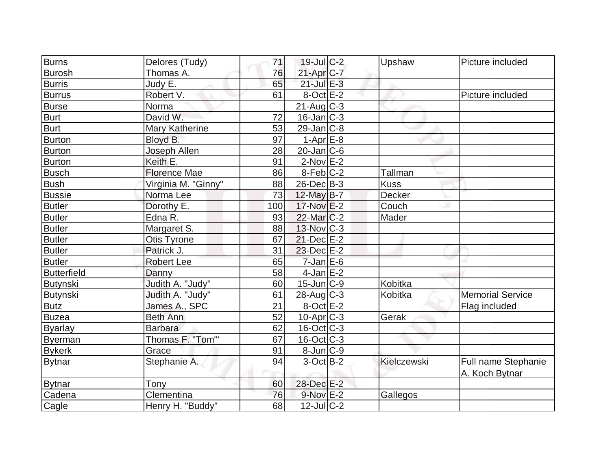| Burns              | Delores (Tudy)      | 71  | $19$ -Jul $C-2$   | Upshaw      | Picture included                      |
|--------------------|---------------------|-----|-------------------|-------------|---------------------------------------|
| <b>Burosh</b>      | Thomas A.           | 76  | $21-Apr$ $C-7$    |             |                                       |
| <b>Burris</b>      | Judy E.             | 65  | $21$ -Jul $E-3$   |             |                                       |
| <b>Burrus</b>      | Robert V.           | 61  | $8$ -Oct $E-2$    |             | Picture included                      |
| <b>Burse</b>       | Norma               |     | $21$ -Aug $C-3$   |             |                                       |
| <b>Burt</b>        | David W.            | 72  | $16$ -Jan $ C-3 $ |             |                                       |
| <b>Burt</b>        | Mary Katherine      | 53  | $29$ -Jan $ C-8 $ |             |                                       |
| <b>Burton</b>      | Bloyd B.            | 97  | $1-Apr$ $E-8$     |             |                                       |
| Burton             | Joseph Allen        | 28  | $20$ -Jan $C$ -6  |             |                                       |
| Burton             | Keith E.            | 91  | $2$ -Nov $E-2$    |             |                                       |
| <b>Busch</b>       | <b>Florence Mae</b> | 86  | $8-Feb C-2$       | Tallman     |                                       |
| <b>Bush</b>        | Virginia M. "Ginny" | 88  | $26$ -Dec $B-3$   | <b>Kuss</b> |                                       |
| <b>Bussie</b>      | Norma Lee           | 73  | 12-May B-7        | Decker      |                                       |
| <b>Butler</b>      | Dorothy E.          | 100 | $17$ -Nov $E-2$   | Couch       |                                       |
| <b>Butler</b>      | Edna R.             | 93  | 22-Mar C-2        | Mader       |                                       |
| <b>Butler</b>      | Margaret S.         | 88  | 13-Nov C-3        |             |                                       |
| <b>Butler</b>      | Otis Tyrone         | 67  | $21$ -Dec $E-2$   |             |                                       |
| <b>Butler</b>      | Patrick J.          | 31  | 23-Dec E-2        |             |                                       |
| <b>Butler</b>      | Robert Lee          | 65  | $7$ -Jan $E$ -6   |             |                                       |
| <b>Butterfield</b> | Danny               | 58  | $4$ -Jan $E-2$    |             |                                       |
| Butynski           | Judith A. "Judy"    | 60  | $15$ -Jun $ C-9 $ | Kobitka     |                                       |
| Butynski           | Judith A. "Judy"    | 61  | $28$ -Aug $C-3$   | Kobitka     | <b>Memorial Service</b>               |
| <b>Butz</b>        | James A., SPC       | 21  | $8-Oct$ $E-2$     |             | Flag included                         |
| <b>Buzea</b>       | Beth Ann            | 52  | $10$ -Apr $C$ -3  | Gerak       |                                       |
| <b>Byarlay</b>     | <b>Barbara</b>      | 62  | $16$ -Oct C-3     |             |                                       |
| <b>Byerman</b>     | Thomas F. "Tom"     | 67  | $16$ -Oct C-3     |             |                                       |
| <b>Bykerk</b>      | Grace               | 91  | $8$ -Jun $C-9$    |             |                                       |
| <b>Bytnar</b>      | Stephanie A.        | 94  | $3-Oct$ B-2       | Kielczewski | Full name Stephanie<br>A. Koch Bytnar |
| <b>Bytnar</b>      | Tony                | 60  | 28-Dec E-2        |             |                                       |
| Cadena             | Clementina          | 76  | $9-Nov$ E-2       | Gallegos    |                                       |
| Cagle              | Henry H. "Buddy"    | 68  | $12$ -Jul $C-2$   |             |                                       |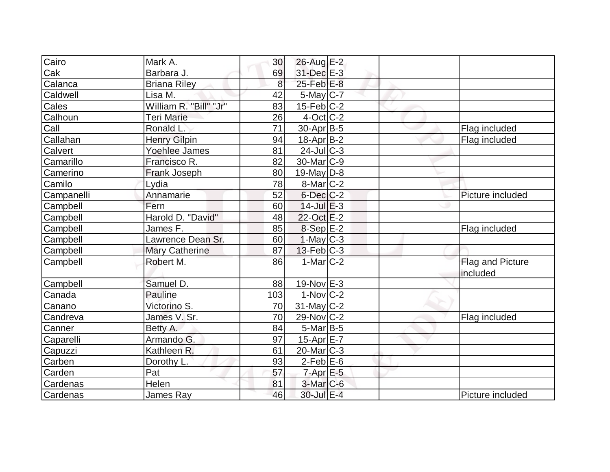| Cairo                   | Mark A.                | 30 <sup>°</sup> | 26-Aug E-2              |  |                              |
|-------------------------|------------------------|-----------------|-------------------------|--|------------------------------|
| $\overline{\text{Cak}}$ | Barbara J.             | 69              | 31-Dec E-3              |  |                              |
| Calanca                 | <b>Briana Riley</b>    | 8 <sup>1</sup>  | $25$ -Feb $E$ -8        |  |                              |
| Caldwell                | Lisa M.                | 42              | 5-May C-7               |  |                              |
| Cales                   | William R. "Bill" "Jr" | 83              | $15$ -Feb $C-2$         |  |                              |
| Calhoun                 | Teri Marie             | 26              | $4$ -Oct $ C-2 $        |  |                              |
| Call                    | Ronald L.              | 71              | $30$ -Apr $ B-5 $       |  | Flag included                |
| Callahan                | <b>Henry Gilpin</b>    | 94              | 18-Apr B-2              |  | Flag included                |
| Calvert                 | Yoehlee James          | 81              | $24$ -JulC-3            |  |                              |
| Camarillo               | Francisco R.           | 82              | 30-Mar C-9              |  |                              |
| Camerino                | Frank Joseph           | 80              | $19$ -May $D-8$         |  |                              |
| Camilo                  | Lydia                  | 78              | $8$ -Mar $ C-2 $        |  |                              |
| Campanelli              | Annamarie              | 52              | 6-Dec C-2               |  | Picture included             |
| Campbell                | Fern                   | 60              | $14$ -Jul $E-3$         |  |                              |
| Campbell                | Harold D. "David"      | 48              | 22-Oct E-2              |  |                              |
| Campbell                | James F.               | 85              | 8-Sep E-2               |  | Flag included                |
| Campbell                | Lawrence Dean Sr.      | 60              | $1-May$ <sub>C</sub> -3 |  |                              |
| Campbell                | <b>Mary Catherine</b>  | 87              | $13$ -Feb $C-3$         |  |                              |
| Campbell                | Robert M.              | 86              | $1-Mar$ $C-2$           |  | Flag and Picture<br>included |
| Campbell                | Samuel D.              | 88              | $19-Nov$ E-3            |  |                              |
| Canada                  | Pauline                | 103             | $1-Nov$ C-2             |  |                              |
| Canano                  | Victorino S.           | 70              | $31$ -May C-2           |  |                              |
| Candreva                | James V. Sr.           | 70              | $29$ -Nov $ C-2 $       |  | Flag included                |
| Canner                  | Betty A.               | 84              | $5$ -Mar $B$ -5         |  |                              |
| Caparelli               | Armando G.             | 97              | $15$ -Apr $E$ -7        |  |                              |
| Capuzzi                 | Kathleen R.            | 61              | $20$ -Mar $ C-3 $       |  |                              |
| Carben                  | Dorothy L.             | 93              | $2-Feb$ $E-6$           |  |                              |
| Carden                  | Pat                    | 57              | $7$ -Apr $E$ -5         |  |                              |
| Cardenas                | Helen                  | 81              | $3-Mar$ $C-6$           |  |                              |
| Cardenas                | James Ray              | 46              | 30-Jul E-4              |  | Picture included             |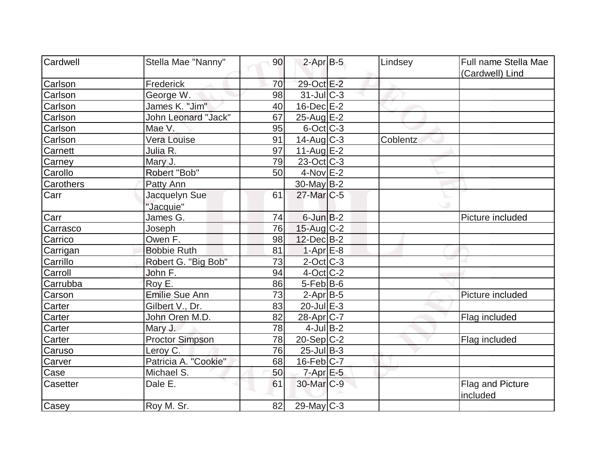| Cardwell                   | Stella Mae "Nanny"         | 90 | $2$ -Apr $B-5$           | Lindsey  | Full name Stella Mae         |
|----------------------------|----------------------------|----|--------------------------|----------|------------------------------|
|                            |                            |    |                          |          |                              |
| Carlson                    | Frederick                  | 70 | 29-Oct E-2               |          | (Cardwell) Lind              |
| Carlson                    | George W.                  | 98 | $31$ -JulC-3             |          |                              |
| Carlson                    | James K. "Jim"             | 40 | $16$ -Dec $E-2$          |          |                              |
| Carlson                    | <b>John Leonard "Jack"</b> | 67 | $25$ -Aug $E-2$          |          |                              |
| Mae V.                     |                            | 95 | $6$ -Oct $ C-3 $         |          |                              |
| Carlson<br>Carlson         | Vera Louise                | 91 | $14$ -Aug $C-3$          | Coblentz |                              |
|                            |                            |    |                          |          |                              |
| Julia R.<br>Carnett        |                            | 97 | 11-Aug $E-2$             |          |                              |
| Mary J.<br>Carney          |                            | 79 | $23-Oct$ <sub>C</sub> -3 |          |                              |
| Carollo                    | Robert "Bob"               | 50 | $4$ -Nov $E-2$           |          |                              |
| Carothers                  | Patty Ann                  |    | $30$ -May B-2            |          |                              |
| Carr                       | Jacquelyn Sue              | 61 | 27-Mar <sub>IC-5</sub>   |          |                              |
|                            | "Jacquie"                  |    |                          |          |                              |
| Carr                       | James G.                   | 74 | $6$ -Jun $B-2$           |          | Picture included             |
| Carrasco<br>Joseph         |                            | 76 | $15$ -Aug C-2            |          |                              |
| Carrico                    | Owen F.                    | 98 | $12$ -Dec $B-2$          |          |                              |
| Carrigan                   | <b>Bobbie Ruth</b>         | 81 | $1-Apr$ $E-8$            |          |                              |
| Carrillo                   | Robert G. "Big Bob"        | 73 | $2$ -Oct C-3             |          |                              |
| Carroll<br>John F.         |                            | 94 | $4$ -Oct C-2             |          |                              |
| Roy E.<br>Carrubba         |                            | 86 | $5$ -Feb $ B$ -6         |          |                              |
| Carson                     | Emilie Sue Ann             | 73 | $2-Apr$ B-5              |          | Picture included             |
| Carter                     | Gilbert V., Dr.            | 83 | $20$ -Jul $E-3$          |          |                              |
| Carter                     | John Oren M.D.             | 82 | $28$ -Apr $ C-7 $        |          | Flag included                |
| Mary J.<br>Carter          |                            | 78 | $4$ -Jul B-2             |          |                              |
| Carter                     | <b>Proctor Simpson</b>     | 78 | 20-Sep C-2               |          | Flag included                |
| Caruso                     | Leroy C.                   | 76 | $25$ -Jul $B-3$          |          |                              |
| Carver                     | Patricia A. "Cookie"       | 68 | $16$ -Feb $ C-7 $        |          |                              |
| Case                       | Michael S.                 | 50 | $7$ -Apr $E$ -5          |          |                              |
| Dale E.<br><b>Casetter</b> |                            | 61 | 30-Mar <sub>IC-9</sub>   |          | Flag and Picture<br>included |
| Casey                      | Roy M. Sr.                 | 82 | 29-May C-3               |          |                              |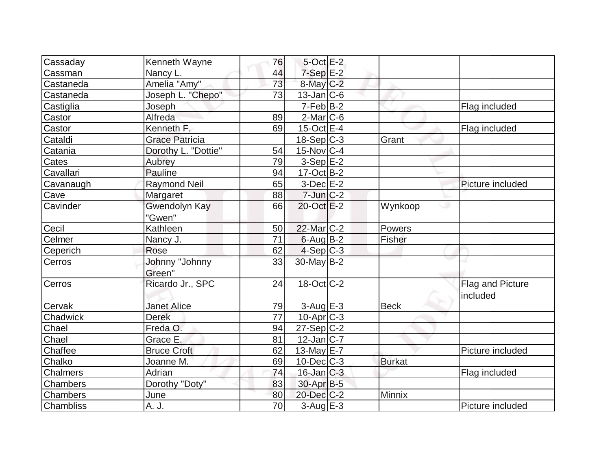| Cassaday        | Kenneth Wayne         | 76 | $5$ -Oct $E-2$           |               |                  |
|-----------------|-----------------------|----|--------------------------|---------------|------------------|
| Cassman         | Nancy L.              | 44 | $7-Sep$ $E-2$            |               |                  |
| Castaneda       | Amelia "Amy"          | 73 | $8$ -May $C$ -2          |               |                  |
| Castaneda       | Joseph L. "Chepo"     | 73 | $13$ -Jan $ C-6$         |               |                  |
| Castiglia       | Joseph                |    | $7-Feb B-2$              |               | Flag included    |
| Castor          | Alfreda               | 89 | $2$ -Mar $ C$ -6         |               |                  |
| Castor          | Kenneth F.            | 69 | $15$ -Oct $E-4$          |               | Flag included    |
| Cataldi         | <b>Grace Patricia</b> |    | $18-Sep C-3$             | Grant         |                  |
| Catania         | Dorothy L. "Dottie"   | 54 | $15$ -Nov $ C-4 $        |               |                  |
| Cates           | Aubrey                | 79 | $3-Sep$ $E-2$            |               |                  |
| Cavallari       | Pauline               | 94 | $17-Oct$ B-2             |               |                  |
| Cavanaugh       | <b>Raymond Neil</b>   | 65 | $3-Dec$ $E-2$            |               | Picture included |
| Cave            | Margaret              | 88 | $7$ -Jun $C-2$           |               |                  |
| Cavinder        | Gwendolyn Kay         | 66 | 20-Oct E-2               | Wynkoop       |                  |
|                 | "Gwen"                |    |                          |               |                  |
| Cecil           | Kathleen              | 50 | $22$ -Mar $ C-2 $        | Powers        |                  |
| Celmer          | Nancy J.              | 71 | $6$ -Aug B-2             | Fisher        |                  |
| Ceperich        | Rose                  | 62 | $4-Sep C-3$              |               |                  |
| Cerros          | Johnny "Johnny        | 33 | 30-May B-2               |               |                  |
|                 | Green"                |    |                          |               |                  |
| Cerros          | Ricardo Jr., SPC      | 24 | $18-Oct$ <sub>C</sub> -2 |               | Flag and Picture |
|                 |                       |    |                          |               | included         |
| Cervak          | <b>Janet Alice</b>    | 79 | $3-Aug$ $E-3$            | <b>Beck</b>   |                  |
| Chadwick        | <b>Derek</b>          | 77 | $10$ -Apr $C-3$          |               |                  |
| Chael           | Freda O.              | 94 | $27-Sep C-2$             |               |                  |
| Chael           | Grace E               | 81 | $12$ -Jan $ C-7 $        |               |                  |
| Chaffee         | <b>Bruce Croft</b>    | 62 | 13-May $E-7$             |               | Picture included |
| Chalko          | Joanne M.             | 69 | $10$ -Dec $C$ -3         | <b>Burkat</b> |                  |
| <b>Chalmers</b> | Adrian                | 74 | $16$ -Jan $ C-3 $        |               | Flag included    |
| <b>Chambers</b> | Dorothy "Doty"        | 83 | 30-Apr B-5               |               |                  |
| <b>Chambers</b> | June                  | 80 | 20-Dec C-2               | Minnix        |                  |
| Chambliss       | A. J.                 | 70 | $3-Aug$ E-3              |               | Picture included |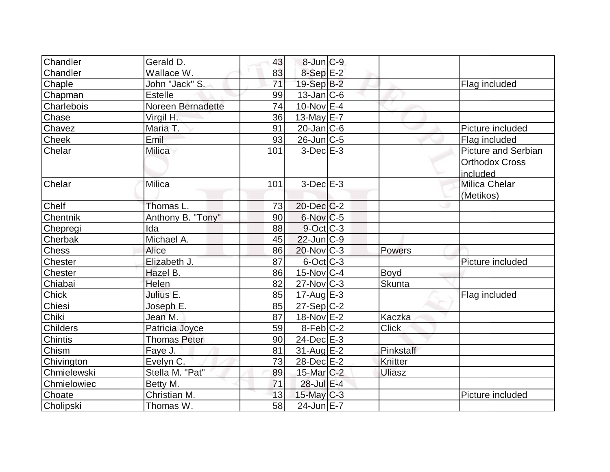| Chandler        | Gerald D.           | 43  | $8$ -Jun $C-9$       |               |                                                                 |
|-----------------|---------------------|-----|----------------------|---------------|-----------------------------------------------------------------|
| Chandler        | Wallace W.          | 83  | 8-Sep <sub>E-2</sub> |               |                                                                 |
| Chaple          | John "Jack" S.      | 71  | 19-Sep B-2           |               | Flag included                                                   |
| Chapman         | <b>Estelle</b>      | 99  | $13$ -Jan $ C-6$     |               |                                                                 |
| Charlebois      | Noreen Bernadette   | 74  | 10-Nov $E$ -4        |               |                                                                 |
| Chase           | Virgil H.           | 36  | 13-May E-7           |               |                                                                 |
| Chavez          | Maria T.            | 91  | $20$ -Jan $ C$ -6    |               | Picture included                                                |
| Cheek           | Emil                | 93  | $26$ -Jun $C-5$      |               | Flag included                                                   |
| Chelar          | Milica              | 101 | $3-Dec$ $E-3$        |               | <b>Picture and Serbian</b><br><b>Orthodox Cross</b><br>included |
| Chelar          | Milica              | 101 | $3-Dec$ $E-3$        |               | Milica Chelar<br>(Metikos)                                      |
| <b>Chelf</b>    | Thomas L.           | 73  | 20-Dec C-2           |               |                                                                 |
| Chentnik        | Anthony B. "Tony"   | 90  | $6$ -Nov $C$ -5      |               |                                                                 |
| Chepregi        | Ida                 | 88  | 9-Oct C-3            |               |                                                                 |
| Cherbak         | Michael A.          | 45  | $22$ -Jun $ C-9 $    |               |                                                                 |
| <b>Chess</b>    | <b>Alice</b>        | 86  | $20$ -Nov $ C-3 $    | Powers        |                                                                 |
| Chester         | Elizabeth J.        | 87  | $6$ -Oct $ C-3 $     |               | Picture included                                                |
| Chester         | Hazel B.            | 86  | $15$ -Nov $ C-4 $    | <b>Boyd</b>   |                                                                 |
| Chiabai         | Helen               | 82  | $27$ -Nov $ C-3 $    | <b>Skunta</b> |                                                                 |
| <b>Chick</b>    | Julius E.           | 85  | $17-AugE-3$          |               | Flag included                                                   |
| Chiesi          | Joseph E.           | 85  | $27-Sep C-2$         |               |                                                                 |
| Chiki           | Jean M.             | 87  | $18-Nov$ E-2         | Kaczka        |                                                                 |
| <b>Childers</b> | Patricia Joyce      | 59  | $8$ -Feb $C-2$       | <b>Click</b>  |                                                                 |
| <b>Chintis</b>  | <b>Thomas Peter</b> | 90  | $24$ -Dec $E-3$      |               |                                                                 |
| Chism           | Faye J.             | 81  | $31$ -Aug $E-2$      | Pinkstaff     |                                                                 |
| Chivington      | Evelyn C.           | 73  | $28$ -Dec $E-2$      | Knitter       |                                                                 |
| Chmielewski     | Stella M. "Pat"     | 89  | $15$ -Mar $ C-2 $    | <b>Uliasz</b> |                                                                 |
| Chmielowiec     | Betty M.            | 71  | 28-Jul E-4           |               |                                                                 |
| Choate          | Christian M.        | 13  | $15$ -May C-3        |               | Picture included                                                |
| Cholipski       | Thomas W.           | 58  | 24-Jun E-7           |               |                                                                 |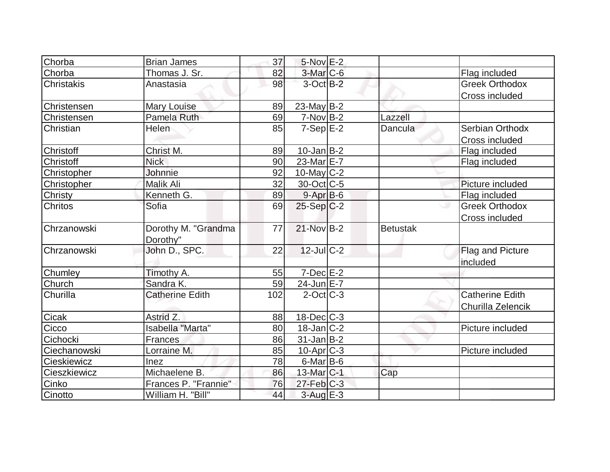| Chorba         | <b>Brian James</b>              | 37  | $5-Nov$ $E-2$         |                 |                                             |
|----------------|---------------------------------|-----|-----------------------|-----------------|---------------------------------------------|
| Chorba         | Thomas J. Sr.                   | 82  | 3-Mar C-6             |                 | Flag included                               |
| Christakis     | Anastasia                       | 98  | $3$ -Oct $B-2$        |                 | <b>Greek Orthodox</b>                       |
|                |                                 |     |                       |                 | Cross included                              |
| Christensen    | Mary Louise                     | 89  | 23-May $B-2$          |                 |                                             |
| Christensen    | Pamela Ruth                     | 69  | $7-NovB-2$            | Lazzell         |                                             |
| Christian      | Helen                           | 85  | $7-Sep$ $E-2$         | Dancula         | Serbian Orthodx<br>Cross included           |
| Christoff      | Christ M.                       | 89  | $10$ -Jan $ B-2 $     |                 | Flag included                               |
| Christoff      | <b>Nick</b>                     | 90  | 23-Mar E-7            |                 | Flag included                               |
| Christopher    | Johnnie                         | 92  | $10$ -May $ C-2 $     |                 |                                             |
| Christopher    | Malik Ali                       | 32  | 30-Oct C-5            |                 | Picture included                            |
| Christy        | Kenneth G.                      | 89  | $9 - Apr$ B-6         |                 | Flag included                               |
| <b>Chritos</b> | Sofia                           | 69  | $25-Sep C-2$          |                 | <b>Greek Orthodox</b><br>Cross included     |
| Chrzanowski    | Dorothy M. "Grandma<br>Dorothy" | 77  | $21-Nov$ B-2          | <b>Betustak</b> |                                             |
| Chrzanowski    | John D., SPC.                   | 22  | $12$ -Jul C-2         |                 | Flag and Picture<br>included                |
| Chumley        | Timothy A.                      | 55  | $7$ -Dec $E-2$        |                 |                                             |
| Church         | Sandra K.                       | 59  | 24-Jun E-7            |                 |                                             |
| Churilla       | <b>Catherine Edith</b>          | 102 | $2$ -Oct $ C-3 $      |                 | <b>Catherine Edith</b><br>Churilla Zelencik |
| Cicak          | Astrid Z.                       | 88  | $18$ -Dec $ C-3 $     |                 |                                             |
| Cicco          | Isabella "Marta"                | 80  | $18$ -Jan $ C-2 $     |                 | Picture included                            |
| Cichocki       | Frances                         | 86  | $31$ -Jan $ B-2 $     |                 |                                             |
| Ciechanowski   | Lorraine M.                     | 85  | $10$ -Apr $ C-3 $     |                 | Picture included                            |
| Cieskiewicz    | Inez                            | 78  | $6$ -Mar $ B-6$       |                 |                                             |
| Cieszkiewicz   | Michaelene B.                   | 86  | 13-Mar <sub>C-1</sub> | Cap             |                                             |
| Cinko          | Frances P. "Frannie"            | 76  | $27$ -Feb $ C-3 $     |                 |                                             |
| Cinotto        | William H. "Bill"               | 44  | $3$ -Aug E-3          |                 |                                             |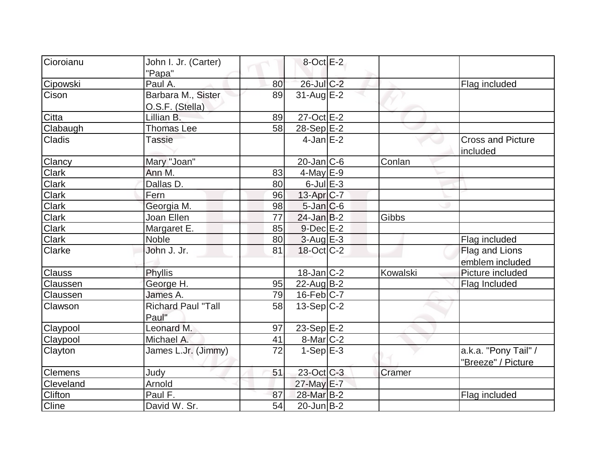| Cioroianu<br>$8$ -Oct $E-2$<br>John I. Jr. (Carter)<br>"Papa" | Flag included                |
|---------------------------------------------------------------|------------------------------|
|                                                               |                              |
|                                                               |                              |
| 26-Jul C-2<br>Cipowski<br>Paul A.<br>80                       |                              |
| Barbara M., Sister<br>$31$ -Aug E-2<br>Cison<br>89            |                              |
| O.S.F. (Stella)                                               |                              |
| $27$ -Oct $E-2$<br>Citta<br>Lillian B.<br>89                  |                              |
| Clabaugh<br>58<br><b>Thomas Lee</b><br>28-Sep E-2             |                              |
| $4$ -Jan $E-2$<br>Cladis<br><b>Tassie</b>                     | <b>Cross and Picture</b>     |
|                                                               | included                     |
| Mary "Joan"<br>$20$ -Jan $ C$ -6<br>Clancy                    | Conlan                       |
| <b>Clark</b><br>$\overline{4}$ -May E-9<br>Ann M.<br>83       |                              |
| <b>Clark</b><br>$6$ -Jul $E-3$<br>Dallas D.<br>80             |                              |
| Clark<br>Fern<br>$13$ -Apr $ C-7 $<br>96                      |                              |
| <b>Clark</b><br>Georgia M.<br>98<br>$5$ -Jan $C$ -6           |                              |
| <b>Clark</b><br>77<br>Joan Ellen<br>$24$ -Jan B-2             | Gibbs                        |
| Clark<br>$9$ -Dec $E-2$<br>Margaret E.<br>85                  |                              |
| Clark<br>$3$ -Aug E-3<br>Noble<br>80                          | Flag included                |
| John J. Jr.<br>$18$ -Oct $ C-2 $<br><b>Clarke</b><br>81       | Flag and Lions               |
|                                                               | emblem included              |
| $18$ -Jan $C$ -2<br><b>Clauss</b><br><b>Phyllis</b>           | Picture included<br>Kowalski |
| George H.<br>$22$ -Aug B-2<br>Claussen<br>95                  | Flag Included                |
| 79<br>$16$ -Feb $ C-7 $<br>James A.<br>Claussen               |                              |
| Richard Paul "Tall<br>$13-Sep C-2$<br>Clawson<br>58           |                              |
| Paul"                                                         |                              |
| Leonard M.<br>23-Sep $E-2$<br>Claypool<br>97                  |                              |
| 8-Mar C-2<br>Claypool<br>Michael A.<br>41                     |                              |
| 72<br>James L.Jr. (Jimmy)<br>$1-Sep$ $E-3$<br>Clayton         | a.k.a. "Pony Tail" /         |
|                                                               | "Breeze" / Picture           |
| 23-Oct C-3<br><b>Judy</b><br>51<br><b>Clemens</b>             | Cramer                       |
| Arnold<br>27-May E-7<br>Cleveland                             |                              |
| Clifton<br>Paul F.<br>28-Mar B-2<br>87                        | Flag included                |
| David W. Sr.<br>54<br>Cline<br>$20$ -Jun $B-2$                |                              |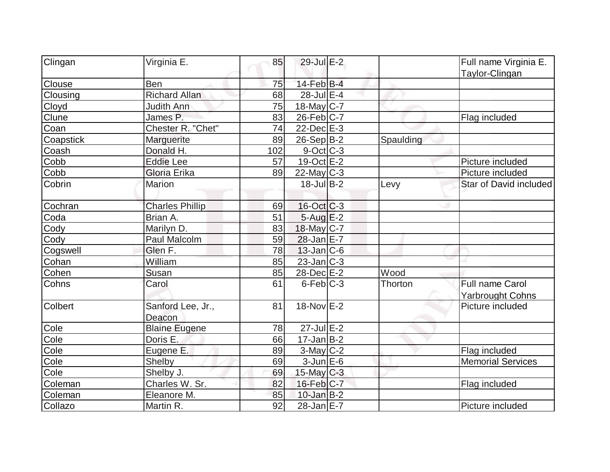| Clingan        | Virginia E.            | 85        | $29$ -Jul $E-2$   |           | Full name Virginia E.    |
|----------------|------------------------|-----------|-------------------|-----------|--------------------------|
| Clouse         | Ben                    | 75        | $14$ -Feb $B$ -4  |           | Taylor-Clingan           |
| Clousing       | <b>Richard Allan</b>   | 68        | 28-Jul E-4        |           |                          |
| Cloyd          | <b>Judith Ann</b>      | 75        | $18$ -May C-7     |           |                          |
| Clune          | James P.               | 83        | $26$ -Feb $C-7$   |           | Flag included            |
| Coan           | Chester R. "Chet"      | 74        | 22-Dec E-3        |           |                          |
| Coapstick      | Marguerite             | 89        | $26-Sep B-2$      | Spaulding |                          |
|                | Donald H.              |           |                   |           |                          |
| Coash          |                        | 102<br>57 | 9-Oct C-3         |           |                          |
| Cobb           | <b>Eddie Lee</b>       |           | $19-Oct$ $E-2$    |           | Picture included         |
| Cobb           | Gloria Erika           | 89        | $22$ -May C-3     |           | Picture included         |
| Cobrin         | Marion                 |           | $18$ -Jul B-2     | Levy      | Star of David included   |
| Cochran        | <b>Charles Phillip</b> | 69        | $16$ -Oct $ C-3 $ |           |                          |
| Coda           | Brian A.               | 51        | $5 - Aug$ $E - 2$ |           |                          |
| Cody           | Marilyn D.             | 83        | 18-May C-7        |           |                          |
| Cody           | Paul Malcolm           | 59        | 28-Jan E-7        |           |                          |
| Cogswell       | Glen F.                | 78        | $13$ -Jan $ C-6$  |           |                          |
| Cohan          | William                | 85        | $23$ -Jan $ C-3 $ |           |                          |
| Cohen          | Susan                  | 85        | 28-Dec E-2        | Wood      |                          |
| Cohns          | Carol                  | 61        | $6$ -Feb $ C-3 $  | Thorton   | <b>Full name Carol</b>   |
|                |                        |           |                   |           | <b>Yarbrought Cohns</b>  |
| <b>Colbert</b> | Sanford Lee, Jr.,      | 81        | 18-Nov E-2        |           | Picture included         |
|                | Deacon                 |           |                   |           |                          |
| Cole           | <b>Blaine Eugene</b>   | 78        | $27$ -Jul $E-2$   |           |                          |
| Cole           | Doris E.               | 66        | $17$ -Jan B-2     |           |                          |
| Cole           | Eugene E.              | 89        | $3$ -May C-2      |           | Flag included            |
| Cole           | Shelby                 | 69        | $3$ -Jun $E$ -6   |           | <b>Memorial Services</b> |
| Cole           | Shelby J.              | 69        | 15-May $C-3$      |           |                          |
| Coleman        | Charles W. Sr.         | 82        | $16$ -Feb $ C-7 $ |           | Flag included            |
| Coleman        | Eleanore M.            | 85        | $10$ -Jan $B-2$   |           |                          |
| Collazo        | Martin R.              | 92        | 28-Jan E-7        |           | Picture included         |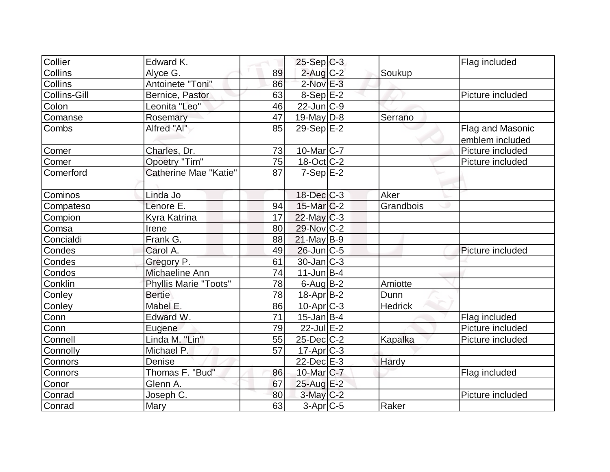| Collier             | Edward K.                    |    | $25-Sep C-3$      |           | Flag included    |
|---------------------|------------------------------|----|-------------------|-----------|------------------|
| Collins             | Alyce G.                     | 89 | $2$ -Aug $C-2$    | Soukup    |                  |
| <b>Collins</b>      | Antoinete "Toni"             | 86 | $2$ -Nov $E-3$    |           |                  |
| <b>Collins-Gill</b> | Bernice, Pastor              | 63 | $8-Sep$ $E-2$     |           | Picture included |
| Colon               | Leonita "Leo"                | 46 | $22$ -Jun $C-9$   |           |                  |
| Comanse             | Rosemary                     | 47 | 19-May $D-8$      | Serrano   |                  |
| Combs               | Alfred "Al"                  | 85 | $29-Sep$ $E-2$    |           | Flag and Masonic |
|                     |                              |    |                   |           | emblem included  |
| Comer               | Charles, Dr.                 | 73 | $10$ -Mar $ C-7 $ |           | Picture included |
| Comer               | <b>Opoetry "Tim"</b>         | 75 | $18-Oct$ $C-2$    |           | Picture included |
| <b>Comerford</b>    | Catherine Mae "Katie"        | 87 | $7-Sep$ $E-2$     |           |                  |
|                     |                              |    |                   |           |                  |
| Cominos             | Linda Jo                     |    | $18$ -Dec $C$ -3  | Aker      |                  |
| Compateso           | Lenore E.                    | 94 | $15$ -Mar $C-2$   | Grandbois |                  |
| Compion             | Kyra Katrina                 | 17 | $22$ -May C-3     |           |                  |
| Comsa               | Irene                        | 80 | 29-Nov C-2        |           |                  |
| Concialdi           | Frank G.                     | 88 | $21$ -May B-9     |           |                  |
| Condes              | Carol A.                     | 49 | $26$ -Jun $C$ -5  |           | Picture included |
| Condes              | Gregory P.                   | 61 | 30-Jan C-3        |           |                  |
| Condos              | Michaeline Ann               | 74 | $11$ -Jun $B-4$   |           |                  |
| Conklin             | <b>Phyllis Marie "Toots"</b> | 78 | $6$ -Aug $ B-2 $  | Amiotte   |                  |
| Conley              | <b>Bertie</b>                | 78 | $18-Apr B-2$      | Dunn      |                  |
| Conley              | Mabel E.                     | 86 | $10$ -Apr $ C-3 $ | Hedrick   |                  |
| Conn                | Edward W.                    | 71 | $15$ -Jan B-4     |           | Flag included    |
| Conn                | Eugene                       | 79 | $22$ -Jul $E-2$   |           | Picture included |
| Connell             | Linda M. "Lin"               | 55 | $25$ -Dec $C$ -2  | Kapalka   | Picture included |
| Connolly            | Michael P.                   | 57 | $17-Apr$ $C-3$    |           |                  |
| <b>Connors</b>      | Denise                       |    | $22$ -Dec $E-3$   | Hardy     |                  |
| Connors             | Thomas F. "Bud"              | 86 | 10-Mar C-7        |           | Flag included    |
| Conor               | Glenn A.                     | 67 | 25-Aug E-2        |           |                  |
| Conrad              | Joseph C.                    | 80 | $3$ -May $C-2$    |           | Picture included |
| Conrad              | Mary                         | 63 | $3-Apr$ $C-5$     | Raker     |                  |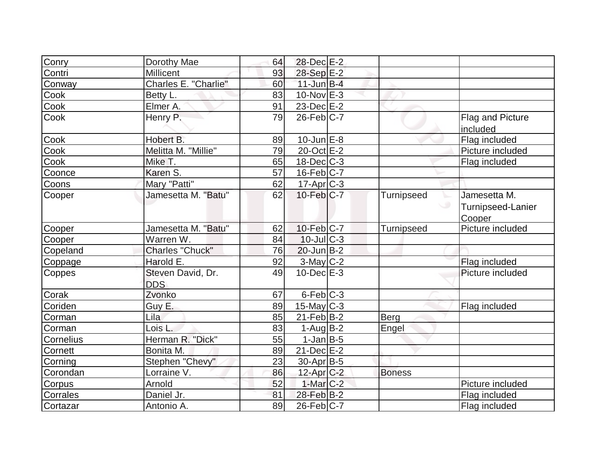| Conry     | Dorothy Mae                     | 64 | 28-Dec E-2        |                   |                                             |
|-----------|---------------------------------|----|-------------------|-------------------|---------------------------------------------|
| Contri    | Millicent                       | 93 | 28-Sep E-2        |                   |                                             |
| Conway    | Charles E. "Charlie"            | 60 | $11$ -Jun $B-4$   |                   |                                             |
| Cook      | Betty L.                        | 83 | $10$ -Nov $E-3$   |                   |                                             |
| Cook      | Elmer A.                        | 91 | $23$ -Dec $E-2$   |                   |                                             |
| Cook      | Henry P.                        | 79 | $26$ -Feb $C-7$   |                   | Flag and Picture<br>included                |
| Cook      | Hobert B.                       | 89 | $10$ -Jun $E-8$   |                   | Flag included                               |
| Cook      | Melitta M. "Millie"             | 79 | 20-Oct E-2        |                   | Picture included                            |
| Cook      | Mike T.                         | 65 | $18$ -Dec $ C-3 $ |                   | Flag included                               |
| Coonce    | Karen S.                        | 57 | $16$ -Feb $C-7$   |                   |                                             |
| Coons     | Mary "Patti"                    | 62 | $17$ -Apr $C-3$   |                   |                                             |
| Cooper    | Jamesetta M. "Batu"             | 62 | $10$ -Feb $C-7$   | <b>Turnipseed</b> | Jamesetta M.<br>Turnipseed-Lanier<br>Cooper |
| Cooper    | Jamesetta M. "Batu"             | 62 | 10-Feb C-7        | <b>Turnipseed</b> | Picture included                            |
| Cooper    | Warren W.                       | 84 | $10$ -JulC-3      |                   |                                             |
| Copeland  | Charles "Chuck"                 | 76 | $20$ -Jun $B-2$   |                   |                                             |
| Coppage   | Harold E.                       | 92 | 3-May C-2         |                   | Flag included                               |
| Coppes    | Steven David, Dr.<br><b>DDS</b> | 49 | $10$ -Dec $E-3$   |                   | Picture included                            |
| Corak     | Zvonko                          | 67 | $6$ -Feb $ C-3 $  |                   |                                             |
| Coriden   | Guy E.                          | 89 | $15$ -May C-3     |                   | Flag included                               |
| Corman    | Lila                            | 85 | $21$ -Feb $ B-2 $ | Berg              |                                             |
| Corman    | Lois L.                         | 83 | 1-Aug $B-2$       | Engel             |                                             |
| Cornelius | Herman R. "Dick"                | 55 | $1$ -Jan $B$ -5   |                   |                                             |
| Cornett   | Bonita M.                       | 89 | $21$ -Dec $E-2$   |                   |                                             |
| Corning   | Stephen "Chevy"                 | 23 | 30-Apr B-5        |                   |                                             |
| Corondan  | Lorraine V.                     | 86 | $12$ -Apr $C-2$   | <b>Boness</b>     |                                             |
| Corpus    | Arnold                          | 52 | $1-Mar$ C-2       |                   | Picture included                            |
| Corrales  | Daniel Jr.                      | 81 | $28$ -Feb $B-2$   |                   | Flag included                               |
| Cortazar  | Antonio A.                      | 89 | $26$ -Feb $ C-7$  |                   | Flag included                               |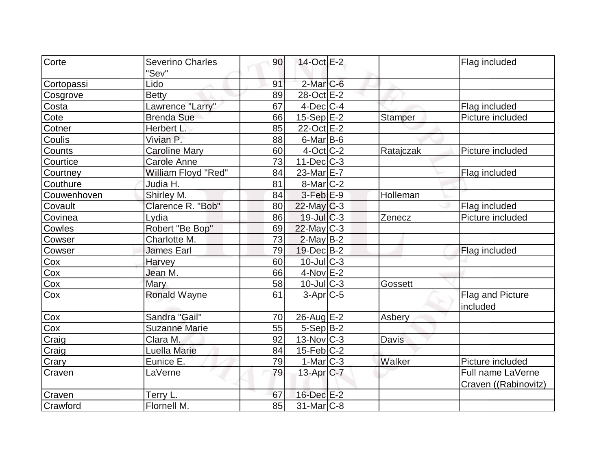| Corte       | <b>Severino Charles</b> | 90 | 14-Oct E-2              |                | Flag included        |
|-------------|-------------------------|----|-------------------------|----------------|----------------------|
|             | "Sev"                   |    |                         |                |                      |
| Cortopassi  | Lido                    | 91 | $2$ -Mar $C$ -6         |                |                      |
| Cosgrove    | <b>Betty</b>            | 89 | 28-Oct E-2              |                |                      |
| Costa       | Lawrence "Larry"        | 67 | $4$ -Dec $ C-4 $        |                | Flag included        |
| Cote        | <b>Brenda Sue</b>       | 66 | $15-Sep$ E-2            | <b>Stamper</b> | Picture included     |
| Cotner      | Herbert L.              | 85 | 22-Oct E-2              |                |                      |
| Coulis      | Vivian P.               | 88 | $6$ -Mar $B$ -6         |                |                      |
| Counts      | <b>Caroline Mary</b>    | 60 | $4$ -Oct C-2            | Ratajczak      | Picture included     |
| Courtice    | <b>Carole Anne</b>      | 73 | $11 - Dec$ $C-3$        |                |                      |
| Courtney    | William Floyd "Red"     | 84 | 23-Mar <sub>IE</sub> -7 |                | Flag included        |
| Couthure    | Judia H.                | 81 | $8$ -Mar $ C-2$         |                |                      |
| Couwenhoven | Shirley M.              | 84 | $3-Feb$ $E-9$           | Holleman       |                      |
| Covault     | Clarence R. "Bob"       | 80 | $22$ -May C-3           |                | Flag included        |
| Covinea     | Lydia                   | 86 | $19$ -Jul $C-3$         | Zenecz         | Picture included     |
| Cowles      | Robert "Be Bop"         | 69 | $22$ -May C-3           |                |                      |
| Cowser      | Charlotte M.            | 73 | $2$ -May B-2            |                |                      |
| Cowser      | <b>James Earl</b>       | 79 | 19-Dec B-2              |                | Flag included        |
| Cox         | Harvey                  | 60 | $10$ -Jul $C-3$         |                |                      |
| Cox         | Jean M.                 | 66 | $4-Nov$ E-2             |                |                      |
| Cox         | Mary                    | 58 | $10$ -JulC-3            | Gossett        |                      |
| Cox         | <b>Ronald Wayne</b>     | 61 | $3-Apr$ $C-5$           |                | Flag and Picture     |
|             |                         |    |                         |                | included             |
| Cox         | Sandra "Gail"           | 70 | $26$ -Aug $E-2$         | Asbery         |                      |
| Cox         | <b>Suzanne Marie</b>    | 55 | $5-Sep B-2$             |                |                      |
| Craig       | Clara M.                | 92 | 13-Nov C-3              | Davis          |                      |
| Craig       | Luella Marie            | 84 | $15$ -Feb $ C-2 $       |                |                      |
| Crary       | Eunice E.               | 79 | $1-Mar$ $C-3$           | Walker         | Picture included     |
| Craven      | LaVerne                 | 79 | 13-Apr $C-7$            |                | Full name LaVerne    |
|             |                         |    |                         |                | Craven ((Rabinovitz) |
| Craven      | Terry L.                | 67 | 16-Dec E-2              |                |                      |
| Crawford    | Flornell M.             | 85 | 31-Mar C-8              |                |                      |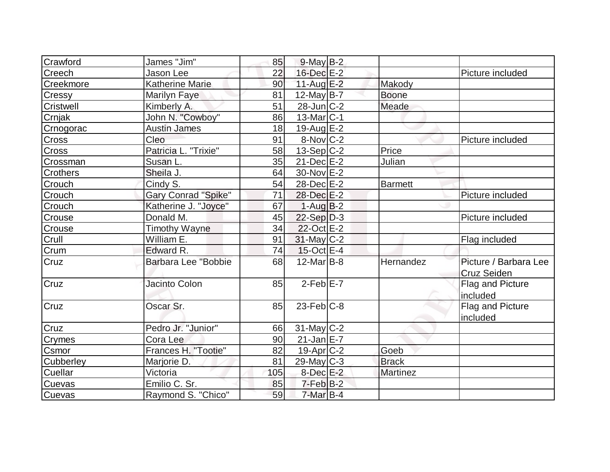| Crawford        | James "Jim"                | 85  | $9$ -May $B-2$         |                 |                       |
|-----------------|----------------------------|-----|------------------------|-----------------|-----------------------|
| Creech          | Jason Lee                  | 22  | 16-Dec E-2             |                 | Picture included      |
| Creekmore       | <b>Katherine Marie</b>     | 90  | $11$ -Aug $E-2$        | Makody          |                       |
| Cressy          | <b>Marilyn Faye</b>        | 81  | $12$ -May B-7          | <b>Boone</b>    |                       |
| Cristwell       | Kimberly A.                | 51  | $28$ -Jun $ C-2 $      | Meade           |                       |
| Crnjak          | John N. "Cowboy"           | 86  | $13$ -Mar $ C-1$       |                 |                       |
| Crnogorac       | <b>Austin James</b>        | 18  | 19-Aug $E-2$           |                 |                       |
| Cross           | Cleo                       | 91  | $8-Nov$ <sub>C-2</sub> |                 | Picture included      |
| <b>Cross</b>    | Patricia L. "Trixie"       | 58  | $13-Sep C-2$           | Price           |                       |
| Crossman        | Susan L.                   | 35  | $21$ -Dec $E$ -2       | Julian          |                       |
| <b>Crothers</b> | Sheila J.                  | 64  | 30-Nov E-2             |                 |                       |
| Crouch          | Cindy S.                   | 54  | 28-Dec E-2             | <b>Barmett</b>  |                       |
| Crouch          | <b>Gary Conrad "Spike"</b> | 71  | 28-Dec E-2             |                 | Picture included      |
| Crouch          | Katherine J. "Joyce"       | 67  | $1-Aug B-2$            |                 |                       |
| Crouse          | Donald M.                  | 45  | $22-Sep D-3$           |                 | Picture included      |
| Crouse          | <b>Timothy Wayne</b>       | 34  | 22-Oct E-2             |                 |                       |
| Crull           | William E.                 | 91  | $31$ -May $ C-2 $      |                 | Flag included         |
| Crum            | Edward R.                  | 74  | $15$ -Oct $E-4$        |                 |                       |
| Cruz            | Barbara Lee "Bobbie        | 68  | $12$ -Mar $ B-8 $      | Hernandez       | Picture / Barbara Lee |
|                 |                            |     |                        |                 | Cruz Seiden           |
| Cruz            | Jacinto Colon              | 85  | $2$ -Feb $E - 7$       |                 | Flag and Picture      |
|                 |                            |     |                        |                 | included              |
| Cruz            | Oscar Sr.                  | 85  | $23$ -Feb $ C-8$       |                 | Flag and Picture      |
|                 |                            |     |                        |                 | included              |
| Cruz            | Pedro Jr. "Junior"         | 66  | $31$ -May C-2          |                 |                       |
| Crymes          | Cora Lee                   | 90  | $21$ -Jan $E$ -7       |                 |                       |
| Csmor           | Frances H. "Tootie"        | 82  | $19$ -Apr $C-2$        | Goeb            |                       |
| Cubberley       | Marjorie D.                | 81  | $29$ -May C-3          | <b>Brack</b>    |                       |
| Cuellar         | Victoria                   | 105 | $8$ -Dec $E-2$         | <b>Martinez</b> |                       |
| <b>Cuevas</b>   | Emilio C. Sr.              | 85  | $7$ -Feb $B-2$         |                 |                       |
| Cuevas          | Raymond S. "Chico"         | 59  | $7$ -Mar $B-4$         |                 |                       |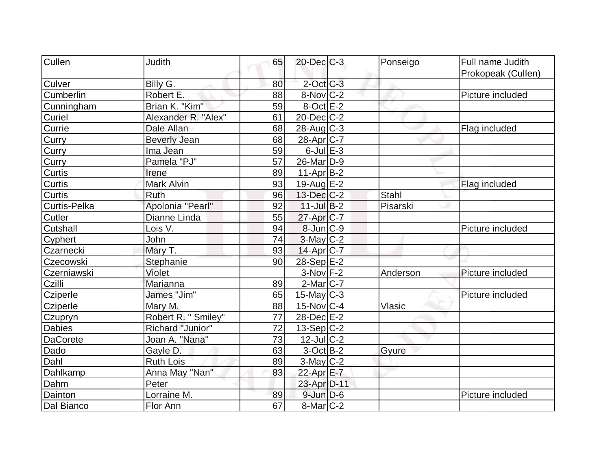| Cullen          | <b>Judith</b>       | 65 | $20$ -Dec $C$ -3  | Ponseigo     | Full name Judith   |
|-----------------|---------------------|----|-------------------|--------------|--------------------|
|                 |                     |    |                   |              | Prokopeak (Cullen) |
| Culver          | Billy G.            | 80 | $2$ -Oct C-3      |              |                    |
| Cumberlin       | Robert E.           | 88 | $8-Nov$ C-2       |              | Picture included   |
| Cunningham      | Brian K. "Kim"      | 59 | $8$ -Oct $E-2$    |              |                    |
| Curiel          | Alexander R. "Alex" | 61 | $20$ -Dec $C$ -2  |              |                    |
| <b>Currie</b>   | Dale Allan          | 68 | 28-Aug C-3        |              | Flag included      |
| Curry           | <b>Beverly Jean</b> | 68 | 28-Apr C-7        |              |                    |
| Curry           | Ima Jean            | 59 | $6$ -Jul $E-3$    |              |                    |
| Curry           | Pamela "PJ"         | 57 | 26-Mar D-9        |              |                    |
| <b>Curtis</b>   | Irene               | 89 | $11-Apr B-2$      |              |                    |
| <b>Curtis</b>   | Mark Alvin          | 93 | 19-Aug $E-2$      |              | Flag included      |
| Curtis          | <b>Ruth</b>         | 96 | $13$ -Dec $C-2$   | <b>Stahl</b> |                    |
| Curtis-Pelka    | Apolonia "Pearl"    | 92 | $11$ -Jul $B-2$   | Pisarski     |                    |
| Cutler          | Dianne Linda        | 55 | $27$ -Apr $ C-7$  |              |                    |
| Cutshall        | Lois V.             | 94 | 8-Jun C-9         |              | Picture included   |
| Cyphert         | John                | 74 | $3$ -May $C-2$    |              |                    |
| Czarnecki       | Mary T.             | 93 | $14$ -Apr $ C-7 $ |              |                    |
| Czecowski       | Stephanie           | 90 | 28-Sep E-2        |              |                    |
| Czerniawski     | Violet              |    | $3-Nov$ F-2       | Anderson     | Picture included   |
| Czilli          | Marianna            | 89 | $2$ -Mar $ C-7$   |              |                    |
| Cziperle        | James "Jim"         | 65 | $15$ -May C-3     |              | Picture included   |
| Cziperle        | Mary M.             | 88 | $15$ -Nov $ C-4 $ | Vlasic       |                    |
| Czupryn         | Robert R. " Smiley" | 77 | 28-Dec E-2        |              |                    |
| <b>Dabies</b>   | Richard "Junior"    | 72 | $13-Sep C-2$      |              |                    |
| <b>DaCorete</b> | Joan A. "Nana"      | 73 | $12$ -Jul C-2     |              |                    |
| Dado            | Gayle D.            | 63 | $3-Oct$ B-2       | Gyure        |                    |
| Dahl            | <b>Ruth Lois</b>    | 89 | $3-May$ $C-2$     |              |                    |
| <b>Dahlkamp</b> | Anna May "Nan"      | 83 | 22-Apr E-7        |              |                    |
| Dahm            | Peter               |    | 23-Apr D-11       |              |                    |
| Dainton         | Lorraine M.         | 89 | $9$ -Jun $D-6$    |              | Picture included   |
| Dal Bianco      | Flor Ann            | 67 | $8$ -Mar $ C-2 $  |              |                    |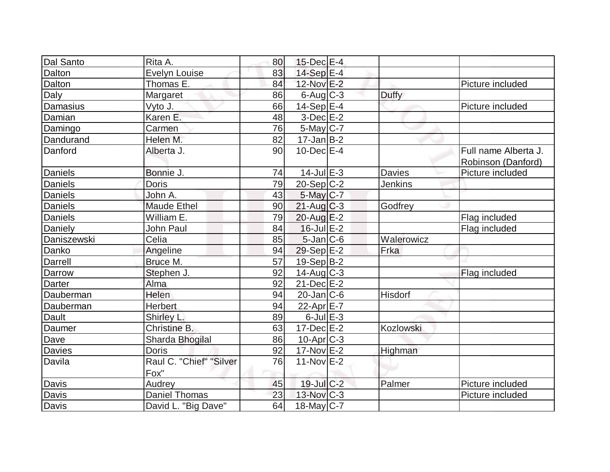| Dal Santo      | Rita A.                         | 80 | $15$ -Dec $E-4$       |                |                                            |
|----------------|---------------------------------|----|-----------------------|----------------|--------------------------------------------|
| Dalton         | <b>Evelyn Louise</b>            | 83 | $14-Sep$ $E-4$        |                |                                            |
| Dalton         | Thomas E.                       | 84 | 12-Nov E-2            |                | Picture included                           |
| Daly           | Margaret                        | 86 | $6$ -Aug $C$ -3       | <b>Duffy</b>   |                                            |
| Damasius       | Vyto J.                         | 66 | $14-Sep$ $E-4$        |                | Picture included                           |
| Damian         | Karen E.                        | 48 | $3-Dec$ $E-2$         |                |                                            |
| Damingo        | Carmen                          | 76 | $5$ -May $C$ -7       |                |                                            |
| Dandurand      | Helen M.                        | 82 | $17$ -Jan B-2         |                |                                            |
| Danford        | Alberta J.                      | 90 | $10$ -Dec $E-4$       |                | Full name Alberta J.<br>Robinson (Danford) |
| Daniels        | Bonnie J.                       | 74 | $14$ -Jul $E-3$       | <b>Davies</b>  | Picture included                           |
| <b>Daniels</b> | <b>Doris</b>                    | 79 | $20-Sep C-2$          | <b>Jenkins</b> |                                            |
| <b>Daniels</b> | John A.                         | 43 | 5-May C-7             |                |                                            |
| Daniels        | <b>Maude Ethel</b>              | 90 | $21$ -Aug C-3         | Godfrey        |                                            |
| <b>Daniels</b> | William E.                      | 79 | $20$ -Aug $E-2$       |                | Flag included                              |
| Daniely        | <b>John Paul</b>                | 84 | $16$ -Jul $E-2$       |                | Flag included                              |
| Daniszewski    | Celia                           | 85 | $5$ -Jan $ C$ -6      | Walerowicz     |                                            |
| Danko          | Angeline                        | 94 | $29-Sep$ $E-2$        | Frka           |                                            |
| Darrell        | Bruce M.                        | 57 | $19-Sep B-2$          |                |                                            |
| Darrow         | Stephen J.                      | 92 | $14$ -Aug $C-3$       |                | Flag included                              |
| <b>Darter</b>  | Alma                            | 92 | $21$ -Dec $E-2$       |                |                                            |
| Dauberman      | Helen                           | 94 | $20$ -Jan $ C$ -6     | Hisdorf        |                                            |
| Dauberman      | Herbert                         | 94 | 22-Apr $E-7$          |                |                                            |
| Dault          | Shirley L.                      | 89 | $6$ -Jul $E-3$        |                |                                            |
| Daumer         | Christine B.                    | 63 | $17 - Dec$ $E-2$      | Kozlowski      |                                            |
| Dave           | Sharda Bhogilal                 | 86 | 10-Apr <sub>C-3</sub> |                |                                            |
| Davies         | <b>Doris</b>                    | 92 | $17$ -Nov $E-2$       | Highman        |                                            |
| Davila         | Raul C. "Chief" "Silver<br>Fox" | 76 | $11-Nov$ E-2          |                |                                            |
| Davis          | Audrey                          | 45 | 19-Jul C-2            | Palmer         | Picture included                           |
| <b>Davis</b>   | <b>Daniel Thomas</b>            | 23 | $13$ -Nov $C-3$       |                | Picture included                           |
| Davis          | David L. "Big Dave"             | 64 | 18-May $C-7$          |                |                                            |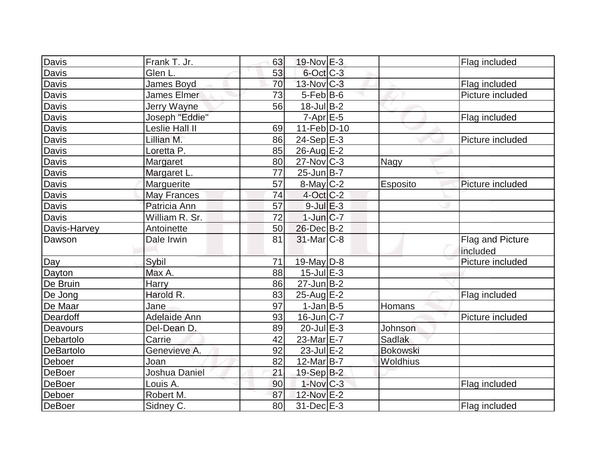| Davis            | Frank T. Jr.        | 63 | 19-Nov E-3              |                 | Flag included    |
|------------------|---------------------|----|-------------------------|-----------------|------------------|
| Davis            | Glen L.             | 53 | $6$ -Oct $C$ -3         |                 |                  |
| <b>Davis</b>     | James Boyd          | 70 | $13-Nov$ <sub>C-3</sub> |                 | Flag included    |
| <b>Davis</b>     | James Elmer         | 73 | $5$ -Feb $ B$ -6        |                 | Picture included |
| <b>Davis</b>     | Jerry Wayne         | 56 | $18$ -Jul B-2           |                 |                  |
| <b>Davis</b>     | Joseph "Eddie"      |    | $7 - Apr$ E-5           |                 | Flag included    |
| <b>Davis</b>     | Leslie Hall II      | 69 | $11-Feb D-10$           |                 |                  |
| Davis            | Lillian M.          | 86 | $24-Sep \overline{E-3}$ |                 | Picture included |
| Davis            | Loretta P.          | 85 | $26$ -Aug $E-2$         |                 |                  |
| Davis            | Margaret            | 80 | $27$ -Nov $ C-3 $       | Nagy            |                  |
| <b>Davis</b>     | Margaret L.         | 77 | $25$ -Jun $B$ -7        |                 |                  |
| Davis            | Marguerite          | 57 | 8-May C-2               | Esposito        | Picture included |
| <b>Davis</b>     | May Frances         | 74 | $4$ -Oct C-2            |                 |                  |
| Davis            | Patricia Ann        | 57 | $9$ -Jul $E-3$          |                 |                  |
| Davis            | William R. Sr.      | 72 | $1$ -Jun $ C-7$         |                 |                  |
| Davis-Harvey     | Antoinette          | 50 | 26-Dec B-2              |                 |                  |
| Dawson           | Dale Irwin          | 81 | $31$ -Mar $C-8$         |                 | Flag and Picture |
|                  |                     |    |                         |                 | included         |
| Day              | Sybil               | 71 | 19-May $D-8$            |                 | Picture included |
| <b>Dayton</b>    | Max A.              | 88 | $15$ -Jul $E-3$         |                 |                  |
| De Bruin         | Harry               | 86 | $27$ -Jun $B-2$         |                 |                  |
| De Jong          | Harold R.           | 83 | $25$ -Aug $E-2$         |                 | Flag included    |
| De Maar          | Jane                | 97 | $1$ -Jan B-5            | Homans          |                  |
| Deardoff         | <b>Adelaide Ann</b> | 93 | $16$ -Jun $ C-7$        |                 | Picture included |
| Deavours         | Del-Dean D.         | 89 | $20$ -Jul $E-3$         | Johnson         |                  |
| Debartolo        | Carrie              | 42 | 23-Mar <sub>E-7</sub>   | <b>Sadlak</b>   |                  |
| <b>DeBartolo</b> | Genevieve A.        | 92 | $23$ -Jul $E-2$         | <b>Bokowski</b> |                  |
| Deboer           | Joan                | 82 | 12-Mar B-7              | Woldhius        |                  |
| <b>DeBoer</b>    | Joshua Daniel       | 21 | 19-Sep B-2              |                 |                  |
| <b>DeBoer</b>    | Louis A.            | 90 | $1-Nov$ $C-3$           |                 | Flag included    |
| Deboer           | Robert M.           | 87 | 12-Nov E-2              |                 |                  |
| DeBoer           | Sidney C.           | 80 | 31-Dec E-3              |                 | Flag included    |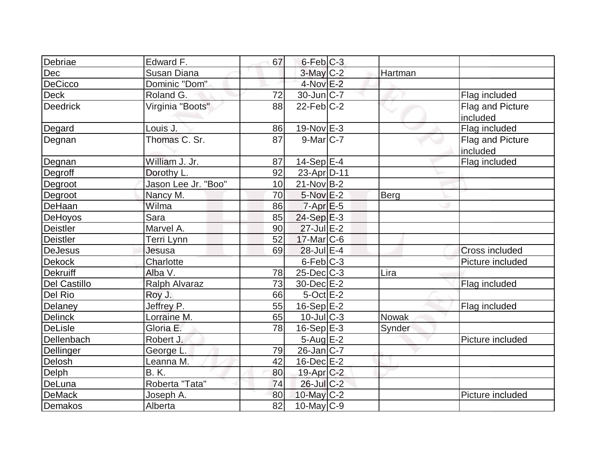| Debriae             | Edward F.            | 67 | $6$ -Feb $C-3$     |              |                                     |
|---------------------|----------------------|----|--------------------|--------------|-------------------------------------|
| Dec                 | Susan Diana          |    | $3$ -May $C-2$     | Hartman      |                                     |
| DeCicco             | Dominic "Dom"        |    | 4-Nov E-2          |              |                                     |
| <b>Deck</b>         | Roland G.            | 72 | 30-Jun C-7         |              | Flag included                       |
| <b>Deedrick</b>     | Virginia "Boots"     | 88 | $22$ -Feb $C-2$    |              | Flag and Picture<br>included        |
| Degard              | Louis J.             | 86 | 19-Nov E-3         |              | Flag included                       |
| Degnan              | Thomas C. Sr.        | 87 | $9$ -Mar $C$ -7    |              | <b>Flag and Picture</b><br>included |
| Degnan              | William J. Jr.       | 87 | $14-Sep$ $E-4$     |              | Flag included                       |
| Degroff             | Dorothy L.           | 92 | 23-Apr D-11        |              |                                     |
| Degroot             | Jason Lee Jr. "Boo"  | 10 | $21-Nov B-2$       |              |                                     |
| Degroot             | Nancy M.             | 70 | 5-Nov E-2          | Berg         |                                     |
| DeHaan              | Wilma                | 86 | $7 - Apr$ $E - 5$  |              |                                     |
| DeHoyos             | Sara                 | 85 | $24-Sep$ E-3       |              |                                     |
| <b>Deistler</b>     | Marvel A.            | 90 | $27 -$ Jul $E - 2$ |              |                                     |
| <b>Deistler</b>     | Terri Lynn           | 52 | $17$ -Mar $ C$ -6  |              |                                     |
| <b>DeJesus</b>      | Jesusa               | 69 | 28-Jul E-4         |              | <b>Cross included</b>               |
| Dekock              | Charlotte            |    | 6-Feb C-3          |              | Picture included                    |
| <b>Dekruiff</b>     | Alba V.              | 78 | $25$ -Dec $C$ -3   | Lira         |                                     |
| <b>Del Castillo</b> | <b>Ralph Alvaraz</b> | 73 | 30-Dec E-2         |              | Flag included                       |
| Del Rio             | Roy J.               | 66 | $5$ -Oct $E-2$     |              |                                     |
| Delaney             | Jeffrey P.           | 55 | $16-Sep$ E-2       |              | Flag included                       |
| <b>Delinck</b>      | Lorraine M.          | 65 | $10$ -Jul $C-3$    | <b>Nowak</b> |                                     |
| <b>DeLisle</b>      | Gloria E.            | 78 | $16-Sep$ E-3       | Synder       |                                     |
| Dellenbach          | Robert J.            |    | $5-Aug$ E-2        |              | Picture included                    |
| Dellinger           | George L.            | 79 | $26$ -Jan $ C-7 $  |              |                                     |
| Delosh              | Leanna M.            | 42 | $16$ -Dec $E-2$    |              |                                     |
| Delph               | <b>B.K.</b>          | 80 | 19-Apr C-2         |              |                                     |
| DeLuna              | Roberta "Tata"       | 74 | 26-Jul C-2         |              |                                     |
| <b>DeMack</b>       | Joseph A.            | 80 | 10-May $C-2$       |              | Picture included                    |
| <b>Demakos</b>      | Alberta              | 82 | $10$ -May C-9      |              |                                     |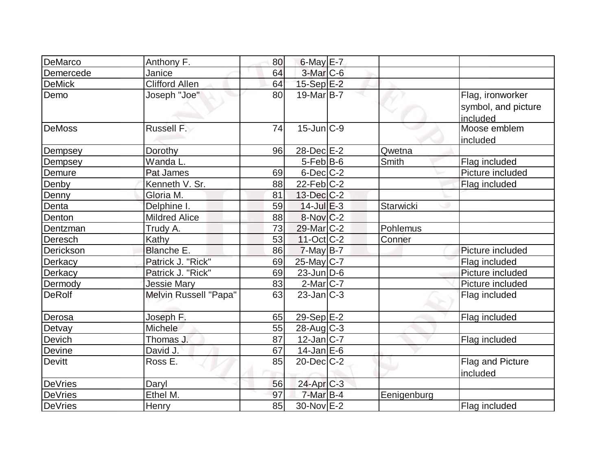| DeMarco        | Anthony F.            | 80 | $6$ -May $E$ -7        |             |                                                     |
|----------------|-----------------------|----|------------------------|-------------|-----------------------------------------------------|
| Demercede      | Janice                | 64 | $3-Mar$ $C-6$          |             |                                                     |
| <b>DeMick</b>  | <b>Clifford Allen</b> | 64 | $15-Sep$ $E-2$         |             |                                                     |
| Demo           | Joseph "Joe"          | 80 | $19$ -Mar $ B-7 $      |             | Flag, ironworker<br>symbol, and picture<br>included |
| <b>DeMoss</b>  | Russell F.            | 74 | $15$ -Jun $C-9$        |             | Moose emblem<br>included                            |
| Dempsey        | Dorothy               | 96 | 28-Dec E-2             | Qwetna      |                                                     |
| Dempsey        | Wanda L.              |    | $5$ -Feb $ B$ -6       | Smith       | Flag included                                       |
| Demure         | Pat James             | 69 | $6$ -Dec $C$ -2        |             | Picture included                                    |
| Denby          | Kenneth V. Sr.        | 88 | $22$ -Feb $ C-2 $      |             | Flag included                                       |
| Denny          | Gloria M.             | 81 | $13$ -Dec $C-2$        |             |                                                     |
| Denta          | Delphine I.           | 59 | $14$ -Jul $E-3$        | Starwicki   |                                                     |
| Denton         | <b>Mildred Alice</b>  | 88 | $8-Nov$ <sub>C-2</sub> |             |                                                     |
| Dentzman       | Trudy A.              | 73 | 29-Mar C-2             | Pohlemus    |                                                     |
| Deresch        | Kathy                 | 53 | $11-Oct$ $C-2$         | Conner      |                                                     |
| Derickson      | Blanche E.            | 86 | $7$ -May B-7           |             | Picture included                                    |
| Derkacy        | Patrick J. "Rick"     | 69 | $25$ -May C-7          |             | Flag included                                       |
| Derkacy        | Patrick J. "Rick"     | 69 | $23$ -Jun $D-6$        |             | Picture included                                    |
| Dermody        | <b>Jessie Mary</b>    | 83 | $2$ -Mar $ C-7 $       |             | Picture included                                    |
| <b>DeRolf</b>  | Melvin Russell "Papa" | 63 | $23$ -Jan $ C-3 $      |             | Flag included                                       |
| Derosa         | Joseph F.             | 65 | 29-Sep $E-2$           |             | Flag included                                       |
| Detvay         | Michele               | 55 | $28$ -Aug C-3          |             |                                                     |
| Devich         | Thomas J.             | 87 | $12$ -Jan $ C-7 $      |             | Flag included                                       |
| Devine         | David J.              | 67 | $14$ -Jan $E$ -6       |             |                                                     |
| Devitt         | Ross E.               | 85 | $20$ -Dec $C-2$        |             | Flag and Picture<br>included                        |
| <b>DeVries</b> | Daryl                 | 56 | $24$ -Apr $C-3$        |             |                                                     |
| <b>DeVries</b> | Ethel M.              | 97 | $7-MarB-4$             | Eenigenburg |                                                     |
| <b>DeVries</b> | Henry                 | 85 | 30-Nov E-2             |             | Flag included                                       |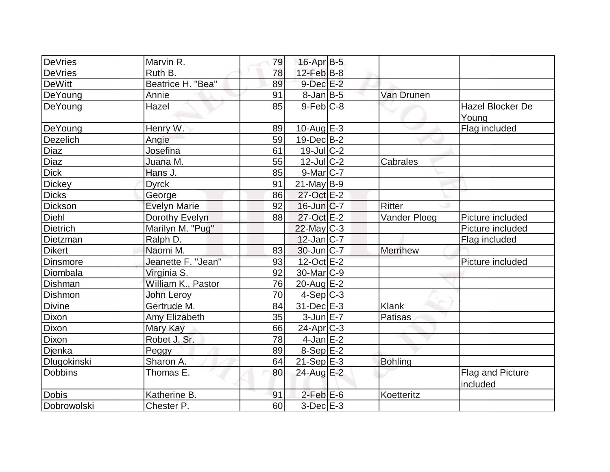| DeVries         | Marvin R.           | 79 | $16$ -Apr $B$ -5  |                |                              |
|-----------------|---------------------|----|-------------------|----------------|------------------------------|
| <b>DeVries</b>  | Ruth B.             | 78 | $12$ -Feb $ B-8 $ |                |                              |
| <b>DeWitt</b>   | Beatrice H. "Bea"   | 89 | $9$ -Dec $E-2$    |                |                              |
| DeYoung         | Annie               | 91 | $8$ -Jan B-5      | Van Drunen     |                              |
| DeYoung         | Hazel               | 85 | $9$ -Feb $ C-8 $  |                | <b>Hazel Blocker De</b>      |
|                 |                     |    |                   |                | Young                        |
| DeYoung         | Henry W.            | 89 | $10$ -Aug $E-3$   |                | Flag included                |
| Dezelich        | Angie               | 59 | $19$ -Dec $B$ -2  |                |                              |
| Diaz            | Josefina            | 61 | $19$ -Jul $C-2$   |                |                              |
| Diaz            | Juana M.            | 55 | $12$ -JulC-2      | Cabrales       |                              |
| <b>Dick</b>     | Hans J.             | 85 | $9$ -Mar $ C-7 $  |                |                              |
| <b>Dickey</b>   | <b>Dyrck</b>        | 91 | $21$ -May B-9     |                |                              |
| <b>Dicks</b>    | George              | 86 | 27-Oct E-2        |                |                              |
| Dickson         | <b>Evelyn Marie</b> | 92 | $16$ -Jun $ C-7$  | Ritter         |                              |
| Diehl           | Dorothy Evelyn      | 88 | $27$ -Oct $E-2$   | Vander Ploeg   | Picture included             |
| <b>Dietrich</b> | Marilyn M. "Pug"    |    | $22$ -May C-3     |                | Picture included             |
| Dietzman        | Ralph D.            |    | $12$ -Jan $ C-7 $ |                | Flag included                |
| <b>Dikert</b>   | Naomi M.            | 83 | 30-Jun C-7        | Merrihew       |                              |
| <b>Dinsmore</b> | Jeanette F. "Jean"  | 93 | $12$ -Oct $E - 2$ |                | Picture included             |
| Diombala        | Virginia S.         | 92 | $30$ -Mar $ C-9 $ |                |                              |
| Dishman         | William K., Pastor  | 76 | 20-Aug E-2        |                |                              |
| <b>Dishmon</b>  | <b>John Leroy</b>   | 70 | $4-Sep C-3$       |                |                              |
| <b>Divine</b>   | Gertrude M.         | 84 | $31$ -Dec $E-3$   | Klank          |                              |
| Dixon           | Amy Elizabeth       | 35 | $3$ -Jun $E - 7$  | Patisas        |                              |
| <b>Dixon</b>    | Mary Kay            | 66 | $24$ -Apr $ C-3 $ |                |                              |
| Dixon           | Robet J. Sr.        | 78 | $4$ -Jan $E-2$    |                |                              |
| Djenka          | Peggy               | 89 | $8-Sep$ $E-2$     |                |                              |
| Dlugokinski     | Sharon A.           | 64 | $21-Sep$ $E-3$    | <b>Bohling</b> |                              |
| <b>Dobbins</b>  | Thomas E.           | 80 | 24-Aug E-2        |                | Flag and Picture<br>included |
| <b>Dobis</b>    | Katherine B.        | 91 | $2$ -Feb $E$ -6   | Koetteritz     |                              |
| Dobrowolski     | Chester P.          | 60 | $3$ -Dec $E-3$    |                |                              |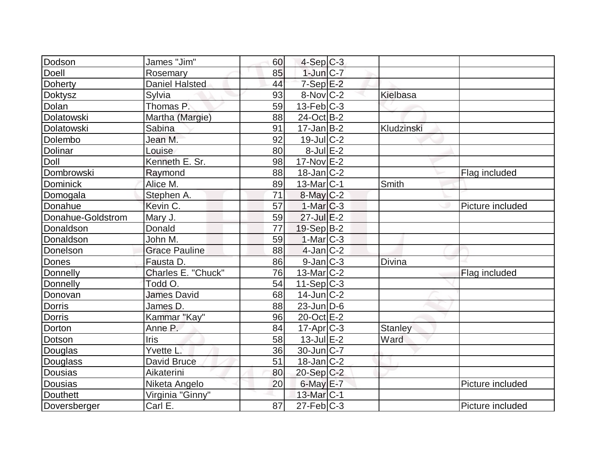| Dodson            | James "Jim"           | 60 | $4-Sep C-3$             |                |                  |
|-------------------|-----------------------|----|-------------------------|----------------|------------------|
| Doell             | Rosemary              | 85 | $1$ -Jun $ C-7 $        |                |                  |
| Doherty           | <b>Daniel Halsted</b> | 44 | $7-Sep$ $E-2$           |                |                  |
| Doktysz           | Sylvia                | 93 | $8-Nov$ <sub>C</sub> -2 | Kielbasa       |                  |
| Dolan             | Thomas P.             | 59 | $13$ -Feb $ C-3 $       |                |                  |
| Dolatowski        | Martha (Margie)       | 88 | $24$ -Oct B-2           |                |                  |
| Dolatowski        | Sabina                | 91 | $17 - Jan$ B-2          | Kludzinski     |                  |
| Dolembo           | Jean M.               | 92 | $19$ -Jul $ C-2 $       |                |                  |
| <b>Dolinar</b>    | Louise                | 80 | $8$ -Jul $E-2$          |                |                  |
| Doll              | Kenneth E. Sr.        | 98 | $17-Nov$ E-2            |                |                  |
| Dombrowski        | Raymond               | 88 | $18$ -Jan $ C-2 $       |                | Flag included    |
| Dominick          | Alice M.              | 89 | $13$ -Mar $ C-1$        | Smith          |                  |
| Domogala          | Stephen A.            | 71 | $8$ -May $C$ -2         |                |                  |
| Donahue           | Kevin C.              | 57 | $1-Mar$ $C-3$           |                | Picture included |
| Donahue-Goldstrom | Mary J.               | 59 | $27$ -Jul $E-2$         |                |                  |
| Donaldson         | Donald                | 77 | $19-Sep$ B-2            |                |                  |
| Donaldson         | John M.               | 59 | $1-Mar$ $C-3$           |                |                  |
| Donelson          | <b>Grace Pauline</b>  | 88 | $4$ -Jan $ C-2 $        |                |                  |
| Dones             | Fausta D.             | 86 | $9$ -Jan $ C-3 $        | <b>Divina</b>  |                  |
| Donnelly          | Charles E. "Chuck"    | 76 | $13$ -Mar $ C-2 $       |                | Flag included    |
| Donnelly          | Todd O.               | 54 | $11-Sep C-3$            |                |                  |
| Donovan           | <b>James David</b>    | 68 | $14$ -Jun $ C-2 $       |                |                  |
| Dorris            | James D.              | 88 | $23$ -Jun $D-6$         |                |                  |
| <b>Dorris</b>     | Kammar "Kay"          | 96 | 20-Oct E-2              |                |                  |
| Dorton            | Anne P.               | 84 | $17-Apr$ $C-3$          | <b>Stanley</b> |                  |
| Dotson            | Iris                  | 58 | $13$ -Jul $E-2$         | Ward           |                  |
| Douglas           | Yvette L.             | 36 | $30$ -Jun $ C-7 $       |                |                  |
| Douglass          | David Bruce           | 51 | $18$ -Jan $ C-2 $       |                |                  |
| Dousias           | Aikaterini            | 80 | $20-Sep C-2$            |                |                  |
| Dousias           | Niketa Angelo         | 20 | 6-May $E-7$             |                | Picture included |
| Douthett          | Virginia "Ginny"      |    | $13$ -Mar $ C-1 $       |                |                  |
| Doversberger      | Carl E.               | 87 | $27$ -Feb $ C-3$        |                | Picture included |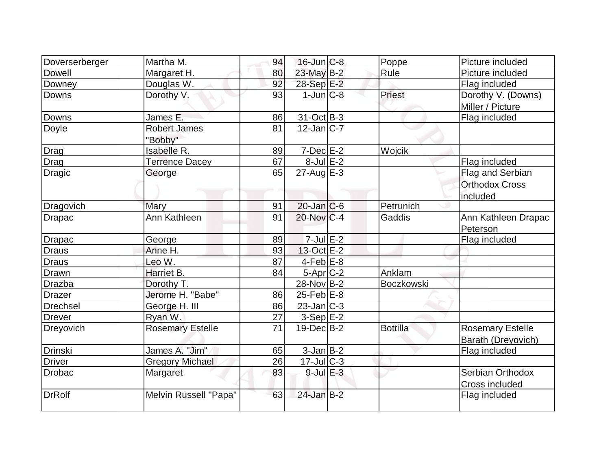| Doverserberger | Martha M.                      | 94 | $16$ -Jun $ C-8$  | Poppe           | Picture included                                      |
|----------------|--------------------------------|----|-------------------|-----------------|-------------------------------------------------------|
| Dowell         | Margaret H.                    | 80 | 23-May B-2        | Rule            | Picture included                                      |
| Downey         | Douglas W.                     | 92 | 28-Sep E-2        |                 | Flag included                                         |
| <b>Downs</b>   | Dorothy V.                     | 93 | $1$ -Jun $ C-8 $  | Priest          | Dorothy V. (Downs)<br>Miller / Picture                |
| Downs          | James E.                       | 86 | $31-Oct$ B-3      |                 | Flag included                                         |
| Doyle          | <b>Robert James</b><br>"Bobby" | 81 | $12$ -Jan $ C-7 $ |                 |                                                       |
| Drag           | Isabelle R.                    | 89 | $7$ -Dec $E-2$    | Wojcik          |                                                       |
| Drag           | Terrence Dacey                 | 67 | $8$ -Jul $E-2$    |                 | Flag included                                         |
| <b>Dragic</b>  | George                         | 65 | $27$ -Aug $E-3$   |                 | Flag and Serbian<br><b>Orthodox Cross</b><br>included |
| Dragovich      | Mary                           | 91 | $20$ -Jan $ C$ -6 | Petrunich       |                                                       |
| Drapac         | <b>Ann Kathleen</b>            | 91 | $20$ -Nov $C-4$   | Gaddis          | Ann Kathleen Drapac<br>Peterson                       |
| <b>Drapac</b>  | George                         | 89 | $7$ -Jul $E-2$    |                 | Flag included                                         |
| Draus          | Anne H.                        | 93 | $13-Oct$ $E-2$    |                 |                                                       |
| Draus          | Leo W.                         | 87 | $4$ -Feb $E$ -8   |                 |                                                       |
| Drawn          | Harriet B.                     | 84 | $5-Apr$ $C-2$     | Anklam          |                                                       |
| <b>Drazba</b>  | Dorothy T.                     |    | 28-Nov B-2        | Boczkowski      |                                                       |
| <b>Drazer</b>  | Jerome H. "Babe"               | 86 | $25$ -Feb $E$ -8  |                 |                                                       |
| Drechsel       | George H. III                  | 86 | $23$ -Jan $ C-3 $ |                 |                                                       |
| <b>Drever</b>  | Ryan W.                        | 27 | $3-Sep$ E-2       |                 |                                                       |
| Dreyovich      | <b>Rosemary Estelle</b>        | 71 | $19$ -Dec $B$ -2  | <b>Bottilla</b> | <b>Rosemary Estelle</b>                               |
|                |                                |    |                   |                 | Barath (Dreyovich)                                    |
| <b>Drinski</b> | James A. "Jim"                 | 65 | $3$ -Jan $B-2$    |                 | Flag included                                         |
| <b>Driver</b>  | <b>Gregory Michael</b>         | 26 | $17$ -Jul $C-3$   |                 |                                                       |
| Drobac         | Margaret                       | 83 | $9$ -Jul $E-3$    |                 | Serbian Orthodox<br>Cross included                    |
| <b>DrRolf</b>  | Melvin Russell "Papa"          | 63 | $24$ -Jan $B-2$   |                 | Flag included                                         |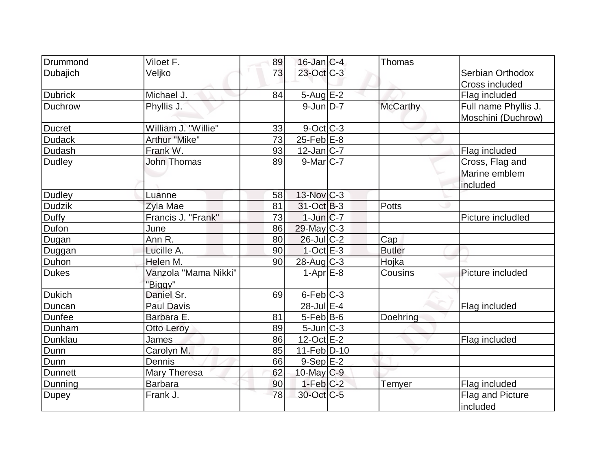| Drummond       | Viloet F.            | 89              | $16$ -Jan $ C-4 $      | <b>Thomas</b>   |                      |
|----------------|----------------------|-----------------|------------------------|-----------------|----------------------|
| Dubajich       | Veljko               | 73              | $23$ -Oct $C-3$        |                 | Serbian Orthodox     |
|                |                      |                 |                        |                 | Cross included       |
| <b>Dubrick</b> | Michael J.           | 84              | $5 - Aug$ $E-2$        |                 | Flag included        |
| <b>Duchrow</b> | Phyllis J.           |                 | $9$ -Jun $D-7$         | <b>McCarthy</b> | Full name Phyllis J. |
|                |                      |                 |                        |                 | Moschini (Duchrow)   |
| <b>Ducret</b>  | William J. "Willie"  | 33              | $9$ -Oct $C$ -3        |                 |                      |
| <b>Dudack</b>  | Arthur "Mike"        | $\overline{73}$ | $25$ -Feb $E-8$        |                 |                      |
| Dudash         | Frank W.             | 93              | $12$ -Jan $ C-7 $      |                 | Flag included        |
| <b>Dudley</b>  | <b>John Thomas</b>   | 89              | $9$ -Mar $ C-7 $       |                 | Cross, Flag and      |
|                |                      |                 |                        |                 | Marine emblem        |
|                |                      |                 |                        |                 | included             |
| <b>Dudley</b>  | Luanne               | 58              | 13-Nov C-3             |                 |                      |
| <b>Dudzik</b>  | Zyla Mae             | 81              | 31-Oct B-3             | <b>Potts</b>    |                      |
| <b>Duffy</b>   | Francis J. "Frank"   | 73              | $1$ -Jun $C$ -7        |                 | Picture includled    |
| Dufon          | June                 | 86              | 29-May C-3             |                 |                      |
| Dugan          | Ann R.               | 80              | $26$ -Jul $C-2$        | Cap             |                      |
| Duggan         | Lucille A.           | 90              | $1-Oct$ $E-3$          | <b>Butler</b>   |                      |
| Duhon          | Helen M.             | 90              | 28-Aug C-3             | Hojka           |                      |
| <b>Dukes</b>   | Vanzola "Mama Nikki" |                 | $1-Apr \overline{E-8}$ | Cousins         | Picture included     |
|                | "Biggy"              |                 |                        |                 |                      |
| <b>Dukich</b>  | Daniel Sr.           | 69              | $6$ -Feb $C-3$         |                 |                      |
| Duncan         | Paul Davis           |                 | 28-Jul E-4             |                 | Flag included        |
| <b>Dunfee</b>  | Barbara E.           | 81              | $5$ -Feb $ B$ -6       | Doehring        |                      |
| Dunham         | Otto Leroy           | 89              | $5$ -Jun $C-3$         |                 |                      |
| Dunklau        | James                | 86              | $12$ -Oct $E$ -2       |                 | Flag included        |
| Dunn           | Carolyn M.           | 85              | $11-Feb D-10$          |                 |                      |
| Dunn           | Dennis               | 66              | $9-Sep$ $E-2$          |                 |                      |
| <b>Dunnett</b> | Mary Theresa         | 62              | $10$ -May C-9          |                 |                      |
| Dunning        | <b>Barbara</b>       | 90              | $1-Feb$ $C-2$          | Temyer          | Flag included        |
| <b>Dupey</b>   | Frank J.             | 78              | 30-Oct C-5             |                 | Flag and Picture     |
|                |                      |                 |                        |                 | included             |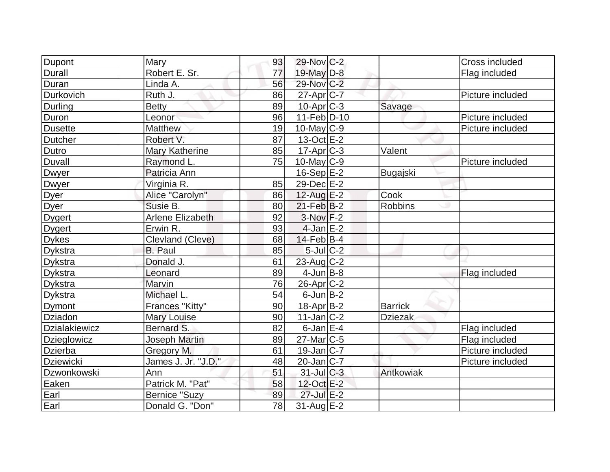| <b>Dupont</b>        | Mary                    | 93 | 29-Nov C-2        |                | Cross included   |
|----------------------|-------------------------|----|-------------------|----------------|------------------|
| Durall               | Robert E. Sr.           | 77 | 19-May D-8        |                | Flag included    |
| Duran                | Linda A.                | 56 | 29-Nov C-2        |                |                  |
| <b>Durkovich</b>     | Ruth J.                 | 86 | $27$ -Apr $ C-7 $ |                | Picture included |
| Durling              | <b>Betty</b>            | 89 | $10$ -Apr $ C-3 $ | Savage         |                  |
| Duron                | Leonor                  | 96 | $11-Feb D-10$     |                | Picture included |
| <b>Dusette</b>       | <b>Matthew</b>          | 19 | $10$ -May C-9     |                | Picture included |
| <b>Dutcher</b>       | Robert V.               | 87 | $13-Oct$ $E-2$    |                |                  |
| Dutro                | <b>Mary Katherine</b>   | 85 | $17-Apr$ C-3      | Valent         |                  |
| Duvall               | Raymond L.              | 75 | $10$ -May C-9     |                | Picture included |
| Dwyer                | Patricia Ann            |    | $16-Sep$ $E-2$    | Bugajski       |                  |
| Dwyer                | Virginia R.             | 85 | 29-Dec E-2        |                |                  |
| Dyer                 | Alice "Carolyn"         | 86 | $12$ -Aug E-2     | Cook           |                  |
| Dyer                 | Susie B.                | 80 | $21$ -Feb $ B-2 $ | <b>Robbins</b> |                  |
| <b>Dygert</b>        | <b>Arlene Elizabeth</b> | 92 | $3-Nov$ F-2       |                |                  |
| <b>Dygert</b>        | Erwin R.                | 93 | $4$ -Jan $E-2$    |                |                  |
| <b>Dykes</b>         | Clevland (Cleve)        | 68 | $14$ -Feb $ B-4 $ |                |                  |
| <b>Dykstra</b>       | <b>B.</b> Paul          | 85 | $5$ -Jul $C-2$    |                |                  |
| <b>Dykstra</b>       | Donald J.               | 61 | 23-Aug C-2        |                |                  |
| <b>Dykstra</b>       | Leonard                 | 89 | $4$ -Jun $B$ -8   |                | Flag included    |
| <b>Dykstra</b>       | Marvin                  | 76 | $26$ -Apr $C-2$   |                |                  |
| <b>Dykstra</b>       | Michael L.              | 54 | $6$ -Jun $B-2$    |                |                  |
| Dymont               | Frances "Kitty"         | 90 | 18-Apr B-2        | <b>Barrick</b> |                  |
| Dziadon              | <b>Mary Louise</b>      | 90 | $11$ -Jan $ C-2 $ | <b>Dziezak</b> |                  |
| <b>Dzialakiewicz</b> | Bernard S.              | 82 | $6$ -Jan $E-4$    |                | Flag included    |
| Dzieglowicz          | <b>Joseph Martin</b>    | 89 | $27$ -Mar $ C-5 $ |                | Flag included    |
| <b>Dzierba</b>       | Gregory M.              | 61 | $19$ -Jan $ C-7 $ |                | Picture included |
| <b>Dziewicki</b>     | James J. Jr. "J.D."     | 48 | 20-Jan C-7        |                | Picture included |
| Dzwonkowski          | Ann                     | 51 | $31$ -JulC-3      | Antkowiak      |                  |
| Eaken                | Patrick M. "Pat"        | 58 | 12-Oct E-2        |                |                  |
| Earl                 | <b>Bernice "Suzy</b>    | 89 | 27-Jul E-2        |                |                  |
| Earl                 | Donald G. "Don"         | 78 | $31$ -Aug $E-2$   |                |                  |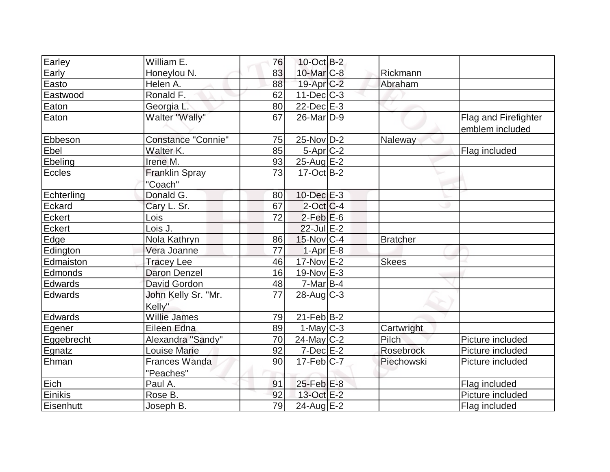| Earley         | William E.                        | 76 | $10$ -Oct B-2         |                 |                                         |
|----------------|-----------------------------------|----|-----------------------|-----------------|-----------------------------------------|
| Early          | Honeylou N.                       | 83 | 10-Mar <sub>C-8</sub> | Rickmann        |                                         |
| Easto          | Helen A.                          | 88 | $19$ -Apr $C-2$       | Abraham         |                                         |
| Eastwood       | Ronald F.                         | 62 | $11$ -Dec $ C-3 $     |                 |                                         |
| Eaton          | Georgia L.                        | 80 | $22$ -Dec $E-3$       |                 |                                         |
| Eaton          | Walter "Wally"                    | 67 | 26-Mar <sub>D-9</sub> |                 | Flag and Firefighter<br>emblem included |
| Ebbeson        | <b>Constance "Connie"</b>         | 75 | $25$ -Nov D-2         | Naleway         |                                         |
| Ebel           | Walter K.                         | 85 | $5-Apr$ $C-2$         |                 | Flag included                           |
| Ebeling        | Irene M.                          | 93 | $25$ -Aug $E-2$       |                 |                                         |
| Eccles         | <b>Franklin Spray</b><br>"Coach"  | 73 | $17-Oct$ B-2          |                 |                                         |
| Echterling     | Donald G.                         | 80 | $10$ -Dec $E-3$       |                 |                                         |
| Eckard         | Cary L. Sr.                       | 67 | $2$ -Oct $ C-4$       |                 |                                         |
| Eckert         | Lois                              | 72 | $2$ -Feb $E$ -6       |                 |                                         |
| Eckert         | Lois J.                           |    | $22$ -Jul $E-2$       |                 |                                         |
| Edge           | Nola Kathryn                      | 86 | $15$ -Nov $ C-4 $     | <b>Bratcher</b> |                                         |
| Edington       | Vera Joanne                       | 77 | $1-Apr$ $E-8$         |                 |                                         |
| Edmaiston      | <b>Tracey Lee</b>                 | 46 | $17$ -Nov $E-2$       | <b>Skees</b>    |                                         |
| Edmonds        | <b>Daron Denzel</b>               | 16 | $19-Nov$ E-3          |                 |                                         |
| Edwards        | David Gordon                      | 48 | $7$ -Mar $ B-4 $      |                 |                                         |
| <b>Edwards</b> | John Kelly Sr. "Mr.<br>Kelly"     | 77 | $28$ -Aug C-3         |                 |                                         |
| Edwards        | <b>Willie James</b>               | 79 | $21$ -Feb $ B-2 $     |                 |                                         |
| Egener         | Eileen Edna                       | 89 | $1$ -May C-3          | Cartwright      |                                         |
| Eggebrecht     | Alexandra "Sandy"                 | 70 | $24$ -May C-2         | Pilch           | Picture included                        |
| Egnatz         | <b>Louise Marie</b>               | 92 | $7$ -Dec $E-2$        | Rosebrock       | Picture included                        |
| Ehman          | <b>Frances Wanda</b><br>"Peaches" | 90 | $17$ -Feb $ C-7 $     | Piechowski      | Picture included                        |
| Eich           | Paul A.                           | 91 | $25$ -Feb $E-8$       |                 | Flag included                           |
| Einikis        | Rose B.                           | 92 | 13-Oct E-2            |                 | Picture included                        |
| Eisenhutt      | Joseph B.                         | 79 | 24-Aug $E-2$          |                 | Flag included                           |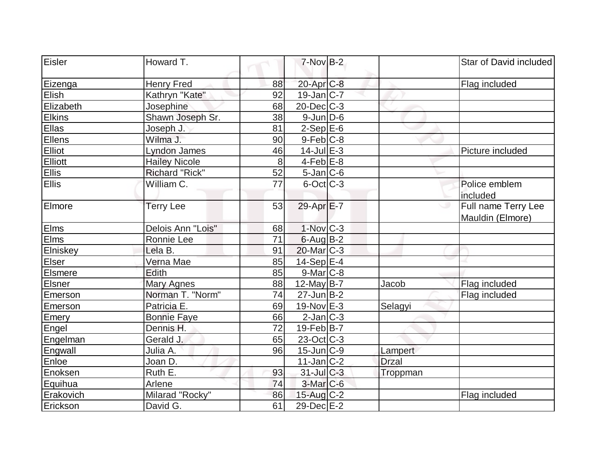| Eisler        | Howard T.             |         | $7-Nov$ B-2       |              | Star of David included                  |
|---------------|-----------------------|---------|-------------------|--------------|-----------------------------------------|
| Eizenga       | <b>Henry Fred</b>     | 88      | $20$ -Apr $C-8$   |              | Flag included                           |
| Elish         | Kathryn "Kate"        | 92      | $19$ -Jan $ C-7 $ |              |                                         |
| Elizabeth     | Josephine             | 68      | $20$ -Dec $C-3$   |              |                                         |
| <b>Elkins</b> | Shawn Joseph Sr.      | 38      | $9$ -Jun $D$ -6   |              |                                         |
| Ellas         | Joseph J.             | 81      | $2-SepE-6$        |              |                                         |
| Ellens        | Wilma J.              | 90      | $9$ -Feb $C-8$    |              |                                         |
| Elliot        | <b>Lyndon James</b>   | 46      | $14$ -Jul $E-3$   |              | Picture included                        |
| Elliott       | <b>Hailey Nicole</b>  | $\,8\,$ | $4$ -Feb $E$ -8   |              |                                         |
| <b>Ellis</b>  | <b>Richard "Rick"</b> | 52      | $5$ -Jan $ C$ -6  |              |                                         |
| Ellis         | William C.            | 77      | $6$ -Oct $ C$ -3  |              | Police emblem<br>included               |
| Elmore        | <b>Terry Lee</b>      | 53      | 29-Apr $E-7$      |              | Full name Terry Lee<br>Mauldin (Elmore) |
| Elms          | Delois Ann "Lois"     | 68      | $1-Nov$ C-3       |              |                                         |
| Elms          | Ronnie Lee            | 71      | $6$ -Aug B-2      |              |                                         |
| Elniskey      | Lela B.               | 91      | $20$ -Mar $ C-3 $ |              |                                         |
| Elser         | Verna Mae             | 85      | $14-Sep$ E-4      |              |                                         |
| Elsmere       | Edith                 | 85      | $9$ -Mar $ C-8 $  |              |                                         |
| Elsner        | <b>Mary Agnes</b>     | 88      | $12$ -May B-7     | Jacob        | Flag included                           |
| Emerson       | Norman T. "Norm"      | 74      | $27 - Jun$ B-2    |              | Flag included                           |
| Emerson       | Patricia E.           | 69      | 19-Nov $E-3$      | Selagyi      |                                         |
| Emery         | <b>Bonnie Faye</b>    | 66      | $2$ -Jan $ C-3 $  |              |                                         |
| Engel         | Dennis H.             | 72      | $19$ -Feb $ B-7 $ |              |                                         |
| Engelman      | Gerald J.             | 65      | 23-Oct C-3        |              |                                         |
| Engwall       | Julia A.              | 96      | $15$ -Jun $C-9$   | Lampert      |                                         |
| Enloe         | Joan D.               |         | $11$ -Jan $ C-2 $ | <b>Drzal</b> |                                         |
| Enoksen       | Ruth E.               | 93      | $31$ -Jul C-3     | Troppman     |                                         |
| Equihua       | Arlene                | 74      | 3-Mar C-6         |              |                                         |
| Erakovich     | Milarad "Rocky"       | 86      | 15-Aug C-2        |              | Flag included                           |
| Erickson      | David G.              | 61      | 29-Dec E-2        |              |                                         |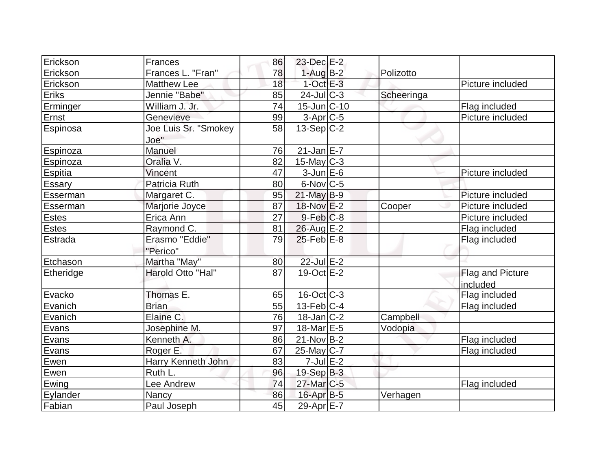| Erickson        | Frances                      | 86 | $23$ -Dec $E-2$   |            |                              |
|-----------------|------------------------------|----|-------------------|------------|------------------------------|
| Erickson        | Frances L. "Fran"            | 78 | $1-Aug$ $B-2$     | Polizotto  |                              |
| Erickson        | <b>Matthew Lee</b>           | 18 | $1$ -Oct $E-3$    |            | Picture included             |
| Eriks           | Jennie "Babe"                | 85 | $24$ -JulC-3      | Scheeringa |                              |
| Erminger        | William J. Jr.               | 74 | $15$ -Jun $C-10$  |            | Flag included                |
| Ernst           | Genevieve                    | 99 | $3-Apr$ $C-5$     |            | Picture included             |
| <b>Espinosa</b> | Joe Luis Sr. "Smokey<br>Joe" | 58 | $13-Sep C-2$      |            |                              |
| <b>Espinoza</b> | Manuel                       | 76 | $21$ -Jan E-7     |            |                              |
| Espinoza        | Oralia V.                    | 82 | $15$ -May C-3     |            |                              |
| <b>Espitia</b>  | Vincent                      | 47 | $3$ -Jun $E$ -6   |            | Picture included             |
| Essary          | Patricia Ruth                | 80 | $6$ -Nov $ C$ -5  |            |                              |
| Esserman        | Margaret C.                  | 95 | $21$ -May B-9     |            | Picture included             |
| Esserman        | Marjorie Joyce               | 87 | 18-Nov E-2        | Cooper     | Picture included             |
| <b>Estes</b>    | Erica Ann                    | 27 | $9$ -Feb $ C$ -8  |            | Picture included             |
| <b>Estes</b>    | Raymond C.                   | 81 | $26$ -Aug E-2     |            | Flag included                |
| Estrada         | Erasmo "Eddie"<br>"Perico"   | 79 | $25$ -Feb $E-8$   |            | Flag included                |
| Etchason        | Martha "May"                 | 80 | 22-Jul E-2        |            |                              |
| Etheridge       | Harold Otto "Hal"            | 87 | 19-Oct E-2        |            | Flag and Picture<br>included |
| Evacko          | Thomas E.                    | 65 | $16$ -Oct $C$ -3  |            | Flag included                |
| Evanich         | <b>Brian</b>                 | 55 | $13$ -Feb $ C-4 $ |            | Flag included                |
| Evanich         | Elaine C.                    | 76 | $18$ -Jan $ C-2 $ | Campbell   |                              |
| Evans           | Josephine M.                 | 97 | $18$ -Mar $E$ -5  | Vodopia    |                              |
| Evans           | Kenneth A.                   | 86 | $21-Nov B-2$      |            | Flag included                |
| Evans           | Roger E.                     | 67 | $25$ -May C-7     |            | Flag included                |
| Ewen            | Harry Kenneth John           | 83 | $7$ -Jul $E-2$    |            |                              |
| Ewen            | Ruth L.                      | 96 | 19-Sep B-3        |            |                              |
| Ewing           | Lee Andrew                   | 74 | $27$ -Mar $C$ -5  |            | Flag included                |
| Eylander        | Nancy                        | 86 | $16$ -Apr $B$ -5  | Verhagen   |                              |
| Fabian          | Paul Joseph                  | 45 | 29-Apr $E-7$      |            |                              |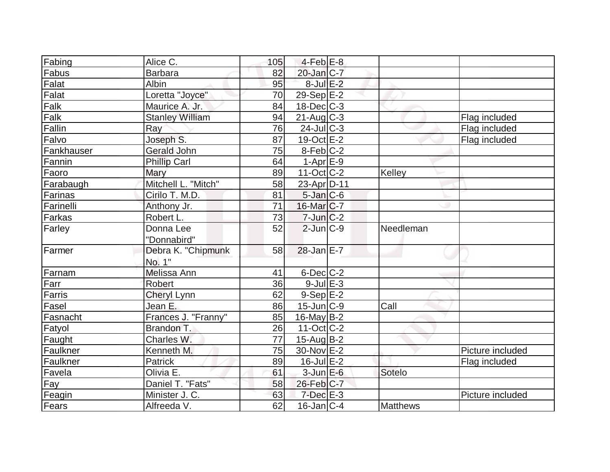| Fabing     | Alice C.               | 105 | $4-Feb$ $E-8$           |           |                  |
|------------|------------------------|-----|-------------------------|-----------|------------------|
| Fabus      | <b>Barbara</b>         | 82  | $20$ -Jan $C-7$         |           |                  |
| Falat      | Albin                  | 95  | $8$ -Jul $E-2$          |           |                  |
| Falat      | Loretta "Joyce"        | 70  | $29-Sep$ <sup>E-2</sup> |           |                  |
| Falk       | Maurice A. Jr.         | 84  | $18$ -Dec $ C-3 $       |           |                  |
| Falk       | <b>Stanley William</b> | 94  | $21$ -Aug $C-3$         |           | Flag included    |
| Fallin     | Ray                    | 76  | $24$ -Jul $ C-3$        |           | Flag included    |
| Falvo      | Joseph S.              | 87  | 19-Oct E-2              |           | Flag included    |
| Fankhauser | Gerald John            | 75  | $8-Feb$ C-2             |           |                  |
| Fannin     | <b>Phillip Carl</b>    | 64  | $1-Apr$ E-9             |           |                  |
| Faoro      | Mary                   | 89  | $11-Oct$ $C-2$          | Kelley    |                  |
| Farabaugh  | Mitchell L. "Mitch"    | 58  | 23-Apr D-11             |           |                  |
| Farinas    | Cirilo T. M.D.         | 81  | $5$ -Jan $C$ -6         |           |                  |
| Farinelli  | Anthony Jr.            | 71  | $16$ -Mar $ C-7 $       |           |                  |
| Farkas     | Robert L.              | 73  | $7$ -Jun $C-2$          |           |                  |
| Farley     | Donna Lee              | 52  | $2$ -Jun $ C-9 $        | Needleman |                  |
|            | "Donnabird"            |     |                         |           |                  |
| Farmer     | Debra K. "Chipmunk     | 58  | $28$ -Jan E-7           |           |                  |
|            | No. 1"                 |     |                         |           |                  |
| Farnam     | Melissa Ann            | 41  | $6$ -Dec $C$ -2         |           |                  |
| Farr       | Robert                 | 36  | $9$ -Jul $E-3$          |           |                  |
| Farris     | <b>Cheryl Lynn</b>     | 62  | $9-Sep$ $E-2$           |           |                  |
| Fasel      | Jean E.                | 86  | $15$ -Jun $C-9$         | Call      |                  |
| Fasnacht   | Frances J. "Franny"    | 85  | $16$ -May B-2           |           |                  |
| Fatyol     | Brandon T.             | 26  | $11-Oct$ $C-2$          |           |                  |
| Faught     | Charles W.             | 77  | $15$ -Aug $B$ -2        |           |                  |
| Faulkner   | Kenneth M.             | 75  | 30-Nov E-2              |           | Picture included |
| Faulkner   | <b>Patrick</b>         | 89  | $16$ -Jul $E-2$         |           | Flag included    |
| Favela     | Olivia E.              | 61  | $3$ -Jun $E$ -6         | Sotelo    |                  |
| <b>Fay</b> | Daniel T. "Fats"       | 58  | 26-Feb C-7              |           |                  |
| Feagin     | Minister J. C.         | 63  | $7$ -Dec $E-3$          |           | Picture included |
| Fears      | Alfreeda V.            | 62  | $16$ -Jan $ C-4$        | Matthews  |                  |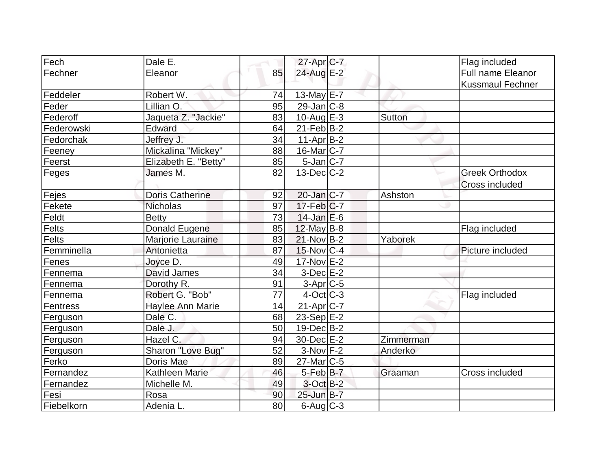| Fech       | Dale E.                 |    | 27-Apr C-7        |           | Flag included            |
|------------|-------------------------|----|-------------------|-----------|--------------------------|
| Fechner    | Eleanor                 | 85 | 24-Aug E-2        |           | <b>Full name Eleanor</b> |
|            |                         |    |                   |           | <b>Kussmaul Fechner</b>  |
| Feddeler   | Robert W.               | 74 | $13$ -May E-7     |           |                          |
| Feder      | Lillian O.              | 95 | $29$ -Jan $ C-8 $ |           |                          |
| Federoff   | Jaqueta Z. "Jackie"     | 83 | 10-Aug $E-3$      | Sutton    |                          |
| Federowski | Edward                  | 64 | $21$ -Feb $ B-2 $ |           |                          |
| Fedorchak  | Jeffrey J.              | 34 | $11-Apr B-2$      |           |                          |
|            |                         |    | $16$ -Mar $ C-7 $ |           |                          |
| Feeney     | Mickalina "Mickey"      | 88 |                   |           |                          |
| Feerst     | Elizabeth E. "Betty"    | 85 | $5$ -Jan $ C-7$   |           |                          |
| Feges      | James M.                | 82 | $13$ -Dec $C-2$   |           | <b>Greek Orthodox</b>    |
|            |                         |    |                   |           | <b>Cross included</b>    |
| Fejes      | <b>Doris Catherine</b>  | 92 | $20$ -Jan $ C-7 $ | Ashston   |                          |
| Fekete     | <b>Nicholas</b>         | 97 | $17$ -Feb $ C-7$  |           |                          |
| Feldt      | <b>Betty</b>            | 73 | $14$ -Jan $E-6$   |           |                          |
| Felts      | Donald Eugene           | 85 | $12$ -May B-8     |           | Flag included            |
| Felts      | Marjorie Lauraine       | 83 | $21-Nov B-2$      | Yaborek   |                          |
| Femminella | Antonietta              | 87 | $15$ -Nov $ C-4$  |           | Picture included         |
| Fenes      | Joyce D.                | 49 | 17-Nov E-2        |           |                          |
| Fennema    | David James             | 34 | $3$ -Dec $E-2$    |           |                          |
| Fennema    | Dorothy R.              | 91 | $3-Apr$ $C-5$     |           |                          |
| Fennema    | Robert G. "Bob"         | 77 | $4$ -Oct $ C-3 $  |           | Flag included            |
| Fentress   | <b>Haylee Ann Marie</b> | 14 | $21-Apr$ C-7      |           |                          |
| Ferguson   | Dale C.                 | 68 | $23-Sep$ $E-2$    |           |                          |
| Ferguson   | Dale J.                 | 50 | $19$ -Dec $B$ -2  |           |                          |
| Ferguson   | Hazel C.                | 94 | 30-Dec E-2        | Zimmerman |                          |
| Ferguson   | Sharon "Love Bug"       | 52 | $3-Nov$ F-2       | Anderko   |                          |
| Ferko      | Doris Mae               | 89 | $27$ -Mar $C$ -5  |           |                          |
| Fernandez  | Kathleen Marie          | 46 | $5-Feb$ B-7       | Graaman   | Cross included           |
| Fernandez  | Michelle M.             | 49 | 3-Oct B-2         |           |                          |
| Fesi       | Rosa                    | 90 | $25$ -Jun $B-7$   |           |                          |
| Fiebelkorn | Adenia L.               | 80 | $6$ -Aug $C$ -3   |           |                          |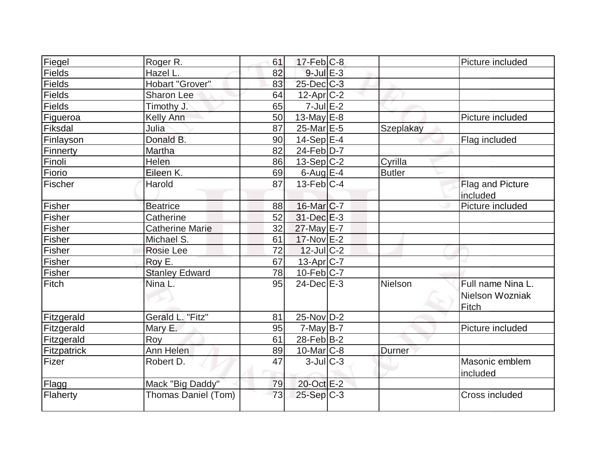| Fiegel        | Roger R.               | 61 | $17$ -Feb $ C-8 $       |               | Picture included                              |
|---------------|------------------------|----|-------------------------|---------------|-----------------------------------------------|
| <b>Fields</b> | Hazel L.               | 82 | $9$ -Jul $E-3$          |               |                                               |
| <b>Fields</b> | Hobart "Grover"        | 83 | 25-Dec C-3              |               |                                               |
| <b>Fields</b> | Sharon Lee             | 64 | $12$ -Apr $ C-2 $       |               |                                               |
| <b>Fields</b> | Timothy J.             | 65 | $7$ -Jul $E-2$          |               |                                               |
| Figueroa      | Kelly Ann              | 50 | 13-May $E-8$            |               | Picture included                              |
| Fiksdal       | Julia                  | 87 | $25$ -Mar $E$ -5        | Szeplakay     |                                               |
| Finlayson     | Donald B.              | 90 | $14-Sep$ E-4            |               | Flag included                                 |
| Finnerty      | Martha                 | 82 | $24$ -Feb $ D-7 $       |               |                                               |
| Finoli        | Helen                  | 86 | $13-Sep C-2$            | Cyrilla       |                                               |
| Fiorio        | Eileen K.              | 69 | $6$ -Aug $E-4$          | <b>Butler</b> |                                               |
| Fischer       | Harold                 | 87 | $13$ -Feb $ C-4 $       |               | Flag and Picture<br>included                  |
| Fisher        | <b>Beatrice</b>        | 88 | 16-Mar <sub>IC</sub> -7 |               | Picture included                              |
| Fisher        | Catherine              | 52 | $31$ -Dec $E-3$         |               |                                               |
| <b>Fisher</b> | <b>Catherine Marie</b> | 32 | 27-May E-7              |               |                                               |
| <b>Fisher</b> | Michael S.             | 61 | $17-Nov$ E-2            |               |                                               |
| Fisher        | Rosie Lee              | 72 | $12$ -JulC-2            |               |                                               |
| <b>Fisher</b> | Roy E.                 | 67 | 13-Apr C-7              |               |                                               |
| Fisher        | <b>Stanley Edward</b>  | 78 | $10$ -Feb $C-7$         |               |                                               |
| Fitch         | Nina L.                | 95 | $24$ -Dec $E-3$         | Nielson       | Full name Nina L.<br>Nielson Wozniak<br>Fitch |
| Fitzgerald    | Gerald L. "Fitz"       | 81 | 25-Nov D-2              |               |                                               |
| Fitzgerald    | Mary E.                | 95 | $7$ -May $B-7$          |               | Picture included                              |
| Fitzgerald    | Roy                    | 61 | $28$ -Feb $ B-2 $       |               |                                               |
| Fitzpatrick   | Ann Helen              | 89 | $10$ -Mar $ C-8 $       | Durner        |                                               |
| Fizer         | Robert D.              | 47 | $3$ -JulC-3             |               | Masonic emblem<br>included                    |
| Flagg         | Mack "Big Daddy"       | 79 | 20-Oct E-2              |               |                                               |
| Flaherty      | Thomas Daniel (Tom)    | 73 | 25-Sep C-3              |               | Cross included                                |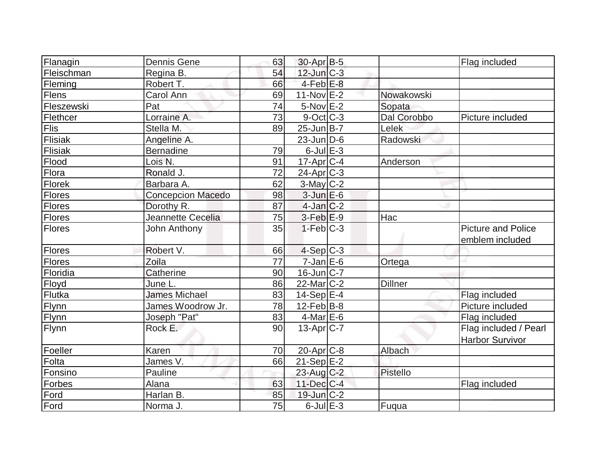| Flanagin      | <b>Dennis Gene</b>       | 63 | $30$ -Apr $B$ -5       |                | Flag included             |
|---------------|--------------------------|----|------------------------|----------------|---------------------------|
| Fleischman    | Regina B.                | 54 | 12-Jun C-3             |                |                           |
| Fleming       | Robert T.                | 66 | $4-Feb$ E-8            |                |                           |
| Flens         | Carol Ann                | 69 | $11-Nov$ E-2           | Nowakowski     |                           |
| Fleszewski    | Pat                      | 74 | $5-NovE-2$             | Sopata         |                           |
| Flethcer      | Lorraine A.              | 73 | 9-Oct C-3              | Dal Corobbo    | Picture included          |
| Flis          | Stella M.                | 89 | $25$ -Jun $ B-7 $      | <b>Lelek</b>   |                           |
| Flisiak       | Angeline A.              |    | $23$ -Jun $ D-6$       | Radowski       |                           |
| Flisiak       | <b>Bernadine</b>         | 79 | $6$ -Jul $E$ -3        |                |                           |
| Flood         | Lois N.                  | 91 | $17$ -Apr $ C-4 $      | Anderson       |                           |
| Flora         | Ronald J.                | 72 | $24$ -Apr $C-3$        |                |                           |
| Florek        | Barbara A.               | 62 | 3-May C-2              |                |                           |
| Flores        | <b>Concepcion Macedo</b> | 98 | $3$ -Jun $E$ -6        |                |                           |
| Flores        | Dorothy R.               | 87 | $4$ -Jan $C-2$         |                |                           |
| <b>Flores</b> | Jeannette Cecelia        | 75 | $3-Feb$ $E-9$          | Hac            |                           |
| Flores        | John Anthony             | 35 | $1-Feb$ $C-3$          |                | <b>Picture and Police</b> |
|               |                          |    |                        |                | emblem included           |
| Flores        | Robert V.                | 66 | $4-Sep C-3$            |                |                           |
| Flores        | Zoila                    | 77 | $7$ -Jan $E$ -6        | Ortega         |                           |
| Floridia      | <b>Catherine</b>         | 90 | 16-Jun C-7             |                |                           |
| Floyd         | June L.                  | 86 | 22-Mar <sub>IC-2</sub> | <b>Dillner</b> |                           |
| Flutka        | <b>James Michael</b>     | 83 | $14-Sep$ $E-4$         |                | Flag included             |
| Flynn         | James Woodrow Jr.        | 78 | $12$ -Feb $ B-8 $      |                | Picture included          |
| Flynn         | Joseph "Pat"             | 83 | $4$ -Mar $E$ -6        |                | Flag included             |
| Flynn         | Rock E.                  | 90 | $13$ -Apr $ C-7 $      |                | Flag included / Pearl     |
|               |                          |    |                        |                | <b>Harbor Survivor</b>    |
| Foeller       | Karen                    | 70 | $20$ -Apr $C-8$        | Albach         |                           |
| Folta         | James V.                 | 66 | $21-Sep$ E-2           |                |                           |
| Fonsino       | Pauline                  |    | $23$ -Aug C-2          | Pistello       |                           |
| Forbes        | Alana                    | 63 | 11-Dec C-4             |                | Flag included             |
| Ford          | Harlan B.                | 85 | $19$ -Jun $C-2$        |                |                           |
| Ford          | Norma J.                 | 75 | $6$ -Jul $E$ -3        | Fuqua          |                           |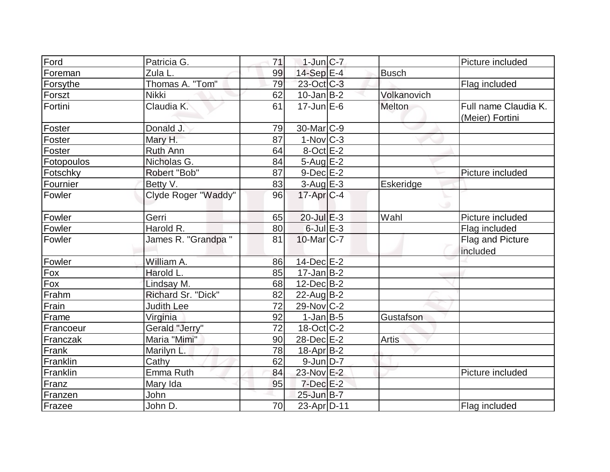| Ford       | Patricia G.         | 71 | $1$ -Jun $ C-7 $       |              | Picture included                        |
|------------|---------------------|----|------------------------|--------------|-----------------------------------------|
| Foreman    | Zula <sub>L.</sub>  | 99 | $14-Sep$ E-4           | <b>Busch</b> |                                         |
| Forsythe   | Thomas A. "Tom"     | 79 | 23-Oct C-3             |              | Flag included                           |
| Forszt     | <b>Nikki</b>        | 62 | $10$ -Jan $B-2$        | Volkanovich  |                                         |
| Fortini    | Claudia K.          | 61 | $17$ -Jun $E$ -6       | Melton       | Full name Claudia K.<br>(Meier) Fortini |
| Foster     | Donald J.           | 79 | 30-Mar <sub>C-9</sub>  |              |                                         |
| Foster     | Mary H.             | 87 | $1-Nov$ <sub>C-3</sub> |              |                                         |
| Foster     | <b>Ruth Ann</b>     | 64 | $8$ -Oct $E-2$         |              |                                         |
| Fotopoulos | Nicholas G.         | 84 | $5$ -Aug $E-2$         |              |                                         |
| Fotschky   | Robert "Bob"        | 87 | $9-Dec$ $E-2$          |              | Picture included                        |
| Fournier   | Betty V.            | 83 | $3$ -Aug $E-3$         | Eskeridge    |                                         |
| Fowler     | Clyde Roger "Waddy" | 96 | $17$ -Apr $ C-4 $      |              |                                         |
| Fowler     | Gerri               | 65 | $20$ -Jul $E-3$        | Wahl         | Picture included                        |
| Fowler     | Harold R.           | 80 | $6$ -Jul $E-3$         |              | Flag included                           |
| Fowler     | James R. "Grandpa " | 81 | $10$ -Mar $ C-7 $      |              | Flag and Picture<br>included            |
| Fowler     | William A.          | 86 | $14$ -Dec $E-2$        |              |                                         |
| Fox        | Harold L.           | 85 | $17 - Jan$ $B-2$       |              |                                         |
| Fox        | Lindsay M.          | 68 | $12$ -Dec $B - 2$      |              |                                         |
| Frahm      | Richard Sr. "Dick"  | 82 | $22$ -Aug $B-2$        |              |                                         |
| Frain      | <b>Judith Lee</b>   | 72 | $29$ -Nov $ C-2 $      |              |                                         |
| Frame      | Virginia            | 92 | $1-Jan$ B-5            | Gustafson    |                                         |
| Francoeur  | Gerald "Jerry"      | 72 | $18-Oct$ $C-2$         |              |                                         |
| Franczak   | Maria "Mimi"        | 90 | 28-Dec E-2             | <b>Artis</b> |                                         |
| Frank      | Marilyn L.          | 78 | $18$ -Apr $ B-2 $      |              |                                         |
| Franklin   | Cathy               | 62 | $9$ -Jun $D-7$         |              |                                         |
| Franklin   | Emma Ruth           | 84 | 23-Nov E-2             |              | Picture included                        |
| Franz      | Mary Ida            | 95 | $7$ -Dec $E-2$         |              |                                         |
| Franzen    | John                |    | $25$ -Jun $B$ -7       |              |                                         |
| Frazee     | John D.             | 70 | 23-Apr D-11            |              | Flag included                           |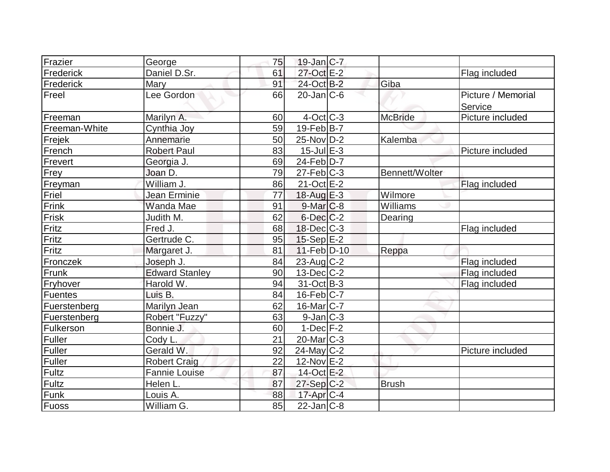| Frazier        | George                | 75 | $19$ -Jan $ C-7 $          |                |                               |
|----------------|-----------------------|----|----------------------------|----------------|-------------------------------|
| Frederick      | Daniel D.Sr.          | 61 | 27-Oct E-2                 |                | Flag included                 |
| Frederick      | Mary                  | 91 | 24-Oct B-2                 | Giba           |                               |
| Freel          | Lee Gordon            | 66 | $20$ -Jan $ C-6$           |                | Picture / Memorial<br>Service |
| Freeman        | Marilyn A.            | 60 | $4-Oct$ $C-3$              | <b>McBride</b> | Picture included              |
| Freeman-White  | Cynthia Joy           | 59 | $19-FebB-7$                |                |                               |
| Frejek         | Annemarie             | 50 | $25$ -Nov $ D-2 $          | Kalemba        |                               |
| French         | <b>Robert Paul</b>    | 83 | $15$ -Jul $E-3$            |                | Picture included              |
| Frevert        | Georgia J.            | 69 | $24$ -Feb $\overline{D-7}$ |                |                               |
| Frey           | Joan D.               | 79 | $27$ -Feb $ C-3 $          | Bennett/Wolter |                               |
| Freyman        | William J.            | 86 | $21-Oct$ E-2               |                | Flag included                 |
| Friel          | Jean Erminie          | 77 | 18-Aug E-3                 | Wilmore        |                               |
| Frink          | <b>Wanda Mae</b>      | 91 | $9$ -Mar $ C$ -8           | Williams       |                               |
| Frisk          | Judith M.             | 62 | $6$ -Dec $C-2$             | Dearing        |                               |
| Fritz          | Fred J.               | 68 | $18$ -Dec $C-3$            |                | Flag included                 |
| Fritz          | Gertrude C.           | 95 | $15-Sep$ $E-2$             |                |                               |
| Fritz          | Margaret J.           | 81 | 11-Feb D-10                | Reppa          |                               |
| Fronczek       | Joseph J.             | 84 | $23$ -Aug C-2              |                | Flag included                 |
| Frunk          | <b>Edward Stanley</b> | 90 | $13$ -Dec $C-2$            |                | Flag included                 |
| Fryhover       | Harold W.             | 94 | $31-Oct$ B-3               |                | Flag included                 |
| <b>Fuentes</b> | Luis B.               | 84 | $16$ -Feb $C-7$            |                |                               |
| Fuerstenberg   | Marilyn Jean          | 62 | $16$ -Mar $ C-7 $          |                |                               |
| Fuerstenberg   | Robert "Fuzzy"        | 63 | $9$ -Jan $ C-3 $           |                |                               |
| Fulkerson      | Bonnie J.             | 60 | $1-Dec$ $F-2$              |                |                               |
| Fuller         | Cody L.               | 21 | $20$ -Mar $C-3$            |                |                               |
| <b>Fuller</b>  | Gerald W.             | 92 | $24$ -May C-2              |                | Picture included              |
| <b>Fuller</b>  | <b>Robert Craig</b>   | 22 | $12$ -Nov $E-2$            |                |                               |
| <b>Fultz</b>   | <b>Fannie Louise</b>  | 87 | 14-Oct E-2                 |                |                               |
| <b>Fultz</b>   | Helen L.              | 87 | $27-Sep C-2$               | <b>Brush</b>   |                               |
| Funk           | Louis A.              | 88 | $17$ -Apr $C-4$            |                |                               |
| Fuoss          | William G.            | 85 | $22$ -Jan $ C-8 $          |                |                               |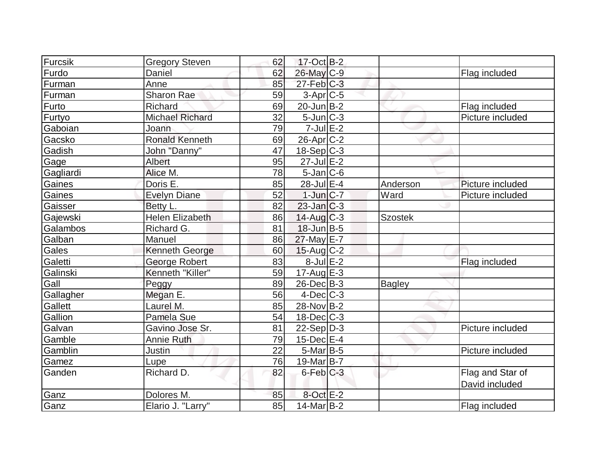| Furcsik   | <b>Gregory Steven</b>  | 62 | 17-Oct B-2             |                |                  |
|-----------|------------------------|----|------------------------|----------------|------------------|
| Furdo     | Daniel                 | 62 | 26-May C-9             |                | Flag included    |
| Furman    | Anne                   | 85 | $27$ -Feb $ C-3 $      |                |                  |
| Furman    | Sharon Rae             | 59 | $3-Apr$ $C-5$          |                |                  |
| Furto     | Richard                | 69 | $20$ -Jun $B-2$        |                | Flag included    |
| Furtyo    | <b>Michael Richard</b> | 32 | $5$ -Jun $C-3$         |                | Picture included |
| Gaboian   | Joann                  | 79 | $7$ -Jul $E-2$         |                |                  |
| Gacsko    | <b>Ronald Kenneth</b>  | 69 | $26$ -Apr $C-2$        |                |                  |
| Gadish    | John "Danny"           | 47 | $18-Sep C-3$           |                |                  |
| Gage      | Albert                 | 95 | $27$ -Jul $E-2$        |                |                  |
| Gagliardi | Alice M.               | 78 | $5$ -Jan $ C$ -6       |                |                  |
| Gaines    | Doris E.               | 85 | 28-Jul E-4             | Anderson       | Picture included |
| Gaines    | <b>Evelyn Diane</b>    | 52 | $1$ -Jun $C-7$         | Ward           | Picture included |
| Gaisser   | Betty L.               | 82 | $23$ -Jan $ C-3 $      |                |                  |
| Gajewski  | Helen Elizabeth        | 86 | $14$ -Aug C-3          | <b>Szostek</b> |                  |
| Galambos  | Richard G.             | 81 | $18$ -Jun $B - 5$      |                |                  |
| Galban    | Manuel                 | 86 | 27-May E-7             |                |                  |
| Gales     | Kenneth George         | 60 | $15$ -Aug C-2          |                |                  |
| Galetti   | George Robert          | 83 | $8$ -Jul $E-2$         |                | Flag included    |
| Galinski  | Kenneth "Killer"       | 59 | $17$ -Aug $E-3$        |                |                  |
| Gall      | Peggy                  | 89 | 26-Dec B-3             | Bagley         |                  |
| Gallagher | Megan E.               | 56 | $4$ -Dec $ C-3 $       |                |                  |
| Gallett   | Laurel M.              | 85 | 28-Nov B-2             |                |                  |
| Gallion   | Pamela Sue             | 54 | $18$ -Dec $C-3$        |                |                  |
| Galvan    | Gavino Jose Sr.        | 81 | $22-Sep D-3$           |                | Picture included |
| Gamble    | Annie Ruth             | 79 | 15-Dec E-4             |                |                  |
| Gamblin   | Justin                 | 22 | $5-Mar$ B-5            |                | Picture included |
| Gamez     | Lupe                   | 76 | 19-Mar <sub>B</sub> -7 |                |                  |
| Ganden    | Richard D.             | 82 | $6$ -Feb $C-3$         |                | Flag and Star of |
|           |                        |    |                        |                | David included   |
| Ganz      | Dolores M.             | 85 | $8$ -Oct $E-2$         |                |                  |
| Ganz      | Elario J. "Larry"      | 85 | $14$ -Mar $ B-2 $      |                | Flag included    |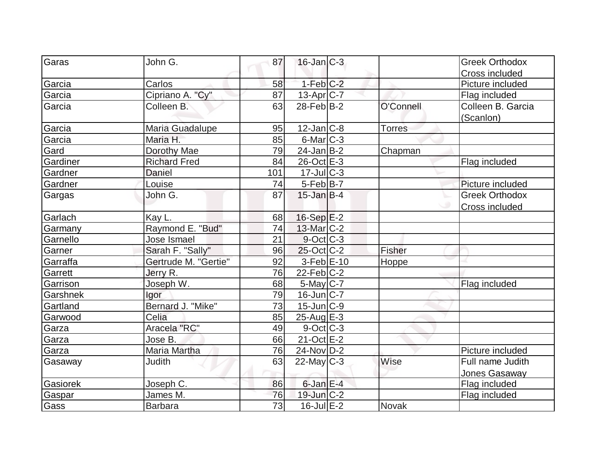| Garas    | John G.              | 87  | $16$ -Jan $ C-3 $          |               | <b>Greek Orthodox</b> |
|----------|----------------------|-----|----------------------------|---------------|-----------------------|
|          |                      |     |                            |               | Cross included        |
| Garcia   | Carlos               | 58  | $1-Feb$ $C-2$              |               | Picture included      |
| Garcia   | Cipriano A. "Cy"     | 87  | $13$ -Apr $ C-7 $          |               | Flag included         |
| Garcia   | Colleen B.           | 63  | $28$ -Feb $B-2$            | O'Connell     | Colleen B. Garcia     |
|          |                      |     |                            |               | (Scanlon)             |
| Garcia   | Maria Guadalupe      | 95  | $12$ -Jan $ C-8 $          | <b>Torres</b> |                       |
| Garcia   | Maria H.             | 85  | $6$ -Mar $ C-3 $           |               |                       |
| Gard     | Dorothy Mae          | 79  | 24-Jan B-2                 | Chapman       |                       |
| Gardiner | <b>Richard Fred</b>  | 84  | $26$ -Oct $E-3$            |               | Flag included         |
| Gardner  | <b>Daniel</b>        | 101 | $17$ -Jul $C-3$            |               |                       |
| Gardner  | Louise               | 74  | $5-Feb B-7$                |               | Picture included      |
| Gargas   | John G.              | 87  | $15$ -Jan B-4              |               | <b>Greek Orthodox</b> |
|          |                      |     |                            |               | <b>Cross included</b> |
| Garlach  | Kay L.               | 68  | 16-Sep E-2                 |               |                       |
| Garmany  | Raymond E. "Bud"     | 74  | 13-Mar C-2                 |               |                       |
| Garnello | Jose Ismael          | 21  | $9$ -Oct C-3               |               |                       |
| Garner   | Sarah F. "Sally"     | 96  | $25$ -Oct $ C-2 $          | <b>Fisher</b> |                       |
| Garraffa | Gertrude M. "Gertie" | 92  | $3-Feb$ $E-10$             | <b>Hoppe</b>  |                       |
| Garrett  | Jerry R.             | 76  | $22$ -Feb $C-2$            |               |                       |
| Garrison | Joseph W.            | 68  | $5$ -May $C$ -7            |               | Flag included         |
| Garshnek | Igor                 | 79  | $16$ -Jun $ C-7$           |               |                       |
| Gartland | Bernard J. "Mike"    | 73  | $15$ -Jun $ C-9 $          |               |                       |
| Garwood  | Celia                | 85  | $25$ -Aug $E-3$            |               |                       |
| Garza    | Aracela "RC"         | 49  | $9$ -Oct $ C-3 $           |               |                       |
| Garza    | Jose B.              | 66  | $21$ -Oct $E-2$            |               |                       |
| Garza    | Maria Martha         | 76  | $24$ -Nov $\overline{D-2}$ |               | Picture included      |
| Gasaway  | <b>Judith</b>        | 63  | $22$ -May C-3              | Wise          | Full name Judith      |
|          |                      |     |                            |               | Jones Gasaway         |
| Gasiorek | Joseph C.            | 86  | $6$ -Jan $E-4$             |               | Flag included         |
| Gaspar   | James M.             | 76  | 19-Jun C-2                 |               | Flag included         |
| Gass     | <b>Barbara</b>       | 73  | $16$ -Jul $E-2$            | Novak         |                       |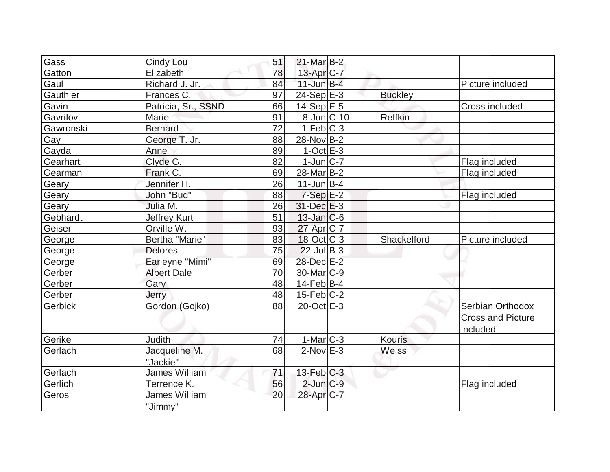| Cindy Lou            | 51                                                |  |                                                                                                                                                                                                                                                                                                                                                                                                                                                                                                                                                    |                          |
|----------------------|---------------------------------------------------|--|----------------------------------------------------------------------------------------------------------------------------------------------------------------------------------------------------------------------------------------------------------------------------------------------------------------------------------------------------------------------------------------------------------------------------------------------------------------------------------------------------------------------------------------------------|--------------------------|
| Elizabeth            | 78                                                |  |                                                                                                                                                                                                                                                                                                                                                                                                                                                                                                                                                    |                          |
| Richard J. Jr.       | 84                                                |  |                                                                                                                                                                                                                                                                                                                                                                                                                                                                                                                                                    | Picture included         |
| Frances C.           | 97                                                |  | <b>Buckley</b>                                                                                                                                                                                                                                                                                                                                                                                                                                                                                                                                     |                          |
|                      | 66                                                |  |                                                                                                                                                                                                                                                                                                                                                                                                                                                                                                                                                    | Cross included           |
| Marie                | 91                                                |  | Reffkin                                                                                                                                                                                                                                                                                                                                                                                                                                                                                                                                            |                          |
| <b>Bernard</b>       | 72                                                |  |                                                                                                                                                                                                                                                                                                                                                                                                                                                                                                                                                    |                          |
| George T. Jr.        | 88                                                |  |                                                                                                                                                                                                                                                                                                                                                                                                                                                                                                                                                    |                          |
| Anne                 | 89                                                |  |                                                                                                                                                                                                                                                                                                                                                                                                                                                                                                                                                    |                          |
| Clyde G.             | 82                                                |  |                                                                                                                                                                                                                                                                                                                                                                                                                                                                                                                                                    | Flag included            |
| Frank C.             | 69                                                |  |                                                                                                                                                                                                                                                                                                                                                                                                                                                                                                                                                    | Flag included            |
| Jennifer H.          | 26                                                |  |                                                                                                                                                                                                                                                                                                                                                                                                                                                                                                                                                    |                          |
| John "Bud"           | 88                                                |  |                                                                                                                                                                                                                                                                                                                                                                                                                                                                                                                                                    | Flag included            |
| Julia M.             | 26                                                |  |                                                                                                                                                                                                                                                                                                                                                                                                                                                                                                                                                    |                          |
| <b>Jeffrey Kurt</b>  | 51                                                |  |                                                                                                                                                                                                                                                                                                                                                                                                                                                                                                                                                    |                          |
| Orville W.           | 93                                                |  |                                                                                                                                                                                                                                                                                                                                                                                                                                                                                                                                                    |                          |
| Bertha "Marie"       | 83                                                |  | Shackelford                                                                                                                                                                                                                                                                                                                                                                                                                                                                                                                                        | Picture included         |
| <b>Delores</b>       | 75                                                |  |                                                                                                                                                                                                                                                                                                                                                                                                                                                                                                                                                    |                          |
|                      | 69                                                |  |                                                                                                                                                                                                                                                                                                                                                                                                                                                                                                                                                    |                          |
| <b>Albert Dale</b>   | 70                                                |  |                                                                                                                                                                                                                                                                                                                                                                                                                                                                                                                                                    |                          |
| Gary                 | 48                                                |  |                                                                                                                                                                                                                                                                                                                                                                                                                                                                                                                                                    |                          |
| Jerry                | 48                                                |  |                                                                                                                                                                                                                                                                                                                                                                                                                                                                                                                                                    |                          |
| Gordon (Gojko)       | 88                                                |  |                                                                                                                                                                                                                                                                                                                                                                                                                                                                                                                                                    | Serbian Orthodox         |
|                      |                                                   |  |                                                                                                                                                                                                                                                                                                                                                                                                                                                                                                                                                    | <b>Cross and Picture</b> |
|                      |                                                   |  |                                                                                                                                                                                                                                                                                                                                                                                                                                                                                                                                                    | included                 |
| <b>Judith</b>        | 74                                                |  | <b>Kouris</b>                                                                                                                                                                                                                                                                                                                                                                                                                                                                                                                                      |                          |
| Jacqueline M.        | 68                                                |  | Weiss                                                                                                                                                                                                                                                                                                                                                                                                                                                                                                                                              |                          |
| "Jackie"             |                                                   |  |                                                                                                                                                                                                                                                                                                                                                                                                                                                                                                                                                    |                          |
| <b>James William</b> | 71                                                |  |                                                                                                                                                                                                                                                                                                                                                                                                                                                                                                                                                    |                          |
| Terrence K.          | 56                                                |  |                                                                                                                                                                                                                                                                                                                                                                                                                                                                                                                                                    | Flag included            |
| <b>James William</b> | 20                                                |  |                                                                                                                                                                                                                                                                                                                                                                                                                                                                                                                                                    |                          |
|                      | Patricia, Sr., SSND<br>Earleyne "Mimi"<br>"Jimmy" |  | $21$ -Mar $B-2$<br>13-Apr C-7<br>$11$ -Jun $B-4$<br>$24-Sep$ E-3<br>$14-Sep$ E-5<br>$8$ -Jun $ C-10$<br>$1-Feb C-3$<br>28-Nov B-2<br>$1$ -Oct $E-3$<br>$1$ -Jun $ C-7 $<br>28-Mar <sub>B</sub> -2<br>$11$ -Jun $B-4$<br>$7-Sep$ $E-2$<br>$31$ -Dec $E-3$<br>$13$ -Jan $ C$ -6<br>$27$ -Apr $ C-7 $<br>$18-Oct$ <sub>C</sub> -3<br>$22$ -Jul B-3<br>28-Dec E-2<br>$30$ -Mar $ C-9 $<br>$14$ -Feb $ B-4$<br>$15$ -Feb $ C-2 $<br>$20$ -Oct $E-3$<br>$1-Mar$ $C-3$<br>$2$ -Nov $E-3$<br>$13$ -Feb $ C-3 $<br>$2$ -Jun $C-9$<br>28-Apr <sub>IC-7</sub> |                          |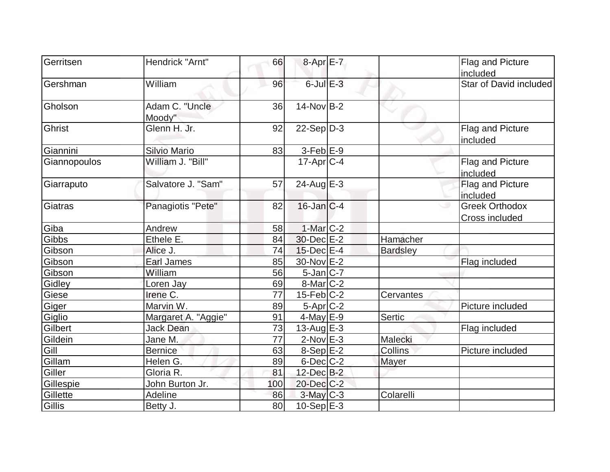| Gerritsen    | Hendrick "Arnt"          | 66  | 8-Apr E-7         |                 | Flag and Picture                        |
|--------------|--------------------------|-----|-------------------|-----------------|-----------------------------------------|
|              |                          |     |                   |                 | included                                |
| Gershman     | William                  | 96  | $6$ -Jul $E-3$    |                 | Star of David included                  |
| Gholson      | Adam C. "Uncle<br>Moody" | 36  | $14$ -Nov $B-2$   |                 |                                         |
| Ghrist       | Glenn H. Jr.             | 92  | $22-Sep D-3$      |                 | Flag and Picture<br>included            |
| Giannini     | Silvio Mario             | 83  | $3$ -Feb $E-9$    |                 |                                         |
| Giannopoulos | William J. "Bill"        |     | $17$ -Apr $ C-4 $ |                 | Flag and Picture<br>included            |
| Giarraputo   | Salvatore J. "Sam"       | 57  | 24-Aug $E-3$      |                 | Flag and Picture<br>included            |
| Giatras      | Panagiotis "Pete"        | 82  | $16$ -Jan $ C-4$  |                 | <b>Greek Orthodox</b><br>Cross included |
| Giba         | Andrew                   | 58  | $1-Mar$ C-2       |                 |                                         |
| Gibbs        | Ethele E.                | 84  | 30-Dec E-2        | Hamacher        |                                         |
| Gibson       | Alice J.                 | 74  | $15$ -Dec $E-4$   | <b>Bardsley</b> |                                         |
| Gibson       | Earl James               | 85  | 30-Nov E-2        |                 | Flag included                           |
| Gibson       | William                  | 56  | $5$ -Jan $ C-7$   |                 |                                         |
| Gidley       | Loren Jay                | 69  | $8$ -Mar $ C-2 $  |                 |                                         |
| Giese        | Irene C.                 | 77  | $15$ -Feb $ C-2 $ | Cervantes       |                                         |
| Giger        | Marvin W.                | 89  | $5-Apr$ $C-2$     |                 | Picture included                        |
| Giglio       | Margaret A. "Aggie"      | 91  | $4$ -May E-9      | Sertic          |                                         |
| Gilbert      | <b>Jack Dean</b>         | 73  | $13$ -Aug $E-3$   |                 | Flag included                           |
| Gildein      | Jane M.                  | 77  | $2$ -Nov $E-3$    | Malecki         |                                         |
| Gill         | <b>Bernice</b>           | 63  | $8-Sep$ $E-2$     | Collins         | Picture included                        |
| Gillam       | Helen G.                 | 89  | 6-Dec C-2         | Mayer           |                                         |
| Giller       | Gloria R.                | 81  | $12$ -Dec $B-2$   |                 |                                         |
| Gillespie    | John Burton Jr.          | 100 | 20-Dec C-2        |                 |                                         |
| Gillette     | Adeline                  | 86  | $3$ -May $C-3$    | Colarelli       |                                         |
| Gillis       | Betty J.                 | 80  | $10-Sep$ E-3      |                 |                                         |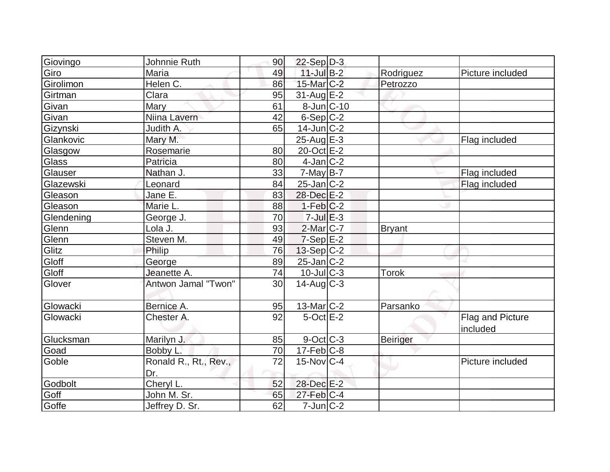|              | Johnnie Ruth                 | 90 | $22-Sep D-3$      |                 |                              |
|--------------|------------------------------|----|-------------------|-----------------|------------------------------|
| Giovingo     | Maria                        | 49 | $11$ -Jul B-2     | Rodriguez       | Picture included             |
| Giro         | Helen C.                     |    | 15-Mar C-2        |                 |                              |
| Girolimon    |                              | 86 |                   | Petrozzo        |                              |
| Girtman      | Clara                        | 95 | $31$ -Aug $E-2$   |                 |                              |
| Givan        | Mary                         | 61 | 8-Jun C-10        |                 |                              |
| Givan        | Niina Lavern                 | 42 | $6-Sep C-2$       |                 |                              |
| Gizynski     | Judith A.                    | 65 | $14$ -Jun $ C-2 $ |                 |                              |
| Glankovic    | Mary M.                      |    | $25$ -Aug E-3     |                 | Flag included                |
| Glasgow      | Rosemarie                    | 80 | 20-Oct E-2        |                 |                              |
| <b>Glass</b> | Patricia                     | 80 | $4$ -Jan $ C-2 $  |                 |                              |
| Glauser      | Nathan J.                    | 33 | $7$ -May B-7      |                 | Flag included                |
| Glazewski    | Leonard                      | 84 | $25$ -Jan $ C-2 $ |                 | Flag included                |
| Gleason      | Jane E.                      | 83 | 28-Dec E-2        |                 |                              |
| Gleason      | Marie L.                     | 88 | $1-Feb C-2$       |                 |                              |
| Glendening   | George J.                    | 70 | $7$ -Jul $E-3$    |                 |                              |
| Glenn        | Lola J.                      | 93 | $2$ -Mar $ C-7 $  | <b>Bryant</b>   |                              |
| Glenn        | Steven M.                    | 49 | $7-Sep$ $E-2$     |                 |                              |
| Glitz        | Philip                       | 76 | $13-Sep C-2$      |                 |                              |
| Gloff        | George                       | 89 | $25$ -Jan $ C-2 $ |                 |                              |
| Gloff        | Jeanette A.                  | 74 | $10$ -JulC-3      | <b>Torok</b>    |                              |
| Glover       | Antwon Jamal "Twon"          | 30 | $14$ -Aug C-3     |                 |                              |
| Glowacki     | Bernice A.                   | 95 | $13$ -Mar $ C-2 $ | Parsanko        |                              |
| Glowacki     | Chester A.                   | 92 | $5$ -Oct $E-2$    |                 | Flag and Picture<br>included |
| Glucksman    | Marilyn J.                   | 85 | 9-Oct C-3         | <b>Beiriger</b> |                              |
| Goad         | Bobby L.                     | 70 | $17-Feb$ $C-8$    |                 |                              |
| Goble        | Ronald R., Rt., Rev.,<br>Dr. | 72 | $15$ -Nov $ C-4 $ |                 | Picture included             |
| Godbolt      | Cheryl L.                    | 52 | 28-Dec E-2        |                 |                              |
| Goff         | John M. Sr.                  | 65 | $27$ -Feb $C-4$   |                 |                              |
| Goffe        | Jeffrey D. Sr.               | 62 | $7$ -Jun $ C-2 $  |                 |                              |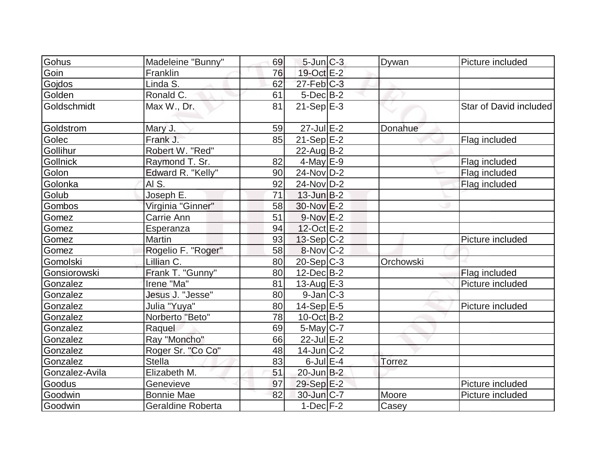| Gohus           | Madeleine "Bunny"  | 69 | $5$ -Jun $ C-3 $       | Dywan     | Picture included       |
|-----------------|--------------------|----|------------------------|-----------|------------------------|
| Goin            | Franklin           | 76 | 19-Oct E-2             |           |                        |
| Gojdos          | Linda S.           | 62 | $27$ -Feb $ C-3 $      |           |                        |
| Golden          | Ronald C.          | 61 | $5$ -Dec $B$ -2        |           |                        |
| Goldschmidt     | Max W., Dr.        | 81 | $21-Sep$ $E-3$         |           | Star of David included |
| Goldstrom       | Mary J.            | 59 | $27$ -Jul $E-2$        | Donahue   |                        |
| Golec           | Frank J.           | 85 | $21-Sep$ E-2           |           | Flag included          |
| Gollihur        | Robert W. "Red"    |    | 22-Aug B-2             |           |                        |
| <b>Gollnick</b> | Raymond T. Sr.     | 82 | $4$ -May $E-9$         |           | Flag included          |
| Golon           | Edward R. "Kelly"  | 90 | 24-Nov D-2             |           | Flag included          |
| Golonka         | AI S.              | 92 | 24-Nov D-2             |           | Flag included          |
| Golub           | Joseph E.          | 71 | $13$ -Jun $B-2$        |           |                        |
| Gombos          | Virginia "Ginner"  | 58 | 30-Nov E-2             |           |                        |
| Gomez           | Carrie Ann         | 51 | $9-Nov$ E-2            |           |                        |
| Gomez           | Esperanza          | 94 | 12-Oct E-2             |           |                        |
| Gomez           | <b>Martin</b>      | 93 | $13-Sep C-2$           |           | Picture included       |
| Gomez           | Rogelio F. "Roger" | 58 | $8-Nov$ <sub>C-2</sub> |           |                        |
| Gomolski        | Lillian C.         | 80 | $20-Sep C-3$           | Orchowski |                        |
| Gonsiorowski    | Frank T. "Gunny"   | 80 | $12$ -Dec $B$ -2       |           | Flag included          |
| Gonzalez        | Irene "Ma"         | 81 | $13$ -Aug E-3          |           | Picture included       |
| Gonzalez        | Jesus J. "Jesse"   | 80 | $9$ -Jan $ C-3 $       |           |                        |
| Gonzalez        | Julia "Yuya"       | 80 | $14-Sep$ E-5           |           | Picture included       |
| Gonzalez        | Norberto "Beto"    | 78 | $10$ -Oct B-2          |           |                        |
| Gonzalez        | Raquel             | 69 | $5$ -May $C$ -7        |           |                        |
| Gonzalez        | Ray "Moncho"       | 66 | $22$ -Jul $E-2$        |           |                        |
| Gonzalez        | Roger Sr. "Co Co"  | 48 | $14$ -Jun $C-2$        |           |                        |
| Gonzalez        | <b>Stella</b>      | 83 | $6$ -Jul $E-4$         | Torrez    |                        |
| Gonzalez-Avila  | Elizabeth M.       | 51 | $20$ -Jun $B-2$        |           |                        |
| Goodus          | Genevieve          | 97 | 29-Sep E-2             |           | Picture included       |
| Goodwin         | <b>Bonnie Mae</b>  | 82 | $30$ -Jun $C-7$        | Moore     | Picture included       |
| Goodwin         | Geraldine Roberta  |    | $1-Dec$ $F-2$          | Casey     |                        |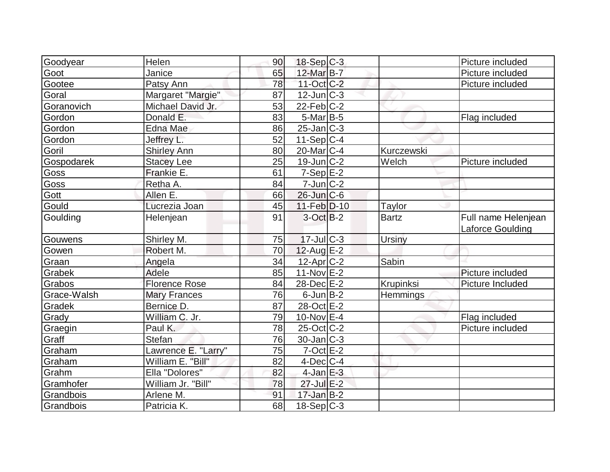| Goodyear    | Helen                | 90 | $18-Sep C-3$          |               | Picture included                        |
|-------------|----------------------|----|-----------------------|---------------|-----------------------------------------|
| Goot        | Janice               | 65 | 12-Mar B-7            |               | Picture included                        |
| Gootee      | Patsy Ann            | 78 | $11-Oct$ $C-2$        |               | Picture included                        |
| Goral       | Margaret "Margie"    | 87 | $12$ -Jun $ C-3 $     |               |                                         |
| Goranovich  | Michael David Jr.    | 53 | $22$ -Feb $ C-2 $     |               |                                         |
| Gordon      | Donald E.            | 83 | $5$ -Mar $B$ -5       |               | Flag included                           |
| Gordon      | <b>Edna Mae</b>      | 86 | $25$ -Jan $ C-3 $     |               |                                         |
| Gordon      | Jeffrey L.           | 52 | $11-Sep C-4$          |               |                                         |
| Goril       | <b>Shirley Ann</b>   | 80 | $20$ -Mar $ C-4 $     | Kurczewski    |                                         |
| Gospodarek  | <b>Stacey Lee</b>    | 25 | $19$ -Jun $ C-2 $     | Welch         | Picture included                        |
| Goss        | Frankie E.           | 61 | $7-Sep$ $E-2$         |               |                                         |
| Goss        | Retha A.             | 84 | $7$ -Jun $ C-2 $      |               |                                         |
| Gott        | Allen E.             | 66 | $26$ -Jun $C-6$       |               |                                         |
| Gould       | Lucrezia Joan        | 45 | 11-Feb D-10           | <b>Taylor</b> |                                         |
| Goulding    | Helenjean            | 91 | 3-Oct B-2             | <b>Bartz</b>  | Full name Helenjean<br>Laforce Goulding |
| Gouwens     | Shirley M.           | 75 | $17$ -JulC-3          | <b>Ursiny</b> |                                         |
| Gowen       | Robert M.            | 70 | $12$ -Aug E-2         |               |                                         |
| Graan       | Angela               | 34 | 12-Apr <sub>C-2</sub> | Sabin         |                                         |
| Grabek      | Adele                | 85 | $11-Nov$ E-2          |               | Picture included                        |
| Grabos      | <b>Florence Rose</b> | 84 | 28-Dec E-2            | Krupinksi     | Picture Included                        |
| Grace-Walsh | <b>Mary Frances</b>  | 76 | $6$ -Jun $B-2$        | Hemmings      |                                         |
| Gradek      | Bernice D.           | 87 | 28-Oct E-2            |               |                                         |
| Grady       | William C. Jr.       | 79 | $10$ -Nov $E-4$       |               | Flag included                           |
| Graegin     | Paul K.              | 78 | $25$ -Oct C-2         |               | Picture included                        |
| Graff       | Stefan               | 76 | $30$ -Jan $C-3$       |               |                                         |
| Graham      | Lawrence E. "Larry"  | 75 | $7-Oct$ $E-2$         |               |                                         |
| Graham      | William E. "Bill"    | 82 | $4$ -Dec $ C-4$       |               |                                         |
| Grahm       | Ella "Dolores"       | 82 | $4$ -Jan $E-3$        |               |                                         |
| Gramhofer   | William Jr. "Bill"   | 78 | 27-Jul E-2            |               |                                         |
| Grandbois   | Arlene M.            | 91 | $17$ -Jan B-2         |               |                                         |
| Grandbois   | Patricia K.          | 68 | $18-Sep C-3$          |               |                                         |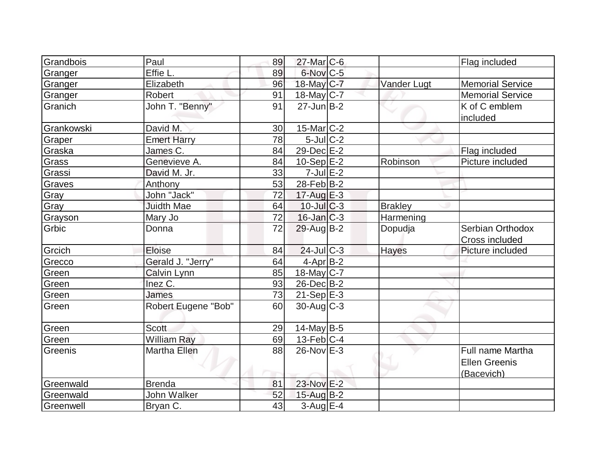| Grandbois  | Paul                | 89 | $27$ -Mar $C$ -6  |                | Flag included           |
|------------|---------------------|----|-------------------|----------------|-------------------------|
| Granger    | Effie L.            | 89 | 6-Nov C-5         |                |                         |
| Granger    | Elizabeth           | 96 | 18-May C-7        | Vander Lugt    | <b>Memorial Service</b> |
| Granger    | Robert              | 91 | $18$ -May C-7     |                | <b>Memorial Service</b> |
| Granich    | John T. "Benny"     | 91 | $27$ -Jun $B-2$   |                | K of C emblem           |
|            |                     |    |                   |                | included                |
| Grankowski | David M.            | 30 | $15$ -Mar $ C-2 $ |                |                         |
| Graper     | <b>Emert Harry</b>  | 78 | $5$ -Jul $C-2$    |                |                         |
| Graska     | James C.            | 84 | 29-Dec E-2        |                | Flag included           |
| Grass      | Genevieve A.        | 84 | $10-Sep$ $E-2$    | Robinson       | Picture included        |
| Grassi     | David M. Jr.        | 33 | $7$ -Jul $E-2$    |                |                         |
| Graves     | Anthony             | 53 | 28-Feb B-2        |                |                         |
| Gray       | John "Jack"         | 72 | 17-Aug E-3        |                |                         |
| Gray       | <b>Juidth Mae</b>   | 64 | $10$ -JulC-3      | <b>Brakley</b> |                         |
| Grayson    | Mary Jo             | 72 | $16$ -Jan $C-3$   | Harmening      |                         |
| Grbic      | Donna               | 72 | 29-Aug B-2        | Dopudja        | Serbian Orthodox        |
|            |                     |    |                   |                | Cross included          |
| Grcich     | Eloise              | 84 | $24$ -Jul C-3     | Hayes          | Picture included        |
| Grecco     | Gerald J. "Jerry"   | 64 | 4-Apr B-2         |                |                         |
| Green      | Calvin Lynn         | 85 | $18$ -May C-7     |                |                         |
| Green      | Inez C.             | 93 | $26$ -Dec $B$ -2  |                |                         |
| Green      | James               | 73 | $21-Sep$ $E-3$    |                |                         |
| Green      | Robert Eugene "Bob" | 60 | $30$ -Aug C-3     |                |                         |
|            |                     |    |                   |                |                         |
| Green      | <b>Scott</b>        | 29 | 14-May B-5        |                |                         |
| Green      | <b>William Ray</b>  | 69 | $13$ -Feb $ C-4 $ |                |                         |
| Greenis    | Martha Ellen        | 88 | $26$ -Nov $E-3$   |                | <b>Full name Martha</b> |
|            |                     |    |                   |                | <b>Ellen Greenis</b>    |
|            |                     |    |                   |                | (Bacevich)              |
| Greenwald  | <b>Brenda</b>       | 81 | 23-Nov E-2        |                |                         |
| Greenwald  | <b>John Walker</b>  | 52 | $15$ -Aug $B-2$   |                |                         |
| Greenwell  | Bryan C.            | 43 | $3-Aug$ $E-4$     |                |                         |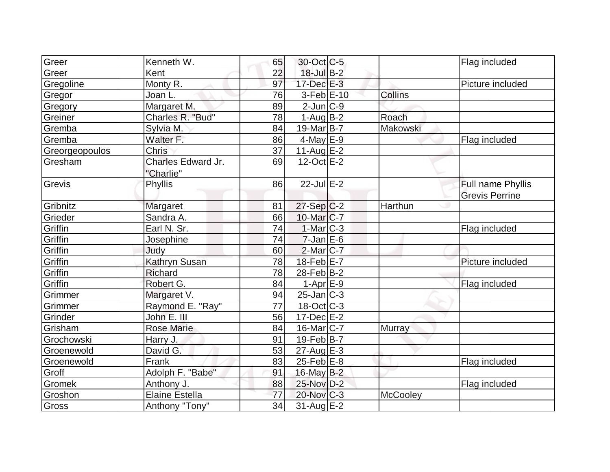| Greer          | Kenneth W.                      | 65 | 30-Oct C-5            |          | Flag included         |
|----------------|---------------------------------|----|-----------------------|----------|-----------------------|
| Greer          | Kent                            | 22 | 18-Jul B-2            |          |                       |
| Gregoline      | Monty R.                        | 97 | 17-Dec E-3            |          | Picture included      |
| Gregor         | Joan L.                         | 76 | $3-Feb$ $E-10$        | Collins  |                       |
| Gregory        | Margaret M.                     | 89 | $2$ -Jun $C-9$        |          |                       |
| Greiner        | Charles R. "Bud"                | 78 | $1-AugB-2$            | Roach    |                       |
| Gremba         | Sylvia M.                       | 84 | 19-Mar <sub>B-7</sub> | Makowski |                       |
| Gremba         | Walter F.                       | 86 | $4$ -May $E-9$        |          | Flag included         |
| Greorgeopoulos | <b>Chris</b>                    | 37 | 11-Aug $E-2$          |          |                       |
| Gresham        | Charles Edward Jr.<br>"Charlie" | 69 | $12$ -Oct $E-2$       |          |                       |
| Grevis         | Phyllis                         | 86 | $22$ -Jul $E-2$       |          | Full name Phyllis     |
|                |                                 |    |                       |          | <b>Grevis Perrine</b> |
| Gribnitz       | Margaret                        | 81 | $27-Sep C-2$          | Harthun  |                       |
| Grieder        | Sandra A.                       | 66 | $10$ -Mar $ C-7 $     |          |                       |
| Griffin        | Earl N. Sr.                     | 74 | $1-Mar$ C-3           |          | Flag included         |
| Griffin        | Josephine                       | 74 | $7$ -Jan $E$ -6       |          |                       |
| Griffin        | Judy                            | 60 | $2$ -Mar $ C-7 $      |          |                       |
| Griffin        | Kathryn Susan                   | 78 | $18$ -Feb $E$ -7      |          | Picture included      |
| Griffin        | Richard                         | 78 | $28$ -Feb $B-2$       |          |                       |
| Griffin        | Robert G.                       | 84 | $1-AprE-9$            |          | Flag included         |
| Grimmer        | Margaret V.                     | 94 | $25$ -Jan $C-3$       |          |                       |
| Grimmer        | Raymond E. "Ray"                | 77 | $18-Oct$ $C-3$        |          |                       |
| Grinder        | John E. III                     | 56 | $17 - Dec$ $E-2$      |          |                       |
| Grisham        | <b>Rose Marie</b>               | 84 | $16$ -Mar $ C-7 $     | Murray   |                       |
| Grochowski     | Harry J.                        | 91 | $19$ -Feb $ B-7 $     |          |                       |
| Groenewold     | David G.                        | 53 | $27$ -Aug $E-3$       |          |                       |
| Groenewold     | Frank                           | 83 | $25$ -Feb $E$ -8      |          | Flag included         |
| Groff          | Adolph F. "Babe"                | 91 | 16-May B-2            |          |                       |
| Gromek         | Anthony J.                      | 88 | 25-Nov D-2            |          | Flag included         |
| Groshon        | <b>Elaine Estella</b>           | 77 | 20-Nov C-3            | McCooley |                       |
| Gross          | Anthony "Tony"                  | 34 | $31$ -Aug $E-2$       |          |                       |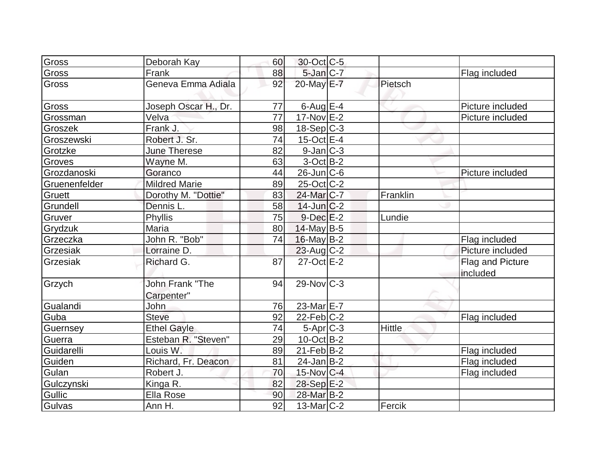| Gross         | Deborah Kay                          | 60 | 30-Oct C-5              |               |                              |
|---------------|--------------------------------------|----|-------------------------|---------------|------------------------------|
| Gross         | Frank                                | 88 | $5$ -Jan $C-7$          |               | Flag included                |
| <b>Gross</b>  | Geneva Emma Adiala                   | 92 | 20-May E-7              | Pietsch       |                              |
| Gross         | Joseph Oscar H., Dr.                 | 77 | $6$ -Aug $E-4$          |               | Picture included             |
| Grossman      | Velva                                | 77 | $17-Nov$ E-2            |               | Picture included             |
| Groszek       | Frank J.                             | 98 | $18-Sep C-3$            |               |                              |
| Groszewski    | Robert J. Sr.                        | 74 | 15-Oct $E$ -4           |               |                              |
| Grotzke       | June Therese                         | 82 | $9$ -Jan $ C-3 $        |               |                              |
| Groves        | Wayne M.                             | 63 | $3-Oct$ B-2             |               |                              |
| Grozdanoski   | Goranco                              | 44 | $26$ -Jun $ C$ -6       |               | Picture included             |
| Gruenenfelder | <b>Mildred Marie</b>                 | 89 | $25$ -Oct $ C-2 $       |               |                              |
| Gruett        | Dorothy M. "Dottie"                  | 83 | 24-Mar <sub>IC-7</sub>  | Franklin      |                              |
| Grundell      | Dennis L.                            | 58 | $14$ -Jun $C-2$         |               |                              |
| Gruver        | Phyllis                              | 75 | $9$ -Dec $E-2$          | Lundie        |                              |
| Grydzuk       | Maria                                | 80 | 14-May B-5              |               |                              |
| Grzeczka      | John R. "Bob"                        | 74 | $16$ -May B-2           |               | Flag included                |
| Grzesiak      | Lorraine D.                          |    | $23$ -Aug C-2           |               | Picture included             |
| Grzesiak      | Richard G.                           | 87 | 27-Oct E-2              |               | Flag and Picture<br>included |
| Grzych        | <b>John Frank "The</b><br>Carpenter" | 94 | $29-Nov$ <sub>C-3</sub> |               |                              |
| Gualandi      | John                                 | 76 | 23-Mar E-7              |               |                              |
| Guba          | <b>Steve</b>                         | 92 | $22$ -Feb $ C-2 $       |               | Flag included                |
| Guernsey      | <b>Ethel Gayle</b>                   | 74 | $5-Apr$ $C-3$           | <b>Hittle</b> |                              |
| Guerra        | Esteban R. "Steven"                  | 29 | $10$ -Oct B-2           |               |                              |
| Guidarelli    | Louis W.                             | 89 | $21$ -Feb $ B-2 $       |               | Flag included                |
| Guiden        | Richard, Fr. Deacon                  | 81 | $24$ -Jan $ B-2 $       |               | Flag included                |
| Gulan         | Robert J.                            | 70 | $15$ -Nov $ C-4 $       |               | Flag included                |
| Gulczynski    | Kinga R.                             | 82 | 28-Sep E-2              |               |                              |
| Gullic        | Ella Rose                            | 90 | 28-Mar B-2              |               |                              |
| Gulvas        | Ann H.                               | 92 | $13$ -Mar $ C-2 $       | Fercik        |                              |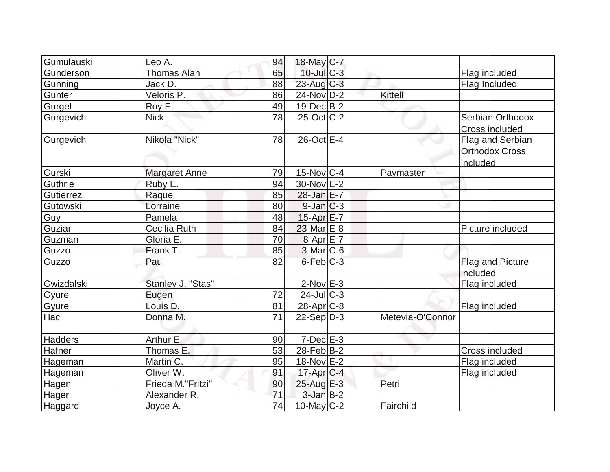| Gumulauski     | Leo A.               | 94 | 18-May C-7        |                  |                       |
|----------------|----------------------|----|-------------------|------------------|-----------------------|
| Gunderson      | Thomas Alan          | 65 | $10$ -Jul $C-3$   |                  | Flag included         |
| Gunning        | Jack D.              | 88 | $23$ -Aug C-3     |                  | Flag Included         |
| Gunter         | Veloris P.           | 86 | $24$ -Nov D-2     | Kittell          |                       |
| Gurgel         | Roy E.               | 49 | $19$ -Dec $B$ -2  |                  |                       |
| Gurgevich      | <b>Nick</b>          | 78 | $25$ -Oct C-2     |                  | Serbian Orthodox      |
|                |                      |    |                   |                  | Cross included        |
| Gurgevich      | Nikola "Nick"        | 78 | $26$ -Oct $E-4$   |                  | Flag and Serbian      |
|                |                      |    |                   |                  | <b>Orthodox Cross</b> |
|                |                      |    |                   |                  | included              |
| Gurski         | <b>Margaret Anne</b> | 79 | $15$ -Nov $ C-4 $ | Paymaster        |                       |
| Guthrie        | Ruby E.              | 94 | 30-Nov E-2        |                  |                       |
| Gutierrez      | Raquel               | 85 | $28$ -Jan E-7     |                  |                       |
| Gutowski       | Lorraine             | 80 | $9$ -Jan $C-3$    |                  |                       |
| Guy            | Pamela               | 48 | $15$ -Apr $E$ -7  |                  |                       |
| Guziar         | Cecilia Ruth         | 84 | 23-Mar E-8        |                  | Picture included      |
| Guzman         | Gloria E.            | 70 | 8-Apr E-7         |                  |                       |
| Guzzo          | Frank T.             | 85 | $3-Mar$ C-6       |                  |                       |
| Guzzo          | Paul                 | 82 | $6$ -Feb $ C-3 $  |                  | Flag and Picture      |
|                |                      |    |                   |                  | included              |
| Gwizdalski     | Stanley J. "Stas"    |    | $2$ -Nov $E-3$    |                  | Flag included         |
| Gyure          | Eugen                | 72 | $24$ -Jul C-3     |                  |                       |
| Gyure          | Louis D.             | 81 | $28-Apr$ $C-8$    |                  | Flag included         |
| Hac            | Donna M.             | 71 | $22-Sep D-3$      | Metevia-O'Connor |                       |
|                |                      |    |                   |                  |                       |
| <b>Hadders</b> | Arthur E.            | 90 | $7$ -Dec $E-3$    |                  |                       |
| Hafner         | Thomas E.            | 53 | $28$ -Feb $ B-2 $ |                  | <b>Cross included</b> |
| Hageman        | Martin C.            | 95 | 18-Nov E-2        |                  | Flag included         |
| Hageman        | Oliver W.            | 91 | $17$ -Apr $C-4$   |                  | Flag included         |
| Hagen          | Frieda M."Fritzi"    | 90 | $25$ -Aug $E-3$   | Petri            |                       |
| Hager          | Alexander R.         | 71 | $3$ -Jan $B-2$    |                  |                       |
| Haggard        | Joyce A.             | 74 | 10-May $C-2$      | Fairchild        |                       |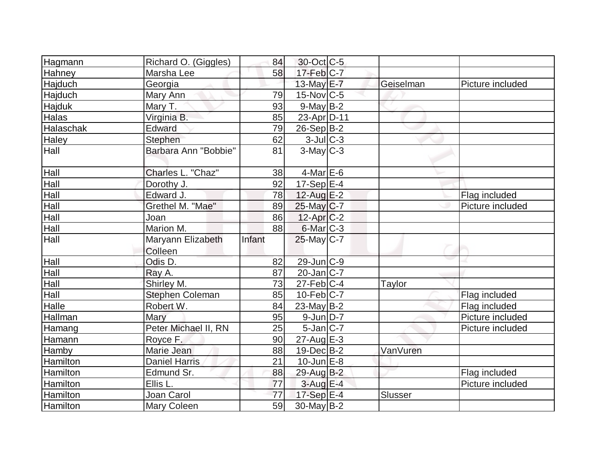| Hagmann         | Richard O. (Giggles)   | 84     | 30-Oct C-5        |           |                  |
|-----------------|------------------------|--------|-------------------|-----------|------------------|
| Hahney          | Marsha Lee             | 58     | $17$ -Feb $C-7$   |           |                  |
| Hajduch         | Georgia                |        | 13-May $E-7$      | Geiselman | Picture included |
| Hajduch         | Mary Ann               | 79     | $15$ -Nov $ C-5 $ |           |                  |
| Hajduk          | Mary T.                | 93     | $9$ -May B-2      |           |                  |
| Halas           | Virginia B.            | 85     | 23-Apr D-11       |           |                  |
| Halaschak       | Edward                 | 79     | $26-Sep B-2$      |           |                  |
| Haley           | Stephen                | 62     | $3$ -Jul $C-3$    |           |                  |
| Hall            | Barbara Ann "Bobbie"   | 81     | $3$ -May $C-3$    |           |                  |
| Hall            | Charles L. "Chaz"      | 38     | $4$ -Mar $E$ -6   |           |                  |
| Hall            | Dorothy J.             | 92     | $17-Sep$ E-4      |           |                  |
| Hall            | Edward J.              | 78     | $12$ -Aug E-2     |           | Flag included    |
| Hall            | Grethel M. "Mae"       | 89     | 25-May C-7        |           | Picture included |
| Hall            | Joan                   | 86     | $12$ -Apr $C-2$   |           |                  |
| Hall            | Marion M.              | 88     | 6-Mar C-3         |           |                  |
| Hall            | Maryann Elizabeth      | Infant | $25$ -May C-7     |           |                  |
| Hall            | Colleen<br>Odis D.     | 82     | 29-Jun C-9        |           |                  |
| Hall            | Ray A.                 | 87     | $20$ -Jan $ C-7 $ |           |                  |
| Hall            | Shirley M.             | 73     | $27$ -Feb $ C-4 $ | Taylor    |                  |
| Hall            | <b>Stephen Coleman</b> | 85     | $10$ -Feb $ C-7 $ |           | Flag included    |
| Halle           | Robert W.              | 84     | 23-May $B-2$      |           | Flag included    |
| Hallman         | Mary                   | 95     | $9$ -Jun $D-7$    |           | Picture included |
| Hamang          | Peter Michael II, RN   | 25     | $5$ -Jan $ C-7 $  |           | Picture included |
| Hamann          | Royce F.               | 90     | $27$ -Aug $E-3$   |           |                  |
| Hamby           | Marie Jean             | 88     | $19$ -Dec $B$ -2  | VanVuren  |                  |
| Hamilton        | <b>Daniel Harris</b>   | 21     | $10$ -Jun $E-8$   |           |                  |
| Hamilton        | Edmund Sr.             | 88     | 29-Aug B-2        |           | Flag included    |
| Hamilton        | Ellis L.               | 77     | $3$ -Aug $E-4$    |           | Picture included |
| Hamilton        | Joan Carol             | 77     | 17-Sep E-4        | Slusser   |                  |
| <b>Hamilton</b> | Mary Coleen            | 59     | $30$ -May B-2     |           |                  |
|                 |                        |        |                   |           |                  |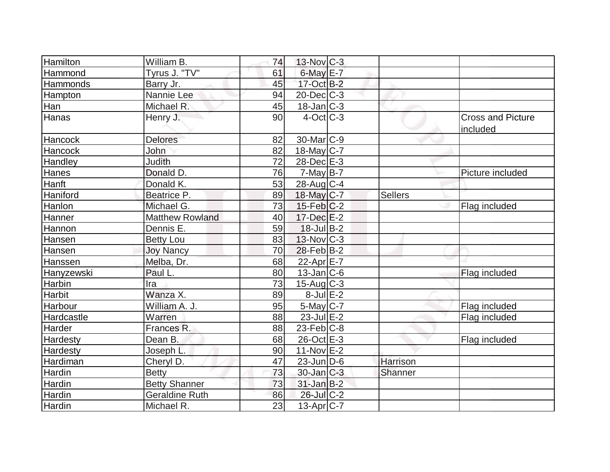| Hamilton        | William B.             | 74 | $13-Nov$ <sub>C-3</sub> |                |                                      |
|-----------------|------------------------|----|-------------------------|----------------|--------------------------------------|
| Hammond         | Tyrus J. "TV"          | 61 | $6$ -May $E$ -7         |                |                                      |
| Hammonds        | Barry Jr.              | 45 | $17-Oct$ B-2            |                |                                      |
| Hampton         | Nannie Lee             | 94 | $20$ -Dec $C-3$         |                |                                      |
| Han             | Michael R.             | 45 | $18$ -Jan $C-3$         |                |                                      |
| Hanas           | Henry J.               | 90 | $4$ -Oct C-3            |                | <b>Cross and Picture</b><br>included |
| Hancock         | <b>Delores</b>         | 82 | 30-Mar <sub>IC-9</sub>  |                |                                      |
| Hancock         | John                   | 82 | $18$ -May C-7           |                |                                      |
| Handley         | <b>Judith</b>          | 72 | 28-Dec E-3              |                |                                      |
| Hanes           | Donald D.              | 76 | $7$ -May B-7            |                | Picture included                     |
| Hanft           | Donald K.              | 53 | $28$ -Aug C-4           |                |                                      |
| Haniford        | Beatrice P.            | 89 | 18-May C-7              | <b>Sellers</b> |                                      |
| Hanlon          | Michael G.             | 73 | $15$ -Feb $ C-2$        |                | Flag included                        |
| Hanner          | <b>Matthew Rowland</b> | 40 | $17 - Dec$ $E - 2$      |                |                                      |
| Hannon          | Dennis E.              | 59 | $18$ -Jul B-2           |                |                                      |
| <b>Hansen</b>   | <b>Betty Lou</b>       | 83 | $13$ -Nov $ C-3 $       |                |                                      |
| Hansen          | <b>Joy Nancy</b>       | 70 | $28$ -Feb $ B-2 $       |                |                                      |
| Hanssen         | Melba, Dr.             | 68 | 22-Apr E-7              |                |                                      |
| Hanyzewski      | Paul L.                | 80 | $13$ -Jan $ C-6 $       |                | Flag included                        |
| Harbin          | Ira                    | 73 | $15$ -Aug C-3           |                |                                      |
| <b>Harbit</b>   | Wanza X.               | 89 | $8$ -Jul $E-2$          |                |                                      |
| Harbour         | William A. J.          | 95 | $5$ -May $C$ -7         |                | Flag included                        |
| Hardcastle      | Warren                 | 88 | $23$ -Jul $E-2$         |                | Flag included                        |
| Harder          | Frances R.             | 88 | $23$ -Feb $ C-8 $       |                |                                      |
| <b>Hardesty</b> | Dean B.                | 68 | 26-Oct E-3              |                | Flag included                        |
| Hardesty        | Joseph L.              | 90 | $11-Nov$ E-2            |                |                                      |
| Hardiman        | Cheryl D.              | 47 | $23$ -Jun $ D-6$        | Harrison       |                                      |
| Hardin          | <b>Betty</b>           | 73 | $30 - Jan$ $C-3$        | Shanner        |                                      |
| Hardin          | <b>Betty Shanner</b>   | 73 | $31$ -Jan $B-2$         |                |                                      |
| Hardin          | <b>Geraldine Ruth</b>  | 86 | 26-Jul C-2              |                |                                      |
| Hardin          | Michael R.             | 23 | $13$ -Apr $ C-7 $       |                |                                      |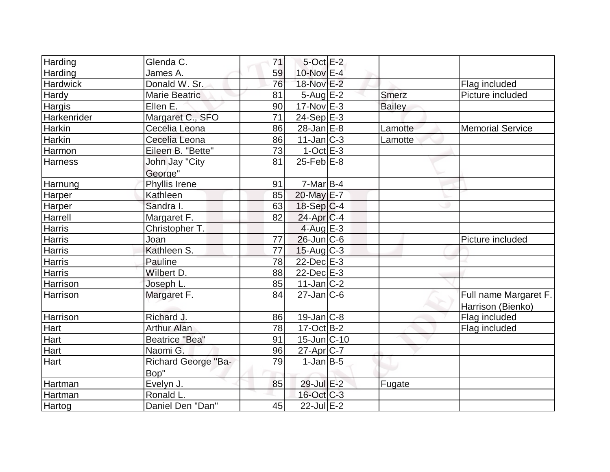| Harding         | Glenda C.            | 71 | $5$ -Oct $E-2$    |               |                         |
|-----------------|----------------------|----|-------------------|---------------|-------------------------|
| Harding         | James A.             | 59 | 10-Nov E-4        |               |                         |
| <b>Hardwick</b> | Donald W. Sr.        | 76 | 18-Nov E-2        |               | Flag included           |
| Hardy           | <b>Marie Beatric</b> | 81 | $5 - Aug$ E-2     | <b>Smerz</b>  | Picture included        |
| Hargis          | Ellen E.             | 90 | $17-Nov$ E-3      | <b>Bailey</b> |                         |
| Harkenrider     | Margaret C., SFO     | 71 | $24-Sep$ E-3      |               |                         |
| Harkin          | Cecelia Leona        | 86 | $28$ -Jan $E-8$   | Lamotte       | <b>Memorial Service</b> |
| <b>Harkin</b>   | Cecelia Leona        | 86 | $11$ -Jan $ C-3 $ | Lamotte       |                         |
| Harmon          | Eileen B. "Bette"    | 73 | $1-Oct$ $E-3$     |               |                         |
| <b>Harness</b>  | John Jay "City       | 81 | $25$ -Feb $E$ -8  |               |                         |
|                 | George"              |    |                   |               |                         |
| Harnung         | Phyllis Irene        | 91 | $7-Mar$ B-4       |               |                         |
| Harper          | Kathleen             | 85 | 20-May E-7        |               |                         |
| Harper          | Sandra I.            | 63 | $18-Sep C-4$      |               |                         |
| Harrell         | Margaret F.          | 82 | $24$ -Apr $ C-4$  |               |                         |
| <b>Harris</b>   | Christopher T.       |    | $4$ -Aug E-3      |               |                         |
| <b>Harris</b>   | Joan                 | 77 | $26$ -Jun $C$ -6  |               | Picture included        |
| <b>Harris</b>   | Kathleen S.          | 77 | $15$ -Aug C-3     |               |                         |
| <b>Harris</b>   | Pauline              | 78 | $22$ -Dec $E-3$   |               |                         |
| <b>Harris</b>   | Wilbert D.           | 88 | $22$ -Dec $E-3$   |               |                         |
| Harrison        | Joseph L.            | 85 | $11$ -Jan $ C-2 $ |               |                         |
| Harrison        | Margaret F.          | 84 | $27$ -Jan $ C$ -6 |               | Full name Margaret F.   |
|                 |                      |    |                   |               | Harrison (Bienko)       |
| Harrison        | Richard J.           | 86 | $19$ -Jan $ C-8$  |               | Flag included           |
| Hart            | <b>Arthur Alan</b>   | 78 | $17-Oct$ B-2      |               | Flag included           |
| Hart            | Beatrice "Bea"       | 91 | 15-Jun C-10       |               |                         |
| Hart            | Naomi G.             | 96 | $27$ -Apr $ C-7 $ |               |                         |
| Hart            | Richard George "Ba-  | 79 | $1-Jan$ B-5       |               |                         |
|                 | Bop"                 |    |                   |               |                         |
| Hartman         | Evelyn J.            | 85 | 29-Jul E-2        | Fugate        |                         |
| Hartman         | Ronald L.            |    | 16-Oct C-3        |               |                         |
| Hartog          | Daniel Den "Dan"     | 45 | $22$ -Jul $E-2$   |               |                         |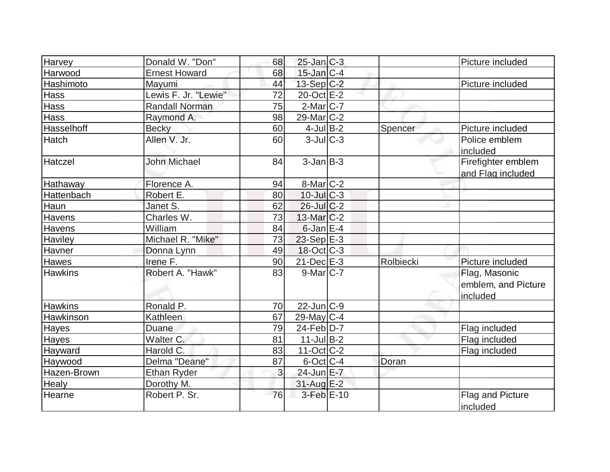| Harvey         | Donald W. "Don"      | 68 | $25$ -Jan $ C-3 $        |           | Picture included                                 |
|----------------|----------------------|----|--------------------------|-----------|--------------------------------------------------|
| Harwood        | <b>Ernest Howard</b> | 68 | $15$ -Jan $ C-4 $        |           |                                                  |
| Hashimoto      | Mayumi               | 44 | $13-Sep C-2$             |           | Picture included                                 |
| Hass           | Lewis F. Jr. "Lewie" | 72 | 20-Oct E-2               |           |                                                  |
| <b>Hass</b>    | Randall Norman       | 75 | $2$ -Mar $ C-7 $         |           |                                                  |
| <b>Hass</b>    | Raymond A.           | 98 | $29$ -Mar $C-2$          |           |                                                  |
| Hasselhoff     | <b>Becky</b>         | 60 | $4$ -Jul B-2             | Spencer   | Picture included                                 |
| Hatch          | Allen V. Jr.         | 60 | $3$ -JulC-3              |           | Police emblem<br>included                        |
| Hatczel        | <b>John Michael</b>  | 84 | $3$ -Jan $B-3$           |           | Firefighter emblem<br>and Flag included          |
| Hathaway       | Florence A.          | 94 | $8$ -Mar $C-2$           |           |                                                  |
| Hattenbach     | Robert E.            | 80 | $10$ -JulC-3             |           |                                                  |
| Haun           | Janet S.             | 62 | $26$ -JulC-2             |           |                                                  |
| <b>Havens</b>  | Charles W.           | 73 | $13$ -Mar $ C-2 $        |           |                                                  |
| Havens         | William              | 84 | $6$ -Jan $E-4$           |           |                                                  |
| <b>Haviley</b> | Michael R. "Mike"    | 73 | $23-Sep$ $E-3$           |           |                                                  |
| Havner         | Donna Lynn           | 49 | $18-Oct$ $C-3$           |           |                                                  |
| Hawes          | Irene F.             | 90 | $21$ -Dec $E-3$          | Rolbiecki | Picture included                                 |
| <b>Hawkins</b> | Robert A. "Hawk"     | 83 | $9$ -Mar $ C-7 $         |           | Flag, Masonic<br>emblem, and Picture<br>included |
| <b>Hawkins</b> | Ronald P.            | 70 | $22$ -Jun $C-9$          |           |                                                  |
| Hawkinson      | Kathleen             | 67 | $29$ -May C-4            |           |                                                  |
| Hayes          | Duane                | 79 | $24$ -Feb $D-7$          |           | Flag included                                    |
| Hayes          | Walter C.            | 81 | $11$ -Jul B-2            |           | Flag included                                    |
| Hayward        | Harold C.            | 83 | $11-Oct$ <sub>C</sub> -2 |           | Flag included                                    |
| Haywood        | Delma "Deane"        | 87 | $6$ -Oct $C$ -4          | Doran     |                                                  |
| Hazen-Brown    | <b>Ethan Ryder</b>   | 3  | 24-Jun E-7               |           |                                                  |
| Healy          | Dorothy M.           |    | $31$ -Aug $E-2$          |           |                                                  |
| Hearne         | Robert P. Sr.        | 76 | $3$ -Feb $E-10$          |           | Flag and Picture<br>included                     |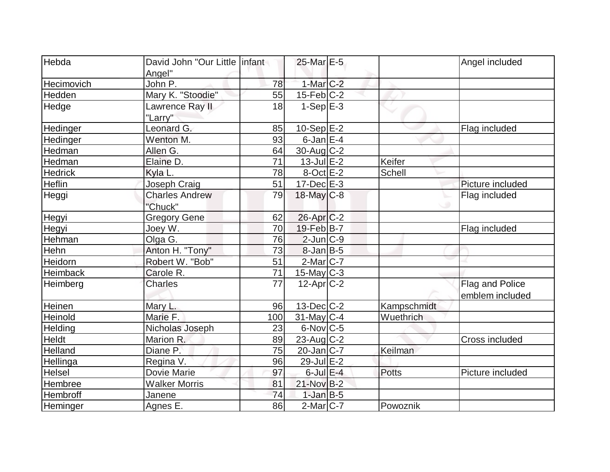| Hebda             | David John "Our Little linfant |     | 25-Mar E-5             |              | Angel included   |
|-------------------|--------------------------------|-----|------------------------|--------------|------------------|
|                   | Angel"                         |     |                        |              |                  |
| <b>Hecimovich</b> | John P.                        | 78  | $1-Mar$ $C-2$          |              |                  |
| Hedden            | Mary K. "Stoodie"              | 55  | $15$ -Feb $ C-2 $      |              |                  |
| Hedge             | Lawrence Ray II                | 18  | $1-SepE-3$             |              |                  |
|                   | "Larry"                        |     |                        |              |                  |
| Hedinger          | Leonard G.                     | 85  | $10-Sep$ $E-2$         |              | Flag included    |
| Hedinger          | Wenton M.                      | 93  | $6$ -Jan $E-4$         |              |                  |
| Hedman            | Allen G.                       | 64  | 30-Aug C-2             |              |                  |
| Hedman            | Elaine D.                      | 71  | $13$ -Jul $E-2$        | Keifer       |                  |
| <b>Hedrick</b>    | Kyla L.                        | 78  | $8$ -Oct $E - 2$       | Schell       |                  |
| Heflin            | Joseph Craig                   | 51  | $17 - Dec$ $E-3$       |              | Picture included |
| Heggi             | <b>Charles Andrew</b>          | 79  | 18-May C-8             |              | Flag included    |
|                   | "Chuck"                        |     |                        |              |                  |
| Hegyi             | <b>Gregory Gene</b>            | 62  | 26-Apr <sub>IC-2</sub> |              |                  |
| Hegyi             | Joey W.                        | 70  | $19$ -Feb $ B-7 $      |              | Flag included    |
| Hehman            | Olga G.                        | 76  | $2$ -Jun $C-9$         |              |                  |
| Hehn              | Anton H. "Tony"                | 73  | $8$ -Jan B-5           |              |                  |
| Heidorn           | Robert W. "Bob"                | 51  | $2$ -Mar $ C-7 $       |              |                  |
| <b>Heimback</b>   | Carole R.                      | 71  | $15$ -May C-3          |              |                  |
| Heimberg          | <b>Charles</b>                 | 77  | $12$ -Apr $ C-2 $      |              | Flag and Police  |
|                   |                                |     |                        |              | emblem included  |
| Heinen            | Mary L.                        | 96  | $13$ -Dec $ C-2 $      | Kampschmidt  |                  |
| Heinold           | Marie F.                       | 100 | $31$ -May C-4          | Wuethrich    |                  |
| Helding           | Nicholas Joseph                | 23  | $6$ -Nov $C$ -5        |              |                  |
| Heldt             | Marion R.                      | 89  | 23-Aug C-2             |              | Cross included   |
| Helland           | Diane P.                       | 75  | $20$ -Jan $ C-7 $      | Keilman      |                  |
| Hellinga          | Regina V.                      | 96  | 29-Jul E-2             |              |                  |
| Helsel            | Dovie Marie                    | 97  | $6$ -Jul $E-4$         | <b>Potts</b> | Picture included |
| Hembree           | <b>Walker Morris</b>           | 81  | 21-Nov B-2             |              |                  |
| Hembroff          | Janene                         | 74  | $1$ -Jan $B-5$         |              |                  |
| Heminger          | Agnes E.                       | 86  | $2$ -Mar $ C-7 $       | Powoznik     |                  |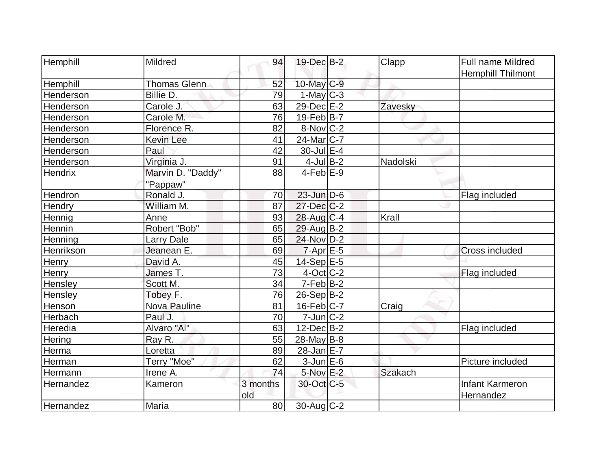| Hemphill       | Mildred             | 94       | $19$ -Dec $B - 2$      | Clapp          | Full name Mildred        |
|----------------|---------------------|----------|------------------------|----------------|--------------------------|
|                |                     |          |                        |                | <b>Hemphill Thilmont</b> |
| Hemphill       | <b>Thomas Glenn</b> | 52       | 10-May C-9             |                |                          |
| Henderson      | Billie D.           | 79       | $1-May C-3$            |                |                          |
| Henderson      | Carole J.           | 63       | 29-Dec E-2             | Zavesky        |                          |
| Henderson      | Carole M.           | 76       | $19$ -Feb $ B-7 $      |                |                          |
| Henderson      | Florence R.         | 82       | $8-Nov$ <sub>C-2</sub> |                |                          |
| Henderson      | <b>Kevin Lee</b>    | 41       | $24$ -Mar $ C-7 $      |                |                          |
| Henderson      | Paul                | 42       | $30$ -Jul $E-4$        |                |                          |
| Henderson      | Virginia J.         | 91       | $4$ -Jul B-2           | Nadolski       |                          |
| <b>Hendrix</b> | Marvin D. "Daddy"   | 88       | $4$ -Feb $E-9$         |                |                          |
|                | "Pappaw"            |          |                        |                |                          |
| Hendron        | Ronald J.           | 70       | $23$ -Jun $D-6$        |                | Flag included            |
| <b>Hendry</b>  | William M.          | 87       | 27-Dec C-2             |                |                          |
| Hennig         | Anne                | 93       | 28-Aug C-4             | Krall          |                          |
| Hennin         | Robert "Bob"        | 65       | 29-Aug B-2             |                |                          |
| Henning        | <b>Larry Dale</b>   | 65       | $24$ -Nov D-2          |                |                          |
| Henrikson      | Jeanean E.          | 69       | $7$ -Apr $E$ -5        |                | Cross included           |
| <b>Henry</b>   | David A.            | 45       | $14-Sep$ $E-5$         |                |                          |
| Henry          | James T.            | 73       | $4$ -Oct C-2           |                | Flag included            |
| Hensley        | Scott M.            | 34       | $7-Feb B-2$            |                |                          |
| Hensley        | Tobey F.            | 76       | $26-Sep B-2$           |                |                          |
| Henson         | <b>Nova Pauline</b> | 81       | $16$ -Feb $ C-7 $      | Craig          |                          |
| Herbach        | Paul J.             | 70       | $7$ -Jun $ C-2 $       |                |                          |
| Heredia        | Alvaro "Al"         | 63       | $12$ -Dec $B-2$        |                | Flag included            |
| <b>Hering</b>  | Ray R.              | 55       | $28$ -May B-8          |                |                          |
| Herma          | Loretta             | 89       | 28-Jan E-7             |                |                          |
| Herman         | Terry "Moe"         | 62       | $3$ -Jun $E$ -6        |                | Picture included         |
| Hermann        | Irene A.            | 74       | $5-Nov$ E-2            | <b>Szakach</b> |                          |
| Hernandez      | Kameron             | 3 months | 30-Oct C-5             |                | Infant Karmeron          |
|                |                     | old      |                        |                | Hernandez                |
| Hernandez      | Maria               | 80       | 30-Aug C-2             |                |                          |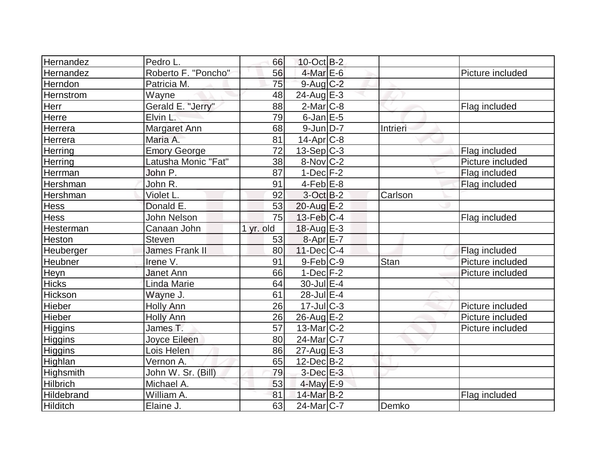| Hernandez       | Pedro L.            | 66        | $10$ -Oct B-2          |          |                  |
|-----------------|---------------------|-----------|------------------------|----------|------------------|
| Hernandez       | Roberto F. "Poncho" | 56        | $4$ -Mar $E$ -6        |          | Picture included |
| Herndon         | Patricia M.         | 75        | $9$ -Aug $C-2$         |          |                  |
| Hernstrom       | Wayne               | 48        | $24$ -Aug $E-3$        |          |                  |
| Herr            | Gerald E. "Jerry"   | 88        | $2$ -Mar $ C-8$        |          | Flag included    |
| Herre           | Elvin L.            | 79        | $6$ -Jan $E$ -5        |          |                  |
| Herrera         | Margaret Ann        | 68        | $9$ -Jun $D-7$         | Intrieri |                  |
| Herrera         | Maria A.            | 81        | $14$ -Apr $C-8$        |          |                  |
| Herring         | <b>Emory George</b> | 72        | $13-Sep$ C-3           |          | Flag included    |
| Herring         | Latusha Monic "Fat" | 38        | $8-Nov$ <sub>C-2</sub> |          | Picture included |
| Herrman         | John P.             | 87        | $1-Dec$ $F-2$          |          | Flag included    |
| Hershman        | John R.             | 91        | $4$ -Feb $E-8$         |          | Flag included    |
| Hershman        | Violet L.           | 92        | $3$ -Oct $B-2$         | Carlson  |                  |
| <b>Hess</b>     | Donald E.           | 53        | 20-Aug E-2             |          |                  |
| <b>Hess</b>     | John Nelson         | 75        | $13$ -Feb $ C-4$       |          | Flag included    |
| Hesterman       | Canaan John         | 1 yr. old | 18-Aug $E-3$           |          |                  |
| Heston          | Steven              | 53        | $8-Apr$ $E-7$          |          |                  |
| Heuberger       | James Frank II      | 80        | $11$ -Dec $C$ -4       |          | Flag included    |
| Heubner         | Irene V.            | 91        | 9-Feb C-9              | Stan     | Picture included |
| Heyn            | <b>Janet Ann</b>    | 66        | $1-Dec$ $F-2$          |          | Picture included |
| <b>Hicks</b>    | Linda Marie         | 64        | $30$ -Jul $E-4$        |          |                  |
| Hickson         | Wayne J.            | 61        | $28$ -Jul $E-4$        |          |                  |
| Hieber          | <b>Holly Ann</b>    | 26        | $17 -$ Jul $C - 3$     |          | Picture included |
| Hieber          | <b>Holly Ann</b>    | 26        | $26$ -Aug $E-2$        |          | Picture included |
| Higgins         | James T.            | 57        | $13$ -Mar $ C-2 $      |          | Picture included |
| <b>Higgins</b>  | Joyce Eileen        | 80        | $24$ -Mar $ C-7 $      |          |                  |
| Higgins         | Lois Helen          | 86        | $27$ -Aug $E-3$        |          |                  |
| Highlan         | Vernon A.           | 65        | $12$ -Dec $B$ -2       |          |                  |
| Highsmith       | John W. Sr. (Bill)  | 79        | $3$ -Dec $E-3$         |          |                  |
| <b>Hilbrich</b> | Michael A.          | 53        | $4$ -May $E-9$         |          |                  |
| Hildebrand      | William A.          | 81        | 14-Mar B-2             |          | Flag included    |
| <b>Hilditch</b> | Elaine J.           | 63        | 24-Mar <sub>IC-7</sub> | Demko    |                  |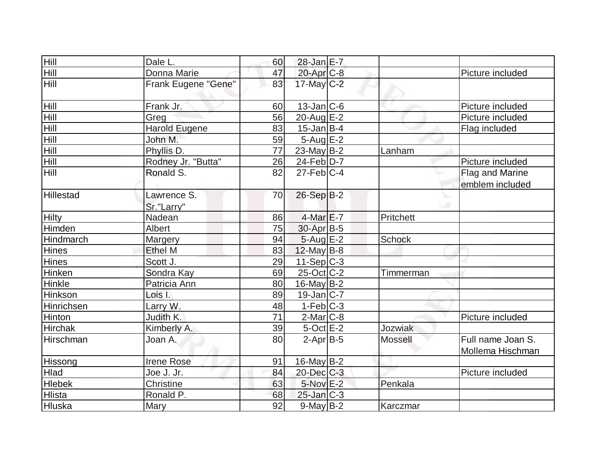| Hill             | Dale L.                   | 60 | 28-Jan E-7        |                |                                       |
|------------------|---------------------------|----|-------------------|----------------|---------------------------------------|
| Hill             | Donna Marie               | 47 | 20-Apr C-8        |                | Picture included                      |
| Hill             | Frank Eugene "Gene"       | 83 | $17$ -May C-2     |                |                                       |
| Hill             | Frank Jr.                 | 60 | $13$ -Jan $ C-6 $ |                | Picture included                      |
| Hill             | Greg                      | 56 | $20$ -Aug $E-2$   |                | Picture included                      |
| Hill             | <b>Harold Eugene</b>      | 83 | $15$ -Jan B-4     |                | Flag included                         |
| Hill             | John M.                   | 59 | $5 - Aug$ E-2     |                |                                       |
| <b>Hill</b>      | Phyllis D.                | 77 | $23$ -May B-2     | Lanham         |                                       |
| Hill             | Rodney Jr. "Butta"        | 26 | $24$ -Feb $D-7$   |                | Picture included                      |
| Hill             | Ronald S.                 | 82 | $27$ -Feb $ C-4 $ |                | Flag and Marine                       |
|                  |                           |    |                   |                | emblem included                       |
| <b>Hillestad</b> | Lawrence S.<br>Sr."Larry" | 70 | 26-Sep B-2        |                |                                       |
| <b>Hilty</b>     | Nadean                    | 86 | $4$ -Mar $E$ -7   | Pritchett      |                                       |
| Himden           | Albert                    | 75 | $30$ -Apr $ B-5$  |                |                                       |
| Hindmarch        | <b>Margery</b>            | 94 | $5 - Aug$ $E-2$   | <b>Schock</b>  |                                       |
| Hines            | Ethel M                   | 83 | $12$ -May B-8     |                |                                       |
| Hines            | Scott J.                  | 29 | $11-Sep C-3$      |                |                                       |
| Hinken           | Sondra Kay                | 69 | $25$ -Oct C-2     | Timmerman      |                                       |
| Hinkle           | Patricia Ann              | 80 | $16$ -May B-2     |                |                                       |
| Hinkson          | Lois I.                   | 89 | $19$ -Jan C-7     |                |                                       |
| Hinrichsen       | Larry W.                  | 48 | $1-Feb C-3$       |                |                                       |
| Hinton           | Judith K.                 | 71 | $2$ -Mar $C$ -8   |                | Picture included                      |
| <b>Hirchak</b>   | Kimberly A.               | 39 | $5$ -Oct $E-2$    | Jozwiak        |                                       |
| Hirschman        | Joan A.                   | 80 | $2-Apr$ B-5       | <b>Mossell</b> | Full name Joan S.<br>Mollema Hischman |
| Hissong          | <b>Irene Rose</b>         | 91 | $16$ -May B-2     |                |                                       |
| Hlad             | Joe J. Jr.                | 84 | $20$ -Dec $C$ -3  |                | Picture included                      |
| <b>Hlebek</b>    | Christine                 | 63 | $5-Nov$ E-2       | Penkala        |                                       |
| Hlista           | Ronald P.                 | 68 | $25$ -Jan $ C-3 $ |                |                                       |
| Hluska           | Mary                      | 92 | $9$ -May B-2      | Karczmar       |                                       |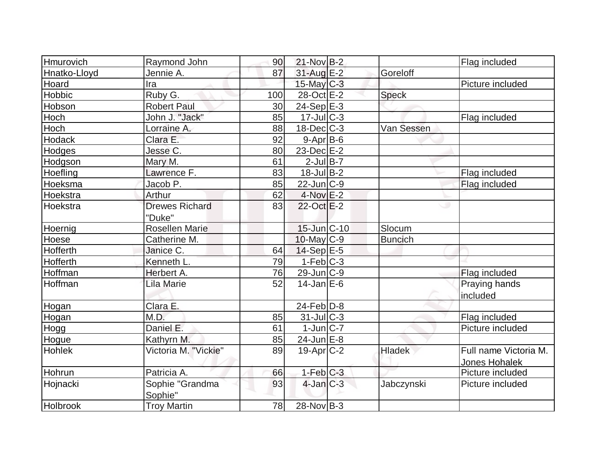| Hmurovich     | Raymond John          | 90  | $21-Nov B-2$            |                | Flag included         |
|---------------|-----------------------|-----|-------------------------|----------------|-----------------------|
| Hnatko-Lloyd  | Jennie A.             | 87  | $31$ -Aug $E-2$         | Goreloff       |                       |
| Hoard         | Ira                   |     | $15$ -May C-3           |                | Picture included      |
| Hobbic        | Ruby G.               | 100 | 28-Oct E-2              | <b>Speck</b>   |                       |
| Hobson        | <b>Robert Paul</b>    | 30  | $24-Sep \overline{E-3}$ |                |                       |
| Hoch          | John J. "Jack"        | 85  | $17$ -Jul $ C-3 $       |                | Flag included         |
| Hoch          | Lorraine A.           | 88  | $18$ -Dec $C$ -3        | Van Sessen     |                       |
| <b>Hodack</b> | Clara E.              | 92  | $9 - Apr$ B-6           |                |                       |
| Hodges        | Jesse C.              | 80  | $23$ -Dec $E-2$         |                |                       |
| Hodgson       | Mary M.               | 61  | $2$ -Jul B-7            |                |                       |
| Hoefling      | Lawrence F.           | 83  | $18$ -Jul B-2           |                | Flag included         |
| Hoeksma       | Jacob P.              | 85  | $22$ -Jun $ C-9 $       |                | Flag included         |
| Hoekstra      | Arthur                | 62  | 4-Nov E-2               |                |                       |
| Hoekstra      | <b>Drewes Richard</b> | 83  | 22-Oct E-2              |                | ت                     |
|               | "Duke"                |     |                         |                |                       |
| Hoernig       | <b>Rosellen Marie</b> |     | 15-Jun C-10             | Slocum         |                       |
| Hoese         | Catherine M.          |     | $10$ -May $ C-9 $       | <b>Buncich</b> |                       |
| Hofferth      | Janice C.             | 64  | $14-Sep$ $E-5$          |                |                       |
| Hofferth      | Kenneth L.            | 79  | $1-Feb$ $C-3$           |                |                       |
| Hoffman       | Herbert A.            | 76  | $29$ -Jun $ C-9 $       |                | Flag included         |
| Hoffman       | <b>Lila Marie</b>     | 52  | $14$ -Jan $E$ -6        |                | Praying hands         |
|               |                       |     |                         |                | included              |
| Hogan         | Clara E.              |     | $24$ -Feb $ D-8 $       |                |                       |
| Hogan         | M.D.                  | 85  | $31$ -JulC-3            |                | Flag included         |
| Hogg          | Daniel E.             | 61  | $1$ -Jun $ C-7 $        |                | Picture included      |
| Hogue         | Kathyrn M.            | 85  | 24-Jun E-8              |                |                       |
| Hohlek        | Victoria M. "Vickie"  | 89  | $19-Apr$ $C-2$          | <b>Hladek</b>  | Full name Victoria M. |
|               |                       |     |                         |                | Jones Hohalek         |
| Hohrun        | Patricia A.           | 66  | $1-Feb$ $C-3$           |                | Picture included      |
| Hojnacki      | Sophie "Grandma       | 93  | $4$ -Jan $C-3$          | Jabczynski     | Picture included      |
|               | Sophie"               |     |                         |                |                       |
| Holbrook      | <b>Troy Martin</b>    | 78  | $28-Nov B-3$            |                |                       |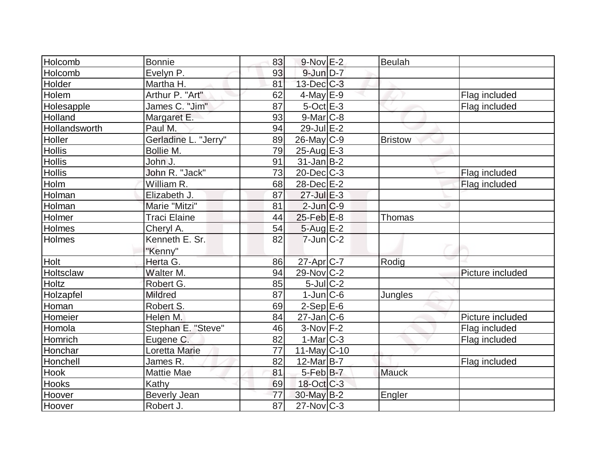| Holcomb       | <b>Bonnie</b>        | 83              | $9-Nov$ E-2       | <b>Beulah</b> |                  |
|---------------|----------------------|-----------------|-------------------|---------------|------------------|
| Holcomb       | Evelyn P.            | 93              | $9$ -Jun $D-7$    |               |                  |
| Holder        | Martha H.            | 81              | $13$ -Dec $C-3$   |               |                  |
| Holem         | Arthur P. "Art"      | 62              | $4$ -May E-9      |               | Flag included    |
| Holesapple    | James C. "Jim"       | 87              | $5$ -Oct $E-3$    |               | Flag included    |
| Holland       | Margaret E.          | 93              | $9$ -Mar $C$ -8   |               |                  |
| Hollandsworth | Paul M.              | 94              | 29-Jul E-2        |               |                  |
| Holler        | Gerladine L. "Jerry" | 89              | $26$ -May C-9     | Bristow       |                  |
| Hollis        | Bollie M.            | 79              | $25$ -Aug $E-3$   |               |                  |
| <b>Hollis</b> | John J.              | 91              | $31$ -Jan B-2     |               |                  |
| <b>Hollis</b> | John R. "Jack"       | 73              | $20$ -Dec $C-3$   |               | Flag included    |
| Holm          | William R.           | 68              | 28-Dec E-2        |               | Flag included    |
| Holman        | Elizabeth J.         | 87              | $27$ -Jul $E-3$   |               |                  |
| Holman        | Marie "Mitzi"        | 81              | $2$ -Jun $ C-9 $  |               |                  |
| Holmer        | <b>Traci Elaine</b>  | 44              | $25$ -Feb $E-8$   | Thomas        |                  |
| Holmes        | Cheryl A.            | 54              | 5-Aug E-2         |               |                  |
| Holmes        | Kenneth E. Sr.       | 82              | $7$ -Jun $ C-2 $  |               |                  |
|               | "Kenny"              |                 |                   |               |                  |
| Holt          | Herta G.             | 86              | 27-Apr C-7        | Rodig         |                  |
| Holtsclaw     | Walter M.            | 94              | 29-Nov C-2        |               | Picture included |
| Holtz         | Robert G.            | 85              | $5$ -Jul $C-2$    |               |                  |
| Holzapfel     | <b>Mildred</b>       | 87              | $1$ -Jun $C$ -6   | Jungles       |                  |
| Homan         | Robert S.            | 69              | $2-Sep$ $E-6$     |               |                  |
| Homeier       | Helen M.             | 84              | $27$ -Jan $ C$ -6 |               | Picture included |
| Homola        | Stephan E. "Steve"   | 46              | $3-Nov$ F-2       |               | Flag included    |
| Homrich       | Eugene C.            | 82              | $1-Mar$ $C-3$     |               | Flag included    |
| Honchar       | Loretta Marie        | 77              | $11$ -May C-10    |               |                  |
| Honchell      | James R.             | 82              | $12$ -Mar $ B-7 $ |               | Flag included    |
| Hook          | Mattie Mae           | 81              | 5-Feb B-7         | <b>Mauck</b>  |                  |
| Hooks         | Kathy                | 69              | 18-Oct C-3        |               |                  |
| Hoover        | <b>Beverly Jean</b>  | 77              | $30$ -May B-2     | Engler        |                  |
| Hoover        | Robert J.            | $\overline{87}$ | $27$ -Nov $ C-3 $ |               |                  |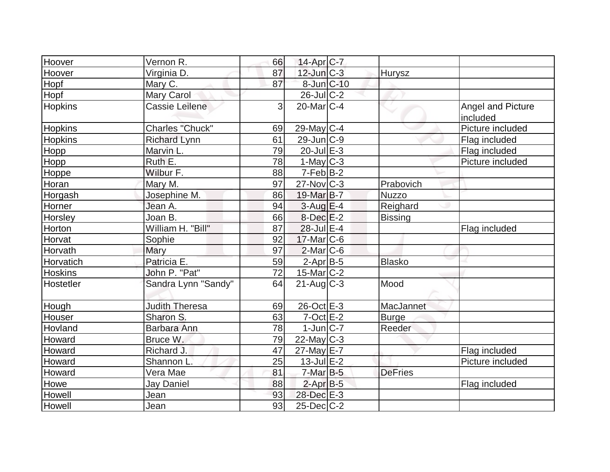| Hoover         | Vernon R.             | 66 | 14-Apr C-7              |                |                               |
|----------------|-----------------------|----|-------------------------|----------------|-------------------------------|
| Hoover         | Virginia D.           | 87 | 12-Jun C-3              | <b>Hurysz</b>  |                               |
| Hopf           | Mary C.               | 87 | 8-Jun C-10              |                |                               |
| Hopf           | <b>Mary Carol</b>     |    | $26$ -JulC-2            |                |                               |
| <b>Hopkins</b> | <b>Cassie Leilene</b> | 3  | $20$ -Mar $C-4$         |                | Angel and Picture<br>included |
| <b>Hopkins</b> | Charles "Chuck"       | 69 | 29-May C-4              |                | Picture included              |
| <b>Hopkins</b> | <b>Richard Lynn</b>   | 61 | $29$ -Jun $ C-9$        |                | Flag included                 |
| Hopp           | Marvin L.             | 79 | $20$ -Jul $E-3$         |                | Flag included                 |
| Hopp           | Ruth E.               | 78 | $1-May$ <sub>C</sub> -3 |                | Picture included              |
| Hoppe          | Wilbur F.             | 88 | $7-Feb B-2$             |                |                               |
| Horan          | Mary M.               | 97 | $27$ -Nov $ C-3 $       | Prabovich      |                               |
| Horgash        | Josephine M.          | 86 | 19-Mar B-7              | <b>Nuzzo</b>   |                               |
| Horner         | Jean A.               | 94 | $3$ -Aug $E-4$          | Reighard       |                               |
| Horsley        | Joan B.               | 66 | $8$ -Dec $E-2$          | <b>Bissing</b> |                               |
| Horton         | William H. "Bill"     | 87 | $28$ -Jul $E-4$         |                | Flag included                 |
| Horvat         | Sophie                | 92 | $17$ -Mar $ C$ -6       |                |                               |
| Horvath        | Mary                  | 97 | $2$ -Mar $ C-6$         |                |                               |
| Horvatich      | Patricia E.           | 59 | $2$ -Apr $B$ -5         | <b>Blasko</b>  |                               |
| <b>Hoskins</b> | John P. "Pat"         | 72 | $15$ -Mar $ C-2 $       |                |                               |
| Hostetler      | Sandra Lynn "Sandy"   | 64 | $21$ -Aug $C-3$         | Mood           |                               |
| Hough          | <b>Judith Theresa</b> | 69 | $26$ -Oct $E-3$         | MacJannet      |                               |
| Houser         | Sharon S.             | 63 | $7$ -Oct $E-2$          | <b>Burge</b>   |                               |
| Hovland        | Barbara Ann           | 78 | $1$ -Jun $ C-7 $        | Reeder         |                               |
| Howard         | Bruce W.              | 79 | 22-May C-3              |                |                               |
| Howard         | Richard J.            | 47 | 27-May E-7              |                | Flag included                 |
| Howard         | Shannon L.            | 25 | $13$ -Jul $E-2$         |                | Picture included              |
| Howard         | Vera Mae              | 81 | $7$ -Mar $B-5$          | <b>DeFries</b> |                               |
| Howe           | Jay Daniel            | 88 | $2$ -Apr $B-5$          |                | Flag included                 |
| Howell         | Jean                  | 93 | 28-Dec E-3              |                |                               |
| Howell         | Jean                  | 93 | $25$ -Dec $C$ -2        |                |                               |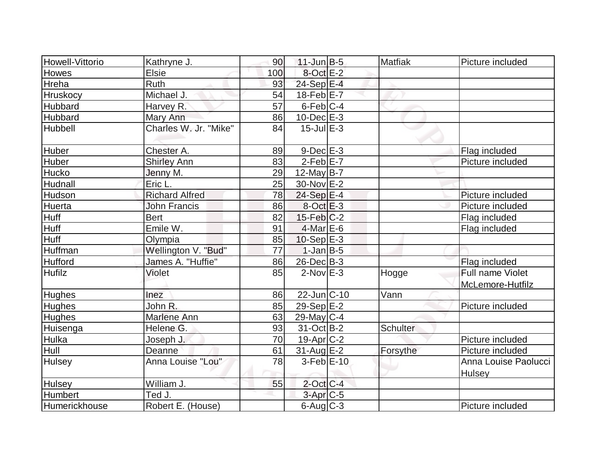| Howell-Vittorio | Kathryne J.           | 90              | $11$ -Jun $B-5$   | <b>Matfiak</b>  | Picture included     |
|-----------------|-----------------------|-----------------|-------------------|-----------------|----------------------|
| <b>Howes</b>    | <b>Elsie</b>          | 100             | 8-Oct E-2         |                 |                      |
| Hreha           | Ruth                  | 93              | 24-Sep E-4        |                 |                      |
| <b>Hruskocy</b> | Michael J.            | 54              | $18$ -Feb $E$ -7  |                 |                      |
| <b>Hubbard</b>  | Harvey R.             | $\overline{57}$ | $6$ -Feb $ C-4 $  |                 |                      |
| <b>Hubbard</b>  | Mary Ann              | 86              | $10$ -Dec $E-3$   |                 |                      |
| Hubbell         | Charles W. Jr. "Mike" | 84              | $15$ -Jul $E-3$   |                 |                      |
| <b>Huber</b>    | Chester A.            | 89              | $9-Dec$ $E-3$     |                 | Flag included        |
| <b>Huber</b>    | <b>Shirley Ann</b>    | 83              | $2$ -Feb $E$ -7   |                 | Picture included     |
| <b>Hucko</b>    | Jenny M.              | 29              | $12$ -May B-7     |                 |                      |
| Hudnall         | Eric L.               | 25              | 30-Nov E-2        |                 |                      |
| Hudson          | <b>Richard Alfred</b> | 78              | $24-Sep$ $E-4$    |                 | Picture included     |
| Huerta          | <b>John Francis</b>   | 86              | $8-Oct$ E-3       |                 | Picture included     |
| <b>Huff</b>     | <b>Bert</b>           | 82              | $15$ -Feb $ C-2 $ |                 | Flag included        |
| Huff            | Emile W.              | 91              | $4$ -Mar $E$ -6   |                 | Flag included        |
| Huff            | Olympia               | 85              | $10-Sep$ $E-3$    |                 |                      |
| Huffman         | Wellington V. "Bud"   | 77              | $1-Jan$ B-5       |                 |                      |
| <b>Hufford</b>  | James A. "Huffie"     | 86              | $26$ -Dec $B$ -3  |                 | Flag included        |
| <b>Hufilz</b>   | Violet                | 85              | $2$ -Nov $E-3$    | Hogge           | Full name Violet     |
|                 |                       |                 |                   |                 | McLemore-Hutfilz     |
| <b>Hughes</b>   | Inez                  | 86              | $22$ -Jun $ C-10$ | Vann            |                      |
| <b>Hughes</b>   | John R.               | 85              | $29-Sep E-2$      |                 | Picture included     |
| <b>Hughes</b>   | <b>Marlene Ann</b>    | 63              | 29-May $C-4$      |                 |                      |
| Huisenga        | Helene G.             | 93              | 31-Oct B-2        | <b>Schulter</b> |                      |
| Hulka           | Joseph J.             | 70              | $19-Apr$ $C-2$    |                 | Picture included     |
| Hull            | Deanne                | 61              | $31$ -Aug $E-2$   | Forsythe        | Picture included     |
| <b>Hulsey</b>   | Anna Louise "Lou"     | 78              | $3-Feb$ $E-10$    |                 | Anna Louise Paolucci |
|                 |                       |                 |                   |                 | <b>Hulsey</b>        |
| <b>Hulsey</b>   | William J.            | 55              | $2$ -Oct C-4      |                 |                      |
| Humbert         | Ted J.                |                 | $3-Apr$ $C-5$     |                 |                      |
| Humerickhouse   | Robert E. (House)     |                 | $6$ -Aug $C$ -3   |                 | Picture included     |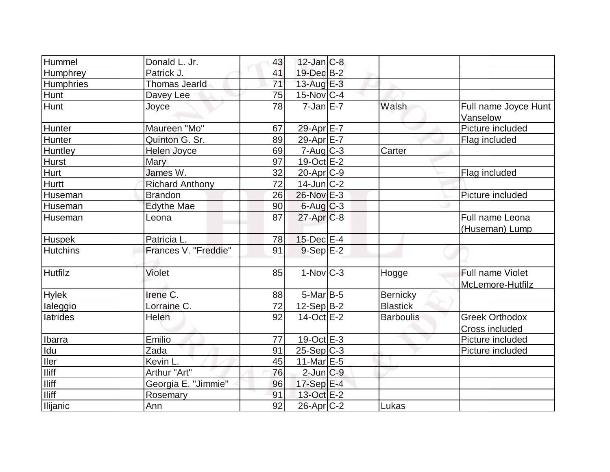| Hummel           | Donald L. Jr.          | 43 | $12$ -Jan $ C-8$         |                  |                                         |
|------------------|------------------------|----|--------------------------|------------------|-----------------------------------------|
| Humphrey         | Patrick J.             | 41 | 19-Dec B-2               |                  |                                         |
| <b>Humphries</b> | <b>Thomas Jearld</b>   | 71 | 13-Aug $E-3$             |                  |                                         |
| <b>Hunt</b>      | Davey Lee              | 75 | $15$ -Nov $ C-4 $        |                  |                                         |
| Hunt             | Joyce                  | 78 | $7$ -Jan $E-7$           | Walsh            | Full name Joyce Hunt<br>Vanselow        |
| Hunter           | Maureen "Mo"           | 67 | 29-Apr E-7               |                  | Picture included                        |
| Hunter           | Quinton G. Sr.         | 89 | 29-Apr E-7               |                  | Flag included                           |
| Huntley          | Helen Joyce            | 69 | $7 - Aug$ <sub>C-3</sub> | Carter           |                                         |
| <b>Hurst</b>     | <b>Mary</b>            | 97 | $19-Oct$ $E-2$           |                  |                                         |
| Hurt             | James W.               | 32 | $20$ -Apr $ C-9 $        |                  | Flag included                           |
| <b>Hurtt</b>     | <b>Richard Anthony</b> | 72 | $14$ -Jun $ C-2 $        |                  |                                         |
| Huseman          | <b>Brandon</b>         | 26 | 26-Nov E-3               |                  | Picture included                        |
| Huseman          | <b>Edythe Mae</b>      | 90 | $6$ -Aug $C$ -3          |                  |                                         |
| Huseman          | Leona                  | 87 | $27$ -Apr $C-8$          |                  | Full name Leona<br>(Huseman) Lump       |
| <b>Huspek</b>    | Patricia L.            | 78 | $15$ -Dec $E-4$          |                  |                                         |
| <b>Hutchins</b>  | Frances V. "Freddie"   | 91 | $9-Sep$ E-2              |                  |                                         |
| <b>Hutfilz</b>   | Violet                 | 85 | $1-Nov$ <sub>C-3</sub>   | Hogge            | Full name Violet<br>McLemore-Hutfilz    |
| <b>Hylek</b>     | Irene C.               | 88 | 5-Mar B-5                | <b>Bernicky</b>  |                                         |
| laleggio         | Lorraine C.            | 72 | $12-Sep B-2$             | <b>Blastick</b>  |                                         |
| latrides         | Helen                  | 92 | $14-Oct$ E-2             | <b>Barboulis</b> | <b>Greek Orthodox</b><br>Cross included |
| Ibarra           | Emilio                 | 77 | 19-Oct $E-3$             |                  | Picture included                        |
| Idu              | Zada                   | 91 | $25-Sep C-3$             |                  | Picture included                        |
| <b>Iler</b>      | Kevin L.               | 45 | 11-Mar $E-5$             |                  |                                         |
| <b>Iliff</b>     | Arthur "Art"           | 76 | $2$ -Jun $C-9$           |                  |                                         |
| <b>Iliff</b>     | Georgia E. "Jimmie"    | 96 | 17-Sep E-4               |                  |                                         |
| <b>Iliff</b>     | Rosemary               | 91 | 13-Oct E-2               |                  |                                         |
| Ilijanic         | Ann                    | 92 | $26$ -Apr $C-2$          | Lukas            |                                         |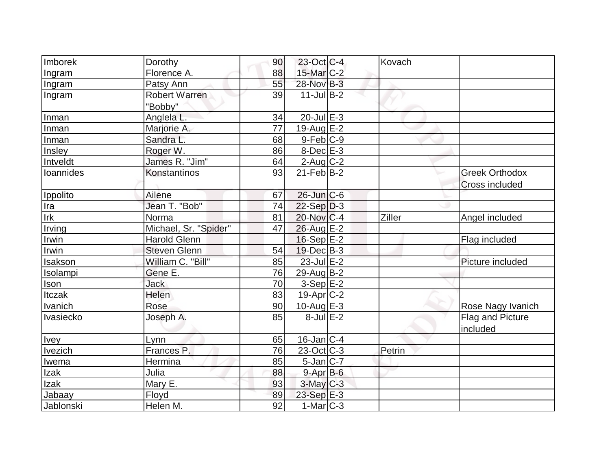| Imborek     | Dorothy                  | 90 | $23$ -Oct C-4     | Kovach |                                                |
|-------------|--------------------------|----|-------------------|--------|------------------------------------------------|
| Ingram      | Florence A.              | 88 | 15-Mar C-2        |        |                                                |
| Ingram      | Patsy Ann                | 55 | 28-Nov B-3        |        |                                                |
| Ingram      | Robert Warren<br>"Bobby" | 39 | $11$ -JulB-2      |        |                                                |
| Inman       | Anglela L.               | 34 | $20$ -Jul $E-3$   |        |                                                |
| Inman       | Marjorie A.              | 77 | 19-Aug E-2        |        |                                                |
| Inman       | Sandra L.                | 68 | $9-Feb C-9$       |        |                                                |
| Insley      | Roger W.                 | 86 | 8-Dec E-3         |        |                                                |
| Intveldt    | James R. "Jim"           | 64 | $2$ -Aug C-2      |        |                                                |
| loannides   | Konstantinos             | 93 | $21$ -Feb $ B-2 $ |        | <b>Greek Orthodox</b><br><b>Cross included</b> |
| Ippolito    | Ailene                   | 67 | $26$ -Jun $C$ -6  |        |                                                |
| Ira         | Jean T. "Bob"            | 74 | $22-Sep D-3$      |        |                                                |
| Irk         | Norma                    | 81 | $20$ -Nov $ C-4 $ | Ziller | Angel included                                 |
| Irving      | Michael, Sr. "Spider"    | 47 | 26-Aug E-2        |        |                                                |
| Irwin       | <b>Harold Glenn</b>      |    | $16-Sep$ E-2      |        | Flag included                                  |
| Irwin       | <b>Steven Glenn</b>      | 54 | $19$ -Dec $ B-3$  |        |                                                |
| Isakson     | William C. "Bill"        | 85 | 23-Jul E-2        |        | Picture included                               |
| Isolampi    | Gene E.                  | 76 | $29$ -Aug $B-2$   |        |                                                |
| Ison        | <b>Jack</b>              | 70 | $3-Sep$ $E-2$     |        |                                                |
| Itczak      | Helen                    | 83 | 19-Apr C-2        |        |                                                |
| Ivanich     | Rose                     | 90 | 10-Aug $E-3$      |        | Rose Nagy Ivanich                              |
| Ivasiecko   | Joseph A.                | 85 | $8$ -Jul $E-2$    |        | Flag and Picture<br>included                   |
| <b>Ivey</b> | Lynn                     | 65 | 16-Jan C-4        |        |                                                |
| Ivezich     | Frances P.               | 76 | $23-Oct$ $C-3$    | Petrin |                                                |
| Iwema       | Hermina                  | 85 | $5$ -Jan $ C-7 $  |        |                                                |
| Izak        | Julia                    | 88 | $9 - Apr$ $B - 6$ |        |                                                |
| Izak        | Mary E.                  | 93 | $3$ -May $C-3$    |        |                                                |
| Jabaay      | Floyd                    | 89 | 23-Sep E-3        |        |                                                |
| Jablonski   | Helen M.                 | 92 | $1-Mar$ $C-3$     |        |                                                |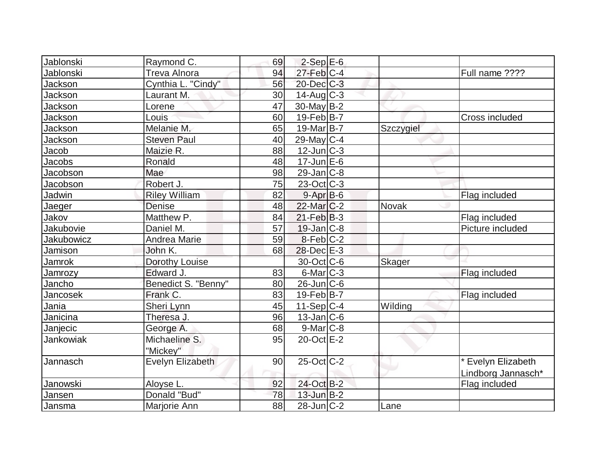| Jablonski         | Raymond C.                | 69 | $2-Sep$ $E-6$          |               |                                          |
|-------------------|---------------------------|----|------------------------|---------------|------------------------------------------|
| Jablonski         | Treva Alnora              | 94 | $27$ -Feb $ C-4 $      |               | Full name ????                           |
| Jackson           | Cynthia L. "Cindy"        | 56 | $20$ -Dec $C$ -3       |               |                                          |
| Jackson           | Laurant M.                | 30 | $14$ -Aug C-3          |               |                                          |
| Jackson           | Lorene                    | 47 | $30$ -May $B-2$        |               |                                          |
| Jackson           | Louis                     | 60 | $19$ -Feb $ B-7 $      |               | Cross included                           |
| Jackson           | Melanie M.                | 65 | 19-Mar B-7             | Szczygiel     |                                          |
| Jackson           | <b>Steven Paul</b>        | 40 | $29$ -May C-4          |               |                                          |
| Jacob             | Maizie R.                 | 88 | $12$ -Jun $C-3$        |               |                                          |
| Jacobs            | Ronald                    | 48 | $17$ -Jun $E$ -6       |               |                                          |
| Jacobson          | Mae                       | 98 | $29$ -Jan $ C-8$       |               |                                          |
| Jacobson          | Robert J.                 | 75 | $23-Oct$ $C-3$         |               |                                          |
| Jadwin            | <b>Riley William</b>      | 82 | $9-Apr$ B-6            |               | Flag included                            |
| Jaeger            | Denise                    | 48 | $22$ -Mar $C-2$        | Novak         |                                          |
| Jakov             | Matthew P.                | 84 | $21$ -Feb $ B-3 $      |               | Flag included                            |
| Jakubovie         | Daniel M.                 | 57 | $19$ -Jan $ C-8 $      |               | Picture included                         |
| <b>Jakubowicz</b> | Andrea Marie              | 59 | $8-Feb$ <sub>C-2</sub> |               |                                          |
| Jamison           | John K.                   | 68 | $28$ -Dec $E-3$        |               |                                          |
| Jamrok            | Dorothy Louise            |    | 30-Oct C-6             | <b>Skager</b> |                                          |
| Jamrozy           | Edward J.                 | 83 | $6$ -Mar $ C-3 $       |               | Flag included                            |
| Jancho            | Benedict S. "Benny"       | 80 | $26$ -Jun $ C$ -6      |               |                                          |
| Jancosek          | Frank C.                  | 83 | $19$ -Feb $ B-7 $      |               | Flag included                            |
| Jania             | Sheri Lynn                | 45 | $11-Sep C-4$           | Wilding       |                                          |
| Janicina          | Theresa J.                | 96 | $13$ -Jan $ C-6 $      |               |                                          |
| Janjecic          | George A.                 | 68 | $9$ -Mar $ C-8$        |               |                                          |
| Jankowiak         | Michaeline S.<br>"Mickey" | 95 | $20$ -Oct $E-2$        |               |                                          |
| Jannasch          | Evelyn Elizabeth          | 90 | $25$ -Oct $ C-2 $      |               | * Evelyn Elizabeth<br>Lindborg Jannasch* |
| Janowski          | Aloyse L.                 | 92 | 24-Oct B-2             |               | Flag included                            |
| Jansen            | Donald "Bud"              | 78 | $13$ -Jun $B-2$        |               |                                          |
| Jansma            | Marjorie Ann              | 88 | $28$ -Jun $ C-2 $      | Lane          |                                          |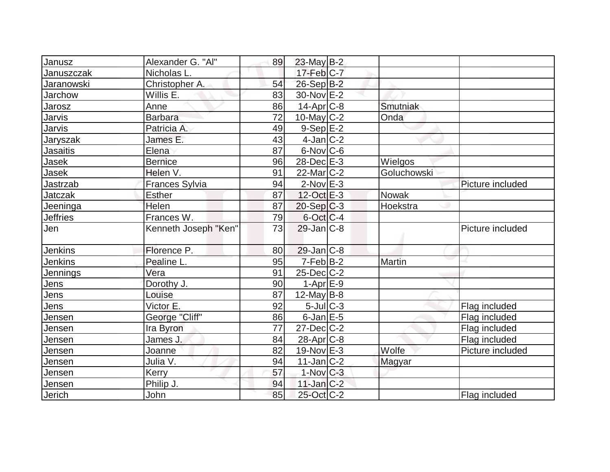| Janusz          | Alexander G. "Al"    | 89 | $23$ -May B-2     |             |                  |
|-----------------|----------------------|----|-------------------|-------------|------------------|
| Januszczak      | Nicholas L.          |    | $17$ -Feb $ C-7 $ |             |                  |
| Jaranowski      | Christopher A.       | 54 | 26-Sep B-2        |             |                  |
| Jarchow         | Willis E.            | 83 | $30$ -Nov $E-2$   |             |                  |
| Jarosz          | Anne                 | 86 | $14$ -Apr $ C-8 $ | Smutniak    |                  |
| Jarvis          | <b>Barbara</b>       | 72 | $10$ -May C-2     | Onda        |                  |
| Jarvis          | Patricia A.          | 49 | $9-Sep$ $E-2$     |             |                  |
| Jaryszak        | James E.             | 43 | $4$ -Jan $ C-2 $  |             |                  |
| <b>Jasaitis</b> | Elena                | 87 | $6$ -Nov $ C$ -6  |             |                  |
| Jasek           | <b>Bernice</b>       | 96 | $28$ -Dec $E-3$   | Wielgos     |                  |
| Jasek           | Helen V.             | 91 | $22$ -Mar $C-2$   | Goluchowski |                  |
| Jastrzab        | Frances Sylvia       | 94 | $2$ -Nov $E-3$    |             | Picture included |
| <b>Jatczak</b>  | <b>Esther</b>        | 87 | 12-Oct E-3        | Nowak       |                  |
| Jeeninga        | Helen                | 87 | $20-Sep C-3$      | Hoekstra    |                  |
| <b>Jeffries</b> | Frances W.           | 79 | $6$ -Oct $C$ -4   |             |                  |
| Jen             | Kenneth Joseph "Ken" | 73 | $29$ -Jan $C-8$   |             | Picture included |
| Jenkins         | Florence P.          | 80 | $29$ -Jan $ C-8 $ |             |                  |
| <b>Jenkins</b>  | Pealine L.           | 95 | $7-Feb B-2$       | Martin      |                  |
| Jennings        | Vera                 | 91 | $25$ -Dec $C$ -2  |             |                  |
| Jens            | Dorothy J.           | 90 | $1-Apr$ $E-9$     |             |                  |
| Jens            | Louise               | 87 | 12-May $B-8$      |             |                  |
| Jens            | Victor E.            | 92 | $5$ -Jul $C-3$    |             | Flag included    |
| Jensen          | George "Cliff"       | 86 | $6$ -Jan $E-5$    |             | Flag included    |
| Jensen          | Ira Byron            | 77 | $27 - Dec$ $C-2$  |             | Flag included    |
| Jensen          | James J.             | 84 | $28$ -Apr $C-8$   |             | Flag included    |
| Jensen          | Joanne               | 82 | $19-Nov$ E-3      | Wolfe       | Picture included |
| Jensen          | Julia V.             | 94 | $11$ -Jan $ C-2 $ | Magyar      |                  |
| Jensen          | <b>Kerry</b>         | 57 | $1$ -Nov $C-3$    |             |                  |
| Jensen          | Philip J.            | 94 | $11$ -Jan $ C-2 $ |             |                  |
| Jerich          | John                 | 85 | 25-Oct C-2        |             | Flag included    |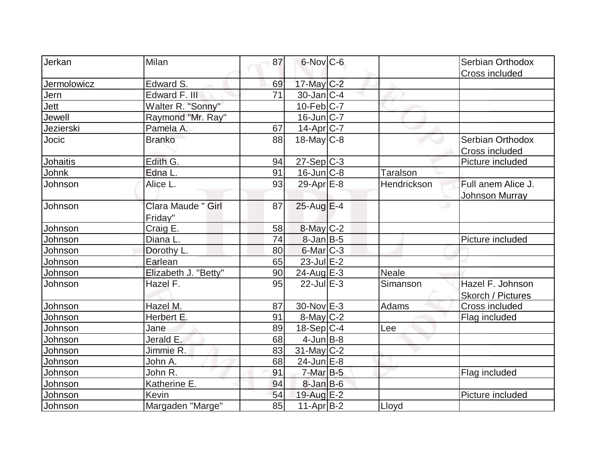| Jerkan          | <b>Milan</b>         | 87 | 6-Nov C-6         |                 | Serbian Orthodox      |
|-----------------|----------------------|----|-------------------|-----------------|-----------------------|
|                 |                      |    |                   |                 | Cross included        |
| Jermolowicz     | Edward S.            | 69 | 17-May C-2        |                 |                       |
| Jern            | Edward F. III        | 71 | $30$ -Jan $ C-4 $ |                 |                       |
| Jett            | Walter R. "Sonny"    |    | $10$ -Feb $ C-7 $ |                 |                       |
| Jewell          | Raymond "Mr. Ray"    |    | $16$ -Jun $C-7$   |                 |                       |
| Jezierski       | Pamela A.            | 67 | 14-Apr C-7        |                 |                       |
| Jocic           | <b>Branko</b>        | 88 | $18$ -May C-8     |                 | Serbian Orthodox      |
|                 |                      |    |                   |                 | Cross included        |
| <b>Johaitis</b> | Edith G.             | 94 | $27-Sep C-3$      |                 | Picture included      |
| Johnk           | Edna L.              | 91 | $16$ -Jun $ C-8 $ | <b>Taralson</b> |                       |
| Johnson         | Alice L.             | 93 | 29-Apr $E-8$      | Hendrickson     | Full anem Alice J.    |
|                 |                      |    |                   |                 | <b>Johnson Murray</b> |
| Johnson         | Clara Maude " Girl   | 87 | $25$ -Aug E-4     |                 |                       |
|                 | Friday"              |    |                   |                 |                       |
| Johnson         | Craig E.             | 58 | 8-May C-2         |                 |                       |
| Johnson         | Diana L.             | 74 | $8$ -Jan $B$ -5   |                 | Picture included      |
| Johnson         | Dorothy L.           | 80 | $6$ -Mar $ C-3 $  |                 |                       |
| Johnson         | Earlean              | 65 | $23$ -Jul $E-2$   |                 |                       |
| Johnson         | Elizabeth J. "Betty" | 90 | $24$ -Aug $E-3$   | <b>Neale</b>    |                       |
| Johnson         | Hazel F.             | 95 | $22$ -Jul $E-3$   | Simanson        | Hazel F. Johnson      |
|                 |                      |    |                   |                 | Skorch / Pictures     |
| Johnson         | Hazel M.             | 87 | 30-Nov E-3        | Adams           | Cross included        |
| Johnson         | Herbert E.           | 91 | $8$ -May $C-2$    |                 | Flag included         |
| Johnson         | Jane                 | 89 | $18-Sep C-4$      | Lee             |                       |
| Johnson         | Jerald E.            | 68 | $4$ -Jun $B$ -8   |                 |                       |
| Johnson         | Jimmie R.            | 83 | $31$ -May C-2     |                 |                       |
| Johnson         | John A.              | 68 | 24-Jun E-8        |                 |                       |
| Johnson         | John R.              | 91 | $7$ -Mar $B-5$    |                 | Flag included         |
| Johnson         | Katherine E.         | 94 | $8$ -Jan B-6      |                 |                       |
| Johnson         | <b>Kevin</b>         | 54 | 19-Aug E-2        |                 | Picture included      |
| Johnson         | Margaden "Marge"     | 85 | $11-Apr B-2$      | Lloyd           |                       |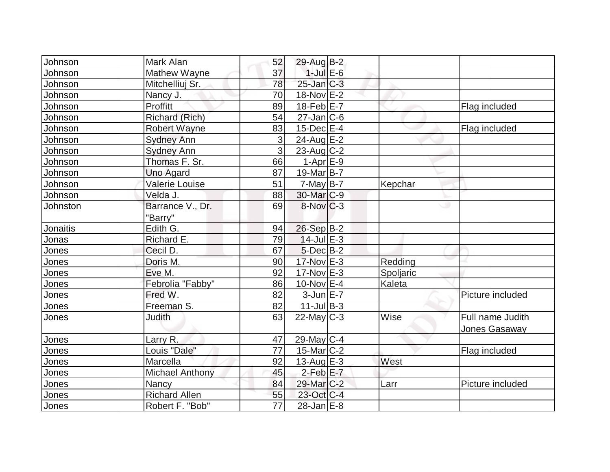| Johnson      | Mark Alan              | 52                  | 29-Aug B-2             |           |                  |
|--------------|------------------------|---------------------|------------------------|-----------|------------------|
| Johnson      | Mathew Wayne           | 37                  | $1$ -Jul $E$ -6        |           |                  |
| Johnson      | Mitchelliuj Sr.        | 78                  | $25$ -Jan $C-3$        |           |                  |
| Johnson      | Nancy J.               | 70                  | 18-Nov E-2             |           |                  |
| Johnson      | Proffitt               | 89                  | $18$ -Feb $E$ -7       |           | Flag included    |
| Johnson      | Richard (Rich)         | 54                  | $27$ -Jan $ C$ -6      |           |                  |
| Johnson      | <b>Robert Wayne</b>    | 83                  | $15$ -Dec $E-4$        |           | Flag included    |
| Johnson      | <b>Sydney Ann</b>      | 3                   | $24$ -Aug $E-2$        |           |                  |
| Johnson      | <b>Sydney Ann</b>      | $\overline{\omega}$ | $23$ -Aug C-2          |           |                  |
| Johnson      | Thomas F. Sr.          | 66                  | $1-Apr$ $E-9$          |           |                  |
| Johnson      | <b>Uno Agard</b>       | 87                  | 19-Mar <sub>B-7</sub>  |           |                  |
| Johnson      | Valerie Louise         | 51                  | $7$ -May B-7           | Kepchar   |                  |
| Johnson      | Velda J.               | 88                  | 30-Mar <sub>IC-9</sub> |           |                  |
| Johnston     | Barrance V., Dr.       | 69                  | $8-Nov$ <sub>C-3</sub> |           | ت                |
|              | "Barry"                |                     |                        |           |                  |
| Jonaitis     | Edith G.               | 94                  | $26-Sep B-2$           |           |                  |
| Jonas        | Richard E.             | 79                  | $14$ -Jul $E-3$        |           |                  |
| Jones        | Cecil D.               | 67                  | $5$ -Dec $B$ -2        |           |                  |
| <u>Jones</u> | Doris M.               | 90                  | $17$ -Nov $E-3$        | Redding   |                  |
| Jones        | Eve M.                 | 92                  | $17-Nov$ E-3           | Spoljaric |                  |
| Jones        | Febrolia "Fabby"       | 86                  | $10$ -Nov $E-4$        | Kaleta    |                  |
| Jones        | Fred W.                | 82                  | $3$ -Jun $E - 7$       |           | Picture included |
| Jones        | Freeman S.             | 82                  | $11$ -Jul B-3          |           |                  |
| Jones        | <b>Judith</b>          | 63                  | $22$ -May C-3          | Wise      | Full name Judith |
|              |                        |                     |                        |           | Jones Gasaway    |
| Jones        | Larry R.               | 47                  | 29-May C-4             |           |                  |
| Jones        | Louis "Dale"           | 77                  | $15$ -Mar $ C-2 $      |           | Flag included    |
| Jones        | Marcella               | 92                  | $13$ -Aug $E-3$        | West      |                  |
| Jones        | <b>Michael Anthony</b> | 45                  | $2$ -Feb $E$ -7        |           |                  |
| Jones        | Nancy                  | 84                  | 29-Mar <sub>C-2</sub>  | Larr      | Picture included |
| Jones        | <b>Richard Allen</b>   | 55                  | 23-Oct C-4             |           |                  |
| Jones        | Robert F. "Bob"        | $\overline{77}$     | $28$ -Jan $E-8$        |           |                  |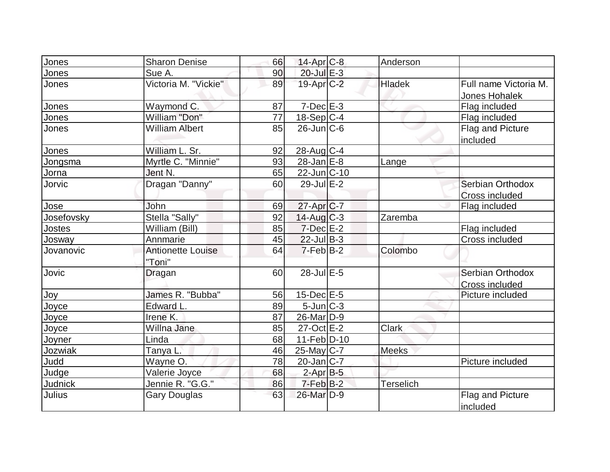| Jones          | <b>Sharon Denise</b>     | 66 | $14$ -Apr $C-8$        | Anderson         |                       |
|----------------|--------------------------|----|------------------------|------------------|-----------------------|
| Jones          | Sue A.                   | 90 | 20-Jul E-3             |                  |                       |
| Jones          | Victoria M. "Vickie"     | 89 | 19-Apr <sub>C-2</sub>  | <b>Hladek</b>    | Full name Victoria M. |
|                |                          |    |                        |                  | Jones Hohalek         |
| Jones          | Waymond C.               | 87 | $7$ -Dec $E-3$         |                  | Flag included         |
| Jones          | William "Don"            | 77 | 18-Sep C-4             |                  | Flag included         |
| Jones          | <b>William Albert</b>    | 85 | $26$ -Jun $ C$ -6      |                  | Flag and Picture      |
|                |                          |    |                        |                  | included              |
| Jones          | William L. Sr.           | 92 | $28$ -Aug C-4          |                  |                       |
| Jongsma        | Myrtle C. "Minnie"       | 93 | $28$ -Jan $E-8$        | Lange            |                       |
| Jorna          | Jent N.                  | 65 | $22$ -Jun $ C-10$      |                  |                       |
| Jorvic         | Dragan "Danny"           | 60 | $29$ -Jul $E-2$        |                  | Serbian Orthodox      |
|                |                          |    |                        |                  | <b>Cross included</b> |
| Jose           | John                     | 69 | 27-Apr C-7             |                  | Flag included         |
| Josefovsky     | Stella "Sally"           | 92 | $14$ -Aug C-3          | Zaremba          |                       |
| Jostes         | William (Bill)           | 85 | $7$ -Dec $E-2$         |                  | Flag included         |
| Josway         | Annmarie                 | 45 | $22$ -Jul B-3          |                  | Cross included        |
| Jovanovic      | <b>Antionette Louise</b> | 64 | $7-Feb$ B-2            | Colombo          |                       |
|                | "Toni"                   |    |                        |                  |                       |
| Jovic          | Dragan                   | 60 | $28$ -Jul $E-5$        |                  | Serbian Orthodox      |
|                |                          |    |                        |                  | Cross included        |
| Joy            | James R. "Bubba"         | 56 | $15$ -Dec $E$ -5       |                  | Picture included      |
| Joyce          | Edward L.                | 89 | $5$ -Jun $ C-3 $       |                  |                       |
| Joyce          | Irene K.                 | 87 | 26-Mar <sub>D-9</sub>  |                  |                       |
| Joyce          | Willna Jane              | 85 | $27$ -Oct $E-2$        | <b>Clark</b>     |                       |
| Joyner         | Linda                    | 68 | $11-Feb D-10$          |                  |                       |
| Jozwiak        | Tanya L.                 | 46 | 25-May C-7             | <b>Meeks</b>     |                       |
| Judd           | Wayne O.                 | 78 | $20$ -Jan $ C-7 $      |                  | Picture included      |
| Judge          | Valerie Joyce            | 68 | $2$ -Apr $B-5$         |                  |                       |
| <b>Judnick</b> | Jennie R. "G.G."         | 86 | $7-FebB-2$             | <b>Terselich</b> |                       |
| Julius         | <b>Gary Douglas</b>      | 63 | 26-Mar <sub>ID-9</sub> |                  | Flag and Picture      |
|                |                          |    |                        |                  | included              |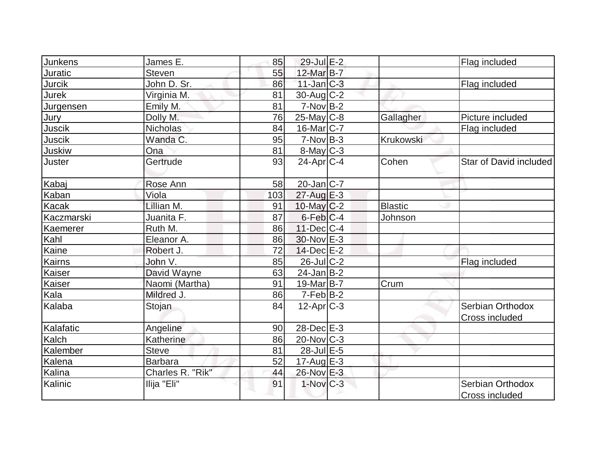| <b>Junkens</b> | James E.         | 85  | $29$ -Jul $E-2$         |                | Flag included                      |
|----------------|------------------|-----|-------------------------|----------------|------------------------------------|
| Juratic        | <b>Steven</b>    | 55  | 12-Mar B-7              |                |                                    |
| Jurcik         | John D. Sr.      | 86  | $11$ -Jan $ C-3 $       |                | Flag included                      |
| Jurek          | Virginia M.      | 81  | $30$ -Aug C-2           |                |                                    |
| Jurgensen      | Emily M.         | 81  | $7-NovB-2$              |                |                                    |
| Jury           | Dolly M.         | 76  | $25$ -May C-8           | Gallagher      | Picture included                   |
| Juscik         | Nicholas         | 84  | $16$ -Mar $ C-7 $       |                | Flag included                      |
| Juscik         | Wanda C.         | 95  | $7-Nov B-3$             | Krukowski      |                                    |
| Juskiw         | Ona              | 81  | $8$ -May $C$ -3         |                |                                    |
| Juster         | Gertrude         | 93  | $24$ -Apr $ C-4 $       | Cohen          | Star of David included             |
| Kabaj          | Rose Ann         | 58  | $20$ -Jan $ C-7 $       |                |                                    |
| Kaban          | Viola            | 103 | 27-Aug E-3              |                |                                    |
| Kacak          | Lillian M.       | 91  | $10$ -May $ C-2 $       | <b>Blastic</b> |                                    |
| Kaczmarski     | Juanita F.       | 87  | $6$ -Feb $C-4$          | Johnson        |                                    |
| Kaemerer       | Ruth M.          | 86  | $11$ -Dec $ C-4$        |                |                                    |
| Kahl           | Eleanor A.       | 86  | $30$ -Nov $E-3$         |                |                                    |
| Kaine          | Robert J.        | 72  | $14$ -Dec $E-2$         |                |                                    |
| Kairns         | John V.          | 85  | $26$ -Jul $C-2$         |                | Flag included                      |
| Kaiser         | David Wayne      | 63  | $24$ -Jan B-2           |                |                                    |
| Kaiser         | Naomi (Martha)   | 91  | $19$ -Mar $ B-7 $       | Crum           |                                    |
| Kala           | Mildred J.       | 86  | $7-Feb B-2$             |                |                                    |
| Kalaba         | Stojan           | 84  | $12-Apr$ $C-3$          |                | Serbian Orthodox                   |
|                |                  |     |                         |                | Cross included                     |
| Kalafatic      | Angeline         | 90  | 28-Dec E-3              |                |                                    |
| Kalch          | Katherine        | 86  | $20$ -Nov $ C-3 $       |                |                                    |
| Kalember       | <b>Steve</b>     | 81  | 28-Jul E-5              |                |                                    |
| Kalena         | <b>Barbara</b>   | 52  | 17-Aug $E-3$            |                |                                    |
| Kalina         | Charles R. "Rik" | 44  | 26-Nov E-3              |                |                                    |
| Kalinic        | Ilija "Eli"      | 91  | $1-Nov$ <sub>C</sub> -3 |                | Serbian Orthodox<br>Cross included |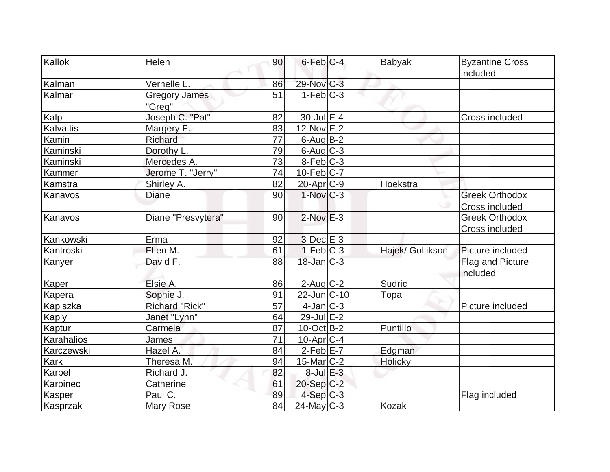| Kallok        | Helen                          | 90              | $6$ -Feb $ C-4 $        | <b>Babyak</b>    | <b>Byzantine Cross</b><br>included |
|---------------|--------------------------------|-----------------|-------------------------|------------------|------------------------------------|
| Kalman        | Vernelle L.                    | 86              | 29-Nov C-3              |                  |                                    |
| Kalmar        | <b>Gregory James</b><br>"Greg" | 51              | $1-Feb C-3$             |                  |                                    |
| Kalp          | Joseph C. "Pat"                | 82              | $30$ -Jul $E-4$         |                  | Cross included                     |
| Kalvaitis     | Margery F.                     | 83              | 12-Nov E-2              |                  |                                    |
| Kamin         | Richard                        | 77              | $6$ -Aug B-2            |                  |                                    |
| Kaminski      | Dorothy L.                     | 79              | $6$ -Aug $C$ -3         |                  |                                    |
| Kaminski      | Mercedes A.                    | 73              | $8-Feb$ C-3             |                  |                                    |
| Kammer        | Jerome T. "Jerry"              | $\overline{74}$ | $10-Feb$ <sub>C-7</sub> |                  |                                    |
| Kamstra       | Shirley A.                     | 82              | $20$ -Apr $C-9$         | Hoekstra         |                                    |
| Kanavos       | <b>Diane</b>                   | 90              | $1-Nov$ $C-3$           |                  | <b>Greek Orthodox</b>              |
|               |                                |                 |                         |                  | <b>Cross included</b>              |
| Kanavos       | Diane "Presvytera"             | 90              | $2$ -Nov $E-3$          |                  | <b>Greek Orthodox</b>              |
|               |                                |                 |                         |                  | Cross included                     |
| Kankowski     | Erma                           | 92              | $3-Dec$ $E-3$           |                  |                                    |
| Kantroski     | Ellen M.                       | 61              | $1-Feb$ $C-3$           | Hajek/ Gullikson | Picture included                   |
| Kanyer        | David F.                       | 88              | $18$ -Jan $ C-3 $       |                  | Flag and Picture<br>included       |
| Kaper         | Elsie A.                       | 86              | $2$ -Aug C-2            | Sudric           |                                    |
| <b>Kapera</b> | Sophie J.                      | 91              | 22-Jun C-10             | Topa             |                                    |
| Kapiszka      | Richard "Rick"                 | 57              | $4$ -Jan $ C-3 $        |                  | Picture included                   |
| Kaply         | Janet "Lynn"                   | 64              | $29$ -Jul $E-2$         |                  |                                    |
| Kaptur        | Carmela                        | 87              | $10$ -Oct B-2           | Puntillo         |                                    |
| Karahalios    | James                          | 71              | $10$ -Apr $ C-4 $       |                  |                                    |
| Karczewski    | Hazel A.                       | 84              | $2-Feb$ E-7             | Edgman           |                                    |
| Kark          | Theresa M.                     | 94              | $15$ -Mar $ C-2 $       | Holicky          |                                    |
| Karpel        | Richard J.                     | 82              | $8$ -Jul $E-3$          |                  |                                    |
| Karpinec      | Catherine                      | 61              | $20-Sep C-2$            |                  |                                    |
| <b>Kasper</b> | Paul C.                        | 89              | $4-Sep C-3$             |                  | Flag included                      |
| Kasprzak      | <b>Mary Rose</b>               | 84              | $24$ -May C-3           | <b>Kozak</b>     |                                    |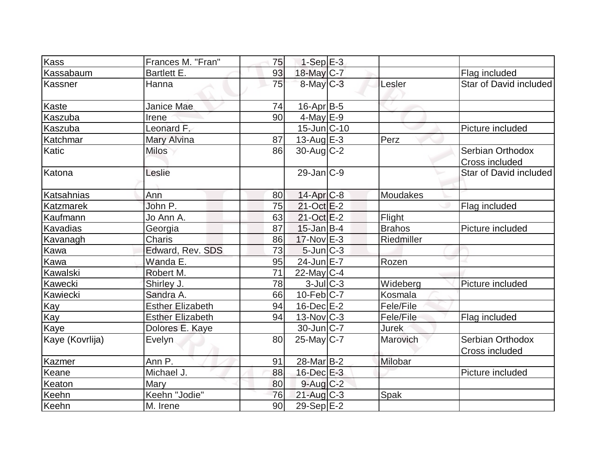| Kass             | Frances M. "Fran"       | 75              | $1-Sep$ E-3       |               |                                    |
|------------------|-------------------------|-----------------|-------------------|---------------|------------------------------------|
| Kassabaum        | Bartlett E.             | 93              | 18-May C-7        |               | Flag included                      |
| Kassner          | Hanna                   | 75              | $8$ -May $C$ -3   | Lesler        | Star of David included             |
| Kaste            | Janice Mae              | 74              | $16$ -Apr $B$ -5  |               |                                    |
| Kaszuba          | Irene                   | 90              | $4$ -May $E-9$    |               |                                    |
| Kaszuba          | Leonard F.              |                 | 15-Jun C-10       |               | Picture included                   |
| Katchmar         | Mary Alvina             | 87              | $13$ -Aug E-3     | Perz          |                                    |
| Katic            | <b>Milos</b>            | 86              | $30$ -Aug C-2     |               | Serbian Orthodox<br>Cross included |
| Katona           | Leslie                  |                 | $29$ -Jan $ C-9$  |               | Star of David included             |
| Katsahnias       | Ann                     | 80              | $14$ -Apr $C-8$   | Moudakes      |                                    |
| <b>Katzmarek</b> | John P.                 | 75              | $21-Oct$ $E-2$    |               | Flag included                      |
| Kaufmann         | Jo Ann A.               | 63              | $21-Oct$ $E-2$    | Flight        |                                    |
| Kavadias         | Georgia                 | 87              | $15$ -Jan B-4     | <b>Brahos</b> | Picture included                   |
| Kavanagh         | <b>Charis</b>           | 86              | $17-Nov$ E-3      | Riedmiller    |                                    |
| Kawa             | Edward, Rev. SDS        | 73              | $5$ -Jun $ C-3$   |               |                                    |
| Kawa             | Wanda E.                | 95              | 24-Jun E-7        | Rozen         |                                    |
| Kawalski         | Robert M.               | $\overline{71}$ | $22$ -May C-4     |               |                                    |
| Kawecki          | Shirley J.              | 78              | $3$ -JulC-3       | Wideberg      | Picture included                   |
| Kawiecki         | Sandra A.               | 66              | $10$ -Feb $ C-7 $ | Kosmala       |                                    |
| Kay              | <b>Esther Elizabeth</b> | 94              | $16$ -Dec $E-2$   | Fele/File     |                                    |
| Kay              | <b>Esther Elizabeth</b> | 94              | $13$ -Nov $ C-3 $ | Fele/File     | Flag included                      |
| Kaye             | Dolores E. Kaye         |                 | $30$ -Jun $ C-7 $ | <b>Jurek</b>  |                                    |
| Kaye (Kovrlija)  | Evelyn                  | 80              | $25$ -May C-7     | Marovich      | Serbian Orthodox<br>Cross included |
| Kazmer           | Ann P.                  | 91              | $28$ -Mar $ B-2 $ | Milobar       |                                    |
| Keane            | Michael J.              | 88              | $16$ -Dec $E-3$   |               | Picture included                   |
| Keaton           | Mary                    | 80              | $9$ -Aug C-2      |               |                                    |
| Keehn            | Keehn "Jodie"           | 76              | $21$ -Aug C-3     | Spak          |                                    |
| Keehn            | M. Irene                | 90              | 29-Sep E-2        |               |                                    |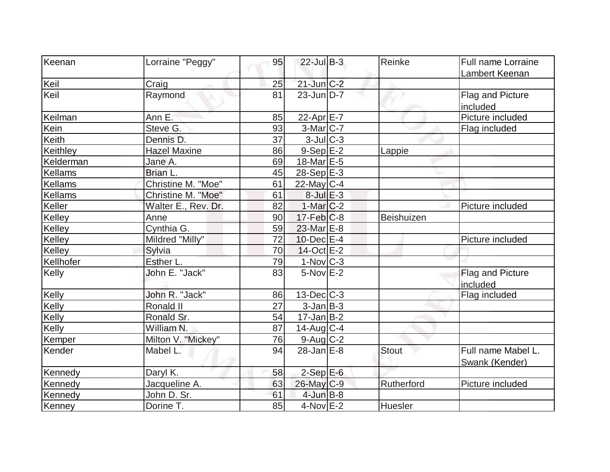| Keenan    | Lorraine "Peggy"    | 95 | $22$ -Jul B-3           | Reinke       | <b>Full name Lorraine</b>            |
|-----------|---------------------|----|-------------------------|--------------|--------------------------------------|
|           |                     |    |                         |              | Lambert Keenan                       |
| Keil      | Craig               | 25 | $21$ -Jun $C-2$         |              |                                      |
| Keil      | Raymond             | 81 | $23$ -Jun $D-7$         |              | Flag and Picture<br>included         |
| Keilman   | Ann E.              | 85 | 22-Apr $E-7$            |              | Picture included                     |
| Kein      | Steve G.            | 93 | $3-Mar$ $C-7$           |              | Flag included                        |
| Keith     | Dennis D.           | 37 | $3$ -Jul $C$ -3         |              |                                      |
| Keithley  | <b>Hazel Maxine</b> | 86 | $9-$ Sep $E-2$          | Lappie       |                                      |
| Kelderman | Jane A.             | 69 | $18$ -Mar $E-5$         |              |                                      |
| Kellams   | Brian L.            | 45 | $28-Sep$ <sup>E-3</sup> |              |                                      |
| Kellams   | Christine M. "Moe"  | 61 | $22$ -May C-4           |              |                                      |
| Kellams   | Christine M. "Moe"  | 61 | $8$ -Jul $E-3$          |              |                                      |
| Keller    | Walter E., Rev. Dr. | 82 | $1-Mar$ $C-2$           |              | Picture included                     |
| Kelley    | Anne                | 90 | $17$ -Feb $ C-8$        | Beishuizen   |                                      |
| Kelley    | Cynthia G.          | 59 | 23-Mar E-8              |              |                                      |
| Kelley    | Mildred "Milly"     | 72 | $10$ -Dec $E-4$         |              | Picture included                     |
| Kelley    | Sylvia              | 70 | 14-Oct E-2              |              |                                      |
| Kellhofer | Esther L.           | 79 | $1-Nov$ $C-3$           |              |                                      |
| Kelly     | John E. "Jack"      | 83 | $5-Nov$ $E-2$           |              | Flag and Picture<br>included         |
| Kelly     | John R. "Jack"      | 86 | $13$ -Dec $ C-3 $       |              | Flag included                        |
| Kelly     | Ronald II           | 27 | $3$ -Jan $B$ -3         |              |                                      |
| Kelly     | Ronald Sr.          | 54 | $17 - Jan$ B-2          |              |                                      |
| Kelly     | William N.          | 87 | $14$ -Aug C-4           |              |                                      |
| Kemper    | Milton V. "Mickey"  | 76 | 9-Aug C-2               |              |                                      |
| Kender    | Mabel L.            | 94 | $28$ -Jan $E-8$         | <b>Stout</b> | Full name Mabel L.<br>Swank (Kender) |
| Kennedy   | Daryl K.            | 58 | $2$ -Sep $E$ -6         |              |                                      |
| Kennedy   | Jacqueline A.       | 63 | 26-May C-9              | Rutherford   | Picture included                     |
| Kennedy   | John D. Sr.         | 61 | $4$ -Jun $B-8$          |              |                                      |
| Kenney    | Dorine T.           | 85 | $4$ -Nov $E-2$          | Huesler      |                                      |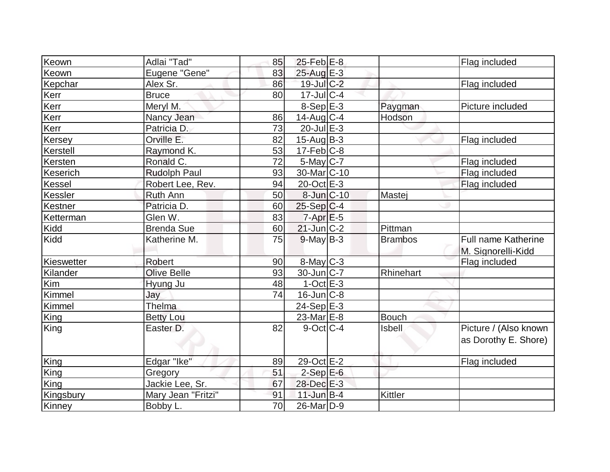| Keown      | Adlai "Tad"         | 85 | $25$ -Feb $E$ -8         |                | Flag included              |
|------------|---------------------|----|--------------------------|----------------|----------------------------|
| Keown      | Eugene "Gene"       | 83 | 25-Aug E-3               |                |                            |
| Kepchar    | Alex Sr.            | 86 | $19$ -Jul $C-2$          |                | Flag included              |
| Kerr       | <b>Bruce</b>        | 80 | $17$ -Jul $C-4$          |                |                            |
| Kerr       | Meryl M.            |    | $8-SepE-3$               | Paygman        | Picture included           |
| Kerr       | Nancy Jean          | 86 | $14$ -Aug C-4            | Hodson         |                            |
| Kerr       | Patricia D.         | 73 | $20$ -Jul $E-3$          |                |                            |
| Kersey     | Orville E.          | 82 | $15$ -Aug $ B-3 $        |                | Flag included              |
| Kerstell   | Raymond K.          | 53 | $17$ -Feb $ C-8$         |                |                            |
| Kersten    | Ronald C.           | 72 | $5$ -May $C$ -7          |                | Flag included              |
| Keserich   | <b>Rudolph Paul</b> | 93 | 30-Mar <sub>IC</sub> -10 |                | Flag included              |
| Kessel     | Robert Lee, Rev.    | 94 | 20-Oct E-3               |                | Flag included              |
| Kessler    | <b>Ruth Ann</b>     | 50 | 8-Jun C-10               | Mastej         |                            |
| Kestner    | Patricia D.         | 60 | $25-Sep C-4$             |                |                            |
| Ketterman  | Glen W.             | 83 | $7 - Apr$ $E - 5$        |                |                            |
| Kidd       | <b>Brenda Sue</b>   | 60 | $21$ -Jun $ C-2 $        | Pittman        |                            |
| Kidd       | Katherine M.        | 75 | $9$ -May B-3             | <b>Brambos</b> | <b>Full name Katherine</b> |
|            |                     |    |                          |                | M. Signorelli-Kidd         |
| Kieswetter | <b>Robert</b>       | 90 | 8-May C-3                |                | Flag included              |
| Kilander   | <b>Olive Belle</b>  | 93 | $30$ -Jun $ C-7$         | Rhinehart      |                            |
| Kim        | Hyung Ju            | 48 | $1-Oct$ $E-3$            |                |                            |
| Kimmel     | Jay                 | 74 | $16$ -Jun $ C-8$         |                |                            |
| Kimmel     | Thelma              |    | 24-Sep E-3               |                |                            |
| King       | <b>Betty Lou</b>    |    | $23$ -Mar $E-8$          | Bouch          |                            |
| King       | Easter D.           | 82 | $9$ -Oct $ C-4 $         | <b>Isbell</b>  | Picture / (Also known      |
|            |                     |    |                          |                | as Dorothy E. Shore)       |
| King       | Edgar "Ike"         | 89 | 29-Oct E-2               |                | Flag included              |
| King       | Gregory             | 51 | $2-SepE-6$               |                |                            |
| King       | Jackie Lee, Sr.     | 67 | 28-Dec E-3               |                |                            |
| Kingsbury  | Mary Jean "Fritzi"  | 91 | $11$ -Jun $B-4$          | <b>Kittler</b> |                            |
| Kinney     | Bobby L.            | 70 | 26-Mar <sub>D-9</sub>    |                |                            |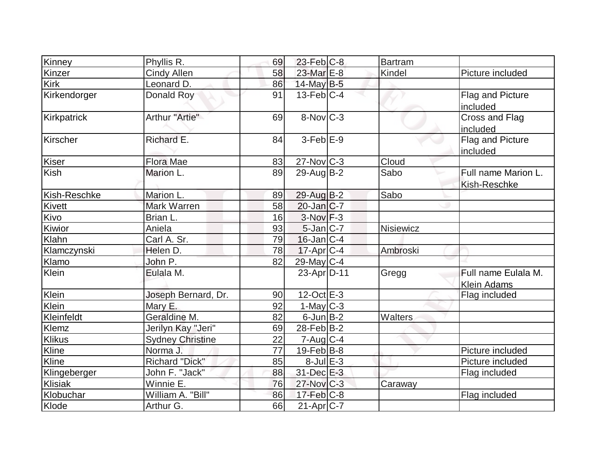|              |                         |    | $23$ -Feb $ C-8$  | Bartram          |                            |
|--------------|-------------------------|----|-------------------|------------------|----------------------------|
| Kinney       | Phyllis R.              | 69 |                   |                  |                            |
| Kinzer       | <b>Cindy Allen</b>      | 58 | 23-Mar E-8        | Kindel           | Picture included           |
| Kirk         | Leonard D.              | 86 | 14-May B-5        |                  |                            |
| Kirkendorger | Donald Roy              | 91 | $13$ -Feb $ C-4 $ |                  | Flag and Picture           |
| Kirkpatrick  | Arthur "Artie"          | 69 | 8-Nov C-3         |                  | included<br>Cross and Flag |
|              |                         |    |                   |                  | included                   |
| Kirscher     | Richard E.              | 84 | $3-FebE-9$        |                  | Flag and Picture           |
|              |                         |    |                   |                  | included                   |
| Kiser        | <b>Flora Mae</b>        | 83 | $27$ -Nov $ C-3 $ | Cloud            |                            |
| Kish         | Marion L.               | 89 | $29$ -Aug $B-2$   | Sabo             | Full name Marion L.        |
|              |                         |    |                   |                  | Kish-Reschke               |
| Kish-Reschke | Marion L.               | 89 | 29-Aug B-2        | Sabo             |                            |
| Kivett       | Mark Warren             | 58 | $20$ -Jan $ C-7 $ |                  |                            |
| Kivo         | Brian L.                | 16 | $3-Nov$ F-3       |                  |                            |
| Kiwior       | Aniela                  | 93 | $5$ -Jan $C$ -7   | <b>Nisiewicz</b> |                            |
| Klahn        | Carl A. Sr.             | 79 | $16$ -Jan $ C-4 $ |                  |                            |
| Klamczynski  | Helen D.                | 78 | $17$ -Apr $ C-4$  | Ambroski         |                            |
| Klamo        | John P.                 | 82 | 29-May C-4        |                  |                            |
| Klein        | Eulala M.               |    | 23-Apr D-11       | Gregg            | Full name Eulala M.        |
|              |                         |    |                   |                  | <b>Klein Adams</b>         |
| Klein        | Joseph Bernard, Dr.     | 90 | $12$ -Oct $E - 3$ |                  | Flag included              |
| Klein        | Mary E.                 | 92 | $1$ -May C-3      |                  |                            |
| Kleinfeldt   | Geraldine M.            | 82 | $6$ -Jun $B-2$    | Walters          |                            |
| Klemz        | Jerilyn Kay "Jeri"      | 69 | $28$ -Feb $ B-2 $ |                  |                            |
| Klikus       | <b>Sydney Christine</b> | 22 | $7$ -Aug $C-4$    |                  |                            |
| Kline        | Norma J.                | 77 | $19$ -Feb $ B-8$  |                  | Picture included           |
| Kline        | <b>Richard "Dick"</b>   | 85 | $8$ -Jul $E-3$    |                  | Picture included           |
| Klingeberger | John F. "Jack"          | 88 | 31-Dec E-3        |                  | Flag included              |
| Klisiak      | Winnie E.               | 76 | $27$ -Nov $ C-3 $ | Caraway          |                            |
| Klobuchar    | William A. "Bill"       | 86 | $17$ -Feb $ C-8$  |                  | Flag included              |
| Klode        | Arthur G.               | 66 | $21-Apr$ $C-7$    |                  |                            |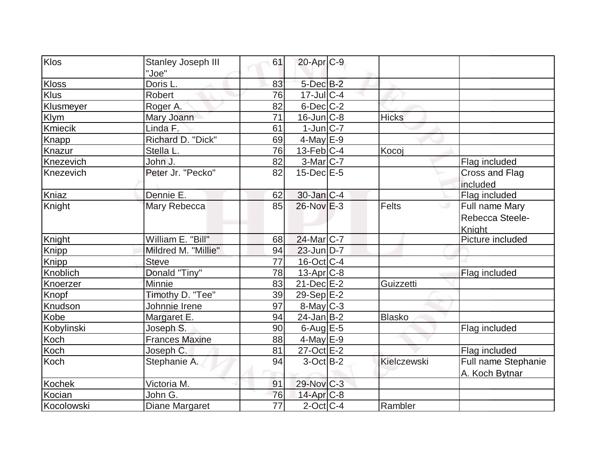| Klos       | Stanley Joseph III<br>"Joe" | 61 | $20$ -Apr $C-9$   |               |                                             |
|------------|-----------------------------|----|-------------------|---------------|---------------------------------------------|
| Kloss      | Doris L.                    | 83 | $5$ -Dec $B-2$    |               |                                             |
| Klus       | Robert                      | 76 | $17$ -Jul $C-4$   |               |                                             |
| Klusmeyer  | Roger A.                    | 82 | $6$ -Dec $C$ -2   |               |                                             |
| Klym       | Mary Joann                  | 71 | $16$ -Jun $C-8$   | <b>Hicks</b>  |                                             |
| Kmiecik    | Linda F.                    | 61 | $1$ -Jun $ C-7 $  |               |                                             |
| Knapp      | Richard D. "Dick"           | 69 | $4$ -May E-9      |               |                                             |
| Knazur     | Stella L.                   | 76 | $13$ -Feb $ C-4 $ | Kocoj         |                                             |
| Knezevich  | John J.                     | 82 | $3-Mar$ C-7       |               | Flag included                               |
| Knezevich  | Peter Jr. "Pecko"           | 82 | $15$ -Dec $E$ -5  |               | Cross and Flag<br>included                  |
| Kniaz      | Dennie E.                   | 62 | $30$ -Jan $ C-4 $ |               | Flag included                               |
| Knight     | Mary Rebecca                | 85 | $26$ -Nov $E-3$   | <b>Felts</b>  | Full name Mary<br>Rebecca Steele-<br>Knight |
| Knight     | William E. "Bill"           | 68 | 24-Mar C-7        |               | Picture included                            |
| Knipp      | Mildred M. "Millie"         | 94 | $23$ -Jun $D-7$   |               |                                             |
| Knipp      | <b>Steve</b>                | 77 | $16$ -Oct $ C-4 $ |               |                                             |
| Knoblich   | Donald "Tiny"               | 78 | $13$ -Apr $ C-8 $ |               | Flag included                               |
| Knoerzer   | <b>Minnie</b>               | 83 | $21$ -Dec $E-2$   | Guizzetti     |                                             |
| Knopf      | Timothy D. "Tee"            | 39 | $29-Sep$ E-2      |               |                                             |
| Knudson    | Johnnie Irene               | 97 | $8$ -May $C-3$    |               |                                             |
| Kobe       | Margaret E.                 | 94 | $24$ -Jan $ B-2 $ | <b>Blasko</b> |                                             |
| Kobylinski | Joseph S.                   | 90 | $6$ -Aug $E$ -5   |               | Flag included                               |
| Koch       | <b>Frances Maxine</b>       | 88 | $4$ -May E-9      |               |                                             |
| Koch       | Joseph C.                   | 81 | $27$ -Oct $E-2$   |               | Flag included                               |
| Koch       | Stephanie A.                | 94 | $3-Oct$ B-2       | Kielczewski   | Full name Stephanie<br>A. Koch Bytnar       |
| Kochek     | Victoria M.                 | 91 | $29$ -Nov $ C-3 $ |               |                                             |
| Kocian     | John G.                     | 76 | $14$ -Apr $C-8$   |               |                                             |
| Kocolowski | Diane Margaret              | 77 | $2$ -Oct C-4      | Rambler       |                                             |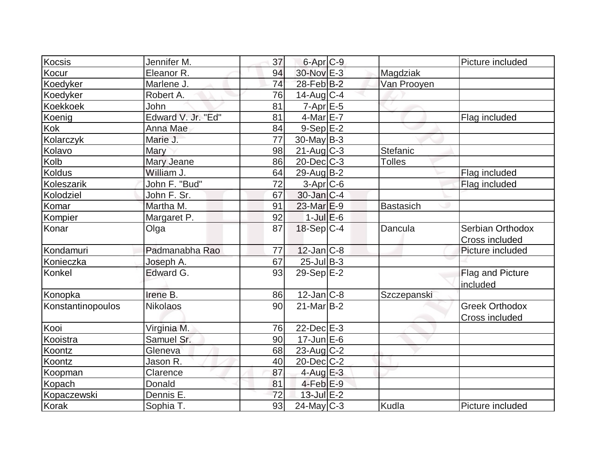| Kocsis            | Jennifer M.        | 37              | 6-Apr <sub>C-9</sub> |                  | Picture included                        |
|-------------------|--------------------|-----------------|----------------------|------------------|-----------------------------------------|
| Kocur             | Eleanor R.         | 94              | 30-Nov E-3           | Magdziak         |                                         |
| Koedyker          | Marlene J.         | 74              | 28-Feb B-2           | Van Prooyen      |                                         |
| Koedyker          | Robert A.          | 76              | $14$ -Aug $C-4$      |                  |                                         |
| <b>Koekkoek</b>   | John               | 81              | $7-Apr$ E-5          |                  |                                         |
| Koenig            | Edward V. Jr. "Ed" | 81              | $4$ -Mar $E$ -7      |                  | Flag included                           |
| Kok               | Anna Mae           | 84              | 9-Sep E-2            |                  |                                         |
| Kolarczyk         | Marie J.           | $\overline{77}$ | $30$ -May B-3        |                  |                                         |
| Kolavo            | Mary               | 98              | $21$ -Aug C-3        | Stefanic         |                                         |
| Kolb              | Mary Jeane         | 86              | $20$ -Dec $C-3$      | <b>Tolles</b>    |                                         |
| <b>Koldus</b>     | William J.         | 64              | $29$ -Aug $B-2$      |                  | Flag included                           |
| Koleszarik        | John F. "Bud"      | 72              | $3-Apr$ $C-6$        |                  | Flag included                           |
| Kolodziel         | John F. Sr.        | 67              | $30$ -Jan $ C-4 $    |                  |                                         |
| Komar             | Martha M.          | 91              | $23$ -Mar $E-9$      | <b>Bastasich</b> |                                         |
| Kompier           | Margaret P.        | 92              | $1$ -Jul $E$ -6      |                  |                                         |
| Konar             | Olga               | 87              | 18-Sep C-4           | Dancula          | Serbian Orthodox<br>Cross included      |
| Kondamuri         | Padmanabha Rao     | 77              | $12$ -Jan $ C-8 $    |                  | Picture included                        |
| Konieczka         | Joseph A.          | 67              | 25-Jul B-3           |                  |                                         |
| Konkel            | Edward G.          | 93              | $29-Sep E-2$         |                  | Flag and Picture<br>included            |
| Konopka           | Irene B.           | 86              | $12$ -Jan $C-8$      | Szczepanski      |                                         |
| Konstantinopoulos | <b>Nikolaos</b>    | 90              | $21$ -Mar $B-2$      |                  | <b>Greek Orthodox</b><br>Cross included |
| Kooi              | Virginia M.        | 76              | $22$ -Dec $E-3$      |                  |                                         |
| Kooistra          | Samuel Sr.         | 90              | $17$ -Jun $E$ -6     |                  |                                         |
| Koontz            | Gleneva            | 68              | $23$ -Aug $C-2$      |                  |                                         |
| Koontz            | Jason R.           | 40              | $20$ -Dec $C$ -2     |                  |                                         |
| Koopman           | Clarence           | 87              | $4$ -Aug E-3         |                  |                                         |
| Kopach            | Donald             | 81              | $4$ -Feb $E-9$       |                  |                                         |
| Kopaczewski       | Dennis E.          | 72              | $13$ -Jul $E-2$      |                  |                                         |
| Korak             | Sophia T.          | 93              | $24$ -May C-3        | Kudla            | Picture included                        |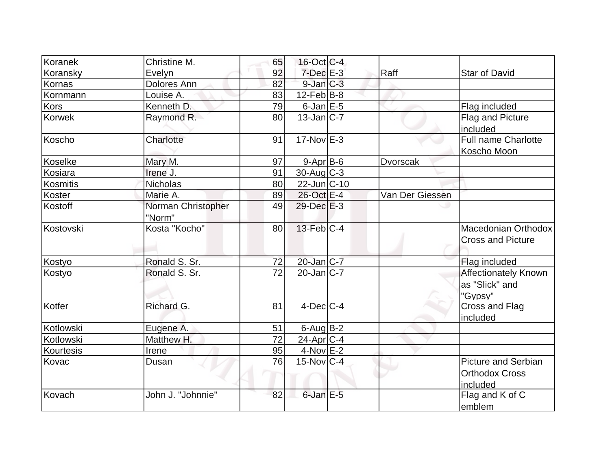| Koranek         | Christine M.                 | 65              | $16$ -Oct C-4     |                 |                                                                 |
|-----------------|------------------------------|-----------------|-------------------|-----------------|-----------------------------------------------------------------|
| Koransky        | Evelyn                       | 92              | $7$ -Dec $E-3$    | Raff            | <b>Star of David</b>                                            |
| Kornas          | Dolores Ann                  | 82              | $9$ -Jan $C-3$    |                 |                                                                 |
| Kornmann        | Louise A.                    | 83              | $12$ -Feb $ B-8 $ |                 |                                                                 |
| Kors            | Kenneth D.                   | 79              | $6$ -Jan $E$ -5   |                 | Flag included                                                   |
| <b>Korwek</b>   | Raymond R.                   | 80              | $13$ -Jan $ C-7 $ |                 | Flag and Picture<br>included                                    |
| Koscho          | Charlotte                    | 91              | $17-Nov$ E-3      |                 | Full name Charlotte<br>Koscho Moon                              |
| Koselke         | Mary M.                      | 97              | $9 - Apr$ B-6     | <b>Dvorscak</b> |                                                                 |
| Kosiara         | Irene J.                     | 91              | $30$ -Aug C-3     |                 |                                                                 |
| <b>Kosmitis</b> | <b>Nicholas</b>              | 80              | $22$ -Jun $ C-10$ |                 |                                                                 |
| Koster          | Marie A.                     | 89              | 26-Oct E-4        | Van Der Giessen |                                                                 |
| Kostoff         | Norman Christopher<br>"Norm" | 49              | $29$ -Dec $E-3$   |                 |                                                                 |
| Kostovski       | Kosta "Kocho"                | 80              | $13$ -Feb $C-4$   |                 | Macedonian Orthodox<br><b>Cross and Picture</b>                 |
| Kostyo          | Ronald S. Sr.                | 72              | 20-Jan C-7        |                 | Flag included                                                   |
| Kostyo          | Ronald S. Sr.                | $\overline{72}$ | $20$ -Jan $ C-7 $ |                 | <b>Affectionately Known</b><br>as "Slick" and<br>"Gypsy"        |
| Kotfer          | Richard G.                   | 81              | $4$ -Dec $ C-4 $  |                 | Cross and Flag<br>included                                      |
| Kotlowski       | Eugene A.                    | 51              | $6$ -Aug B-2      |                 |                                                                 |
| Kotlowski       | Matthew H.                   | 72              | $24$ -Apr $C-4$   |                 |                                                                 |
| Kourtesis       | Irene                        | 95              | $4-NovE-2$        |                 |                                                                 |
| Kovac           | Dusan                        | 76              | $15$ -Nov $ C-4 $ |                 | <b>Picture and Serbian</b><br><b>Orthodox Cross</b><br>included |
| Kovach          | John J. "Johnnie"            | 82              | $6$ -Jan $E$ -5   |                 | Flag and K of C<br>emblem                                       |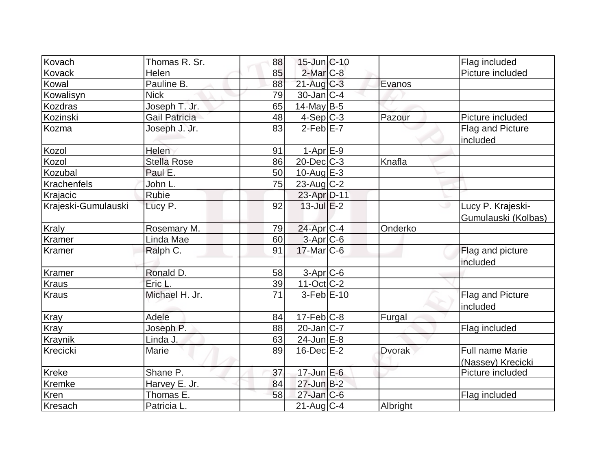| Kovach              | Thomas R. Sr.        | 88 | $15$ -Jun $C-10$  |               | Flag included                               |
|---------------------|----------------------|----|-------------------|---------------|---------------------------------------------|
| Kovack              | Helen                | 85 | $2$ -Mar $C-8$    |               | Picture included                            |
| Kowal               | Pauline B.           | 88 | $21$ -Aug C-3     | Evanos        |                                             |
| Kowalisyn           | <b>Nick</b>          | 79 | $30$ -Jan $ C-4 $ |               |                                             |
| Kozdras             | Joseph T. Jr.        | 65 | 14-May B-5        |               |                                             |
| Kozinski            | <b>Gail Patricia</b> | 48 | $4-Sep$ $C-3$     | Pazour        | Picture included                            |
| Kozma               | Joseph J. Jr.        | 83 | $2$ -Feb $E - 7$  |               | Flag and Picture<br>included                |
| Kozol               | Helen                | 91 | $1-AprE-9$        |               |                                             |
| Kozol               | <b>Stella Rose</b>   | 86 | $20$ -Dec $ C-3 $ | Knafla        |                                             |
| Kozubal             | Paul E.              | 50 | $10$ -Aug $E-3$   |               |                                             |
| Krachenfels         | John L.              | 75 | $23$ -Aug $C-2$   |               |                                             |
| Krajacic            | Rubie                |    | 23-Apr D-11       |               |                                             |
| Krajeski-Gumulauski | Lucy P.              | 92 | $13$ -Jul $E-2$   |               | Lucy P. Krajeski-<br>Gumulauski (Kolbas)    |
| <b>Kraly</b>        | Rosemary M.          | 79 | 24-Apr C-4        | Onderko       |                                             |
| <b>Kramer</b>       | Linda Mae            | 60 | 3-Apr C-6         |               |                                             |
| Kramer              | Ralph C.             | 91 | $17$ -Mar $ C$ -6 |               | Flag and picture<br>included                |
| <b>Kramer</b>       | Ronald D.            | 58 | $3-Apr$ $C-6$     |               |                                             |
| <b>Kraus</b>        | Eric L.              | 39 | $11-Oct$ C-2      |               |                                             |
| Kraus               | Michael H. Jr.       | 71 | $3-Feb$ E-10      |               | Flag and Picture<br>included                |
| Kray                | Adele                | 84 | $17$ -Feb $ C-8 $ | Furgal        |                                             |
| Kray                | Joseph P.            | 88 | $20$ -Jan $C-7$   |               | Flag included                               |
| Kraynik             | Linda J.             | 63 | 24-Jun E-8        |               |                                             |
| Krecicki            | Marie                | 89 | $16$ -Dec $E-2$   | <b>Dvorak</b> | <b>Full name Marie</b><br>(Nassey) Krecicki |
| <b>Kreke</b>        | Shane P.             | 37 | $17$ -Jun $E-6$   |               | Picture included                            |
| Kremke              | Harvey E. Jr.        | 84 | $27 - Jun$ $B-2$  |               |                                             |
| Kren                | Thomas E.            | 58 | $27$ -Jan C-6     |               | Flag included                               |
| Kresach             | Patricia L.          |    | $21$ -Aug $C-4$   | Albright      |                                             |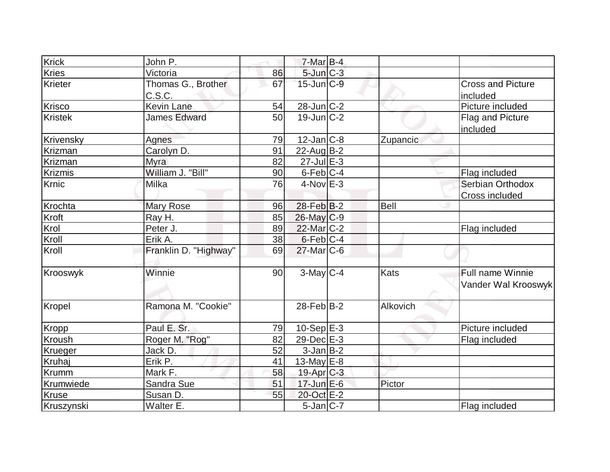| <b>Krick</b>   | John P.                      |    | $7-Mar$ B-4       |             |                                           |
|----------------|------------------------------|----|-------------------|-------------|-------------------------------------------|
| <b>Kries</b>   | Victoria                     | 86 | 5-Jun C-3         |             |                                           |
| Krieter        | Thomas G., Brother<br>C.S.C. | 67 | $15$ -Jun $C-9$   |             | <b>Cross and Picture</b><br>included      |
| Krisco         | Kevin Lane                   | 54 | $28$ -Jun $C-2$   |             | Picture included                          |
| <b>Kristek</b> | <b>James Edward</b>          | 50 | $19$ -Jun $C-2$   |             | Flag and Picture<br>included              |
| Krivensky      | Agnes                        | 79 | $12$ -Jan $ C-8 $ | Zupancic    |                                           |
| Krizman        | Carolyn D.                   | 91 | 22-Aug B-2        |             |                                           |
| Krizman        | <b>Myra</b>                  | 82 | $27$ -Jul $E-3$   |             |                                           |
| Krizmis        | William J. "Bill"            | 90 | $6$ -Feb $ C-4 $  |             | Flag included                             |
| Krnic          | Milka                        | 76 | $4$ -Nov $E-3$    |             | Serbian Orthodox<br><b>Cross included</b> |
| Krochta        | <b>Mary Rose</b>             | 96 | $28$ -Feb $ B-2 $ | <b>Bell</b> |                                           |
| Kroft          | Ray H.                       | 85 | $26$ -May $ C-9 $ |             |                                           |
| Krol           | Peter J.                     | 89 | 22-Mar C-2        |             | Flag included                             |
| Kroll          | Erik A.                      | 38 | $6$ -Feb $ C-4 $  |             |                                           |
| Kroll          | Franklin D. "Highway"        | 69 | $27$ -Mar $C$ -6  |             |                                           |
| Krooswyk       | Winnie                       | 90 | $3$ -May C-4      | Kats        | Full name Winnie<br>Vander Wal Krooswyk   |
| Kropel         | Ramona M. "Cookie"           |    | $28$ -Feb $B-2$   | Alkovich    |                                           |
| Kropp          | Paul E. Sr.                  | 79 | $10-Sep$ $E-3$    |             | Picture included                          |
| Kroush         | Roger M. "Rog"               | 82 | $29$ -Dec $E-3$   |             | Flag included                             |
| Krueger        | Jack D.                      | 52 | $3$ -Jan $B$ -2   |             |                                           |
| Kruhaj         | Erik P.                      | 41 | 13-May $E-8$      |             |                                           |
| Krumm          | Mark F.                      | 58 | $19$ -Apr $C-3$   |             |                                           |
| Krumwiede      | Sandra Sue                   | 51 | 17-Jun E-6        | Pictor      |                                           |
| Kruse          | Susan D.                     | 55 | 20-Oct E-2        |             |                                           |
| Kruszynski     | Walter E.                    |    | $5$ -Jan $ C-7 $  |             | Flag included                             |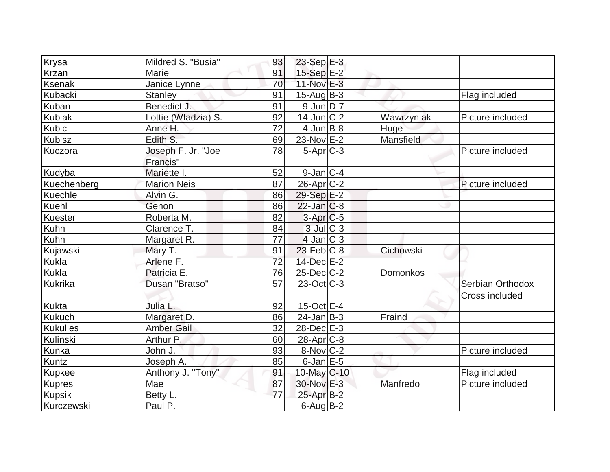| Krysa           | Mildred S. "Busia"  | 93 | $23-Sep$ E-3           |            |                  |
|-----------------|---------------------|----|------------------------|------------|------------------|
| Krzan           | Marie               | 91 | $15-Sep$ $E-2$         |            |                  |
| <b>Ksenak</b>   | Janice Lynne        | 70 | $11-Nov$ E-3           |            |                  |
| <b>Kubacki</b>  | <b>Stanley</b>      | 91 | $15$ -Aug $B$ -3       |            | Flag included    |
| Kuban           | Benedict J.         | 91 | $9$ -Jun $D-7$         |            |                  |
| <b>Kubiak</b>   | Lottie (Wladzia) S. | 92 | $14$ -Jun $ C-2 $      | Wawrzyniak | Picture included |
| Kubic           | Anne H.             | 72 | $4$ -Jun $B$ -8        | Huge       |                  |
| <b>Kubisz</b>   | Edith S.            | 69 | $23-Nov$ E-2           | Mansfield  |                  |
| Kuczora         | Joseph F. Jr. "Joe  | 78 | $5-Apr$ $C-3$          |            | Picture included |
|                 | Francis"            |    |                        |            |                  |
| Kudyba          | Mariette I          | 52 | $9$ -Jan $ C-4$        |            |                  |
| Kuechenberg     | <b>Marion Neis</b>  | 87 | $26$ -Apr $C-2$        |            | Picture included |
| Kuechle         | Alvin G.            | 86 | 29-Sep E-2             |            |                  |
| Kuehl           | Genon               | 86 | $22$ -Jan $ C-8$       |            |                  |
| Kuester         | Roberta M.          | 82 | $3-Apr$ <sub>C-5</sub> |            |                  |
| Kuhn            | Clarence T.         | 84 | $3$ -Jul $C-3$         |            |                  |
| Kuhn            | Margaret R.         | 77 | $4$ -Jan $ C-3 $       |            |                  |
| Kujawski        | Mary T.             | 91 | $23$ -Feb $ C-8$       | Cichowski  |                  |
| Kukla           | Arlene F.           | 72 | $14$ -Dec $E-2$        |            |                  |
| Kukla           | Patricia E.         | 76 | $25$ -Dec $C$ -2       | Domonkos   |                  |
| Kukrika         | Dusan "Bratso"      | 57 | $23$ -Oct $ C-3 $      |            | Serbian Orthodox |
|                 |                     |    |                        |            | Cross included   |
| <b>Kukta</b>    | Julia L.            | 92 | $15$ -Oct $E$ -4       |            |                  |
| <b>Kukuch</b>   | Margaret D.         | 86 | $24$ -Jan $B-3$        | Fraind     |                  |
| <b>Kukulies</b> | <b>Amber Gail</b>   | 32 | 28-Dec E-3             |            |                  |
| Kulinski        | Arthur P.           | 60 | 28-Apr <sub>C-8</sub>  |            |                  |
| Kunka           | John J.             | 93 | $8-Nov$ <sub>C-2</sub> |            | Picture included |
| Kuntz           | Joseph A.           | 85 | $6$ -Jan $E$ -5        |            |                  |
| Kupkee          | Anthony J. "Tony"   | 91 | 10-May C-10            |            | Flag included    |
| <b>Kupres</b>   | Mae                 | 87 | 30-Nov E-3             | Manfredo   | Picture included |
| <b>Kupsik</b>   | Betty L.            | 77 | $25$ -Apr $B-2$        |            |                  |
| Kurczewski      | Paul P.             |    | $6$ -Aug B-2           |            |                  |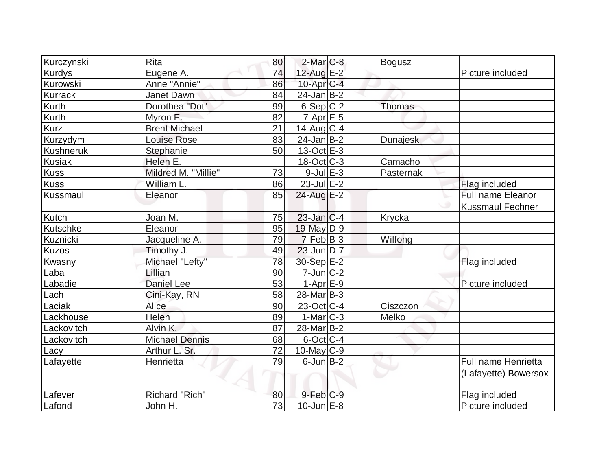| Kurczynski       | <b>Rita</b>           | 80 | $2$ -Mar $C-8$          | <b>Bogusz</b> |                         |
|------------------|-----------------------|----|-------------------------|---------------|-------------------------|
| <b>Kurdys</b>    | Eugene A.             | 74 | $12$ -Aug E-2           |               | Picture included        |
| Kurowski         | Anne "Annie"          | 86 | $10$ -Apr $C$ -4        |               |                         |
| <b>Kurrack</b>   | Janet Dawn            | 84 | $24$ -Jan B-2           |               |                         |
| <b>Kurth</b>     | Dorothea "Dot"        | 99 | $6-Sep$ $C-2$           | Thomas        |                         |
| Kurth            | Myron E.              | 82 | $7 - Apr$ E-5           |               |                         |
| <b>Kurz</b>      | <b>Brent Michael</b>  | 21 | $14$ -Aug C-4           |               |                         |
| Kurzydym         | <b>Louise Rose</b>    | 83 | $24$ -Jan B-2           | Dunajeski     |                         |
| <b>Kushneruk</b> | Stephanie             | 50 | $13-Oct$ $E-3$          |               |                         |
| <b>Kusiak</b>    | Helen E.              |    | $18-Oct$ $C-3$          | Camacho       |                         |
| <b>Kuss</b>      | Mildred M. "Millie"   | 73 | $9$ -Jul $E-3$          | Pasternak     |                         |
| <b>Kuss</b>      | William L.            | 86 | $23$ -Jul $E-2$         |               | Flag included           |
| Kussmaul         | Eleanor               | 85 | 24-Aug E-2              |               | Full name Eleanor       |
|                  |                       |    |                         |               | <b>Kussmaul Fechner</b> |
| <b>Kutch</b>     | Joan M.               | 75 | $23$ -Jan $ C-4 $       | Krycka        |                         |
| Kutschke         | Eleanor               | 95 | 19-May D-9              |               |                         |
| Kuznicki         | Jacqueline A.         | 79 | $7-Feb$ B-3             | Wilfong       |                         |
| <b>Kuzos</b>     | Timothy J.            | 49 | $23$ -Jun $D-7$         |               |                         |
| Kwasny           | Michael "Lefty"       | 78 | $30-Sep$ $E-2$          |               | Flag included           |
| Laba             | Lillian               | 90 | $7$ -Jun $ C-2 $        |               |                         |
| Labadie          | Daniel Lee            | 53 | $1-Apr$ $E-9$           |               | Picture included        |
| Lach             | Cini-Kay, RN          | 58 | $28$ -Mar $ B-3 $       |               |                         |
| Laciak           | <b>Alice</b>          | 90 | $23-Oct$ <sub>C-4</sub> | Ciszczon      |                         |
| Lackhouse        | Helen                 | 89 | $1-Mar$ $C-3$           | Melko         |                         |
| Lackovitch       | Alvin K.              | 87 | 28-Mar <sub>B</sub> -2  |               |                         |
| Lackovitch       | <b>Michael Dennis</b> | 68 | $6$ -Oct $C$ -4         |               |                         |
| Lacy             | Arthur L. Sr.         | 72 | $10$ -May C-9           |               |                         |
| Lafayette        | Henrietta             | 79 | $6$ -Jun $B-2$          |               | Full name Henrietta     |
|                  |                       |    |                         |               | (Lafayette) Bowersox    |
| Lafever          | Richard "Rich"        | 80 | $9$ -Feb $C-9$          |               | Flag included           |
| Lafond           | John H.               | 73 | $10$ -Jun $E-8$         |               | Picture included        |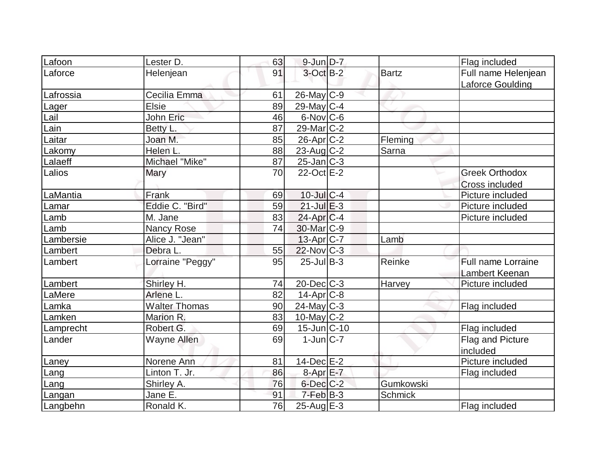| Lafoon    | Lester D.            | 63 | $9$ -Jun $D-7$                      |               | Flag included         |
|-----------|----------------------|----|-------------------------------------|---------------|-----------------------|
| Laforce   | Helenjean            | 91 | $3$ -Oct $B-2$                      | <b>Bartz</b>  | Full name Helenjean   |
|           |                      |    |                                     |               | Laforce Goulding      |
| Lafrossia | Cecilia Emma         | 61 | $26$ -May C-9                       |               |                       |
| Lager     | <b>Elsie</b>         | 89 | 29-May $C-4$                        |               |                       |
| Lail      | John Eric            | 46 | $6$ -Nov $ C$ -6                    |               |                       |
| Lain      | Betty L.             | 87 | $29$ -Mar $C-2$                     |               |                       |
| Laitar    | Joan M.              | 85 | 26-Apr C-2                          | Fleming       |                       |
| Lakomy    | Helen L.             | 88 | $23$ -Aug C-2                       | Sarna         |                       |
| Lalaeff   | Michael "Mike"       | 87 | $25$ -Jan $ C-3 $                   |               |                       |
| Lalios    | Mary                 | 70 | 22-Oct E-2                          |               | <b>Greek Orthodox</b> |
|           |                      |    |                                     |               | Cross included        |
| LaMantia  | Frank                | 69 | 10-Jul C-4                          |               | Picture included      |
| Lamar     | Eddie C. "Bird"      | 59 | $21$ -Jul $E-3$                     |               | Picture included      |
| Lamb      | M. Jane              | 83 | $24$ -Apr $C-4$                     |               | Picture included      |
| Lamb      | Nancy Rose           | 74 | 30-Mar C-9                          |               |                       |
| Lambersie | Alice J. "Jean"      |    | 13-Apr C-7                          | Lamb          |                       |
| Lambert   | Debra L.             | 55 | $22$ -Nov $ C-3 $                   |               |                       |
| Lambert   | Lorraine "Peggy"     | 95 | $25$ -Jul B-3                       | Reinke        | Full name Lorraine    |
|           |                      |    |                                     |               | Lambert Keenan        |
| Lambert   | Shirley H.           | 74 | $20$ -Dec $C-3$                     | <b>Harvey</b> | Picture included      |
| LaMere    | Arlene L.            | 82 | $14$ -Apr $C-8$                     |               |                       |
| Lamka     | <b>Walter Thomas</b> | 90 | $24$ -May C-3                       |               | Flag included         |
| Lamken    | Marion R.            | 83 | 10-May C-2                          |               |                       |
| Lamprecht | Robert G.            | 69 | $15$ -Jun $\overline{\text{C}}$ -10 |               | Flag included         |
| Lander    | Wayne Allen          | 69 | $1$ -Jun $ C-7 $                    |               | Flag and Picture      |
|           |                      |    |                                     |               | included              |
| Laney     | Norene Ann           | 81 | 14-Dec E-2                          |               | Picture included      |
| Lang      | Linton T. Jr.        | 86 | 8-Apr E-7                           |               | Flag included         |
| Lang      | Shirley A.           | 76 | $6$ -Dec $C$ -2                     | Gumkowski     |                       |
| Langan    | Jane E.              | 91 | $7-Feb B-3$                         | Schmick       |                       |
| Langbehn  | Ronald K.            | 76 | $25$ -Aug $E-3$                     |               | Flag included         |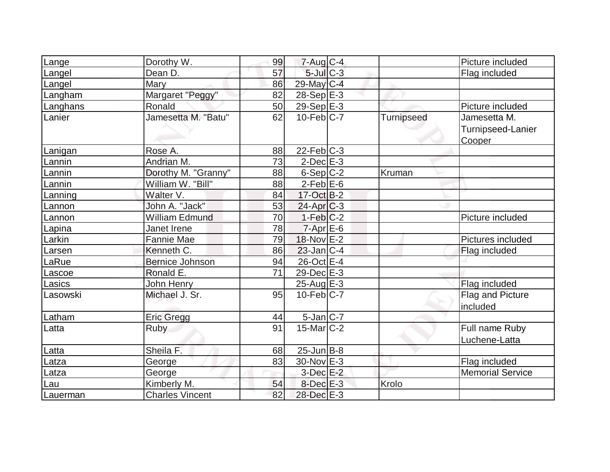| Lange    | Dorothy W.             | 99 | $7 - Aug$ <sub>C-4</sub> |                   | Picture included            |
|----------|------------------------|----|--------------------------|-------------------|-----------------------------|
| Langel   | Dean D.                | 57 | $5$ -Jul $C$ -3          |                   | Flag included               |
| Langel   | Mary                   | 86 | 29-May C-4               |                   |                             |
| Langham  | Margaret "Peggy"       | 82 | $28-Sep$ E-3             |                   |                             |
| Langhans | Ronald                 | 50 | 29-Sep $E-3$             |                   | Picture included            |
| Lanier   | Jamesetta M. "Batu"    | 62 | $10$ -Feb $C-7$          | <b>Turnipseed</b> | Jamesetta M.                |
|          |                        |    |                          |                   | Turnipseed-Lanier<br>Cooper |
| Lanigan  | Rose A.                | 88 | $22$ -Feb $ C-3 $        |                   |                             |
| Lannin   | Andrian M.             | 73 | $2$ -Dec $E-3$           |                   |                             |
| Lannin   | Dorothy M. "Granny"    | 88 | $6-Sep C-2$              | Kruman            |                             |
| Lannin   | William W. "Bill"      | 88 | $2$ -Feb $E$ -6          |                   |                             |
| Lanning  | Walter V.              | 84 | 17-Oct B-2               |                   |                             |
| Lannon   | John A. "Jack"         | 53 | $24$ -Apr $C-3$          |                   |                             |
| Lannon   | <b>William Edmund</b>  | 70 | $1-Feb C-2$              |                   | Picture included            |
| Lapina   | Janet Irene            | 78 | $7$ -Apr $E$ -6          |                   |                             |
| Larkin   | Fannie Mae             | 79 | 18-Nov E-2               |                   | Pictures included           |
| Larsen   | Kenneth C.             | 86 | $23$ -Jan $C-4$          |                   | Flag included               |
| LaRue    | <b>Bernice Johnson</b> | 94 | 26-Oct E-4               |                   |                             |
| Lascoe   | Ronald E.              | 71 | 29-Dec E-3               |                   |                             |
| Lasics   | John Henry             |    | $25$ -Aug E-3            |                   | Flag included               |
| Lasowski | Michael J. Sr.         | 95 | $10$ -Feb $C$ -7         |                   | Flag and Picture            |
|          |                        |    |                          |                   | included                    |
| Latham   | <b>Eric Gregg</b>      | 44 | $5$ -Jan $ C-7 $         |                   |                             |
| Latta    | <b>Ruby</b>            | 91 | $15$ -Mar $ C-2 $        |                   | Full name Ruby              |
|          |                        |    |                          |                   | Luchene-Latta               |
| Latta    | Sheila F.              | 68 | $25$ -Jun $B$ -8         |                   |                             |
| Latza    | George                 | 83 | $30$ -Nov $E-3$          |                   | Flag included               |
| Latza    | George                 |    | $3$ -Dec $E-2$           |                   | <b>Memorial Service</b>     |
| Lau      | Kimberly M.            | 54 | $8$ -Dec $E-3$           | Krolo             |                             |
| Lauerman | <b>Charles Vincent</b> | 82 | 28-Dec E-3               |                   |                             |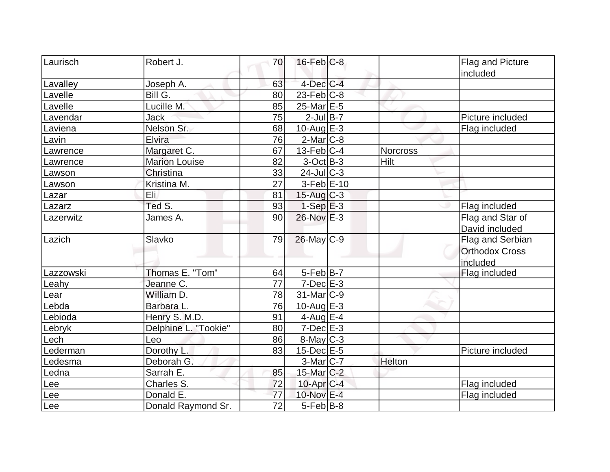| Laurisch  | Robert J.            |                 | $16$ -Feb $C$ -8  |                 |                       |
|-----------|----------------------|-----------------|-------------------|-----------------|-----------------------|
|           |                      | 70              |                   |                 | Flag and Picture      |
| Lavalley  | Joseph A.            | 63              | $4$ -Dec $C$ -4   |                 | included              |
|           | Bill G.              | 80              | $23$ -Feb $ C-8 $ |                 |                       |
| Lavelle   |                      |                 |                   |                 |                       |
| Lavelle   | Lucille M.           | 85              | $25$ -Mar $E$ -5  |                 |                       |
| Lavendar  | Jack                 | 75              | $2$ -Jul B-7      |                 | Picture included      |
| Laviena   | Nelson Sr.           | 68              | $10$ -Aug $E-3$   |                 | Flag included         |
| Lavin     | Elvira               | 76              | $2$ -Mar $ C-8 $  |                 |                       |
| Lawrence  | Margaret C.          | 67              | $13$ -Feb $ C-4 $ | <b>Norcross</b> |                       |
| Lawrence  | <b>Marion Louise</b> | 82              | $3-Oct$ B-3       | <b>Hilt</b>     |                       |
| Lawson    | Christina            | 33              | $24$ -Jul C-3     |                 |                       |
| Lawson    | Kristina M.          | 27              | $3-Feb$ $E-10$    |                 |                       |
| Lazar     | Eli.                 | 81              | $15$ -Aug $C-3$   |                 |                       |
| Lazarz    | Ted S.               | 93              | $1-Sep$ $E-3$     |                 | Flag included         |
| Lazerwitz | James A.             | 90              | $26$ -Nov $E-3$   |                 | Flag and Star of      |
|           |                      |                 |                   |                 | David included        |
| Lazich    | Slavko               | 79              | $26$ -May $C-9$   |                 | Flag and Serbian      |
|           |                      |                 |                   |                 | <b>Orthodox Cross</b> |
|           |                      |                 |                   |                 | included              |
| Lazzowski | Thomas E. "Tom"      | 64              | $5-Feb B-7$       |                 | Flag included         |
| Leahy     | Jeanne C.            | 77              | $7$ -Dec $E-3$    |                 |                       |
| Lear      | William D.           | 78              | 31-Mar C-9        |                 |                       |
| Lebda     | Barbara L.           | 76              | $10$ -Aug $E-3$   |                 |                       |
| Lebioda   | Henry S. M.D.        | 91              | $4$ -Aug $E-4$    |                 |                       |
| Lebryk    | Delphine L. "Tookie" | 80              | $7$ -Dec $E-3$    |                 |                       |
| Lech      | Leo                  | 86              | 8-May C-3         |                 |                       |
| Lederman  | Dorothy L.           | 83              | $15$ -Dec $E$ -5  |                 | Picture included      |
| Ledesma   | Deborah G.           |                 | $3-Mar$ C-7       | Helton          |                       |
| Ledna     | Sarrah E.            | 85              | 15-Mar C-2        |                 |                       |
| Lee       | Charles S.           | 72              | 10-Apr C-4        |                 | Flag included         |
| Lee       | Donald E.            | 77              | 10-Nov E-4        |                 | Flag included         |
| Lee       | Donald Raymond Sr.   | $\overline{72}$ | $5-Feb B-8$       |                 |                       |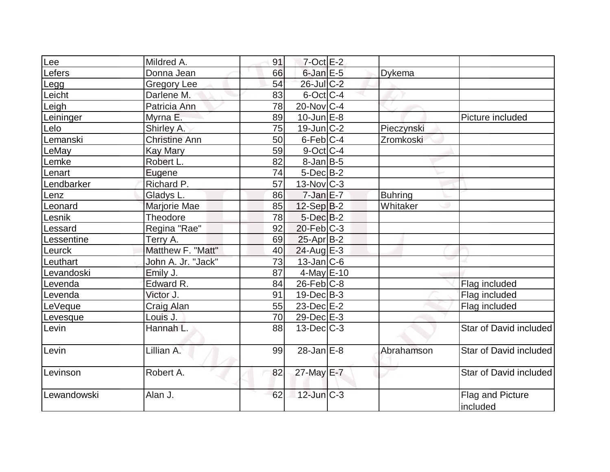| Lee         | Mildred A.           | 91 | $7$ -Oct $E-2$    |                |                              |
|-------------|----------------------|----|-------------------|----------------|------------------------------|
| Lefers      | Donna Jean           | 66 | $6$ -Jan $E$ -5   | Dykema         |                              |
| Legg        | <b>Gregory Lee</b>   | 54 | $26$ -Jul $C-2$   |                |                              |
| Leicht      | Darlene M.           | 83 | $6$ -Oct $C$ -4   |                |                              |
| Leigh       | Patricia Ann         | 78 | $20$ -Nov $C-4$   |                |                              |
| Leininger   | Myrna E.             | 89 | $10$ -Jun $E-8$   |                | Picture included             |
| Lelo        | Shirley A.           | 75 | $19$ -Jun $ C-2 $ | Pieczynski     |                              |
| Lemanski    | <b>Christine Ann</b> | 50 | $6$ -Feb $ C-4$   | Zromkoski      |                              |
| LeMay       | <b>Kay Mary</b>      | 59 | $9$ -Oct $C$ -4   |                |                              |
| Lemke       | Robert L.            | 82 | $8$ -Jan B-5      |                |                              |
| Lenart      | Eugene               | 74 | $5$ -Dec $B$ -2   |                |                              |
| Lendbarker  | Richard P.           | 57 | $13$ -Nov $ C-3 $ |                |                              |
| Lenz        | Gladys L.            | 86 | $7$ -Jan $E-7$    | <b>Buhring</b> |                              |
| Leonard     | Marjorie Mae         | 85 | $12-Sep B-2$      | Whitaker       |                              |
| Lesnik      | Theodore             | 78 | $5$ -Dec $B$ -2   |                |                              |
| Lessard     | Regina "Rae"         | 92 | $20$ -Feb $C-3$   |                |                              |
| Lessentine  | Terry A.             | 69 | $25$ -Apr $ B-2 $ |                |                              |
| Leurck      | Matthew F. "Matt"    | 40 | $24$ -Aug $E-3$   |                |                              |
| Leuthart    | John A. Jr. "Jack"   | 73 | $13$ -Jan $ C$ -6 |                |                              |
| Levandoski  | Emily J.             | 87 | $4$ -May E-10     |                |                              |
| Levenda     | Edward R.            | 84 | $26$ -Feb $ C$ -8 |                | Flag included                |
| Levenda     | Victor J.            | 91 | $19$ -Dec $B$ -3  |                | Flag included                |
| LeVeque     | <b>Craig Alan</b>    | 55 | $23$ -Dec $E-2$   |                | Flag included                |
| Levesque    | Louis J.             | 70 | 29-Dec E-3        |                |                              |
| Levin       | Hannah L.            | 88 | $13$ -Dec $C-3$   |                | Star of David included       |
| Levin       | Lillian A.           | 99 | $28$ -Jan $E-8$   | Abrahamson     | Star of David included       |
| Levinson    | Robert A.            | 82 | 27-May E-7        |                | Star of David included       |
| Lewandowski | Alan J.              | 62 | $12$ -Jun $ C-3 $ |                | Flag and Picture<br>included |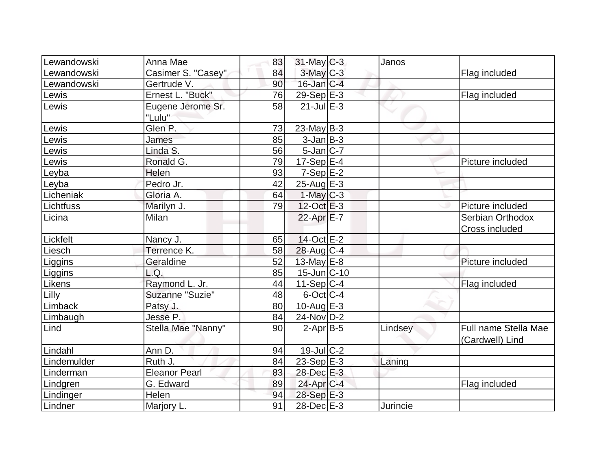| Lewandowski | Anna Mae                    | 83 | $31$ -May C-3    | Janos    |                                           |
|-------------|-----------------------------|----|------------------|----------|-------------------------------------------|
| Lewandowski | Casimer S. "Casey"          | 84 | 3-May C-3        |          | Flag included                             |
| Lewandowski | Gertrude V.                 | 90 | $16$ -Jan $C-4$  |          |                                           |
| Lewis       | Ernest L. "Buck"            | 76 | 29-Sep E-3       |          | Flag included                             |
| Lewis       | Eugene Jerome Sr.<br>"Lulu" | 58 | $21$ -Jul E-3    |          |                                           |
| Lewis       | Glen P.                     | 73 | $23$ -May B-3    |          |                                           |
| Lewis       | James                       | 85 | $3$ -Jan $B-3$   |          |                                           |
| Lewis       | Linda S.                    | 56 | $5$ -Jan $C-7$   |          |                                           |
| Lewis       | Ronald G.                   | 79 | $17-Sep$ $E-4$   |          | Picture included                          |
| Leyba       | Helen                       | 93 | $7-Sep$ $E-2$    |          |                                           |
| Leyba       | Pedro Jr.                   | 42 | $25$ -Aug $E-3$  |          |                                           |
| Licheniak   | Gloria A.                   | 64 | $1-May$ $C-3$    |          |                                           |
| Lichtfuss   | Marilyn J.                  | 79 | $12$ -Oct $E-3$  |          | Picture included                          |
| Licina      | <b>Milan</b>                |    | $22$ -Apr $E$ -7 |          | Serbian Orthodox<br><b>Cross included</b> |
| Lickfelt    | Nancy J.                    | 65 | 14-Oct E-2       |          |                                           |
| Liesch      | Terrence K.                 | 58 | $28$ -Aug C-4    |          |                                           |
| Liggins     | Geraldine                   | 52 | 13-May $E-8$     |          | Picture included                          |
| Liggins     | L.Q.                        | 85 | $15$ -Jun $C-10$ |          |                                           |
| Likens      | Raymond L. Jr.              | 44 | $11-Sep C-4$     |          | Flag included                             |
| Lilly       | Suzanne "Suzie"             | 48 | $6$ -Oct $ C-4 $ |          |                                           |
| Limback     | Patsy J.                    | 80 | 10-Aug $E-3$     |          |                                           |
| Limbaugh    | Jesse P.                    | 84 | 24-Nov D-2       |          |                                           |
| Lind        | Stella Mae "Nanny"          | 90 | $2-Apr$ B-5      | Lindsey  | Full name Stella Mae<br>(Cardwell) Lind   |
| Lindahl     | Ann D.                      | 94 | $19$ -Jul $C-2$  |          |                                           |
| Lindemulder | Ruth J.                     | 84 | $23-Sep$ $E-3$   | Laning   |                                           |
| Linderman   | <b>Eleanor Pearl</b>        | 83 | 28-Dec E-3       |          |                                           |
| Lindgren    | G. Edward                   | 89 | $24$ -Apr $C-4$  |          | Flag included                             |
| Lindinger   | Helen                       | 94 | $28-Sep$ $E-3$   |          |                                           |
| Lindner     | Marjory L.                  | 91 | 28-Dec E-3       | Jurincie |                                           |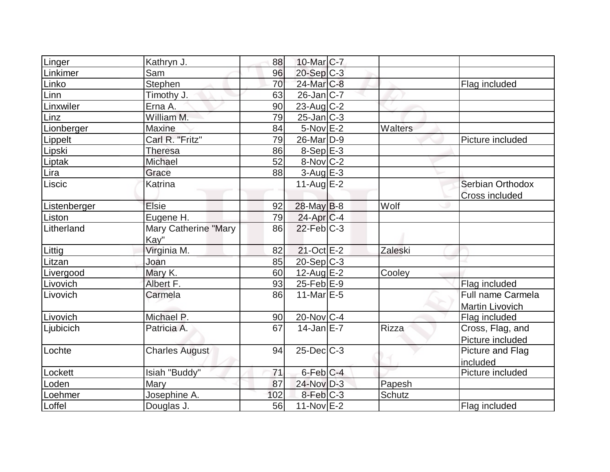| Linger       | Kathryn J.                  | 88  | 10-Mar C-7             |         |                        |
|--------------|-----------------------------|-----|------------------------|---------|------------------------|
| Linkimer     | Sam                         | 96  | $20-Sep$ C-3           |         |                        |
| Linko        | Stephen                     | 70  | 24-Mar <sub>IC-8</sub> |         | Flag included          |
| Linn         | Timothy J.                  | 63  | $26$ -Jan $ C-7 $      |         |                        |
| Linxwiler    | Erna A.                     | 90  | $23$ -Aug C-2          |         |                        |
| Linz         | William M.                  | 79  | $25$ -Jan $ C-3 $      |         |                        |
| Lionberger   | <b>Maxine</b>               | 84  | $5-Nov$ $E-2$          | Walters |                        |
| Lippelt      | Carl R. "Fritz"             | 79  | $26$ -Mar $D-9$        |         | Picture included       |
| Lipski       | Theresa                     | 86  | $8-Sep$ E-3            |         |                        |
| Liptak       | Michael                     | 52  | $8-Nov$ <sub>C-2</sub> |         |                        |
| Lira         | Grace                       | 88  | $3-Aug$ $E-3$          |         |                        |
| Liscic       | Katrina                     |     | $11$ -Aug $E-2$        |         | Serbian Orthodox       |
|              |                             |     |                        |         | <b>Cross included</b>  |
| Listenberger | Elsie                       | 92  | $28$ -May B-8          | Wolf    |                        |
| Liston       | Eugene H.                   | 79  | $24$ -Apr $ C-4 $      |         |                        |
| Litherland   | <b>Mary Catherine "Mary</b> | 86  | $22$ -Feb $C-3$        |         |                        |
|              | Kay"                        |     |                        |         |                        |
| Littig       | Virginia M.                 | 82  | $21-Oct$ $E-2$         | Zaleski |                        |
| Litzan       | Joan                        | 85  | 20-Sep C-3             |         |                        |
| Livergood    | Mary K.                     | 60  | 12-Aug $E-2$           | Cooley  |                        |
| Livovich     | Albert F.                   | 93  | $25$ -Feb $E-9$        |         | Flag included          |
| Livovich     | Carmela                     | 86  | 11-Mar $E-5$           |         | Full name Carmela      |
|              |                             |     |                        |         | <b>Martin Livovich</b> |
| Livovich     | Michael P.                  | 90  | $20$ -Nov $C-4$        |         | Flag included          |
| Ljubicich    | Patricia A.                 | 67  | $14$ -Jan $E$ -7       | Rizza   | Cross, Flag, and       |
|              |                             |     |                        |         | Picture included       |
| Lochte       | <b>Charles August</b>       | 94  | $25$ -Dec $C-3$        |         | Picture and Flag       |
|              |                             |     |                        |         | included               |
| Lockett      | Isiah "Buddy"               | 71  | $6$ -Feb $C-4$         |         | Picture included       |
| Loden        | Mary                        | 87  | 24-Nov D-3             | Papesh  |                        |
| Loehmer      | Josephine A.                | 102 | $8$ -Feb $ C-3 $       | Schutz  |                        |
| Loffel       | Douglas J.                  | 56  | $11-Nov$ E-2           |         | Flag included          |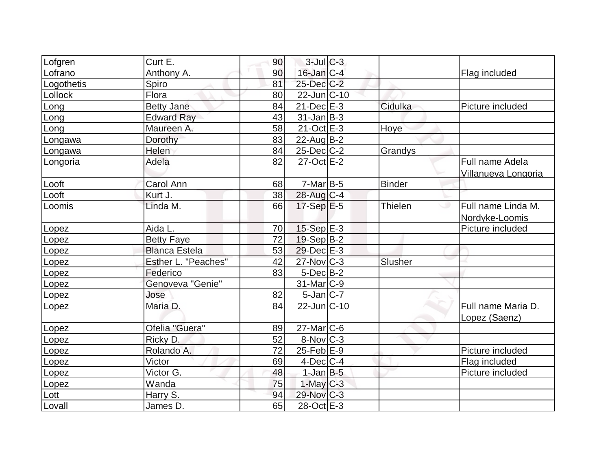|            | Curt E.              |    | $3$ -Jul $C-3$          |               |                     |
|------------|----------------------|----|-------------------------|---------------|---------------------|
| Lofgren    |                      | 90 | $16$ -Jan $C-4$         |               |                     |
| Lofrano    | Anthony A.           | 90 |                         |               | Flag included       |
| Logothetis | Spiro                | 81 | $25$ -Dec $C-2$         |               |                     |
| Lollock    | Flora                | 80 | $22$ -Jun $ C-10$       |               |                     |
| Long       | <b>Betty Jane</b>    | 84 | $21$ -Dec $E-3$         | Cidulka       | Picture included    |
| Long       | <b>Edward Ray</b>    | 43 | $31$ -Jan $ B-3 $       |               |                     |
| Long       | Maureen A.           | 58 | $21-Oct$ $E-3$          | Hoye          |                     |
| Longawa    | Dorothy              | 83 | $22$ -AugB-2            |               |                     |
| Longawa    | Helen                | 84 | $25$ -Dec $C$ -2        | Grandys       |                     |
| Longoria   | Adela                | 82 | 27-Oct E-2              |               | Full name Adela     |
|            |                      |    |                         |               | Villanueva Longoria |
| Looft      | Carol Ann            | 68 | $7-Mar$ B-5             | <b>Binder</b> |                     |
| Looft      | Kurt J.              | 38 | 28-Aug C-4              |               |                     |
| Loomis     | Linda M.             | 66 | $17-Sep$ <sup>E-5</sup> | Thielen       | Full name Linda M.  |
|            |                      |    |                         |               | Nordyke-Loomis      |
| Lopez      | Aida L.              | 70 | $15-Sep$ E-3            |               | Picture included    |
| Lopez      | <b>Betty Faye</b>    | 72 | $19-Sep B-2$            |               |                     |
| Lopez      | <b>Blanca Estela</b> | 53 | 29-Dec E-3              |               |                     |
| Lopez      | Esther L. "Peaches"  | 42 | $27$ -Nov $C-3$         | Slusher       |                     |
| Lopez      | Federico             | 83 | $5$ -Dec $B-2$          |               |                     |
| Lopez      | Genoveva "Genie"     |    | $31$ -Mar $ C-9 $       |               |                     |
| Lopez      | Jose                 | 82 | $5$ -Jan $ C-7 $        |               |                     |
| Lopez      | Maria D.             | 84 | $22$ -Jun $ C-10$       |               | Full name Maria D.  |
|            |                      |    |                         |               | Lopez (Saenz)       |
| Lopez      | Ofelia "Guera"       | 89 | $27$ -Mar $ C$ -6       |               |                     |
| Lopez      | Ricky D.             | 52 | 8-Nov C-3               |               |                     |
| Lopez      | Rolando A.           | 72 | $25$ -Feb $E-9$         |               | Picture included    |
| Lopez      | Victor               | 69 | $4$ -Dec $ C-4$         |               | Flag included       |
| Lopez      | Victor G.            | 48 | $1$ -Jan $B-5$          |               | Picture included    |
| Lopez      | Wanda                | 75 | $1-May$ <sub>C</sub> -3 |               |                     |
| Lott       | Harry S.             | 94 | 29-Nov C-3              |               |                     |
| Lovall     | James D.             | 65 | 28-Oct E-3              |               |                     |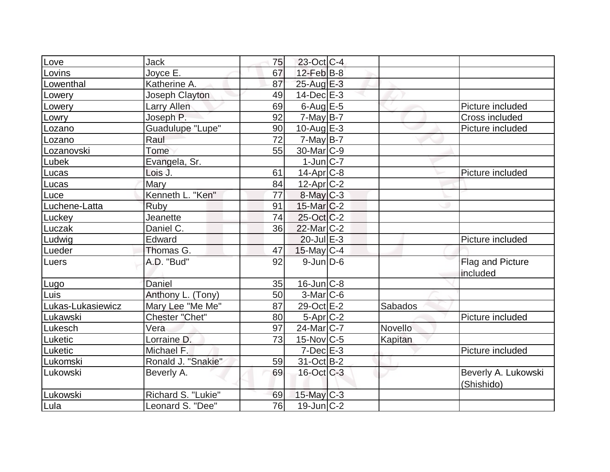| Love              | Jack                    | 75 | 23-Oct C-4             |         |                                   |
|-------------------|-------------------------|----|------------------------|---------|-----------------------------------|
| Lovins            | Joyce E.                | 67 | $12$ -Feb $ B-8 $      |         |                                   |
| Lowenthal         | Katherine A.            | 87 | 25-Aug E-3             |         |                                   |
| Lowery            | Joseph Clayton          | 49 | $14$ -Dec $E-3$        |         |                                   |
| Lowery            | Larry Allen             | 69 | 6-Aug $E-5$            |         | Picture included                  |
| Lowry             | Joseph P.               | 92 | $7$ -May B-7           |         | Cross included                    |
| Lozano            | <b>Guadulupe "Lupe"</b> | 90 | 10-Aug $E-3$           |         | Picture included                  |
| Lozano            | Raul                    | 72 | $7$ -May B-7           |         |                                   |
| Lozanovski        | Tome                    | 55 | 30-Mar <sub>IC-9</sub> |         |                                   |
| Lubek             | Evangela, Sr.           |    | $1$ -Jun $ C-7 $       |         |                                   |
| Lucas             | Lois J.                 | 61 | $14$ -Apr $C-8$        |         | Picture included                  |
| Lucas             | Mary                    | 84 | $12$ -Apr $ C-2 $      |         |                                   |
| Luce              | Kenneth L. "Ken"        | 77 | $8$ -May $C-3$         |         |                                   |
| Luchene-Latta     | <b>Ruby</b>             | 91 | $15$ -Mar $C-2$        |         |                                   |
| Luckey            | Jeanette                | 74 | 25-Oct C-2             |         |                                   |
| Luczak            | Daniel C.               | 36 | 22-Mar C-2             |         |                                   |
| Ludwig            | Edward                  |    | $20$ -Jul $E-3$        |         | Picture included                  |
| Lueder            | Thomas G.               | 47 | $15$ -May C-4          |         |                                   |
| Luers             | A.D. "Bud"              | 92 | $9$ -Jun $D$ -6        |         | Flag and Picture<br>included      |
| Lugo              | Daniel                  | 35 | $16$ -Jun $C-8$        |         |                                   |
| Luis              | Anthony L. (Tony)       | 50 | $3-Mar$ $C-6$          |         |                                   |
| Lukas-Lukasiewicz | Mary Lee "Me Me"        | 87 | 29-Oct E-2             | Sabados |                                   |
| Lukawski          | <b>Chester "Chet"</b>   | 80 | $5-Apr$ $C-2$          |         | Picture included                  |
| Lukesch           | Vera                    | 97 | $24$ -Mar $ C-7 $      | Novello |                                   |
| Luketic           | Lorraine D.             | 73 | $15$ -Nov $ C-5 $      | Kapitan |                                   |
| Luketic           | Michael F.              |    | $7$ -Dec $E-3$         |         | Picture included                  |
| Lukomski          | Ronald J. "Snakie"      | 59 | 31-Oct B-2             |         |                                   |
| Lukowski          | Beverly A.              | 69 | $16$ -Oct $C-3$        |         | Beverly A. Lukowski<br>(Shishido) |
| Lukowski          | Richard S. "Lukie"      | 69 | $15$ -May C-3          |         |                                   |
| Lula              | Leonard S. "Dee"        | 76 | $19$ -Jun $C-2$        |         |                                   |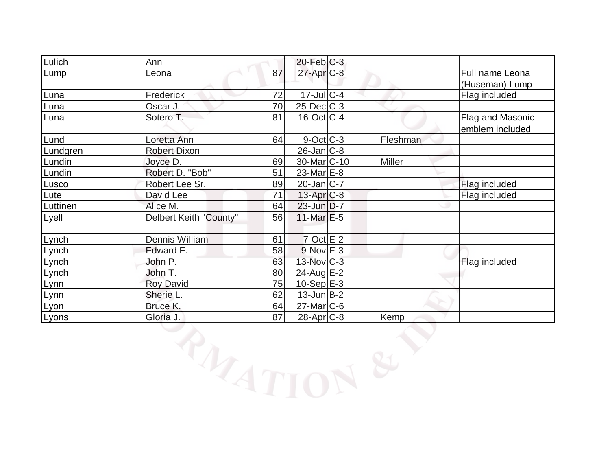| Lulich   | Ann                    |    | $20$ -Feb $C-3$    |          |                  |
|----------|------------------------|----|--------------------|----------|------------------|
| Lump     | Leona                  | 87 | $27$ -Apr $C-8$    |          | Full name Leona  |
|          |                        |    |                    |          | (Huseman) Lump   |
| Luna     | Frederick              | 72 | 17-Jul C-4         |          | Flag included    |
| Luna     | Oscar J.               | 70 | $25$ -Dec $C$ -3   |          |                  |
| Luna     | Sotero T.              | 81 | $16$ -Oct C-4      |          | Flag and Masonic |
|          |                        |    |                    |          | emblem included  |
| Lund     | Loretta Ann            | 64 | $9$ -Oct $C$ -3    | Fleshman |                  |
| Lundgren | <b>Robert Dixon</b>    |    | $26$ -Jan $ C-8 $  |          |                  |
| Lundin   | Joyce D.               | 69 | $30$ -Mar $ C-10 $ | Miller   |                  |
| Lundin   | Robert D. "Bob"        | 51 | 23-Mar $E-8$       |          |                  |
| Lusco    | Robert Lee Sr.         | 89 | $20$ -Jan $ C-7 $  |          | Flag included    |
| Lute     | David Lee              | 71 | 13-Apr C-8         |          | Flag included    |
| Luttinen | Alice M.               | 64 | $23$ -Jun $D-7$    |          |                  |
| Lyell    | Delbert Keith "County" | 56 | $11$ -Mar $E$ -5   |          |                  |
|          |                        |    |                    |          |                  |
| Lynch    | Dennis William         | 61 | $7$ -Oct $E-2$     |          |                  |
| Lynch    | Edward F.              | 58 | $9-Nov$ E-3        |          |                  |
| Lynch    | John P.                | 63 | $13-Nov$ $C-3$     |          | Flag included    |
| Lynch    | John T.                | 80 | $24$ -Aug E-2      |          |                  |
| Lynn     | <b>Roy David</b>       | 75 | $10 - SepE-3$      |          |                  |
| Lynn     | Sherie L.              | 62 | $13$ -Jun $ B-2 $  |          |                  |
| Lyon     | Bruce K.               | 64 | 27-Mar C-6         |          |                  |
| Lyons    | Gloria J.              | 87 | $28$ -Apr $C-8$    | Kemp     |                  |
|          | RIATT                  |    |                    |          |                  |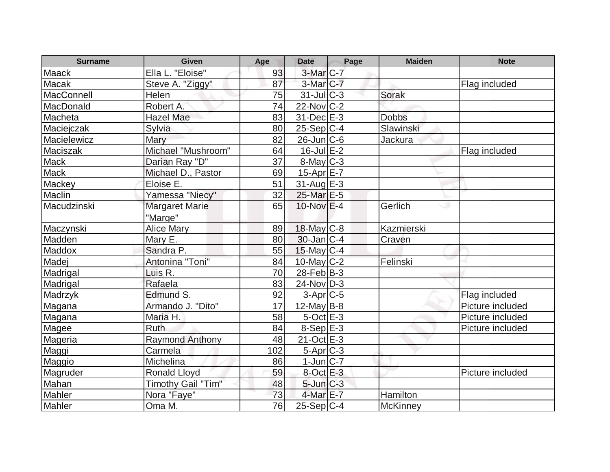| <b>Surname</b> | <b>Given</b>           | Age | <b>Date</b>       | Page | <b>Maiden</b> | <b>Note</b>      |
|----------------|------------------------|-----|-------------------|------|---------------|------------------|
| <b>Maack</b>   | Ella L. "Eloise"       | 93  | 3-Mar C-7         |      |               |                  |
| Macak          | Steve A. "Ziggy"       | 87  | $3-Mar$ $C-7$     |      |               | Flag included    |
| MacConnell     | Helen                  | 75  | $31$ -JulC-3      |      | <b>Sorak</b>  |                  |
| MacDonald      | Robert A.              | 74  | $22$ -Nov $ C-2 $ |      |               |                  |
| Macheta        | <b>Hazel Mae</b>       | 83  | $31$ -Dec $E-3$   |      | <b>Dobbs</b>  |                  |
| Maciejczak     | Sylvia                 | 80  | $25-Sep C-4$      |      | Slawinski     |                  |
| Macielewicz    | Mary                   | 82  | $26$ -Jun $ C$ -6 |      | Jackura       |                  |
| Maciszak       | Michael "Mushroom"     | 64  | $16$ -Jul $E-2$   |      |               | Flag included    |
| <b>Mack</b>    | Darian Ray "D"         | 37  | $8$ -May $C-3$    |      |               |                  |
| Mack           | Michael D., Pastor     | 69  | 15-Apr $E-7$      |      |               |                  |
| Mackey         | Eloise E.              | 51  | $31$ -Aug $E-3$   |      |               |                  |
| Maclin         | Yamessa "Niecy"        | 32  | 25-Mar E-5        |      |               |                  |
| Macudzinski    | <b>Margaret Marie</b>  | 65  | $10$ -Nov $E-4$   |      | Gerlich<br>ت  |                  |
|                | "Marge"                |     |                   |      |               |                  |
| Maczynski      | <b>Alice Mary</b>      | 89  | 18-May C-8        |      | Kazmierski    |                  |
| Madden         | Mary E.                | 80  | $30$ -Jan $ C-4 $ |      | Craven        |                  |
| Maddox         | Sandra P.              | 55  | $15$ -May C-4     |      |               |                  |
| Madej          | Antonina "Toni"        | 84  | $10$ -May C-2     |      | Felinski      |                  |
| Madrigal       | Luis R.                | 70  | $28$ -Feb $ B-3 $ |      |               |                  |
| Madrigal       | Rafaela                | 83  | $24$ -Nov $ D-3 $ |      |               |                  |
| Madrzyk        | Edmund S.              | 92  | $3-Apr$ $C-5$     |      |               | Flag included    |
| Magana         | Armando J. "Dito"      | 17  | $12$ -May B-8     |      |               | Picture included |
| Magana         | Maria H.               | 58  | $5$ -Oct $E-3$    |      |               | Picture included |
| Magee          | Ruth                   | 84  | $8-Sep$ E-3       |      |               | Picture included |
| Mageria        | <b>Raymond Anthony</b> | 48  | 21-Oct E-3        |      |               |                  |
| Maggi          | Carmela                | 102 | $5-Apr$ $C-3$     |      |               |                  |
| Maggio         | Michelina              | 86  | $1$ -Jun $ C-7 $  |      |               |                  |
| Magruder       | <b>Ronald Lloyd</b>    | 59  | $8$ -Oct $E-3$    |      |               | Picture included |
| Mahan          | Timothy Gail "Tim"     | 48  | $5$ -Jun $C-3$    |      |               |                  |
| Mahler         | Nora "Faye"            | 73  | 4-Mar E-7         |      | Hamilton      |                  |
| Mahler         | Oma M.                 | 76  | 25-Sep C-4        |      | McKinney      |                  |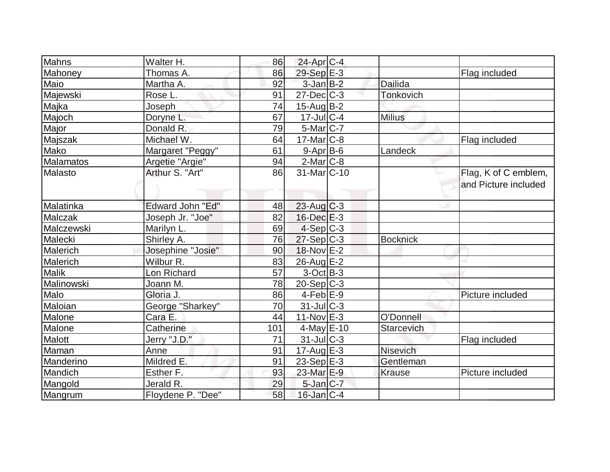| Mahns          | Walter H.         | 86  | $24$ -Apr $ C-4 $        |                  |                                              |
|----------------|-------------------|-----|--------------------------|------------------|----------------------------------------------|
| Mahoney        | Thomas A.         | 86  | 29-Sep E-3               |                  | Flag included                                |
| Maio           | Martha A.         | 92  | $3$ -Jan $B-2$           | Dailida          |                                              |
| Majewski       | Rose L.           | 91  | $27$ -Dec $ C-3 $        | <b>Tonkovich</b> |                                              |
| Majka          | Joseph            | 74  | $15$ -Aug $B-2$          |                  |                                              |
| Majoch         | Doryne L.         | 67  | $17$ -Jul $C-4$          | <b>Milius</b>    |                                              |
| Major          | Donald R.         | 79  | $5$ -Mar $ C-7 $         |                  |                                              |
| Majszak        | Michael W.        | 64  | $17$ -Mar $ C-8$         |                  | Flag included                                |
| Mako           | Margaret "Peggy"  | 61  | $9 - Apr$ B-6            | Landeck          |                                              |
| Malamatos      | Argetie "Argie"   | 94  | $2$ -Mar $ C-8 $         |                  |                                              |
| Malasto        | Arthur S. "Art"   | 86  | 31-Mar <sub>IC</sub> -10 |                  | Flag, K of C emblem,<br>and Picture included |
| Malatinka      | Edward John "Ed"  | 48  | $23$ -Aug C-3            |                  |                                              |
| <b>Malczak</b> | Joseph Jr. "Joe"  | 82  | $16$ -Dec $E-3$          |                  |                                              |
| Malczewski     | Marilyn L.        | 69  | $4-Sep C-3$              |                  |                                              |
| Malecki        | Shirley A.        | 76  | $27-Sep C-3$             | <b>Bocknick</b>  |                                              |
| Malerich       | Josephine "Josie" | 90  | 18-Nov E-2               |                  |                                              |
| Malerich       | Wilbur R.         | 83  | 26-Aug E-2               |                  |                                              |
| <b>Malik</b>   | Lon Richard       | 57  | $3-Oct$ B-3              |                  |                                              |
| Malinowski     | Joann M.          | 78  | $20-Sep C-3$             |                  |                                              |
| Malo           | Gloria J.         | 86  | $4$ -Feb $E-9$           |                  | Picture included                             |
| Maloian        | George "Sharkey"  | 70  | $31$ -JulC-3             |                  |                                              |
| Malone         | Cara E.           | 44  | $11-Nov$ E-3             | O'Donnell        |                                              |
| Malone         | Catherine         | 101 | $4$ -May $E$ -10         | Starcevich       |                                              |
| Malott         | Jerry "J.D."      | 71  | $31$ -JulC-3             |                  | Flag included                                |
| Maman          | Anne              | 91  | $17$ -Aug $E-3$          | <b>Nisevich</b>  |                                              |
| Manderino      | Mildred E.        | 91  | $23-Sep$ $E-3$           | Gentleman        |                                              |
| Mandich        | Esther F.         | 93  | 23-Mar E-9               | <b>Krause</b>    | Picture included                             |
| Mangold        | Jerald R.         | 29  | $5$ -Jan $C-7$           |                  |                                              |
| Mangrum        | Floydene P. "Dee" | 58  | $16$ -Jan $ C-4 $        |                  |                                              |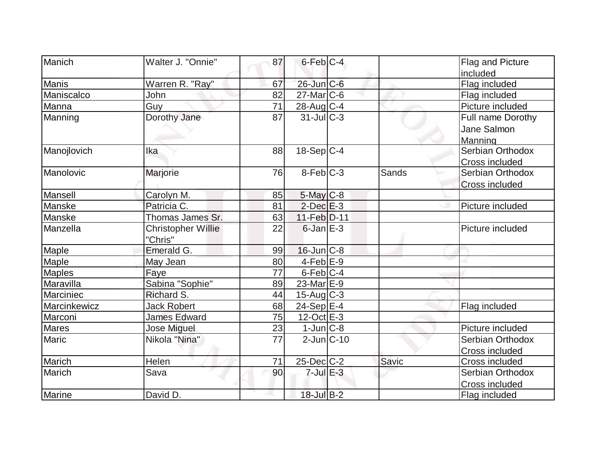| Manich        | Walter J. "Onnie"                    | 87 | $6$ -Feb $ C-4 $        |       | Flag and Picture      |
|---------------|--------------------------------------|----|-------------------------|-------|-----------------------|
|               |                                      |    |                         |       | included              |
| <b>Manis</b>  | Warren R. "Ray"                      | 67 | $26$ -Jun $C$ -6        |       | Flag included         |
| Maniscalco    | John                                 | 82 | $27$ -Mar $ C$ -6       |       | Flag included         |
| <b>Manna</b>  | Guy                                  | 71 | 28-Aug C-4              |       | Picture included      |
| Manning       | Dorothy Jane                         | 87 | $31$ -JulC-3            |       | Full name Dorothy     |
|               |                                      |    |                         |       | Jane Salmon           |
|               |                                      |    |                         |       | Manning               |
| Manojlovich   | Ika                                  | 88 | $18-Sep C-4$            |       | Serbian Orthodox      |
|               |                                      |    |                         |       | Cross included        |
| Manolovic     | Marjorie                             | 76 | $8-Feb$ $C-3$           | Sands | Serbian Orthodox      |
|               |                                      |    |                         |       | <b>Cross included</b> |
| Mansell       | Carolyn M.                           | 85 | $5$ -May $C$ -8         |       |                       |
| Manske        | Patricia C.                          | 81 | $2$ -Dec $E-3$          |       | Picture included      |
| Manske        | Thomas James Sr.                     | 63 | $11-Feb D-11$           |       |                       |
| Manzella      | <b>Christopher Willie</b><br>"Chris" | 22 | $6$ -Jan $E-3$          |       | Picture included      |
| Maple         | Emerald G.                           | 99 | $16$ -Jun $C-8$         |       |                       |
| Maple         | May Jean                             | 80 | $4-Feb$ $E-9$           |       |                       |
| <b>Maples</b> | Faye                                 | 77 | $6$ -Feb $ C-4$         |       |                       |
| Maravilla     | Sabina "Sophie"                      | 89 | 23-Mar $E-9$            |       |                       |
| Marciniec     | Richard S.                           | 44 | $15$ -Aug C-3           |       |                       |
| Marcinkewicz  | <b>Jack Robert</b>                   | 68 | $24-Sep$ <sup>E-4</sup> |       | Flag included         |
| Marconi       | <b>James Edward</b>                  | 75 | $12$ -Oct $E-3$         |       |                       |
| <b>Mares</b>  | <b>Jose Miguel</b>                   | 23 | $1$ -Jun $ C-8 $        |       | Picture included      |
| Maric         | Nikola "Nina"                        | 77 | $2$ -Jun $ C-10$        |       | Serbian Orthodox      |
|               |                                      |    |                         |       | Cross included        |
| Marich        | <b>Helen</b>                         | 71 | 25-Dec C-2              | Savic | Cross included        |
| Marich        | Sava                                 | 90 | $7$ -Jul $E-3$          |       | Serbian Orthodox      |
|               |                                      |    |                         |       | Cross included        |
| Marine        | David D.                             |    | 18-Jul B-2              |       | Flag included         |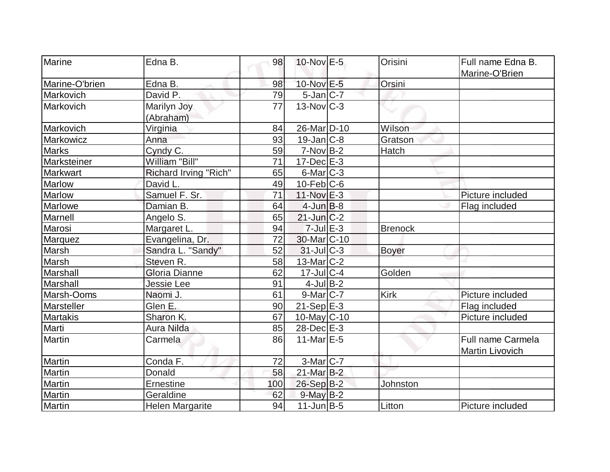| Marine          | Edna B.                | 98  | 10-Nov E-5               | Orisini        | Full name Edna B. |
|-----------------|------------------------|-----|--------------------------|----------------|-------------------|
|                 |                        |     |                          |                | Marine-O'Brien    |
| Marine-O'brien  | Edna B.                | 98  | 10-Nov E-5               | Orsini         |                   |
| Markovich       | David P.               | 79  | $5$ -Jan $ C-7 $         |                |                   |
| Markovich       | Marilyn Joy            | 77  | $13$ -Nov $ C-3 $        |                |                   |
|                 | (Abraham)              |     |                          |                |                   |
| Markovich       | Virginia               | 84  | 26-Mar <sub>D</sub> -10  | Wilson         |                   |
| Markowicz       | Anna                   | 93  | $19$ -Jan $ C-8 $        | Gratson        |                   |
| <b>Marks</b>    | Cyndy C.               | 59  | $7-Nov B-2$              | Hatch          |                   |
| Marksteiner     | William "Bill"         | 71  | $17 - Dec$ $E-3$         |                |                   |
| Markwart        | Richard Irving "Rich"  | 65  | $6$ -Mar $ C-3$          |                |                   |
| <b>Marlow</b>   | David L.               | 49  | $10$ -Feb $ C$ -6        |                |                   |
| <b>Marlow</b>   | Samuel F. Sr.          | 71  | 11-Nov E-3               |                | Picture included  |
| Marlowe         | Damian B.              | 64  | $4$ -Jun $B-8$           |                | Flag included     |
| Marnell         | Angelo S.              | 65  | $21$ -Jun $C-2$          |                |                   |
| Marosi          | Margaret L.            | 94  | $7 -$ Jul $E - 3$        | <b>Brenock</b> |                   |
| Marquez         | Evangelina, Dr.        | 72  | 30-Mar <sub>IC</sub> -10 |                |                   |
| Marsh           | Sandra L. "Sandy"      | 52  | $31$ -JulC-3             | <b>Boyer</b>   |                   |
| Marsh           | Steven R.              | 58  | $13$ -Mar $ C-2 $        |                |                   |
| Marshall        | Gloria Dianne          | 62  | $17 -$ Jul C-4           | Golden         |                   |
| Marshall        | <b>Jessie Lee</b>      | 91  | $4$ -Jul B-2             |                |                   |
| Marsh-Ooms      | Naomi J.               | 61  | $9$ -Mar $ C-7 $         | Kirk           | Picture included  |
| Marsteller      | Glen E.                | 90  | $21-Sep$ E-3             |                | Flag included     |
| <b>Martakis</b> | Sharon K.              | 67  | $10$ -May $C$ -10        |                | Picture included  |
| Marti           | Aura Nilda             | 85  | $28$ -Dec $E-3$          |                |                   |
| Martin          | Carmela                | 86  | 11-Mar $E-5$             |                | Full name Carmela |
|                 |                        |     |                          |                | Martin Livovich   |
| Martin          | Conda F.               | 72  | $3-Mar$ C-7              |                |                   |
| Martin          | Donald                 | 58  | $21$ -Mar $B-2$          |                |                   |
| Martin          | Ernestine              | 100 | 26-Sep B-2               | Johnston       |                   |
| <b>Martin</b>   | Geraldine              | 62  | $9$ -May $B-2$           |                |                   |
| Martin          | <b>Helen Margarite</b> | 94  | $11$ -Jun $B-5$          | Litton         | Picture included  |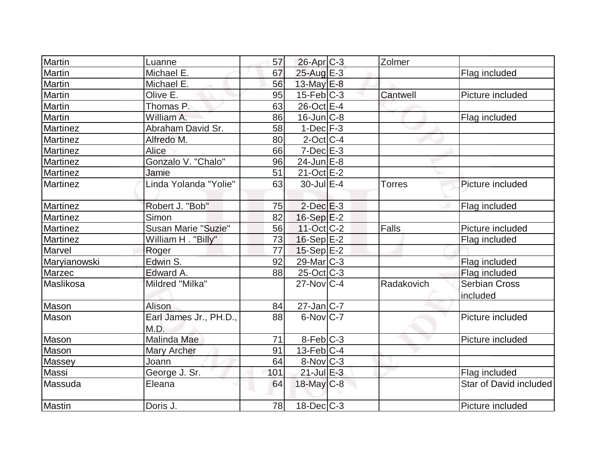| Martin          | Luanne                         | 57  | $26$ -Apr $C$ -3       | Zolmer        |                                  |
|-----------------|--------------------------------|-----|------------------------|---------------|----------------------------------|
| Martin          | Michael E.                     | 67  | 25-Aug E-3             |               | Flag included                    |
| Martin          | Michael E.                     | 56  | 13-May E-8             |               |                                  |
| Martin          | Olive E.                       | 95  | $15$ -Feb $C-3$        | Cantwell      | Picture included                 |
| <b>Martin</b>   | Thomas P.                      | 63  | 26-Oct E-4             |               |                                  |
| Martin          | William A.                     | 86  | $16$ -Jun $ C-8$       |               | Flag included                    |
| Martinez        | Abraham David Sr.              | 58  | $1-Dec$ $F-3$          |               |                                  |
| Martinez        | Alfredo M.                     | 80  | $2$ -Oct $ C-4 $       |               |                                  |
| Martinez        | <b>Alice</b>                   | 66  | $7-Dec$ $E-3$          |               |                                  |
| Martinez        | Gonzalo V. "Chalo"             | 96  | $24$ -Jun $E-8$        |               |                                  |
| <b>Martinez</b> | Jamie                          | 51  | $21-Oct$ $E-2$         |               |                                  |
| Martinez        | Linda Yolanda "Yolie"          | 63  | $30$ -Jul $E-4$        | <b>Torres</b> | Picture included                 |
| Martinez        | Robert J. "Bob"                | 75  | $2$ -Dec $E-3$         |               | Flag included                    |
| Martinez        | Simon                          | 82  | $16-Sep$ $E-2$         |               |                                  |
| Martinez        | <b>Susan Marie "Suzie"</b>     | 56  | $11-Oct$ $C-2$         | <b>Falls</b>  | Picture included                 |
| Martinez        | William H. "Billy"             | 73  | $16-Sep$ E-2           |               | Flag included                    |
| Marvel          | Roger                          | 77  | $15-Sep$ $E-2$         |               |                                  |
| Maryianowski    | Edwin S.                       | 92  | 29-Mar C-3             |               | Flag included                    |
| Marzec          | Edward A.                      | 88  | $25$ -Oct C-3          |               | Flag included                    |
| Maslikosa       | Mildred "Milka"                |     | $27$ -Nov $C-4$        | Radakovich    | <b>Serbian Cross</b><br>included |
| Mason           | Alison                         | 84  | $27$ -Jan $ C-7 $      |               |                                  |
| Mason           | Earl James Jr., PH.D.,<br>M.D. | 88  | $6$ -Nov $C$ -7        |               | Picture included                 |
| Mason           | Malinda Mae                    | 71  | 8-Feb C-3              |               | Picture included                 |
| Mason           | <b>Mary Archer</b>             | 91  | $13$ -Feb $ C-4 $      |               |                                  |
| Massey          | Joann                          | 64  | $8-Nov$ <sub>C-3</sub> |               |                                  |
| Massi           | George J. Sr.                  | 101 | $21$ -Jul E-3          |               | Flag included                    |
| Massuda         | Eleana                         | 64  | 18-May C-8             |               | Star of David included           |
| <b>Mastin</b>   | Doris J.                       | 78  | $18$ -Dec $ C-3 $      |               | Picture included                 |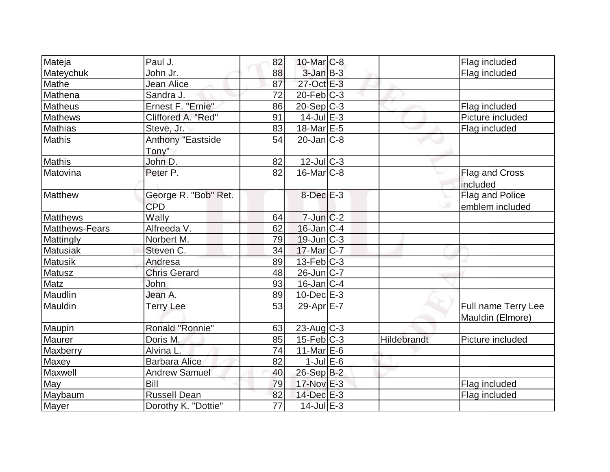| Mateja          | Paul J.                            | 82              | 10-Mar C-8        |             | Flag included                           |
|-----------------|------------------------------------|-----------------|-------------------|-------------|-----------------------------------------|
| Mateychuk       | John Jr.                           | 88              | $3$ -Jan $B-3$    |             | Flag included                           |
| Mathe           | Jean Alice                         | 87              | 27-Oct E-3        |             |                                         |
| Mathena         | Sandra J.                          | 72              | $20$ -Feb $ C-3 $ |             |                                         |
| <b>Matheus</b>  | Ernest F. "Ernie"                  | 86              | $20-Sep C-3$      |             | Flag included                           |
| <b>Mathews</b>  | Cliffored A. "Red"                 | 91              | $14$ -Jul $E-3$   |             | Picture included                        |
| Mathias         | Steve, Jr.                         | 83              | 18-Mar E-5        |             | Flag included                           |
| <b>Mathis</b>   | <b>Anthony "Eastside</b><br>Tony"  | 54              | $20$ -Jan $C-8$   |             |                                         |
| <b>Mathis</b>   | John D.                            | 82              | $12$ -JulC-3      |             |                                         |
| Matovina        | Peter P.                           | 82              | $16$ -Mar $ C-8 $ |             | Flag and Cross<br>included              |
| Matthew         | George R. "Bob" Ret.<br><b>CPD</b> |                 | $8$ -Dec $E-3$    |             | Flag and Police<br>emblem included      |
| Matthews        | Wally                              | 64              | $7$ -Jun $C-2$    |             |                                         |
| Matthews-Fears  | Alfreeda V.                        | 62              | $16$ -Jan $ C-4 $ |             |                                         |
| Mattingly       | Norbert M.                         | 79              | $19$ -Jun $ C-3 $ |             |                                         |
| <b>Matusiak</b> | Steven C.                          | 34              | $17$ -Mar $ C-7 $ |             |                                         |
| <b>Matusik</b>  | Andresa                            | 89              | 13-Feb C-3        |             |                                         |
| Matusz          | <b>Chris Gerard</b>                | 48              | $26$ -Jun $ C-7$  |             |                                         |
| Matz            | John                               | 93              | $16$ -Jan $ C-4$  |             |                                         |
| Maudlin         | Jean A.                            | 89              | $10$ -Dec $E-3$   |             |                                         |
| Mauldin         | <b>Terry Lee</b>                   | 53              | 29-Apr E-7        |             | Full name Terry Lee<br>Mauldin (Elmore) |
| Maupin          | Ronald "Ronnie"                    | 63              | $23$ -Aug C-3     |             |                                         |
| <b>Maurer</b>   | Doris M.                           | 85              | $15$ -Feb $C-3$   | Hildebrandt | Picture included                        |
| Maxberry        | Alvina L.                          | 74              | $11$ -Mar $E$ -6  |             |                                         |
| Maxey           | <b>Barbara Alice</b>               | 82              | $1$ -Jul $E$ -6   |             |                                         |
| Maxwell         | <b>Andrew Samuel</b>               | 40              | 26-Sep B-2        |             |                                         |
| May             | Bill                               | 79              | 17-Nov E-3        |             | Flag included                           |
| Maybaum         | <b>Russell Dean</b>                | 82              | 14-Dec E-3        |             | Flag included                           |
| Mayer           | Dorothy K. "Dottie"                | $\overline{77}$ | $14$ -Jul $E-3$   |             |                                         |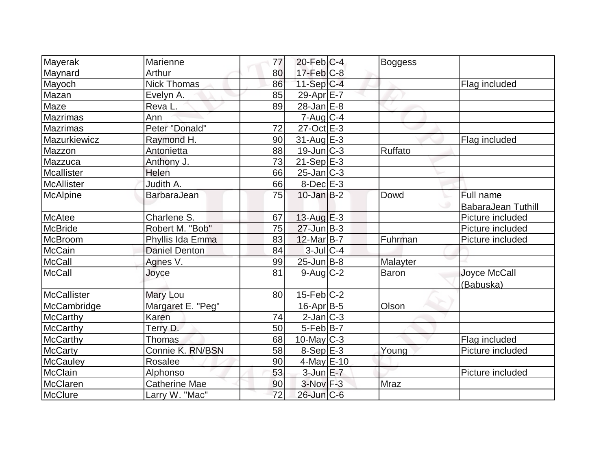| Mayerak            | Marienne             | 77 | $20$ -Feb $C-4$   |                |                           |
|--------------------|----------------------|----|-------------------|----------------|---------------------------|
|                    | Arthur               | 80 | $17$ -Feb $ C-8 $ | <b>Boggess</b> |                           |
| Maynard            | <b>Nick Thomas</b>   | 86 | $11-Sep C-4$      |                |                           |
| Mayoch             |                      | 85 | 29-Apr $E-7$      |                | Flag included             |
| <b>Mazan</b>       | Evelyn A.            |    |                   |                |                           |
| Maze               | Reva L.              | 89 | $28$ -Jan $E-8$   |                |                           |
| <b>Mazrimas</b>    | Ann                  |    | $7 - Aug   C-4$   |                |                           |
| <b>Mazrimas</b>    | Peter "Donald"       | 72 | $27-Oct$ $E-3$    |                |                           |
| Mazurkiewicz       | Raymond H.           | 90 | $31$ -Aug $E-3$   |                | Flag included             |
| Mazzon             | Antonietta           | 88 | $19$ -Jun $ C-3 $ | Ruffato        |                           |
| Mazzuca            | Anthony J.           | 73 | $21-Sep$ $E-3$    |                |                           |
| Mcallister         | Helen                | 66 | $25$ -Jan $ C-3 $ |                |                           |
| <b>McAllister</b>  | Judith A.            | 66 | $8-Dec$ $E-3$     |                |                           |
| McAlpine           | <b>BarbaraJean</b>   | 75 | $10$ -Jan B-2     | Dowd           | Full name                 |
|                    |                      |    |                   |                | <b>BabaraJean Tuthill</b> |
| McAtee             | Charlene S.          | 67 | $13$ -Aug E-3     |                | Picture included          |
| <b>McBride</b>     | Robert M. "Bob"      | 75 | $27 - Jun$ B-3    |                | Picture included          |
| McBroom            | Phyllis Ida Emma     | 83 | 12-Mar B-7        | Fuhrman        | Picture included          |
| <b>McCain</b>      | <b>Daniel Denton</b> | 84 | $3$ -Jul $C-4$    |                |                           |
| <b>McCall</b>      | Agnes V.             | 99 | $25$ -Jun $B$ -8  | Malayter       |                           |
| <b>McCall</b>      | Joyce                | 81 | $9$ -Aug $C$ -2   | <b>Baron</b>   | Joyce McCall              |
|                    |                      |    |                   |                | (Babuska)                 |
| <b>McCallister</b> | Mary Lou             | 80 | $15$ -Feb $ C-2 $ |                |                           |
| McCambridge        | Margaret E. "Peg"    |    | $16$ -Apr $ B-5 $ | Olson          |                           |
| <b>McCarthy</b>    | Karen                | 74 | $2$ -Jan $ C-3 $  |                |                           |
| <b>McCarthy</b>    | Terry D.             | 50 | $5$ -Feb $B$ -7   |                |                           |
| <b>McCarthy</b>    | Thomas               | 68 | $10$ -May C-3     |                | Flag included             |
| <b>McCarty</b>     | Connie K. RN/BSN     | 58 | $8-Sep$ $E-3$     | Young          | Picture included          |
| <b>McCauley</b>    | Rosalee              | 90 | $4$ -May $E$ -10  |                |                           |
| <b>McClain</b>     | Alphonso             | 53 | $3$ -Jun $E - 7$  |                | Picture included          |
| <b>McClaren</b>    | <b>Catherine Mae</b> | 90 | $3-Nov$ $F-3$     | Mraz           |                           |
| McClure            | Larry W. "Mac"       | 72 | $26$ -Jun $C$ -6  |                |                           |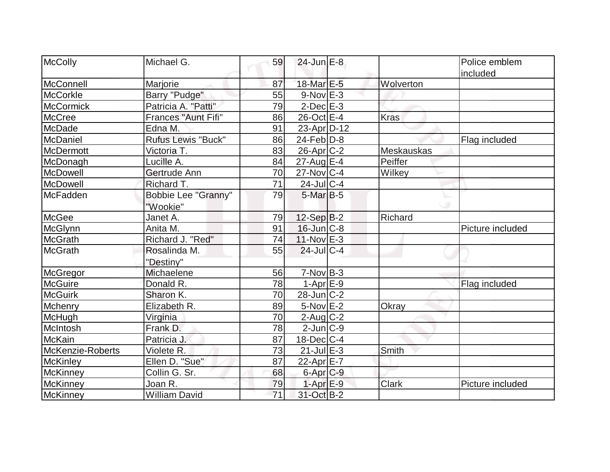| McColly          | Michael G.                 | 59 | $24$ -Jun $E-8$   |             | Police emblem    |
|------------------|----------------------------|----|-------------------|-------------|------------------|
|                  |                            |    |                   |             | included         |
| McConnell        | Marjorie                   | 87 | 18-Mar E-5        | Wolverton   |                  |
| <b>McCorkle</b>  | Barry "Pudge"              | 55 | $9-Nov$ E-3       |             |                  |
| McCormick        | Patricia A. "Patti"        | 79 | $2$ -Dec $E-3$    |             |                  |
| <b>McCree</b>    | Frances "Aunt Fifi"        | 86 | $26$ -Oct $E-4$   | <b>Kras</b> |                  |
| McDade           | Edna M.                    | 91 | $23$ -Apr $D-12$  |             |                  |
| McDaniel         | <b>Rufus Lewis "Buck"</b>  | 86 | $24$ -Feb $ D-8 $ |             | Flag included    |
| McDermott        | Victoria T.                | 83 | $26$ -Apr $C-2$   | Meskauskas  |                  |
| McDonagh         | Lucille A.                 | 84 | $27-AugE-4$       | Peiffer     |                  |
| McDowell         | Gertrude Ann               | 70 | $27$ -Nov $ C-4$  | Wilkey      |                  |
| McDowell         | Richard T.                 | 71 | $24$ -JulC-4      |             |                  |
| <b>McFadden</b>  | <b>Bobbie Lee "Granny"</b> | 79 | $5$ -Mar $B-5$    |             |                  |
|                  | "Wookie"                   |    |                   |             |                  |
| McGee            | Janet A.                   | 79 | $12-Sep B-2$      | Richard     |                  |
| McGlynn          | Anita M.                   | 91 | $16$ -Jun $C-8$   |             | Picture included |
| <b>McGrath</b>   | Richard J. "Red"           | 74 | $11-Nov$ E-3      |             |                  |
| <b>McGrath</b>   | Rosalinda M.               | 55 | $24$ -JulC-4      |             |                  |
|                  | "Destiny"                  |    |                   |             |                  |
| McGregor         | Michaelene                 | 56 | $7-Nov B-3$       |             |                  |
| <b>McGuire</b>   | Donald R.                  | 78 | $1-AprE-9$        |             | Flag included    |
| <b>McGuirk</b>   | Sharon K.                  | 70 | $28 - Jun$ $C-2$  |             |                  |
| Mchenry          | Elizabeth R.               | 89 | $5-Nov$ $E-2$     | Okray       |                  |
| McHugh           | Virginia                   | 70 | $2$ -Aug $C-2$    |             |                  |
| McIntosh         | Frank D.                   | 78 | $2$ -Jun $ C-9 $  |             |                  |
| <b>McKain</b>    | Patricia J.                | 87 | $18$ -Dec $ C-4 $ |             |                  |
| McKenzie-Roberts | Violete R.                 | 73 | $21$ -Jul $E-3$   | Smith       |                  |
| McKinley         | Ellen D. "Sue"             | 87 | 22-Apr E-7        |             |                  |
| McKinney         | Collin G. Sr.              | 68 | 6-Apr C-9         |             |                  |
| <b>McKinney</b>  | Joan R.                    | 79 | $1-AprE-9$        | Clark       | Picture included |
| McKinney         | <b>William David</b>       | 71 | 31-Oct B-2        |             |                  |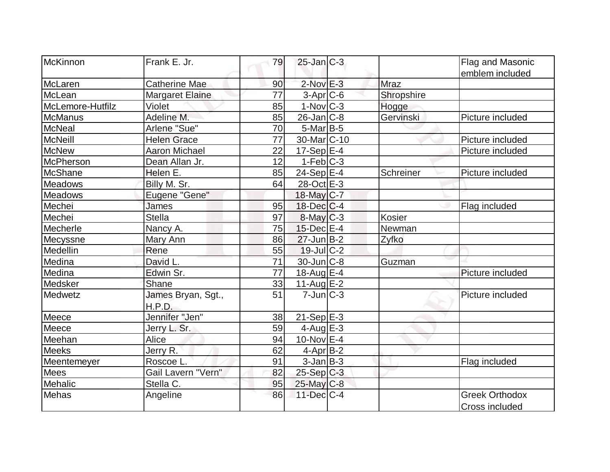| McKinnon         | Frank E. Jr.                 | 79 | $25$ -Jan $C-3$         |               | Flag and Masonic                        |
|------------------|------------------------------|----|-------------------------|---------------|-----------------------------------------|
|                  |                              |    |                         |               | emblem included                         |
| McLaren          | <b>Catherine Mae</b>         | 90 | $2$ -Nov $E-3$          | <b>Mraz</b>   |                                         |
| McLean           | <b>Margaret Elaine</b>       | 77 | $3-Apr$ $C-6$           | Shropshire    |                                         |
| McLemore-Hutfilz | Violet                       | 85 | $1-Nov$ $C-3$           | Hogge         |                                         |
| <b>McManus</b>   | Adeline M.                   | 85 | $26$ -Jan $ C-8 $       | Gervinski     | Picture included                        |
| <b>McNeal</b>    | Arlene "Sue"                 | 70 | $5$ -Mar $ B-5 $        |               |                                         |
| McNeill          | <b>Helen Grace</b>           | 77 | 30-Mar <sub>C</sub> -10 |               | Picture included                        |
| <b>McNew</b>     | <b>Aaron Michael</b>         | 22 | $17-Sep$ <sup>E-4</sup> |               | Picture included                        |
| <b>McPherson</b> | Dean Allan Jr.               | 12 | $1-Feb C-3$             |               |                                         |
| <b>McShane</b>   | Helen E.                     | 85 | $24-Sep$ E-4            | Schreiner     | Picture included                        |
| <b>Meadows</b>   | Billy M. Sr.                 | 64 | 28-Oct E-3              |               |                                         |
| <b>Meadows</b>   | Eugene "Gene"                |    | 18-May C-7              |               |                                         |
| Mechei           | James                        | 95 | $18$ -Dec $ C-4 $       |               | Flag included                           |
| Mechei           | <b>Stella</b>                | 97 | $8$ -May $C-3$          | <b>Kosier</b> |                                         |
| Mecherle         | Nancy A.                     | 75 | 15-Dec E-4              | Newman        |                                         |
| Mecyssne         | Mary Ann                     | 86 | $27$ -Jun $B-2$         | Zyfko         |                                         |
| Medellin         | Rene                         | 55 | $19$ -JulC-2            |               |                                         |
| Medina           | David <sub>L.</sub>          | 71 | $30$ -Jun $C-8$         | Guzman        |                                         |
| Medina           | Edwin Sr.                    | 77 | 18-Aug $E-4$            |               | Picture included                        |
| Medsker          | Shane                        | 33 | 11-Aug $E-2$            |               |                                         |
| Medwetz          | James Bryan, Sgt.,<br>H.P.D. | 51 | $7$ -Jun $ C-3 $        |               | Picture included                        |
| Meece            | Jennifer "Jen"               | 38 | $21-Sep$ E-3            |               |                                         |
| Meece            | Jerry L. Sr.                 | 59 | 4-Aug $E-3$             |               |                                         |
| Meehan           | Alice                        | 94 | $10$ -Nov $E-4$         |               |                                         |
| <b>Meeks</b>     | Jerry R.                     | 62 | $4$ -Apr $B$ -2         |               |                                         |
| Meentemeyer      | Roscoe L.                    | 91 | $3$ -Jan $ B-3 $        |               | Flag included                           |
| Mees             | Gail Lavern "Vern"           | 82 | $25-Sep$ C-3            |               |                                         |
| Mehalic          | Stella C.                    | 95 | $25$ -May C-8           |               |                                         |
| Mehas            | Angeline                     | 86 | $11$ -Dec $C$ -4        |               | <b>Greek Orthodox</b><br>Cross included |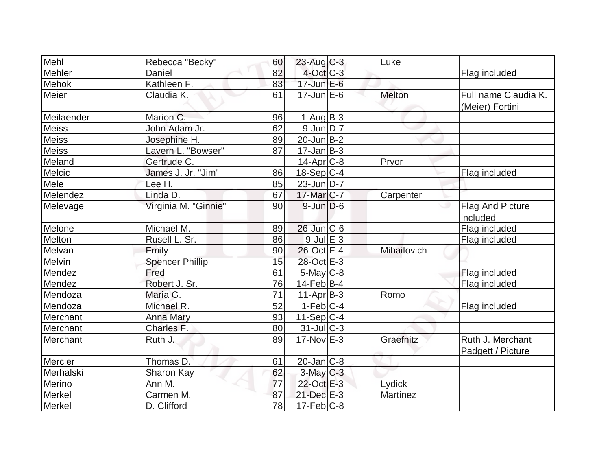| Mehl         |                        |    |                   | Luke            |                                         |
|--------------|------------------------|----|-------------------|-----------------|-----------------------------------------|
|              | Rebecca "Becky"        | 60 | $23$ -Aug C-3     |                 |                                         |
| Mehler       | Daniel                 | 82 | 4-Oct C-3         |                 | Flag included                           |
| Mehok        | Kathleen F.            | 83 | $17$ -Jun $E$ -6  |                 |                                         |
| Meier        | Claudia K.             | 61 | $17$ -Jun $E$ -6  | <b>Melton</b>   | Full name Claudia K.<br>(Meier) Fortini |
| Meilaender   | Marion C.              | 96 | $1-Aug B-3$       |                 |                                         |
| Meiss        | John Adam Jr.          | 62 | $9$ -Jun $D-7$    |                 |                                         |
| <b>Meiss</b> | Josephine H.           | 89 | $20$ -Jun $B-2$   |                 |                                         |
| <b>Meiss</b> | Lavern L. "Bowser"     | 87 | $17 - Jan$ B-3    |                 |                                         |
| Meland       | Gertrude C.            |    | $14$ -Apr $C-8$   | Pryor           |                                         |
| Melcic       | James J. Jr. "Jim"     | 86 | $18-Sep C-4$      |                 | Flag included                           |
| Mele         | Lee H.                 | 85 | $23$ -Jun $ D-7 $ |                 |                                         |
| Melendez     | Linda D.               | 67 | 17-Mar C-7        | Carpenter       |                                         |
| Melevage     | Virginia M. "Ginnie"   | 90 | $9$ -Jun $D$ -6   |                 | Flag And Picture<br>included            |
| Melone       | Michael M.             | 89 | $26$ -Jun $ C-6$  |                 | Flag included                           |
| Melton       | Rusell L. Sr.          | 86 | $9$ -Jul $E-3$    |                 | Flag included                           |
| Melvan       | Emily                  | 90 | $26$ -Oct $E-4$   | Mihailovich     |                                         |
| Melvin       | <b>Spencer Phillip</b> | 15 | 28-Oct E-3        |                 |                                         |
| Mendez       | Fred                   | 61 | $5$ -May $C$ -8   |                 | Flag included                           |
| Mendez       | Robert J. Sr.          | 76 | $14$ -Feb $ B-4$  |                 | Flag included                           |
| Mendoza      | Maria G.               | 71 | $11-Apr B-3$      | Romo            |                                         |
| Mendoza      | Michael R.             | 52 | $1-Feb$ C-4       |                 | Flag included                           |
| Merchant     | <b>Anna Mary</b>       | 93 | $11-Sep C-4$      |                 |                                         |
| Merchant     | Charles F.             | 80 | $31$ -JulC-3      |                 |                                         |
| Merchant     | Ruth J.                | 89 | $17$ -Nov $E-3$   | Graefnitz       | Ruth J. Merchant<br>Padgett / Picture   |
| Mercier      | Thomas D.              | 61 | $20$ -Jan $ C-8 $ |                 |                                         |
| Merhalski    | Sharon Kay             | 62 | $3$ -May $C-3$    |                 |                                         |
| Merino       | Ann M.                 | 77 | 22-Oct E-3        | Lydick          |                                         |
| Merkel       | Carmen M.              | 87 | 21-Dec E-3        | <b>Martinez</b> |                                         |
| Merkel       | D. Clifford            | 78 | $17$ -Feb $ C-8 $ |                 |                                         |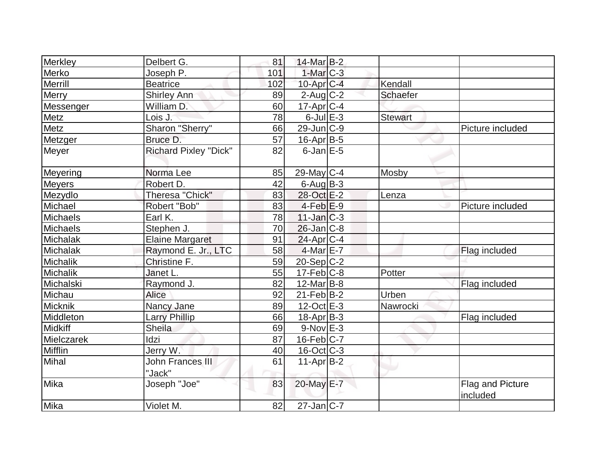| <b>Beatrice</b>              | 102                                                                                         |           |                                                                                                                                                                                                                                                                                                                                                                                                                                                                                                                                                           |                              |
|------------------------------|---------------------------------------------------------------------------------------------|-----------|-----------------------------------------------------------------------------------------------------------------------------------------------------------------------------------------------------------------------------------------------------------------------------------------------------------------------------------------------------------------------------------------------------------------------------------------------------------------------------------------------------------------------------------------------------------|------------------------------|
| <b>Shirley Ann</b>           | 89                                                                                          |           | <b>Schaefer</b>                                                                                                                                                                                                                                                                                                                                                                                                                                                                                                                                           |                              |
| William D.                   | 60                                                                                          |           |                                                                                                                                                                                                                                                                                                                                                                                                                                                                                                                                                           |                              |
| Lois J.                      | 78                                                                                          |           | <b>Stewart</b>                                                                                                                                                                                                                                                                                                                                                                                                                                                                                                                                            |                              |
|                              | 66                                                                                          |           |                                                                                                                                                                                                                                                                                                                                                                                                                                                                                                                                                           | Picture included             |
| Bruce D.                     | 57                                                                                          |           |                                                                                                                                                                                                                                                                                                                                                                                                                                                                                                                                                           |                              |
| <b>Richard Pixley "Dick"</b> | 82                                                                                          |           |                                                                                                                                                                                                                                                                                                                                                                                                                                                                                                                                                           |                              |
| Norma Lee                    | 85                                                                                          |           | Mosby                                                                                                                                                                                                                                                                                                                                                                                                                                                                                                                                                     |                              |
|                              | 42                                                                                          |           |                                                                                                                                                                                                                                                                                                                                                                                                                                                                                                                                                           |                              |
|                              | 83                                                                                          |           | Lenza                                                                                                                                                                                                                                                                                                                                                                                                                                                                                                                                                     |                              |
| Robert "Bob"                 | 83                                                                                          |           |                                                                                                                                                                                                                                                                                                                                                                                                                                                                                                                                                           | Picture included             |
| Earl K.                      | 78                                                                                          |           |                                                                                                                                                                                                                                                                                                                                                                                                                                                                                                                                                           |                              |
| Stephen J.                   | 70                                                                                          |           |                                                                                                                                                                                                                                                                                                                                                                                                                                                                                                                                                           |                              |
| <b>Elaine Margaret</b>       | 91                                                                                          |           |                                                                                                                                                                                                                                                                                                                                                                                                                                                                                                                                                           |                              |
| Raymond E. Jr., LTC          | 58                                                                                          |           |                                                                                                                                                                                                                                                                                                                                                                                                                                                                                                                                                           | Flag included                |
| Christine F.                 | 59                                                                                          |           |                                                                                                                                                                                                                                                                                                                                                                                                                                                                                                                                                           |                              |
| Janet L.                     | 55                                                                                          |           | Potter                                                                                                                                                                                                                                                                                                                                                                                                                                                                                                                                                    |                              |
| Raymond J.                   | 82                                                                                          |           |                                                                                                                                                                                                                                                                                                                                                                                                                                                                                                                                                           | Flag included                |
| <b>Alice</b>                 | 92                                                                                          |           | Urben                                                                                                                                                                                                                                                                                                                                                                                                                                                                                                                                                     |                              |
| Nancy Jane                   | 89                                                                                          |           | Nawrocki                                                                                                                                                                                                                                                                                                                                                                                                                                                                                                                                                  |                              |
| <b>Larry Phillip</b>         | 66                                                                                          |           |                                                                                                                                                                                                                                                                                                                                                                                                                                                                                                                                                           | Flag included                |
| Sheila                       | 69                                                                                          |           |                                                                                                                                                                                                                                                                                                                                                                                                                                                                                                                                                           |                              |
| Idzi                         | 87                                                                                          |           |                                                                                                                                                                                                                                                                                                                                                                                                                                                                                                                                                           |                              |
| Jerry W.                     | 40                                                                                          |           |                                                                                                                                                                                                                                                                                                                                                                                                                                                                                                                                                           |                              |
| <b>John Frances III</b>      | 61                                                                                          |           |                                                                                                                                                                                                                                                                                                                                                                                                                                                                                                                                                           |                              |
| Joseph "Joe"                 | 83                                                                                          |           |                                                                                                                                                                                                                                                                                                                                                                                                                                                                                                                                                           | Flag and Picture<br>included |
| Violet M.                    | 82                                                                                          |           |                                                                                                                                                                                                                                                                                                                                                                                                                                                                                                                                                           |                              |
|                              | Delbert G.<br>Joseph P.<br>Sharon "Sherry"<br>Robert D.<br><b>Theresa "Chick"</b><br>"Jack" | 81<br>101 | $14$ -Mar $B-2$<br>$1$ -Mar $C-3$<br>$10$ -Apr $C-4$<br>$2$ -Aug C-2<br>$17$ -Apr $ C-4 $<br>$6$ -Jul $E-3$<br>$29$ -Jun $ C-9$<br>$16$ -Apr $B$ -5<br>$6$ -Jan $E$ -5<br>$29$ -May C-4<br>$6$ -Aug $B$ -3<br>28-Oct E-2<br>$4-Feb$ $E-9$<br>$11$ -Jan $ C-3 $<br>$26$ -Jan $ C-8 $<br>$24$ -Apr $ C-4$<br>$4$ -Mar $E$ -7<br>$20-Sep C-2$<br>$17$ -Feb $ C-8$<br>$12$ -Mar $ B-8 $<br>$21$ -Feb $ B-2 $<br>$12$ -Oct $E-3$<br>$18$ -Apr $ B-3 $<br>$9-Nov$ $E-3$<br>$16$ -Feb $C$ -7<br>$16$ -Oct $ C-3 $<br>$11-Apr B-2$<br>20-May E-7<br>$27$ -Jan C-7 | Kendall                      |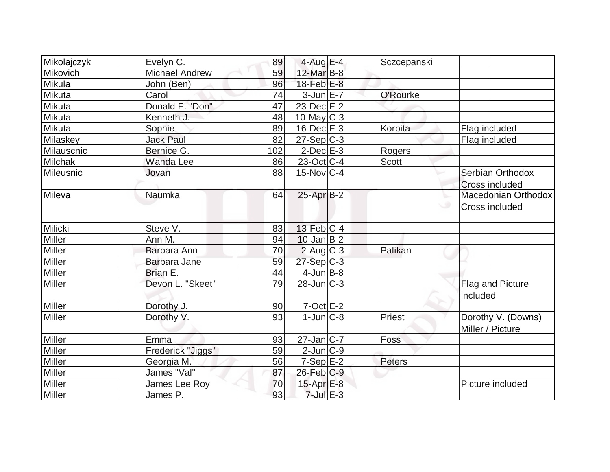| Mikolajczyk     | Evelyn C.             | 89  | $4$ -Aug E-4      | Sczcepanski  |                                        |
|-----------------|-----------------------|-----|-------------------|--------------|----------------------------------------|
| <b>Mikovich</b> | <b>Michael Andrew</b> | 59  | 12-Mar B-8        |              |                                        |
| Mikula          | John (Ben)            | 96  | $18$ -Feb $E-8$   |              |                                        |
| Mikuta          | Carol                 | 74  | $3$ -Jun $E - 7$  | O'Rourke     |                                        |
| Mikuta          | Donald E. "Don"       | 47  | $23$ -Dec $E-2$   |              |                                        |
| Mikuta          | Kenneth J.            | 48  | $10$ -May $ C-3 $ |              |                                        |
| Mikuta          | Sophie                | 89  | $16$ -Dec $E-3$   | Korpita      | Flag included                          |
| Milaskey        | <b>Jack Paul</b>      | 82  | $27-Sep C-3$      |              | Flag included                          |
| Milauscnic      | Bernice G.            | 102 | $2$ -Dec $E-3$    | Rogers       |                                        |
| Milchak         | <b>Wanda Lee</b>      | 86  | 23-Oct C-4        | <b>Scott</b> |                                        |
| Mileusnic       | Jovan                 | 88  | $15$ -Nov $ C-4$  |              | Serbian Orthodox                       |
|                 |                       |     |                   |              | <b>Cross included</b>                  |
| Mileva          | Naumka                | 64  | $25$ -Apr $B-2$   |              | Macedonian Orthodox                    |
|                 |                       |     |                   |              | Cross included                         |
| Milicki         | Steve V.              | 83  | $13$ -Feb $ C-4$  |              |                                        |
| <b>Miller</b>   | Ann M.                | 94  | $10$ -Jan $ B-2 $ |              |                                        |
| Miller          | Barbara Ann           | 70  | $2$ -Aug C-3      | Palikan      |                                        |
| Miller          | Barbara Jane          | 59  | $27-Sep C-3$      |              |                                        |
| Miller          | Brian E.              | 44  | $4$ -Jun $B$ -8   |              |                                        |
| <b>Miller</b>   | Devon L. "Skeet"      | 79  | $28$ -Jun $ C-3 $ |              | Flag and Picture<br>included           |
| Miller          | Dorothy J.            | 90  | $7-Oct \tE-2$     |              |                                        |
| Miller          | Dorothy V.            | 93  | $1$ -Jun $ C-8 $  | Priest       | Dorothy V. (Downs)<br>Miller / Picture |
| Miller          | Emma                  | 93  | $27$ -Jan $ C-7 $ | Foss         |                                        |
| Miller          | Frederick "Jiggs"     | 59  | $2$ -Jun $ C-9 $  |              |                                        |
| Miller          | Georgia M.            | 56  | $7-Sep$ $E-2$     | Peters       |                                        |
| Miller          | James "Val"           | 87  | $26$ -Feb $C-9$   |              |                                        |
| Miller          | James Lee Roy         | 70  | $15$ -Apr $E-8$   |              | Picture included                       |
| Miller          | James P.              | 93  | $7$ -Jul $E-3$    |              |                                        |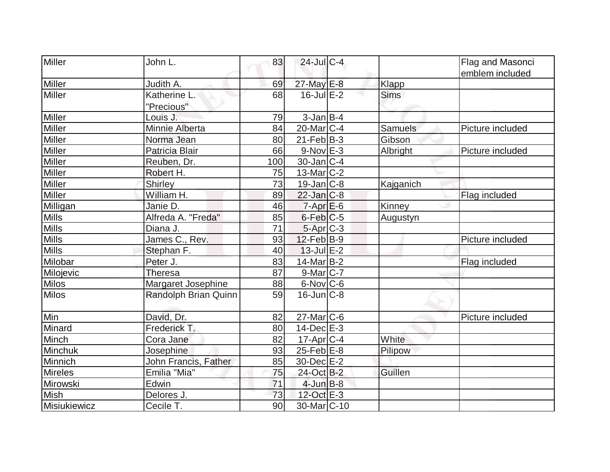| Miller        | John L.                    | 83  | $24$ -Jul C-4          |             | Flag and Masonci |
|---------------|----------------------------|-----|------------------------|-------------|------------------|
|               |                            |     |                        |             | emblem included  |
| Miller        | Judith A.                  | 69  | 27-May E-8             | Klapp       |                  |
| <b>Miller</b> | Katherine L.<br>"Precious" | 68  | $16$ -Jul $E-2$        | <b>Sims</b> |                  |
| Miller        | Louis J.                   | 79  | $3$ -Jan $B$ -4        |             |                  |
| Miller        | Minnie Alberta             | 84  | $20$ -Mar $ C-4 $      | Samuels     | Picture included |
| Miller        | Norma Jean                 | 80  | $21$ -Feb $B-3$        | Gibson      |                  |
| <b>Miller</b> | Patricia Blair             | 66  | $9-Nov$ $E-3$          | Albright    | Picture included |
| <b>Miller</b> | Reuben, Dr.                | 100 | $30$ -Jan $ C-4$       |             |                  |
| Miller        | Robert H.                  | 75  | $13$ -Mar $ C-2 $      |             |                  |
| Miller        | Shirley                    | 73  | $19$ -Jan $ C-8$       | Kajganich   |                  |
| <b>Miller</b> | William H.                 | 89  | $22$ -Jan $C-8$        |             | Flag included    |
| Milligan      | Janie D.                   | 46  | $7 - Apr$ $E-6$        | Kinney      |                  |
| <b>Mills</b>  | Alfreda A. "Freda"         | 85  | $6$ -Feb $C$ -5        | Augustyn    |                  |
| Mills         | Diana J.                   | 71  | 5-Apr C-3              |             |                  |
| <b>Mills</b>  | James C., Rev.             | 93  | $12$ -Feb $ B-9 $      |             | Picture included |
| <b>Mills</b>  | Stephan F.                 | 40  | $13$ -Jul $E-2$        |             |                  |
| Milobar       | Peter J.                   | 83  | 14-Mar B-2             |             | Flag included    |
| Milojevic     | <b>Theresa</b>             | 87  | $9$ -Mar $ C-7$        |             |                  |
| <b>Milos</b>  | Margaret Josephine         | 88  | $6$ -Nov $ C$ -6       |             |                  |
| <b>Milos</b>  | Randolph Brian Quinn       | 59  | $16$ -Jun $C-8$        |             |                  |
| Min           | David, Dr.                 | 82  | $27$ -Mar $C$ -6       |             | Picture included |
| Minard        | Frederick T.               | 80  | $14$ -Dec $E-3$        |             |                  |
| Minch         | Cora Jane                  | 82  | $17$ -Apr $C-4$        | White       |                  |
| Minchuk       | Josephine                  | 93  | $25$ -Feb $E$ -8       | Pilipow     |                  |
| Minnich       | John Francis, Father       | 85  | 30-Dec E-2             |             |                  |
| Mireles       | Emilia "Mia"               | 75  | 24-Oct B-2             | Guillen     |                  |
| Mirowski      | Edwin                      | 71  | $4$ -Jun $B-8$         |             |                  |
| Mish          | Delores J.                 | 73  | 12-Oct E-3             |             |                  |
| Misiukiewicz  | Cecile T.                  | 90  | 30-Mar <sub>C-10</sub> |             |                  |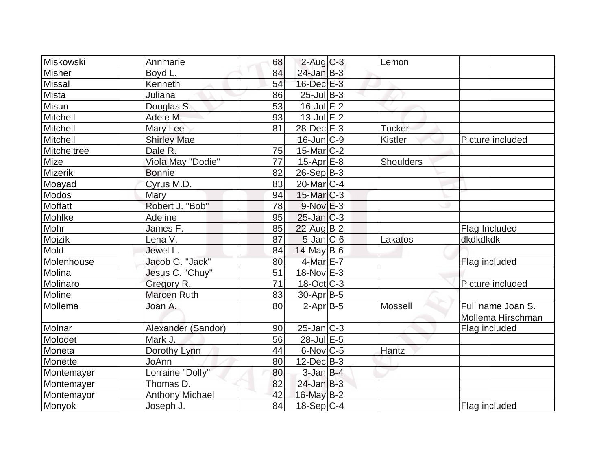| <b>Miskowski</b> | Annmarie               | 68 | $2$ -Aug C-3             | Lemon          |                   |
|------------------|------------------------|----|--------------------------|----------------|-------------------|
| <b>Misner</b>    | Boyd L.                | 84 | $24$ -Jan $B-3$          |                |                   |
| <b>Missal</b>    | Kenneth                | 54 | 16-Dec E-3               |                |                   |
| Mista            | Juliana                | 86 | $25$ -Jul B-3            |                |                   |
| Misun            | Douglas S.             | 53 | $16$ -Jul $E-2$          |                |                   |
| Mitchell         | Adele M.               | 93 | $13$ -Jul $E-2$          |                |                   |
| Mitchell         | Mary Lee               | 81 | 28-Dec E-3               | <b>Tucker</b>  |                   |
| Mitchell         | <b>Shirley Mae</b>     |    | $16$ -Jun $ C-9 $        | <b>Kistler</b> | Picture included  |
| Mitcheltree      | Dale R.                | 75 | $15$ -Mar $ C-2 $        |                |                   |
| Mize             | Viola May "Dodie"      | 77 | $15$ -Apr $E$ -8         | Shoulders      |                   |
| <b>Mizerik</b>   | <b>Bonnie</b>          | 82 | $26-Sep B-3$             |                |                   |
| Moayad           | Cyrus M.D.             | 83 | $20$ -Mar $ C-4 $        |                |                   |
| <b>Modos</b>     | Mary                   | 94 | $15$ -Mar $ C-3 $        |                |                   |
| Moffatt          | Robert J. "Bob"        | 78 | $9-Nov$ $E-3$            |                |                   |
| Mohlke           | Adeline                | 95 | $25$ -Jan $ C-3 $        |                |                   |
| Mohr             | James F.               | 85 | $22$ -Aug B-2            |                | Flag Included     |
| Mojzik           | Lena V.                | 87 | $5$ -Jan $ C$ -6         | Lakatos        | dkdkdkdk          |
| Mold             | Jewel L.               | 84 | $14$ -May B-6            |                |                   |
| Molenhouse       | Jacob G. "Jack"        | 80 | 4-Mar E-7                |                | Flag included     |
| Molina           | Jesus C. "Chuy"        | 51 | $18-Nov$ E-3             |                |                   |
| Molinaro         | Gregory R.             | 71 | $18-Oct$ <sub>C</sub> -3 |                | Picture included  |
| Moline           | <b>Marcen Ruth</b>     | 83 | $30$ -Apr $B$ -5         |                |                   |
| Mollema          | Joan A.                | 80 | $2-Apr B-5$              | Mossell        | Full name Joan S. |
|                  |                        |    |                          |                | Mollema Hirschman |
| Molnar           | Alexander (Sandor)     | 90 | $25$ -Jan $ C-3 $        |                | Flag included     |
| Molodet          | Mark J.                | 56 | 28-Jul E-5               |                |                   |
| Moneta           | Dorothy Lynn           | 44 | $6$ -Nov $ C$ -5         | Hantz          |                   |
| Monette          | JoAnn                  | 80 | $12$ -Dec $B-3$          |                |                   |
| Montemayer       | Lorraine "Dolly"       | 80 | $3$ -Jan B-4             |                |                   |
| Montemayer       | Thomas D.              | 82 | $24$ -Jan B-3            |                |                   |
| Montemayor       | <b>Anthony Michael</b> | 42 | $16$ -May B-2            |                |                   |
| Monyok           | Joseph J.              | 84 | $18-Sep C-4$             |                | Flag included     |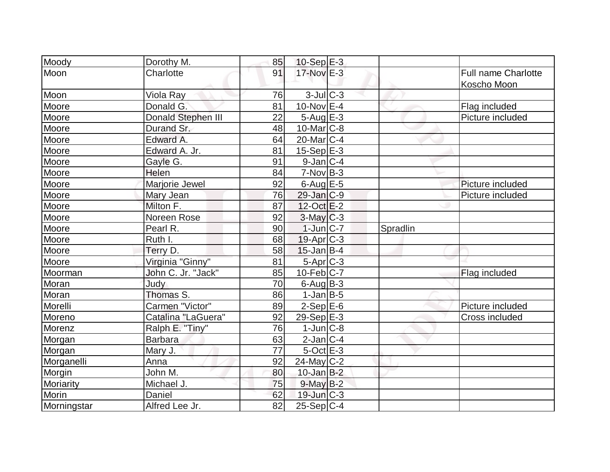| Moody       | Dorothy M.         | 85 | $10-Sep$ E-3      |          |                     |
|-------------|--------------------|----|-------------------|----------|---------------------|
| Moon        | Charlotte          | 91 | 17-Nov E-3        |          | Full name Charlotte |
|             |                    |    |                   |          | Koscho Moon         |
| Moon        | Viola Ray          | 76 | $3$ -Jul $C-3$    |          |                     |
| Moore       | Donald G.          | 81 | $10$ -Nov $E-4$   |          | Flag included       |
| Moore       | Donald Stephen III | 22 | $5 - Aug$ $E-3$   |          | Picture included    |
| Moore       | Durand Sr.         | 48 | $10$ -Mar $ C-8$  |          |                     |
| Moore       | Edward A.          | 64 | $20$ -Mar $C-4$   |          |                     |
| Moore       | Edward A. Jr.      | 81 | $15-Sep$ $E-3$    |          |                     |
| Moore       | Gayle G.           | 91 | $9$ -Jan $ C-4$   |          |                     |
| Moore       | Helen              | 84 | $7-Nov B-3$       |          |                     |
| Moore       | Marjorie Jewel     | 92 | $6$ -Aug $E$ -5   |          | Picture included    |
| Moore       | Mary Jean          | 76 | $29$ -Jan $C-9$   |          | Picture included    |
| Moore       | Milton F.          | 87 | $12-Oct$ $E-2$    |          |                     |
| Moore       | Noreen Rose        | 92 | $3$ -May $C-3$    |          |                     |
| Moore       | Pearl R.           | 90 | $1$ -Jun $ C-7 $  | Spradlin |                     |
| Moore       | Ruth I.            | 68 | $19-Apr$ $C-3$    |          |                     |
| Moore       | Terry D.           | 58 | $15$ -Jan B-4     |          |                     |
| Moore       | Virginia "Ginny"   | 81 | 5-Apr C-3         |          |                     |
| Moorman     | John C. Jr. "Jack" | 85 | $10$ -Feb $ C-7$  |          | Flag included       |
| Moran       | Judy               | 70 | $6$ -Aug $B$ -3   |          |                     |
| Moran       | Thomas S.          | 86 | $1-Jan$ B-5       |          |                     |
| Morelli     | Carmen "Victor"    | 89 | $2-Sep$ $E-6$     |          | Picture included    |
| Moreno      | Catalina "LaGuera" | 92 | $29-Sep$ $E-3$    |          | Cross included      |
| Morenz      | Ralph E. "Tiny"    | 76 | $1$ -Jun $ C-8 $  |          |                     |
| Morgan      | <b>Barbara</b>     | 63 | $2$ -Jan $ C-4 $  |          |                     |
| Morgan      | Mary J.            | 77 | $5$ -Oct $E-3$    |          |                     |
| Morganelli  | Anna               | 92 | $24$ -May C-2     |          |                     |
| Morgin      | John M.            | 80 | $10$ -Jan $B-2$   |          |                     |
| Moriarity   | Michael J.         | 75 | $9$ -May $B-2$    |          |                     |
| Morin       | Daniel             | 62 | $19$ -Jun $ C-3 $ |          |                     |
| Morningstar | Alfred Lee Jr.     | 82 | $25-Sep$ C-4      |          |                     |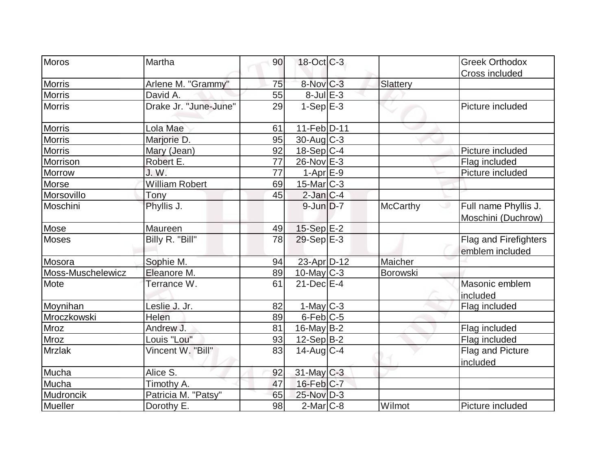| Moros             | Martha                |    | $18$ -Oct $ C-3 $ |                 | <b>Greek Orthodox</b>                    |
|-------------------|-----------------------|----|-------------------|-----------------|------------------------------------------|
|                   |                       | 90 |                   |                 |                                          |
| <b>Morris</b>     |                       | 75 | 8-Nov C-3         |                 | Cross included                           |
|                   | Arlene M. "Grammy"    |    |                   | Slattery        |                                          |
| <b>Morris</b>     | David A.              | 55 | $8$ -Jul $E-3$    |                 |                                          |
| <b>Morris</b>     | Drake Jr. "June-June" | 29 | $1-SepE-3$        |                 | Picture included                         |
| <b>Morris</b>     | Lola Mae              | 61 | 11-Feb D-11       |                 |                                          |
| <b>Morris</b>     | Marjorie D.           | 95 | $30$ -Aug C-3     |                 |                                          |
| <b>Morris</b>     | Mary (Jean)           | 92 | $18-Sep C-4$      |                 | Picture included                         |
| Morrison          | Robert E.             | 77 | 26-Nov E-3        |                 | Flag included                            |
| Morrow            | J. W.                 | 77 | $1-Apr$ $E-9$     |                 | Picture included                         |
| Morse             | <b>William Robert</b> | 69 | $15$ -Mar $ C-3 $ |                 |                                          |
| Morsovillo        | Tony                  | 45 | $2$ -Jan $C-4$    |                 |                                          |
| Moschini          | Phyllis J.            |    | $9$ -Jun $D-7$    | <b>McCarthy</b> | Full name Phyllis J.                     |
|                   |                       |    |                   |                 | Moschini (Duchrow)                       |
| Mose              | Maureen               | 49 | 15-Sep E-2        |                 |                                          |
| <b>Moses</b>      | Billy R. "Bill"       | 78 | $29-Sep$ $E-3$    |                 | Flag and Firefighters<br>emblem included |
| Mosora            | Sophie M.             | 94 | 23-Apr D-12       | Maicher         |                                          |
| Moss-Muschelewicz | Eleanore M.           |    |                   |                 |                                          |
|                   |                       | 89 | $10$ -May C-3     | Borowski        |                                          |
| Mote              | Terrance W.           | 61 | $21$ -Dec $E-4$   |                 | Masonic emblem<br>included               |
| Moynihan          | Leslie J. Jr.         | 82 | $1$ -May $C-3$    |                 | Flag included                            |
| Mroczkowski       | Helen                 | 89 | $6$ -Feb $ C$ -5  |                 |                                          |
| Mroz              | Andrew J.             | 81 | 16-May $B-2$      |                 | Flag included                            |
| <b>Mroz</b>       | Louis "Lou"           | 93 | 12-Sep B-2        |                 | Flag included                            |
| <b>Mrzlak</b>     | Vincent W. "Bill"     | 83 | $14$ -Aug $C-4$   |                 | Flag and Picture                         |
|                   |                       |    |                   |                 | included                                 |
| Mucha             | Alice S.              | 92 | 31-May C-3        |                 |                                          |
| Mucha             | Timothy A.            | 47 | $16$ -Feb $ C-7 $ |                 |                                          |
| Mudroncik         | Patricia M. "Patsy"   | 65 | 25-Nov D-3        |                 |                                          |
| Mueller           | Dorothy E.            | 98 | $2$ -Mar $ C-8$   | Wilmot          | Picture included                         |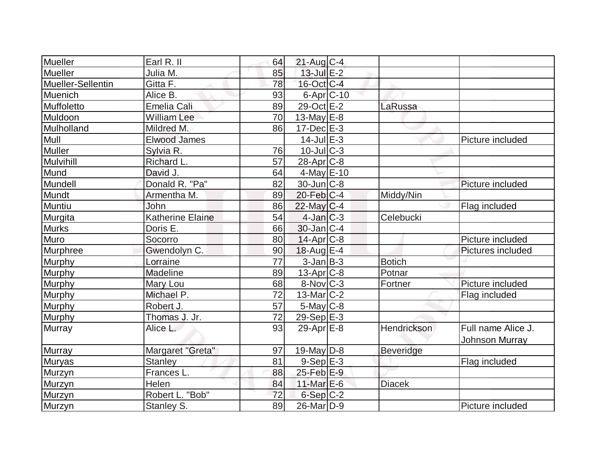| Mueller           | Earl R. II              | 64 | $21$ -Aug C-4          |                  |                       |
|-------------------|-------------------------|----|------------------------|------------------|-----------------------|
| Mueller           | Julia M.                | 85 | $13$ -Jul $E-2$        |                  |                       |
| Mueller-Sellentin | Gitta F.                | 78 | 16-Oct C-4             |                  |                       |
| Muenich           | Alice B.                | 93 | 6-Apr C-10             |                  |                       |
| Muffoletto        | <b>Emelia Cali</b>      | 89 | 29-Oct E-2             | LaRussa          |                       |
| Muldoon           | <b>William Lee</b>      | 70 | 13-May $E-8$           |                  |                       |
| Mulholland        | Mildred M.              | 86 | $17$ -Dec $E-3$        |                  |                       |
| Mull              | Elwood James            |    | $14$ -Jul $E-3$        |                  | Picture included      |
| <b>Muller</b>     | Sylvia R.               | 76 | $10$ -Jul $ C-3 $      |                  |                       |
| Mulvihill         | Richard L.              | 57 | $28$ -Apr $C-8$        |                  |                       |
| Mund              | David J.                | 64 | $4$ -May $E-10$        |                  |                       |
| Mundell           | Donald R. "Pa"          | 82 | $30$ -Jun $C - 8$      |                  | Picture included      |
| Mundt             | Armentha M.             | 89 | $20$ -Feb $C-4$        | Middy/Nin        |                       |
| Muntiu            | John                    | 86 | 22-May C-4             |                  | Flag included         |
| Murgita           | <b>Katherine Elaine</b> | 54 | $4$ -Jan $ C-3 $       | Celebucki        |                       |
| <b>Murks</b>      | Doris E.                | 66 | $30$ -Jan $ C-4 $      |                  |                       |
| Muro              | Socorro                 | 80 | $14$ -Apr $ C-8$       |                  | Picture included      |
| Murphree          | Gwendolyn C.            | 90 | 18-Aug E-4             |                  | Pictures included     |
| Murphy            | Lorraine                | 77 | $3$ -Jan $B-3$         | <b>Botich</b>    |                       |
| Murphy            | Madeline                | 89 | $13$ -Apr $ C-8 $      | Potnar           |                       |
| Murphy            | Mary Lou                | 68 | $8-Nov$ <sub>C-3</sub> | Fortner          | Picture included      |
| Murphy            | Michael P.              | 72 | 13-Mar C-2             |                  | Flag included         |
| <b>Murphy</b>     | Robert J.               | 57 | $5$ -May $C$ -8        |                  |                       |
| <b>Murphy</b>     | Thomas J. Jr.           | 72 | $29-Sep$ $E-3$         |                  |                       |
| <b>Murray</b>     | Alice L.                | 93 | 29-Apr $E-8$           | Hendrickson      | Full name Alice J.    |
|                   |                         |    |                        |                  | <b>Johnson Murray</b> |
| Murray            | Margaret "Greta"        | 97 | $19$ -May D-8          | <b>Beveridge</b> |                       |
| <b>Muryas</b>     | <b>Stanley</b>          | 81 | $9-Sep$ $E-3$          |                  | Flag included         |
| Murzyn            | Frances L.              | 88 | $25$ -Feb $E-9$        |                  |                       |
| Murzyn            | Helen                   | 84 | 11-Mar $E-6$           | <b>Diacek</b>    |                       |
| Murzyn            | Robert L. "Bob"         | 72 | $6-Sep C-2$            |                  |                       |
| Murzyn            | Stanley S.              | 89 | 26-Mar <sub>D-9</sub>  |                  | Picture included      |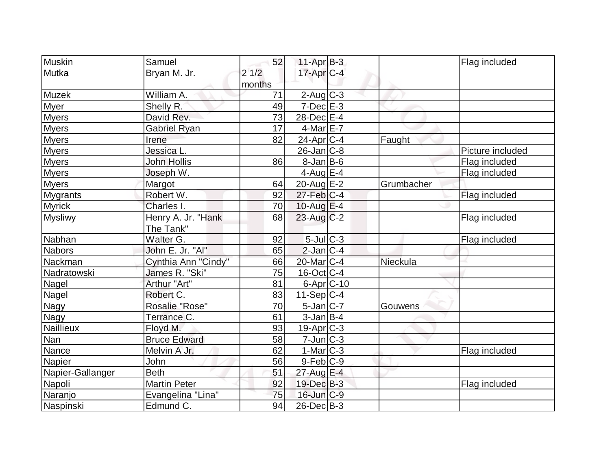| <b>Muskin</b>    | Samuel                          | 52             | $11-Apr$ B-3       |            | Flag included    |
|------------------|---------------------------------|----------------|--------------------|------------|------------------|
| Mutka            | Bryan M. Jr.                    | 21/2<br>months | $17$ -Apr $ C-4$   |            |                  |
| Muzek            | William A.                      | 71             | $2$ -Aug $C-3$     |            |                  |
| <b>Myer</b>      | Shelly R.                       | 49             | $7$ -Dec $E-3$     |            |                  |
| <b>Myers</b>     | David Rev.                      | 73             | 28-Dec E-4         |            |                  |
| <b>Myers</b>     | <b>Gabriel Ryan</b>             | 17             | $4$ -Mar $E$ -7    |            |                  |
| <b>Myers</b>     | Irene                           | 82             | $24$ -Apr $ C-4 $  | Faught     |                  |
| <b>Myers</b>     | Jessica L.                      |                | $26$ -Jan $ C-8 $  |            | Picture included |
| <b>Myers</b>     | <b>John Hollis</b>              | 86             | $8$ -Jan B-6       |            | Flag included    |
| <b>Myers</b>     | Joseph W.                       |                | $4$ -Aug $E-4$     |            | Flag included    |
| <b>Myers</b>     | Margot                          | 64             | $20$ -Aug $E-2$    | Grumbacher |                  |
| <b>Mygrants</b>  | Robert W.                       | 92             | $27$ -Feb $ C-4 $  |            | Flag included    |
| <b>Myrick</b>    | Charles I.                      | 70             | 10-Aug $E-4$       |            |                  |
| <b>Mysliwy</b>   | Henry A. Jr. "Hank<br>The Tank" | 68             | $23$ -Aug C-2      |            | Flag included    |
| Nabhan           | Walter G.                       | 92             | $5$ -Jul $C-3$     |            | Flag included    |
| <b>Nabors</b>    | John E. Jr. "Al"                | 65             | $2$ -Jan $ C-4 $   |            |                  |
| Nackman          | Cynthia Ann "Cindy"             | 66             | $20$ -Mar $ C-4 $  | Nieckula   |                  |
| Nadratowski      | James R. "Ski"                  | 75             | $16$ -Oct $ C-4 $  |            |                  |
| <b>Nagel</b>     | Arthur "Art"                    | 81             | $6 - Apr$ $C - 10$ |            |                  |
| Nagel            | Robert C.                       | 83             | $11-Sep C-4$       |            |                  |
| Nagy             | Rosalie "Rose"                  | 70             | $5$ -Jan $C$ -7    | Gouwens    |                  |
| Nagy             | Terrance C.                     | 61             | $3$ -Jan $B-4$     |            |                  |
| <b>Naillieux</b> | Floyd M.                        | 93             | $19-Apr$ $C-3$     |            |                  |
| Nan              | <b>Bruce Edward</b>             | 58             | 7-Jun C-3          |            |                  |
| Nance            | Melvin A Jr.                    | 62             | $1-Mar$ $C-3$      |            | Flag included    |
| Napier           | John                            | 56             | $9-Feb C-9$        |            |                  |
| Napier-Gallanger | <b>Beth</b>                     | 51             | 27-Aug E-4         |            |                  |
| Napoli           | <b>Martin Peter</b>             | 92             | 19-Dec B-3         |            | Flag included    |
| Naranjo          | Evangelina "Lina"               | 75             | 16-Jun C-9         |            |                  |
| Naspinski        | Edmund C.                       | 94             | $26$ -Dec $B$ -3   |            |                  |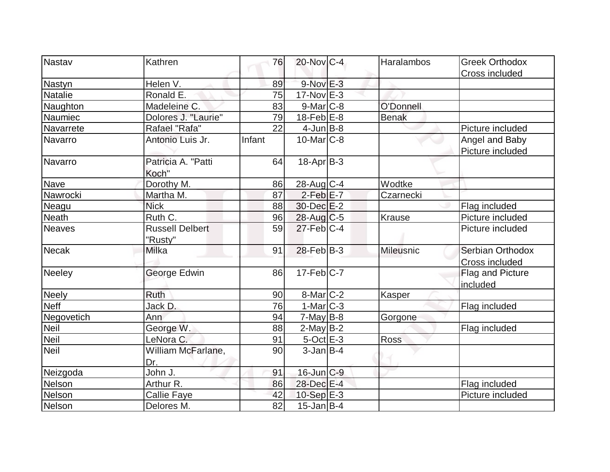| Nastav         | Kathren                | 76     | $20$ -Nov $C-4$           | Haralambos   | <b>Greek Orthodox</b> |
|----------------|------------------------|--------|---------------------------|--------------|-----------------------|
|                |                        |        |                           |              | Cross included        |
| Nastyn         | Helen V.               | 89     | 9-Nov E-3                 |              |                       |
| <b>Natalie</b> | Ronald E.              | 75     | $17$ -Nov $E-3$           |              |                       |
| Naughton       | Madeleine C.           | 83     | $9-Mar$ $C-8$             | O'Donnell    |                       |
| Naumiec        | Dolores J. "Laurie"    | 79     | $18$ -Feb $E-8$           | <b>Benak</b> |                       |
| Navarrete      | Rafael "Rafa"          | 22     | $4$ -Jun $B$ -8           |              | Picture included      |
| Navarro        | Antonio Luis Jr.       | Infant | $10$ -Mar $ C-8 $         |              | Angel and Baby        |
|                |                        |        |                           |              | Picture included      |
| Navarro        | Patricia A. "Patti     | 64     | $18-Apr B-3$              |              |                       |
|                | Koch"                  |        |                           |              |                       |
| Nave           | Dorothy M.             | 86     | 28-Aug C-4                | Wodtke       |                       |
| Nawrocki       | Martha M.              | 87     | $2-Feb$ E-7               | Czarnecki    |                       |
| Neagu          | <b>Nick</b>            | 88     | $30$ -Dec $E-2$           |              | Flag included         |
| <b>Neath</b>   | Ruth C.                | 96     | $28$ -Aug C-5             | Krause       | Picture included      |
| <b>Neaves</b>  | <b>Russell Delbert</b> | 59     | $27$ -Feb $ C-4 $         |              | Picture included      |
|                | "Rusty"                |        |                           |              |                       |
| <b>Necak</b>   | <b>Milka</b>           | 91     | $28$ -Feb $ B-3 $         | Mileusnic    | Serbian Orthodox      |
|                |                        |        |                           |              | Cross included        |
| <b>Neeley</b>  | George Edwin           | 86     | $17 - Feb$ <sub>C-7</sub> |              | Flag and Picture      |
|                |                        |        |                           |              | included              |
| <b>Neely</b>   | <b>Ruth</b>            | 90     | $8$ -Mar $ C-2 $          | Kasper       |                       |
| <b>Neff</b>    | Jack D.                | 76     | $1-Mar$ $C-3$             |              | Flag included         |
| Negovetich     | Ann                    | 94     | $7$ -May B-8              | Gorgone      |                       |
| <b>Neil</b>    | George W.              | 88     | $2$ -May B-2              |              | Flag included         |
| <b>Neil</b>    | LeNora C.              | 91     | $5$ -Oct $E-3$            | <b>Ross</b>  |                       |
| <b>Neil</b>    | William McFarlane,     | 90     | $3$ -Jan $B$ -4           |              |                       |
|                | Dr.                    |        |                           |              |                       |
| Neizgoda       | John J.                | 91     | $16$ -Jun $C-9$           |              |                       |
| Nelson         | Arthur R.              | 86     | 28-Dec E-4                |              | Flag included         |
| Nelson         | <b>Callie Faye</b>     | 42     | $10-Sep$ $E-3$            |              | Picture included      |
| Nelson         | Delores M.             | 82     | $15$ -Jan B-4             |              |                       |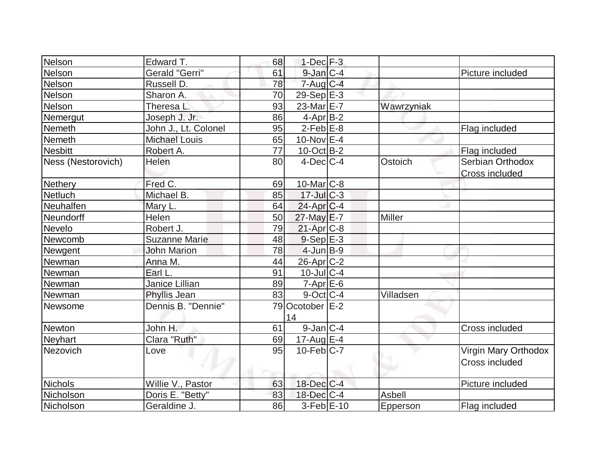| Nelson             | Edward T.            | 68 | $1-Dec$ $F-3$    |            |                      |
|--------------------|----------------------|----|------------------|------------|----------------------|
| Nelson             | Gerald "Gerri"       | 61 | $9$ -Jan $C-4$   |            | Picture included     |
| Nelson             | Russell D.           | 78 | $7$ -Aug C-4     |            |                      |
| Nelson             | Sharon A.            | 70 | $29-Sep$ $E-3$   |            |                      |
| Nelson             | Theresa L.           | 93 | 23-Mar E-7       | Wawrzyniak |                      |
| Nemergut           | Joseph J. Jr.        | 86 | $4$ -Apr $B$ -2  |            |                      |
| Nemeth             | John J., Lt. Colonel | 95 | $2$ -Feb $E-8$   |            | Flag included        |
| Nemeth             | <b>Michael Louis</b> | 65 | 10-Nov $E-4$     |            |                      |
| <b>Nesbitt</b>     | Robert A.            | 77 | $10$ -Oct B-2    |            | Flag included        |
| Ness (Nestorovich) | Helen                | 80 | $4$ -Dec $ C-4 $ | Ostoich    | Serbian Orthodox     |
|                    |                      |    |                  |            | Cross included       |
| <b>Nethery</b>     | Fred C.              | 69 | $10$ -Mar $ C-8$ |            |                      |
| <b>Netluch</b>     | Michael B.           | 85 | $17 -$ JulC-3    |            |                      |
| Neuhalfen          | Mary L.              | 64 | $24$ -Apr $C$ -4 |            |                      |
| Neundorff          | Helen                | 50 | $27$ -May $E$ -7 | Miller     |                      |
| Nevelo             | Robert J.            | 79 | $21$ -Apr $C-8$  |            |                      |
| Newcomb            | <b>Suzanne Marie</b> | 48 | $9-Sep$ $E-3$    |            |                      |
| Newgent            | <b>John Marion</b>   | 78 | $4$ -Jun $B-9$   |            |                      |
| Newman             | Anna M.              | 44 | $26$ -Apr $C-2$  |            |                      |
| Newman             | Earl L.              | 91 | $10$ -Jul $C-4$  |            |                      |
| Newman             | Janice Lillian       | 89 | $7 - Apr$ $E-6$  |            |                      |
| Newman             | Phyllis Jean         | 83 | $9$ -Oct $ C-4 $ | Villadsen  |                      |
| Newsome            | Dennis B. "Dennie"   |    | 79 Ocotober E-2  |            |                      |
|                    |                      |    | 14               |            |                      |
| Newton             | John H.              | 61 | $9$ -Jan $ C-4$  |            | Cross included       |
| Neyhart            | Clara "Ruth"         | 69 | 17-Aug E-4       |            |                      |
| Nezovich           | Love                 | 95 | $10$ -Feb $C$ -7 |            | Virgin Mary Orthodox |
|                    |                      |    |                  |            | Cross included       |
|                    |                      |    |                  |            |                      |
| Nichols            | Willie V., Pastor    | 63 | 18-Dec C-4       |            | Picture included     |
| Nicholson          | Doris E. "Betty"     | 83 | $18$ -Dec $C-4$  | Asbell     |                      |
| Nicholson          | Geraldine J.         | 86 | $3-Feb$ $E-10$   | Epperson   | Flag included        |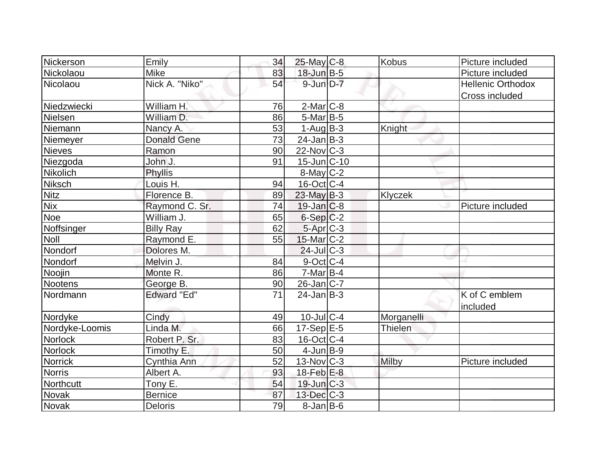| Nickerson      | Emily              | 34              | 25-May C-8              | Kobus          | Picture included          |
|----------------|--------------------|-----------------|-------------------------|----------------|---------------------------|
| Nickolaou      | <b>Mike</b>        | 83              | 18-Jun B-5              |                | Picture included          |
| Nicolaou       | Nick A. "Niko"     | 54              | $9$ -Jun $D-7$          |                | <b>Hellenic Orthodox</b>  |
|                |                    |                 |                         |                | Cross included            |
| Niedzwiecki    | William H.         | 76              | $2$ -Mar $ C-8 $        |                |                           |
| Nielsen        | William D.         | 86              | $5$ -Mar $B$ -5         |                |                           |
| Niemann        | Nancy A.           | 53              | $1-Auq$ B-3             | Knight         |                           |
| Niemeyer       | <b>Donald Gene</b> | $\overline{73}$ | $24$ -Jan $ B-3 $       |                |                           |
| Nieves         | Ramon              | 90              | $22$ -Nov $ C-3 $       |                |                           |
| Niezgoda       | John J.            | 91              | $15$ -Jun $ C-10$       |                |                           |
| Nikolich       | Phyllis            |                 | $8$ -May $C-2$          |                |                           |
| Niksch         | Louis H.           | 94              | $16$ -Oct $ C-4 $       |                |                           |
| <b>Nitz</b>    | Florence B.        | 89              | $23$ -May B-3           | Klyczek        |                           |
| <b>Nix</b>     | Raymond C. Sr.     | 74              | $19$ -Jan $ C-8$        |                | Picture included          |
| Noe            | William J.         | 65              | $6-Sep C-2$             |                |                           |
| Noffsinger     | <b>Billy Ray</b>   | 62              | 5-Apr C-3               |                |                           |
| <b>Noll</b>    | Raymond E.         | 55              | $15$ -Mar $ C-2 $       |                |                           |
| Nondorf        | Dolores M.         |                 | $24$ -Jul $C-3$         |                |                           |
| Nondorf        | Melvin J.          | 84              | $9$ -Oct C-4            |                |                           |
| Noojin         | Monte R.           | 86              | $7$ -Mar $B-4$          |                |                           |
| Nootens        | George B.          | 90              | $26$ -Jan $ C-7 $       |                |                           |
| Nordmann       | <b>Edward "Ed"</b> | 71              | $24$ -Jan $ B-3 $       |                | K of C emblem<br>included |
| Nordyke        | Cindy              | 49              | $10$ -JulC-4            | Morganelli     |                           |
| Nordyke-Loomis | Linda M.           | 66              | $17-Sep$ <sup>E-5</sup> | <b>Thielen</b> |                           |
| <b>Norlock</b> | Robert P. Sr.      | 83              | $16$ -Oct $ C-4 $       |                |                           |
| Norlock        | Timothy E.         | 50              | $4$ -Jun $B-9$          |                |                           |
| Norrick        | Cynthia Ann        | 52              | $13-Nov$ $C-3$          | Milby          | Picture included          |
| <b>Norris</b>  | Albert A.          | 93              | 18-Feb $E-8$            |                |                           |
| Northcutt      | Tony E.            | 54              | $19$ -Jun $ C-3 $       |                |                           |
| <b>Novak</b>   | <b>Bernice</b>     | 87              | $13$ -Dec $C-3$         |                |                           |
| Novak          | <b>Deloris</b>     | 79              | $8$ -Jan B-6            |                |                           |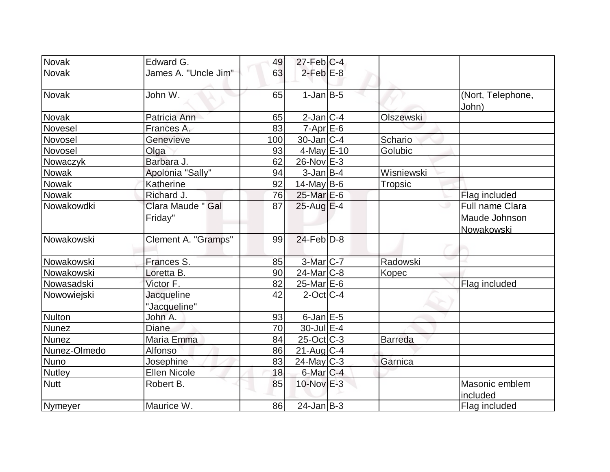| Novak         | Edward G.                         | 49  | $27$ -Feb $ C-4 $         |                  |                                  |
|---------------|-----------------------------------|-----|---------------------------|------------------|----------------------------------|
| <b>Novak</b>  | James A. "Uncle Jim"              | 63  | $2$ -Feb $E-8$            |                  |                                  |
| <b>Novak</b>  | John W.                           | 65  | $1-Jan$ B-5               |                  | (Nort, Telephone,<br>John)       |
| <b>Novak</b>  | Patricia Ann                      | 65  | $2$ -Jan $ C-4 $          | <b>Olszewski</b> |                                  |
| Novesel       | Frances A.                        | 83  | $7$ -Apr $E$ -6           |                  |                                  |
| Novosel       | Genevieve                         | 100 | $30 - Jan$ <sub>C-4</sub> | Schario          |                                  |
| Novosel       | Olga                              | 93  | $4$ -May $E - 10$         | Golubic          |                                  |
| Nowaczyk      | Barbara J.                        | 62  | 26-Nov E-3                |                  |                                  |
| <b>Nowak</b>  | Apolonia "Sally"                  | 94  | $3$ -Jan $B$ -4           | Wisniewski       |                                  |
| <b>Nowak</b>  | Katherine                         | 92  | $14$ -May B-6             | Tropsic          |                                  |
| Nowak         | Richard J.                        | 76  | $25$ -Mar $E$ -6          |                  | Flag included                    |
| Nowakowdki    | Clara Maude " Gal<br>Friday"      | 87  | 25-Aug E-4                |                  | Full name Clara<br>Maude Johnson |
| Nowakowski    | Clement A. "Gramps"               | 99  | $24$ -Feb $D-8$           |                  | Nowakowski                       |
| Nowakowski    | Frances S.                        | 85  | $3-Mar$ $C-7$             | Radowski         |                                  |
| Nowakowski    | Loretta B.                        | 90  | $24$ -Mar $ C-8 $         | Kopec            |                                  |
| Nowasadski    | Victor F.                         | 82  | $25$ -Mar $E$ -6          |                  | Flag included                    |
| Nowowiejski   | <b>Jacqueline</b><br>"Jacqueline" | 42  | $2$ -Oct $ C-4 $          |                  |                                  |
| <b>Nulton</b> | John A.                           | 93  | $6$ -Jan $E$ -5           |                  |                                  |
| <b>Nunez</b>  | <b>Diane</b>                      | 70  | $30$ -Jul $E-4$           |                  |                                  |
| <b>Nunez</b>  | Maria Emma                        | 84  | $25$ -Oct $ C-3 $         | <b>Barreda</b>   |                                  |
| Nunez-Olmedo  | Alfonso                           | 86  | $21$ -Aug $ C-4 $         |                  |                                  |
| Nuno          | Josephine                         | 83  | $24$ -May C-3             | Garnica          |                                  |
| <b>Nutley</b> | Ellen Nicole                      | 18  | $6$ -Mar $C-4$            |                  |                                  |
| <b>Nutt</b>   | Robert B.                         | 85  | $10$ -Nov $E-3$           |                  | Masonic emblem<br>included       |
| Nymeyer       | Maurice W.                        | 86  | $24$ -Jan $ B-3 $         |                  | Flag included                    |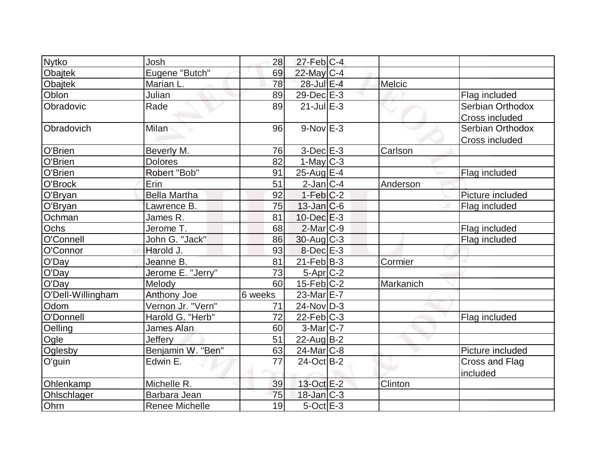| <b>Nytko</b>      | Josh                  | 28      | $27$ -Feb $ C-4$            |           |                       |
|-------------------|-----------------------|---------|-----------------------------|-----------|-----------------------|
| Obajtek           | Eugene "Butch"        | 69      | 22-May C-4                  |           |                       |
| Obajtek           | Marian L.             | 78      | 28-Jul E-4                  | Melcic    |                       |
| Oblon             | Julian                | 89      | $29$ -Dec $E-3$             |           | Flag included         |
| Obradovic         | Rade                  | 89      | $21$ -Jul $E-3$             |           | Serbian Orthodox      |
|                   |                       |         |                             |           | Cross included        |
| Obradovich        | Milan                 | 96      | $9-Nov$ E-3                 |           | Serbian Orthodox      |
|                   |                       |         |                             |           | Cross included        |
| O'Brien           | Beverly M.            | 76      | $3$ -Dec $E-3$              | Carlson   |                       |
| O'Brien           | <b>Dolores</b>        | 82      | $1-May C-3$                 |           |                       |
| O'Brien           | Robert "Bob"          | 91      | $25$ -Aug $E-4$             |           | Flag included         |
| O'Brock           | Erin                  | 51      | $2$ -Jan $ C-4 $            | Anderson  |                       |
| O'Bryan           | <b>Bella Martha</b>   | 92      | $1-Feb C-2$                 |           | Picture included      |
| O'Bryan           | Lawrence B.           | 75      | $13$ -Jan $ C-6 $           |           | Flag included         |
| Ochman            | James R.              | 81      | $10$ -Dec $E-3$             |           |                       |
| Ochs              | Jerome T.             | 68      | 2-Mar C-9                   |           | Flag included         |
| O'Connell         | John G. "Jack"        | 86      | $30$ -Aug C-3               |           | Flag included         |
| O'Connor          | Harold J.             | 93      | $8$ -Dec $E-3$              |           |                       |
| O'Day             | Jeanne B.             | 81      | $21$ -Feb $ B-3 $           | Cormier   |                       |
| O'Day             | Jerome E. "Jerry"     | 73      | $5-Apr$ $C-2$               |           |                       |
| O'Day             | Melody                | 60      | $15$ -Feb $ C-2 $           | Markanich |                       |
| O'Dell-Willingham | <b>Anthony Joe</b>    | 6 weeks | 23-Mar E-7                  |           |                       |
| Odom              | Vernon Jr. "Vern"     | 71      | $24$ -Nov $\overline{D}$ -3 |           |                       |
| O'Donnell         | Harold G. "Herb"      | 72      | $22$ -Feb $ C-3 $           |           | Flag included         |
| Oelling           | <b>James Alan</b>     | 60      | $3-Mar$ $C-7$               |           |                       |
| Ogle              | <b>Jeffery</b>        | 51      | $22$ -Aug $B-2$             |           |                       |
| Oglesby           | Benjamin W. "Ben"     | 63      | $24$ -Mar $ C-8 $           |           | Picture included      |
| O'guin            | Edwin E.              | 77      | 24-Oct B-2                  |           | <b>Cross and Flag</b> |
|                   |                       |         |                             |           | included              |
| Ohlenkamp         | Michelle R.           | 39      | 13-Oct E-2                  | Clinton   |                       |
| Ohlschlager       | Barbara Jean          | 75      | $18$ -Jan $C-3$             |           |                       |
| Ohrn              | <b>Renee Michelle</b> | 19      | $5$ -Oct $E - 3$            |           |                       |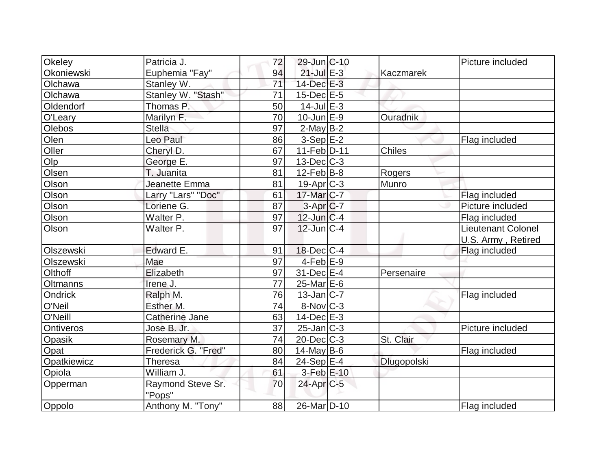| Okeley            | Patricia J.                 | 72 | $29$ -Jun $ C-10$       |               | Picture included   |
|-------------------|-----------------------------|----|-------------------------|---------------|--------------------|
| Okoniewski        | Euphemia "Fay"              | 94 | $21$ -Jul $E-3$         | Kaczmarek     |                    |
| Olchawa           | Stanley W.                  | 71 | $14$ -Dec $E-3$         |               |                    |
| Olchawa           | Stanley W. "Stash"          | 71 | $15$ -Dec $E$ -5        |               |                    |
| Oldendorf         | Thomas P.                   | 50 | $14$ -Jul $E-3$         |               |                    |
| O'Leary           | Marilyn F.                  | 70 | $10$ -Jun $E-9$         | Ouradnik      |                    |
| <b>Olebos</b>     | <b>Stella</b>               | 97 | $2$ -May B-2            |               |                    |
| Olen              | Leo Paul                    | 86 | $3-Sep$ $E-2$           |               | Flag included      |
| Oller             | Cheryl D.                   | 67 | 11-Feb D-11             | <b>Chiles</b> |                    |
| $O$ <sub>lp</sub> | George E.                   | 97 | $13$ -Dec $C-3$         |               |                    |
| Olsen             | T. Juanita                  | 81 | $12$ -Feb $ B-8 $       | Rogers        |                    |
| Olson             | Jeanette Emma               | 81 | $19-Apr$ $C-3$          | Munro         |                    |
| Olson             | Larry "Lars" "Doc"          | 61 | 17-Mar C-7              |               | Flag included      |
| Olson             | Loriene G.                  | 87 | $3-Apr$ $C-7$           |               | Picture included   |
| Olson             | Walter P.                   | 97 | $12$ -Jun $ C-4$        |               | Flag included      |
| Olson             | Walter P.                   | 97 | $12$ -Jun $C-4$         |               | Lieutenant Colonel |
|                   |                             |    |                         |               | U.S. Army, Retired |
| Olszewski         | Edward E.                   | 91 | $18$ -Dec $C$ -4        |               | Flag included      |
| Olszewski         | Mae                         | 97 | $4-Feb$ $E-9$           |               |                    |
| Olthoff           | Elizabeth                   | 97 | 31-Dec E-4              | Persenaire    |                    |
| <b>Oltmanns</b>   | Irene J.                    | 77 | 25-Mar <sub>E-6</sub>   |               |                    |
| Ondrick           | Ralph M.                    | 76 | $13$ -Jan C-7           |               | Flag included      |
| O'Neil            | Esther M.                   | 74 | $8-Nov$ <sub>C-3</sub>  |               |                    |
| O'Neill           | Catherine Jane              | 63 | $14$ -Dec $E-3$         |               |                    |
| <b>Ontiveros</b>  | Jose B. Jr.                 | 37 | $25$ -Jan $ C-3 $       |               | Picture included   |
| Opasik            | Rosemary M.                 | 74 | $20$ -Dec $C-3$         | St. Clair     |                    |
| Opat              | Frederick G. "Fred"         | 80 | 14-May $B-6$            |               | Flag included      |
| Opatkiewicz       | <b>Theresa</b>              | 84 | $24-Sep$ $E-4$          | Dlugopolski   |                    |
| Opiola            | William J.                  | 61 | $3-Feb$ $E-10$          |               |                    |
| Opperman          | Raymond Steve Sr.<br>"Pops" | 70 | $24$ -Apr $C-5$         |               |                    |
| Oppolo            | Anthony M. "Tony"           | 88 | 26-Mar <sub>D</sub> -10 |               | Flag included      |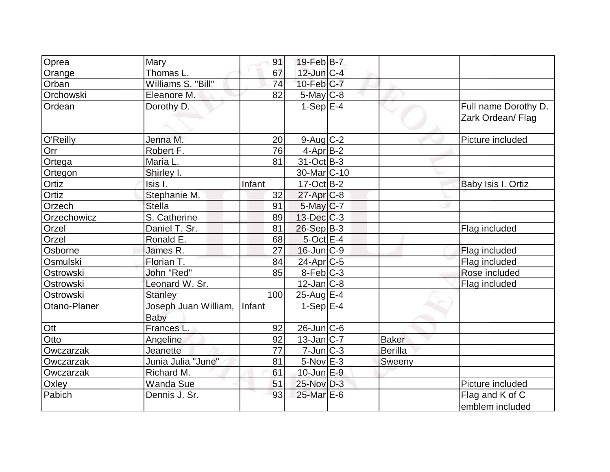| Oprea        | Mary                         | 91     | 19-Feb B-7             |              |                                           |
|--------------|------------------------------|--------|------------------------|--------------|-------------------------------------------|
| Orange       | Thomas L.                    | 67     | $12$ -Jun $C-4$        |              |                                           |
| Orban        | Williams S. "Bill"           | 74     | $10$ -Feb $ C-7 $      |              |                                           |
| Orchowski    | Eleanore M.                  | 82     | 5-May C-8              |              |                                           |
| Ordean       | Dorothy D.                   |        | $1-Sep E-4$            |              | Full name Dorothy D.<br>Zark Ordean/ Flag |
|              |                              |        |                        |              |                                           |
| O'Reilly     | Jenna M.                     | 20     | $9$ -Aug $C$ -2        |              | Picture included                          |
| Orr          | Robert F.                    | 76     | $4$ -Apr $B-2$         |              |                                           |
| Ortega       | Maria L.                     | 81     | $31-Oct$ B-3           |              |                                           |
| Ortegon      | Shirley I.                   |        | 30-Mar <sub>C-10</sub> |              |                                           |
| Ortiz        | Isis I.                      | Infant | $17-Oct$ B-2           |              | Baby Isis I. Ortiz                        |
| Ortiz        | Stephanie M.                 | 32     | $27$ -Apr $C-8$        |              |                                           |
| Orzech       | <b>Stella</b>                | 91     | $5$ -May $C$ -7        |              |                                           |
| Orzechowicz  | S. Catherine                 | 89     | $13$ -Dec $C-3$        |              |                                           |
| Orzel        | Daniel T. Sr.                | 81     | $26-Sep B-3$           |              | Flag included                             |
| Orzel        | Ronald E.                    | 68     | $5$ -Oct $E-4$         |              |                                           |
| Osborne      | James R.                     | 27     | $16$ -Jun $ C-9 $      |              | Flag included                             |
| Osmulski     | Florian T.                   | 84     | $24$ -Apr $ C-5 $      |              | Flag included                             |
| Ostrowski    | John "Red"                   | 85     | $8-Feb$ $C-3$          |              | Rose included                             |
| Ostrowski    | Leonard W. Sr.               |        | $12$ -Jan $ C-8$       |              | Flag included                             |
| Ostrowski    | <b>Stanley</b>               | 100    | $25$ -Aug $E-4$        |              |                                           |
| Otano-Planer | Joseph Juan William,<br>Baby | Infant | $1-Sep$ $E-4$          |              |                                           |
| Ott          | <b>Frances L</b>             | 92     | $26$ -Jun $C$ -6       |              |                                           |
| Otto         | Angeline                     | 92     | $13$ -Jan $ C-7 $      | <b>Baker</b> |                                           |
| Owczarzak    | Jeanette                     | 77     | $7$ -Jun $C-3$         | Berilla      |                                           |
| Owczarzak    | Junia Julia "June"           | 81     | $5-Nov$ $E-3$          | Sweeny       |                                           |
| Owczarzak    | Richard M.                   | 61     | $10$ -Jun $E-9$        |              |                                           |
| Oxley        | Wanda Sue                    | 51     | $25$ -Nov $D-3$        |              | Picture included                          |
| Pabich       | Dennis J. Sr.                | 93     | 25-Mar E-6             |              | Flag and K of C<br>emblem included        |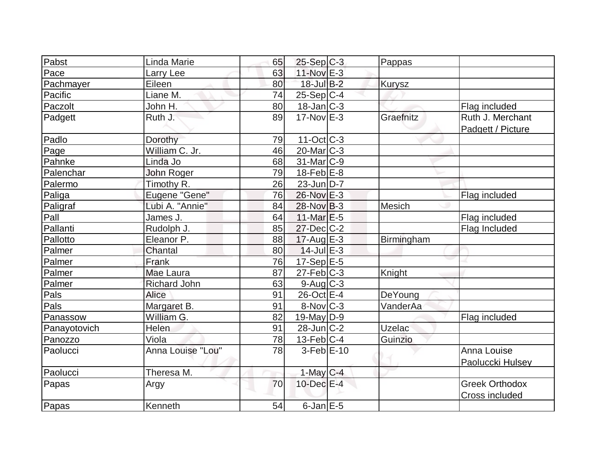| Pabst        | Linda Marie       | 65 | $25-Sep C-3$      | Pappas        |                                       |
|--------------|-------------------|----|-------------------|---------------|---------------------------------------|
| Pace         | Larry Lee         | 63 | $11$ -Nov $E-3$   |               |                                       |
| Pachmayer    | Eileen            | 80 | 18-Jul B-2        | <b>Kurysz</b> |                                       |
| Pacific      | Liane M.          | 74 | $25-Sep C-4$      |               |                                       |
| Paczolt      | John H.           | 80 | $18$ -Jan $C-3$   |               | Flag included                         |
| Padgett      | Ruth J.           | 89 | $17-Nov$ E-3      | Graefnitz     | Ruth J. Merchant<br>Padgett / Picture |
| Padlo        | Dorothy           | 79 | $11-Oct$ $C-3$    |               |                                       |
| Page         | William C. Jr.    | 46 | $20$ -Mar $ C-3 $ |               |                                       |
| Pahnke       | Linda Jo          | 68 | $31$ -Mar $ C-9 $ |               |                                       |
| Palenchar    | John Roger        | 79 | $18$ -Feb $E$ -8  |               |                                       |
| Palermo      | Timothy R.        | 26 | 23-Jun D-7        |               |                                       |
| Paliga       | Eugene "Gene"     | 76 | 26-Nov E-3        |               | Flag included                         |
| Paligraf     | Lubi A. "Annie"   | 84 | $28-Nov B-3$      | <b>Mesich</b> |                                       |
| Pall         | James J.          | 64 | $11$ -Mar $E-5$   |               | Flag included                         |
| Pallanti     | Rudolph J.        | 85 | 27-Dec C-2        |               | Flag Included                         |
| Pallotto     | Eleanor P.        | 88 | $17$ -Aug $E-3$   | Birmingham    |                                       |
| Palmer       | Chantal           | 80 | $14$ -Jul $E-3$   |               |                                       |
| Palmer       | Frank             | 76 | $17-Sep$ E-5      |               |                                       |
| Palmer       | Mae Laura         | 87 | $27$ -Feb $C-3$   | Knight        |                                       |
| Palmer       | Richard John      | 63 | $9$ -Aug $C$ -3   |               |                                       |
| Pals         | Alice             | 91 | 26-Oct E-4        | DeYoung       |                                       |
| Pals         | Margaret B.       | 91 | 8-Nov C-3         | VanderAa      |                                       |
| Panassow     | William G         | 82 | $19$ -May D-9     |               | Flag included                         |
| Panayotovich | Helen             | 91 | $28$ -Jun $C-2$   | <b>Uzelac</b> |                                       |
| Panozzo      | Viola             | 78 | $13$ -Feb $C-4$   | Guinzio       |                                       |
| Paolucci     | Anna Louise "Lou" | 78 | $3-Feb$ E-10      |               | Anna Louise                           |
|              |                   |    |                   |               | Paoluccki Hulsey                      |
| Paolucci     | Theresa M.        |    | $1$ -May $C-4$    |               |                                       |
| Papas        | Argy              | 70 | 10-Dec E-4        |               | <b>Greek Orthodox</b>                 |
|              |                   |    |                   |               | Cross included                        |
| Papas        | Kenneth           | 54 | $6$ -Jan $E$ -5   |               |                                       |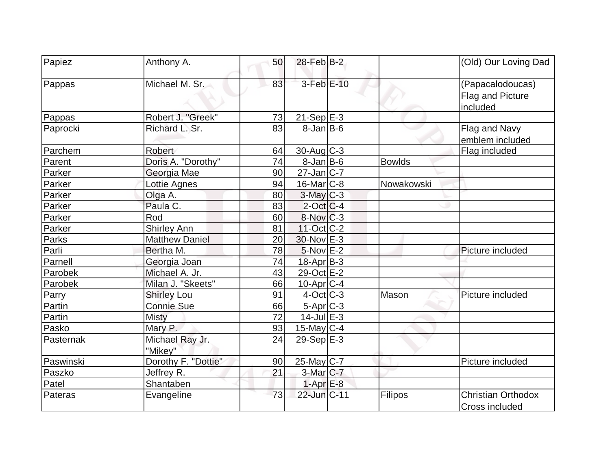| Papiez    | Anthony A.                 | 50 | $28$ -Feb $ B-2 $      |               | (Old) Our Loving Dad                             |
|-----------|----------------------------|----|------------------------|---------------|--------------------------------------------------|
| Pappas    | Michael M. Sr.             | 83 | 3-Feb E-10             |               | (Papacalodoucas)<br>Flag and Picture<br>included |
| Pappas    | Robert J. "Greek"          | 73 | $21-Sep$ E-3           |               |                                                  |
| Paprocki  | Richard L. Sr.             | 83 | $8$ -Jan $ B$ -6       |               | Flag and Navy<br>emblem included                 |
| Parchem   | <b>Robert</b>              | 64 | $30$ -Aug C-3          |               | Flag included                                    |
| Parent    | Doris A. "Dorothy"         | 74 | $8$ -Jan B-6           | <b>Bowlds</b> |                                                  |
| Parker    | Georgia Mae                | 90 | $27$ -Jan $C$ -7       |               |                                                  |
| Parker    | Lottie Agnes               | 94 | $16$ -Mar $ C-8 $      | Nowakowski    |                                                  |
| Parker    | Olga A.                    | 80 | $3$ -May $C-3$         |               |                                                  |
| Parker    | Paula C.                   | 83 | $2$ -Oct $ C-4 $       |               |                                                  |
| Parker    | Rod                        | 60 | $8-Nov$ <sub>C-3</sub> |               |                                                  |
| Parker    | <b>Shirley Ann</b>         | 81 | 11-Oct C-2             |               |                                                  |
| Parks     | <b>Matthew Daniel</b>      | 20 | 30-Nov E-3             |               |                                                  |
| Parli     | Bertha M.                  | 78 | $5-Nov$ E-2            |               | Picture included                                 |
| Parnell   | Georgia Joan               | 74 | 18-Apr B-3             |               |                                                  |
| Parobek   | Michael A. Jr.             | 43 | 29-Oct E-2             |               |                                                  |
| Parobek   | Milan J. "Skeets"          | 66 | $10$ -Apr $ C-4$       |               |                                                  |
| Parry     | <b>Shirley Lou</b>         | 91 | $4-Oct$ C-3            | Mason         | Picture included                                 |
| Partin    | <b>Connie Sue</b>          | 66 | 5-Apr C-3              |               |                                                  |
| Partin    | <b>Misty</b>               | 72 | $14$ -Jul $E-3$        |               |                                                  |
| Pasko     | Mary P.                    | 93 | $15$ -May C-4          |               |                                                  |
| Pasternak | Michael Ray Jr.<br>"Mikev" | 24 | $29-Sep$ $E-3$         |               |                                                  |
| Paswinski | Dorothy F. "Dottie"        | 90 | 25-May C-7             |               | Picture included                                 |
| Paszko    | Jeffrey R.                 | 21 | 3-Mar C-7              |               |                                                  |
| Patel     | Shantaben                  |    | $1-Apr$ E-8            |               |                                                  |
| Pateras   | Evangeline                 | 73 | 22-Jun C-11            | Filipos       | <b>Christian Orthodox</b><br>Cross included      |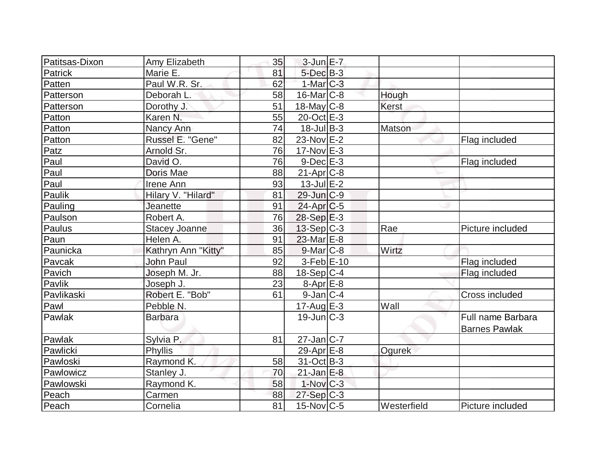| Patitsas-Dixon | Amy Elizabeth        | 35 | $3$ -Jun $E - 7$        |             |                      |
|----------------|----------------------|----|-------------------------|-------------|----------------------|
| Patrick        | Marie E.             | 81 | $5$ -Dec $B-3$          |             |                      |
| Patten         | Paul W.R. Sr.        | 62 | $1-Mar$ $C-3$           |             |                      |
| Patterson      | Deborah L.           | 58 | $16$ -Mar $ C-8 $       | Hough       |                      |
| Patterson      | Dorothy J.           | 51 | $18$ -May C-8           | Kerst       |                      |
| Patton         | Karen N.             | 55 | 20-Oct E-3              |             |                      |
| Patton         | Nancy Ann            | 74 | $18$ -Jul B-3           | Matson      |                      |
| Patton         | Russel E. "Gene"     | 82 | $23$ -Nov $E-2$         |             | Flag included        |
| Patz           | Arnold Sr.           | 76 | $17-Nov$ E-3            |             |                      |
| Paul           | David O.             | 76 | $9$ -Dec $E-3$          |             | Flag included        |
| Paul           | Doris Mae            | 88 | $21-Apr$ $C-8$          |             |                      |
| Paul           | Irene Ann            | 93 | $13$ -Jul $E-2$         |             |                      |
| Paulik         | Hilary V. "Hilard"   | 81 | 29-Jun C-9              |             |                      |
| Pauling        | Jeanette             | 91 | $24-Apr$ <sub>C-5</sub> |             |                      |
| Paulson        | Robert A.            | 76 | $28-Sep \tE-3$          |             |                      |
| Paulus         | <b>Stacey Joanne</b> | 36 | $13-Sep C-3$            | Rae         | Picture included     |
| Paun           | Helen A.             | 91 | $23$ -Mar $E-8$         |             |                      |
| Paunicka       | Kathryn Ann "Kitty"  | 85 | $9$ -Mar $C$ -8         | Wirtz       |                      |
| Pavcak         | John Paul            | 92 | $3-Feb$ $E-10$          |             | Flag included        |
| Pavich         | Joseph M. Jr.        | 88 | $18-Sep C-4$            |             | Flag included        |
| Pavlik         | Joseph J.            | 23 | $8 - Apr$ $E-8$         |             |                      |
| Pavlikaski     | Robert E. "Bob"      | 61 | $9$ -Jan $ C-4$         |             | Cross included       |
| Pawl           | Pebble N.            |    | $17$ -Aug $E-3$         | Wall        |                      |
| Pawlak         | <b>Barbara</b>       |    | $19$ -Jun $ C-3 $       |             | Full name Barbara    |
|                |                      |    |                         |             | <b>Barnes Pawlak</b> |
| Pawlak         | Sylvia P.            | 81 | $27$ -Jan $ C-7 $       |             |                      |
| Pawlicki       | Phyllis              |    | 29-Apr $E-8$            | Ogurek      |                      |
| Pawloski       | Raymond K.           | 58 | $31-Oct$ B-3            |             |                      |
| Pawlowicz      | Stanley J.           | 70 | $21$ -Jan $E-8$         |             |                      |
| Pawlowski      | Raymond K.           | 58 | $1-Nov$ <sub>C-3</sub>  |             |                      |
| Peach          | Carmen               | 88 | $27-Sep C-3$            |             |                      |
| Peach          | Cornelia             | 81 | $15$ -Nov $ C-5 $       | Westerfield | Picture included     |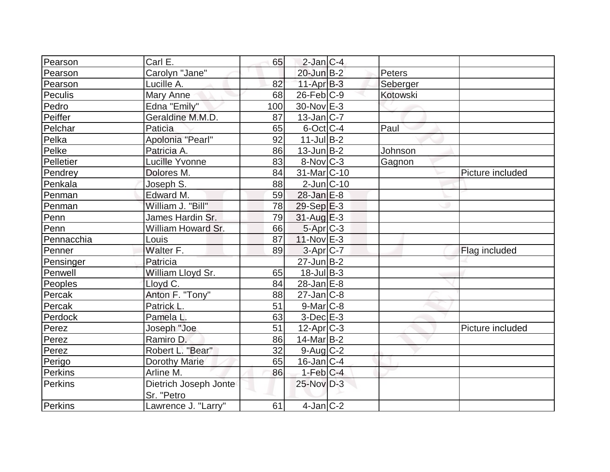| Pearson        | Carl E.               | 65  | $2$ -Jan $ C-4 $         |          |                  |
|----------------|-----------------------|-----|--------------------------|----------|------------------|
| Pearson        | Carolyn "Jane"        |     | 20-Jun B-2               | Peters   |                  |
| Pearson        | Lucille A.            | 82  | $11-Apr$ B-3             | Seberger |                  |
| Peculis        | Mary Anne             | 68  | $26$ -Feb $C-9$          | Kotowski |                  |
| Pedro          | Edna "Emily"          | 100 | 30-Nov E-3               |          |                  |
| <b>Peiffer</b> | Geraldine M.M.D.      | 87  | $13$ -Jan $ C-7 $        |          |                  |
| Pelchar        | Paticia               | 65  | $6$ -Oct $ C-4 $         | Paul     |                  |
| Pelka          | Apolonia "Pearl"      | 92  | $11$ -JulB-2             |          |                  |
| Pelke          | Patricia A.           | 86  | $13$ -Jun $B-2$          | Johnson  |                  |
| Pelletier      | <b>Lucille Yvonne</b> | 83  | $8-Nov$ <sub>C-3</sub>   | Gagnon   |                  |
| Pendrey        | Dolores M.            | 84  | 31-Mar <sub>IC</sub> -10 |          | Picture included |
| Penkala        | Joseph S.             | 88  | $2$ -Jun $ C-10 $        |          |                  |
| Penman         | Edward M.             | 59  | $28$ -Jan $E-8$          |          |                  |
| Penman         | William J. "Bill"     | 78  | $29-Sep$ $E-3$           |          |                  |
| Penn           | James Hardin Sr.      | 79  | $31$ -Aug $E-3$          |          |                  |
| Penn           | William Howard Sr.    | 66  | 5-Apr C-3                |          |                  |
| Pennacchia     | Louis                 | 87  | $11-Nov$ E-3             |          |                  |
| Penner         | Walter F.             | 89  | $3-Apr$ $C-7$            |          | Flag included    |
| Pensinger      | Patricia              |     | $27$ -Jun $B-2$          |          |                  |
| Penwell        | William Lloyd Sr.     | 65  | $18$ -Jul B-3            |          |                  |
| Peoples        | Lloyd C.              | 84  | $28$ -Jan $E-8$          |          |                  |
| Percak         | Anton F. "Tony"       | 88  | $27$ -Jan $ C-8$         |          |                  |
| Percak         | Patrick L.            | 51  | $9$ -Mar $ C-8$          |          |                  |
| Perdock        | Pamela L.             | 63  | $3-Dec$ $E-3$            |          |                  |
| Perez          | Joseph "Joe           | 51  | $12$ -Apr $ C-3 $        |          | Picture included |
| Perez          | Ramiro D.             | 86  | $14$ -Mar $ B-2 $        |          |                  |
| Perez          | Robert L. "Bear"      | 32  | $9$ -Aug $C-2$           |          |                  |
| Perigo         | <b>Dorothy Marie</b>  | 65  | $16$ -Jan $ C-4$         |          |                  |
| Perkins        | Arline M.             | 86  | $1-Feb C-4$              |          |                  |
| Perkins        | Dietrich Joseph Jonte |     | 25-Nov D-3               |          |                  |
|                | Sr. "Petro            |     |                          |          |                  |
| Perkins        | Lawrence J. "Larry"   | 61  | $4$ -Jan $ C-2 $         |          |                  |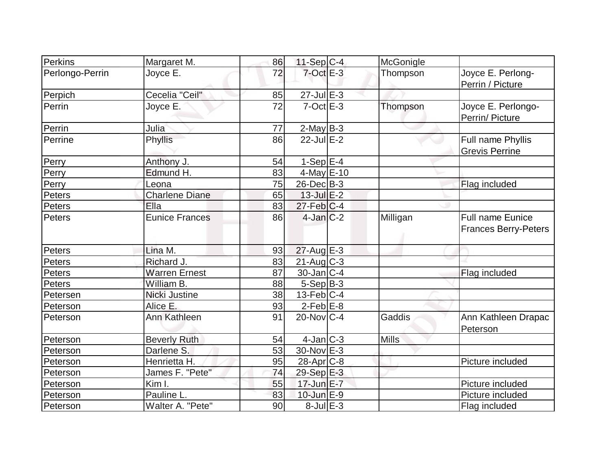| <b>Perkins</b>  | Margaret M.                | 86 | $11-Sep C-4$      | McGonigle    |                                                        |
|-----------------|----------------------------|----|-------------------|--------------|--------------------------------------------------------|
| Perlongo-Perrin | Joyce E.                   | 72 | $7$ -Oct $E-3$    | Thompson     | Joyce E. Perlong-<br>Perrin / Picture                  |
| Perpich         | Cecelia "Ceil"             | 85 | $27$ -Jul $E-3$   |              |                                                        |
| Perrin          | Joyce E.                   | 72 | $7-Oct$ $E-3$     | Thompson     | Joyce E. Perlongo-<br>Perrin/ Picture                  |
| Perrin          | Julia                      | 77 | $2$ -May B-3      |              |                                                        |
| Perrine         | Phyllis                    | 86 | $22$ -Jul E-2     |              | Full name Phyllis<br><b>Grevis Perrine</b>             |
| Perry           | Anthony J.                 | 54 | $1-Sep$ $E-4$     |              |                                                        |
| Perry           | Edmund H.                  | 83 | $4$ -May $E-10$   |              |                                                        |
| Perry           | Leona                      | 75 | 26-Dec B-3        |              | Flag included                                          |
| Peters          | <b>Charlene Diane</b>      | 65 | $13$ -Jul $E-2$   |              |                                                        |
| Peters          | Ella                       | 83 | $27$ -Feb $ C-4 $ |              |                                                        |
| Peters          | <b>Eunice Frances</b>      | 86 | $4$ -Jan $C-2$    | Milligan     | <b>Full name Eunice</b><br><b>Frances Berry-Peters</b> |
| Peters          | Lina M.                    | 93 | $27$ -Aug $E-3$   |              |                                                        |
| Peters          | Richard J.                 | 83 | $21$ -Aug $C-3$   |              |                                                        |
| Peters          | <b>Warren Ernest</b>       | 87 | $30$ -Jan $ C-4 $ |              | Flag included                                          |
| Peters          | William B.                 | 88 | $5-Sep B-3$       |              |                                                        |
| Petersen        | Nicki Justine              | 38 | $13$ -Feb $ C-4$  |              |                                                        |
| Peterson        | Alice E.                   | 93 | $2-Feb$ $E-8$     |              |                                                        |
| Peterson        | <b>Ann Kathleen</b>        | 91 | $20$ -Nov $ C-4 $ | Gaddis       | Ann Kathleen Drapac<br>Peterson                        |
| Peterson        | <b>Beverly Ruth</b>        | 54 | $4$ -Jan $ C-3 $  | <b>Mills</b> |                                                        |
| Peterson        | Darlene S.                 | 53 | 30-Nov E-3        |              |                                                        |
| Peterson        | Henrietta H.               | 95 | $28$ -Apr $C-8$   |              | Picture included                                       |
| Peterson        | James F. "Pete"            | 74 | 29-Sep E-3        |              |                                                        |
| Peterson        | $\overline{\text{Kim}}$ I. | 55 | 17-Jun E-7        |              | Picture included                                       |
| Peterson        | Pauline L.                 | 83 | $10$ -Jun $E-9$   |              | Picture included                                       |
| Peterson        | Walter A. "Pete"           | 90 | $8$ -Jul $E$ -3   |              | Flag included                                          |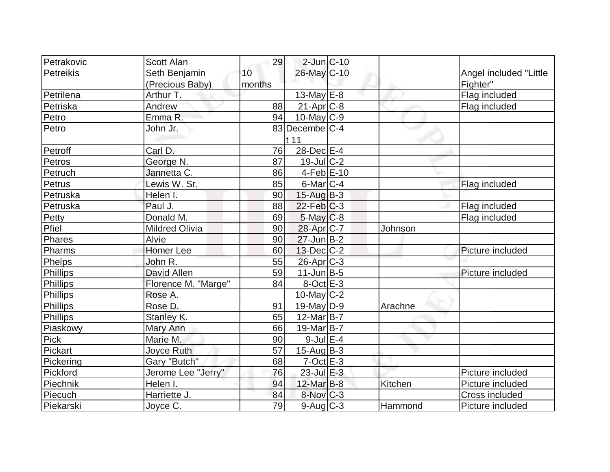| Petrakovic      | <b>Scott Alan</b>     | 29     | $2$ -Jun $ C-10$       |         |                        |
|-----------------|-----------------------|--------|------------------------|---------|------------------------|
| Petreikis       | Seth Benjamin         | 10     | 26-May C-10            |         | Angel included "Little |
|                 | (Precious Baby)       | months |                        |         | Fighter"               |
| Petrilena       | Arthur T.             |        | 13-May E-8             |         | Flag included          |
| Petriska        | Andrew                | 88     | $21-Apr$ $C-8$         |         | Flag included          |
| Petro           | Emma R.               | 94     | $10$ -May C-9          |         |                        |
| Petro           | John Jr.              |        | 83 Decembe C-4         |         |                        |
|                 |                       |        | t 11                   |         |                        |
| Petroff         | Carl D.               | 76     | 28-Dec E-4             |         |                        |
| Petros          | George N.             | 87     | $19$ -Jul $C-2$        |         |                        |
| Petruch         | Jannetta C.           | 86     | $4-Feb$ E-10           |         |                        |
| Petrus          | Lewis W. Sr.          | 85     | $6$ -Mar $ C-4 $       |         | Flag included          |
| Petruska        | Helen I.              | 90     | $15$ -Aug $B$ -3       |         |                        |
| Petruska        | Paul J.               | 88     | $22$ -Feb $ C-3 $      |         | Flag included          |
| Petty           | Donald M.             | 69     | $5$ -May $C$ -8        |         | Flag included          |
| Pfiel           | <b>Mildred Olivia</b> | 90     | 28-Apr <sub>IC-7</sub> | Johnson |                        |
| Phares          | Alvie                 | 90     | $27$ -Jun $B-2$        |         |                        |
| Pharms          | <b>Homer Lee</b>      | 60     | $13$ -Dec $C-2$        |         | Picture included       |
| Phelps          | John R.               | 55     | $26$ -Apr $ C-3 $      |         |                        |
| Phillips        | <b>David Allen</b>    | 59     | $11$ -Jun $B-5$        |         | Picture included       |
| Phillips        | Florence M. "Marge"   | 84     | $8-Oct$ $E-3$          |         |                        |
| Phillips        | Rose A.               |        | $10$ -May C-2          |         |                        |
| Phillips        | Rose D.               | 91     | $19$ -May D-9          | Arachne |                        |
| <b>Phillips</b> | Stanley K.            | 65     | $12$ -Mar $ B-7 $      |         |                        |
| Piaskowy        | Mary Ann              | 66     | 19-Mar <sub>B-7</sub>  |         |                        |
| Pick            | Marie M.              | 90     | $9$ -Jul $E-4$         |         |                        |
| Pickart         | Joyce Ruth            | 57     | $15$ -Aug $B-3$        |         |                        |
| Pickering       | Gary "Butch"          | 68     | $7$ -Oct $E-3$         |         |                        |
| Pickford        | Jerome Lee "Jerry"    | 76     | $23$ -Jul $E-3$        |         | Picture included       |
| Piechnik        | Helen I.              | 94     | $12$ -Mar $B-8$        | Kitchen | Picture included       |
| Piecuch         | Harriette J.          | 84     | $8-Nov$ <sub>C-3</sub> |         | Cross included         |
| Piekarski       | Joyce C.              | 79     | $9$ -Aug $C$ -3        | Hammond | Picture included       |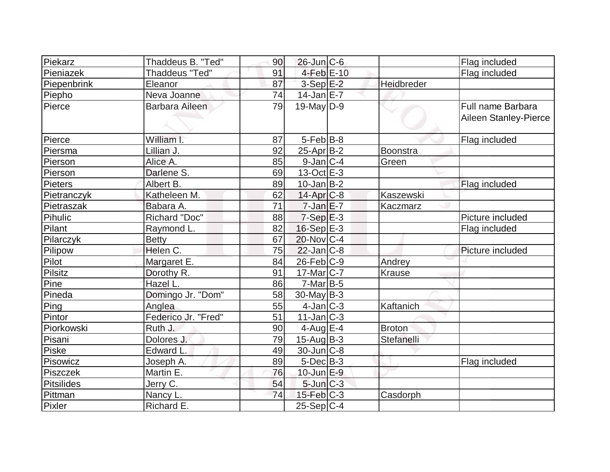| Piekarz           | Thaddeus B. "Ted"      | 90 | $26$ -Jun $ C$ -6 |               | Flag included         |
|-------------------|------------------------|----|-------------------|---------------|-----------------------|
| Pieniazek         | <b>Thaddeus "Ted"</b>  | 91 | $4$ -Feb $E-10$   |               | Flag included         |
| Piepenbrink       | Eleanor                | 87 | $3-Sep$ $E-2$     | Heidbreder    |                       |
| Piepho            | Neva Joanne            | 74 | $14$ -Jan $E-7$   |               |                       |
| Pierce            | <b>Barbara Aileen</b>  | 79 | $19$ -May D-9     |               | Full name Barbara     |
|                   |                        |    |                   |               | Aileen Stanley-Pierce |
|                   |                        |    |                   |               |                       |
| Pierce            | William I.             | 87 | $5-Feb$ B-8       |               | Flag included         |
| Piersma           | Lillian J.             | 92 | $25$ -Apr $B-2$   | Boonstra      |                       |
| Pierson           | Alice A.               | 85 | $9$ -Jan $ C-4 $  | Green         |                       |
| Pierson           | Darlene S.             | 69 | $13-Oct$ $E-3$    |               |                       |
| Pieters           | Albert B.              | 89 | $10$ -Jan $ B-2 $ |               | Flag included         |
| Pietranczyk       | Katheleen M.           | 62 | $14$ -Apr $C-8$   | Kaszewski     |                       |
| Pietraszak        | Babara A.              | 71 | $7 - Jan$ $E - 7$ | Kaczmarz      |                       |
| Pihulic           | <b>Richard "Doc"</b>   | 88 | $7-Sep$ $E-3$     |               | Picture included      |
| Pilant            | Raymond L.             | 82 | $16-Sep$ E-3      |               | Flag included         |
| Pilarczyk         | <b>Betty</b>           | 67 | $20$ -Nov $C-4$   |               |                       |
| Pilipow           | Helen C.               | 75 | $22$ -Jan $ C-8 $ |               | Picture included      |
| Pilot             | Margaret <sub>E.</sub> | 84 | $26$ -Feb $C-9$   | Andrey        |                       |
| <b>Pilsitz</b>    | Dorothy R.             | 91 | 17-Mar C-7        | Krause        |                       |
| Pine              | Hazel L.               | 86 | $7$ -Mar $ B-5 $  |               |                       |
| Pineda            | Domingo Jr. "Dom"      | 58 | $30$ -May B-3     |               |                       |
| Ping              | Anglea                 | 55 | $4$ -Jan $ C-3 $  | Kaftanich     |                       |
| Pintor            | Federico Jr. "Fred"    | 51 | $11$ -Jan $ C-3 $ |               |                       |
| Piorkowski        | Ruth J.                | 90 | $4$ -Aug $E-4$    | <b>Broton</b> |                       |
| Pisani            | Dolores J.             | 79 | $15$ -Aug $B-3$   | Stefanelli    |                       |
| <b>Piske</b>      | <b>Edward L</b>        | 49 | $30$ -Jun $ C-8 $ |               |                       |
| Pisowicz          | Joseph A.              | 89 | $5$ -Dec $B$ -3   |               | Flag included         |
| Piszczek          | Martin E.              | 76 | $10$ -Jun $E-9$   |               |                       |
| <b>Pitsilides</b> | Jerry C.               | 54 | $5$ -Jun $C-3$    |               |                       |
| Pittman           | Nancy L.               | 74 | $15$ -Feb $ C-3 $ | Casdorph      |                       |
| Pixler            | Richard E.             |    | $25-Sep C-4$      |               |                       |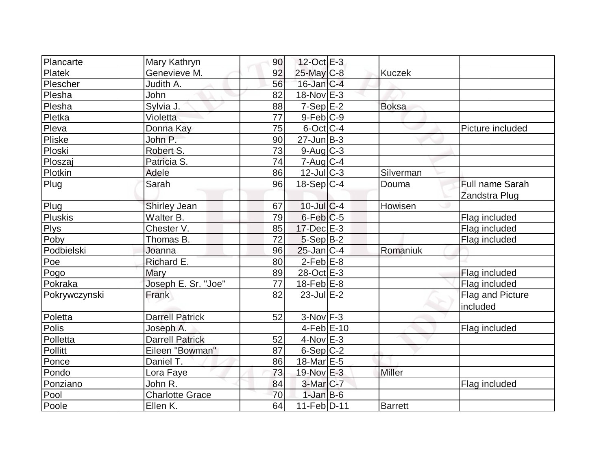| Plancarte     | Mary Kathryn           | 90 | 12-Oct E-3       |                |                  |
|---------------|------------------------|----|------------------|----------------|------------------|
| Platek        | Genevieve M.           | 92 | $25$ -May C-8    | <b>Kuczek</b>  |                  |
| Plescher      | Judith A.              | 56 | $16$ -Jan $C-4$  |                |                  |
| Plesha        | John                   | 82 | 18-Nov E-3       |                |                  |
| Plesha        | Sylvia J.              | 88 | $7-SepE-2$       | <b>Boksa</b>   |                  |
| Pletka        | Violetta               | 77 | $9-Feb$ $C-9$    |                |                  |
| Pleva         | Donna Kay              | 75 | $6$ -Oct $ C-4 $ |                | Picture included |
| <b>Pliske</b> | John P.                | 90 | $27$ -Jun $B-3$  |                |                  |
| Ploski        | Robert S.              | 73 | $9$ -Aug $C$ -3  |                |                  |
| Ploszaj       | Patricia S.            | 74 | $7 - Aug   C-4$  |                |                  |
| Plotkin       | Adele                  | 86 | $12$ -JulC-3     | Silverman      |                  |
| Plug          | Sarah                  | 96 | $18-Sep C-4$     | Douma          | Full name Sarah  |
|               |                        |    |                  |                | Zandstra Plug    |
| Plug          | Shirley Jean           | 67 | $10$ -Jul $C-4$  | Howisen        |                  |
| Pluskis       | Walter B.              | 79 | $6$ -Feb $C$ -5  |                | Flag included    |
| <b>Plys</b>   | Chester V.             | 85 | $17$ -Dec $E-3$  |                | Flag included    |
| Poby          | Thomas B.              | 72 | $5-Sep B-2$      |                | Flag included    |
| Podbielski    | Joanna                 | 96 | $25$ -Jan C-4    | Romaniuk       |                  |
| Poe           | Richard E.             | 80 | $2$ -Feb $E-8$   |                |                  |
| Pogo          | Mary                   | 89 | 28-Oct E-3       |                | Flag included    |
| Pokraka       | Joseph E. Sr. "Joe"    | 77 | $18$ -Feb $E$ -8 |                | Flag included    |
| Pokrywczynski | Frank                  | 82 | $23$ -Jul $E-2$  |                | Flag and Picture |
|               |                        |    |                  |                | included         |
| Poletta       | <b>Darrell Patrick</b> | 52 | $3-Nov$ F-3      |                |                  |
| Polis         | Joseph A.              |    | $4-Feb$ $E-10$   |                | Flag included    |
| Polletta      | <b>Darrell Patrick</b> | 52 | $4$ -Nov $E-3$   |                |                  |
| Pollitt       | Eileen "Bowman"        | 87 | $6-Sep C-2$      |                |                  |
| Ponce         | Daniel T.              | 86 | 18-Mar E-5       |                |                  |
| Pondo         | Lora Faye              | 73 | 19-Nov E-3       | <b>Miller</b>  |                  |
| Ponziano      | John R.                | 84 | $3-Mar$ $C-7$    |                | Flag included    |
| Pool          | <b>Charlotte Grace</b> | 70 | $1-Jan$ $B-6$    |                |                  |
| Poole         | Ellen K.               | 64 | $11-Feb D-11$    | <b>Barrett</b> |                  |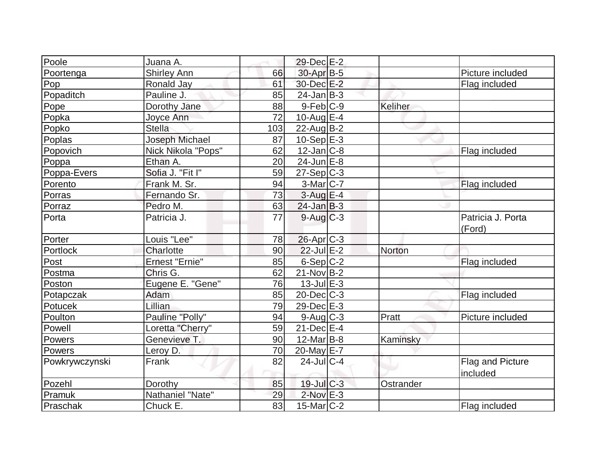| Poole          | Juana A.           |     | 29-Dec E-2             |           |                              |
|----------------|--------------------|-----|------------------------|-----------|------------------------------|
| Poortenga      | <b>Shirley Ann</b> | 66  | 30-Apr B-5             |           | Picture included             |
| Pop            | Ronald Jay         | 61  | 30-Dec E-2             |           | Flag included                |
| Popaditch      | Pauline J.         | 85  | $24$ -Jan B-3          |           |                              |
| Pope           | Dorothy Jane       | 88  | $9-Feb C-9$            | Keliher   |                              |
| Popka          | Joyce Ann          | 72  | 10-Aug $E-4$           |           |                              |
| Popko          | <b>Stella</b>      | 103 | $22$ -Aug $ B-2 $      |           |                              |
| Poplas         | Joseph Michael     | 87  | $10-Sep$ E-3           |           |                              |
| Popovich       | Nick Nikola "Pops" | 62  | $12$ -Jan $ C-8 $      |           | Flag included                |
| Poppa          | Ethan A.           | 20  | $24$ -Jun $E-8$        |           |                              |
| Poppa-Evers    | Sofia J. "Fit I"   | 59  | $27-Sep C-3$           |           |                              |
| Porento        | Frank M. Sr.       | 94  | $3-Mar$ C-7            |           | Flag included                |
| Porras         | Fernando Sr.       | 73  | 3-Aug E-4              |           |                              |
| Porraz         | Pedro M.           | 63  | $24$ -Jan $B-3$        |           |                              |
| Porta          | Patricia J.        | 77  | $9-Aug$ $C-3$          |           | Patricia J. Porta<br>(Ford)  |
| Porter         | Louis "Lee"        | 78  | $26$ -Apr $C-3$        |           |                              |
| Portlock       | Charlotte          | 90  | $22$ -Jul $E-2$        | Norton    |                              |
| Post           | Ernest "Ernie"     | 85  | $6-Sep C-2$            |           | Flag included                |
| Postma         | Chris G.           | 62  | $21-Nov\overline{B-2}$ |           |                              |
| Poston         | Eugene E. "Gene"   | 76  | $13$ -Jul $E-3$        |           |                              |
| Potapczak      | Adam               | 85  | $20$ -Dec $C$ -3       |           | Flag included                |
| Potucek        | Lillian            | 79  | 29-Dec E-3             |           |                              |
| Poulton        | Pauline "Polly"    | 94  | $9$ -Aug $C$ -3        | Pratt     | Picture included             |
| Powell         | Loretta "Cherry"   | 59  | $21$ -Dec $E-4$        |           |                              |
| Powers         | Genevieve T.       | 90  | $12$ -Mar $B$ -8       | Kaminsky  |                              |
| Powers         | Leroy D.           | 70  | 20-May E-7             |           |                              |
| Powkrywczynski | Frank              | 82  | $24$ -JulC-4           |           | Flag and Picture<br>included |
| Pozehl         | Dorothy            | 85  | 19-Jul C-3             | Ostrander |                              |
| Pramuk         | Nathaniel "Nate"   | 29  | $2$ -Nov $E-3$         |           |                              |
| Praschak       | Chuck E.           | 83  | $15$ -Mar $ C-2 $      |           | Flag included                |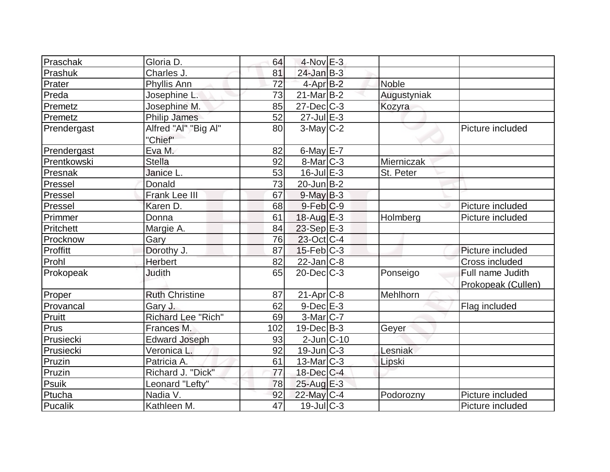| Praschak    | Gloria D.                 | 64  | $4$ -Nov $E-3$       |             |                    |
|-------------|---------------------------|-----|----------------------|-------------|--------------------|
| Prashuk     | Charles J.                | 81  | $24$ -Jan $B-3$      |             |                    |
| Prater      | Phyllis Ann               | 72  | 4-Apr <sub>B-2</sub> | Noble       |                    |
| Preda       | Josephine L.              | 73  | $21$ -Mar $B-2$      | Augustyniak |                    |
| Premetz     | Josephine M.              | 85  | $27 - Dec$ $C-3$     | Kozyra      |                    |
| Premetz     | Philip James              | 52  | $27$ -Jul $E-3$      |             |                    |
| Prendergast | Alfred "Al" "Big Al"      | 80  | $3$ -May C-2         |             | Picture included   |
|             | "Chief"                   |     |                      |             |                    |
| Prendergast | Eva M.                    | 82  | 6-May $E-7$          |             |                    |
| Prentkowski | <b>Stella</b>             | 92  | $8$ -Mar $ C-3 $     | Mierniczak  |                    |
| Presnak     | Janice L.                 | 53  | $16$ -Jul $E-3$      | St. Peter   |                    |
| Pressel     | Donald                    | 73  | $20$ -Jun $B-2$      |             |                    |
| Pressel     | Frank Lee III             | 67  | $9$ -May $B-3$       |             |                    |
| Pressel     | Karen D.                  | 68  | $9$ -Feb $ C$ -9     |             | Picture included   |
| Primmer     | Donna                     | 61  | 18-Aug $E-3$         | Holmberg    | Picture included   |
| Pritchett   | Margie A.                 | 84  | 23-Sep E-3           |             |                    |
| Procknow    | Gary                      | 76  | $23$ -Oct C-4        |             |                    |
| Proffitt    | Dorothy J.                | 87  | $15$ -Feb $ C-3 $    |             | Picture included   |
| Prohl       | Herbert                   | 82  | $22$ -Jan $ C-8 $    |             | Cross included     |
| Prokopeak   | <b>Judith</b>             | 65  | $20$ -Dec $C-3$      | Ponseigo    | Full name Judith   |
|             |                           |     |                      |             | Prokopeak (Cullen) |
| Proper      | <b>Ruth Christine</b>     | 87  | $21-Apr$ $C-8$       | Mehlhorn    |                    |
| Provancal   | Gary J.                   | 62  | $9$ -Dec $E-3$       |             | Flag included      |
| Pruitt      | <b>Richard Lee "Rich"</b> | 69  | $3-Mar$ $C-7$        |             |                    |
| Prus        | Frances M.                | 102 | $19$ -Dec $B$ -3     | Geyer       |                    |
| Prusiecki   | <b>Edward Joseph</b>      | 93  | $2$ -Jun $ C-10$     |             |                    |
| Prusiecki   | Veronica L.               | 92  | $19$ -Jun $ C-3 $    | Lesniak     |                    |
| Pruzin      | Patricia A.               | 61  | $13$ -Mar $ C-3 $    | Lipski      |                    |
| Pruzin      | Richard J. "Dick"         | 77  | $18$ -Dec $C-4$      |             |                    |
| Psuik       | Leonard "Lefty"           | 78  | 25-Aug E-3           |             |                    |
| Ptucha      | Nadia V.                  | 92  | 22-May C-4           | Podorozny   | Picture included   |
| Pucalik     | Kathleen M.               | 47  | $19$ -JulC-3         |             | Picture included   |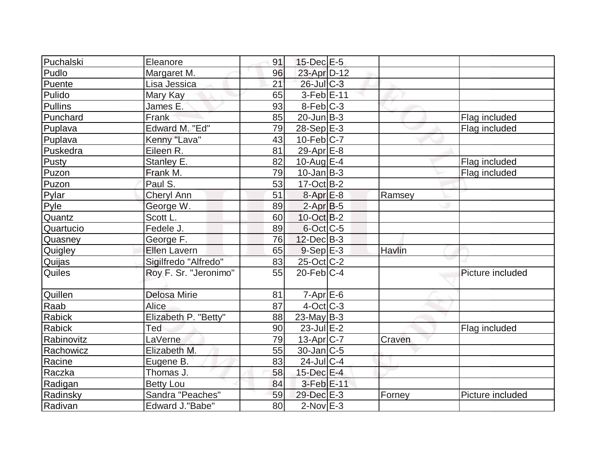| Puchalski      | Eleanore              | 91 | $15$ -Dec $E$ -5       |        |                  |
|----------------|-----------------------|----|------------------------|--------|------------------|
| Pudlo          | Margaret M.           | 96 | 23-Apr D-12            |        |                  |
| Puente         | Lisa Jessica          | 21 | $26$ -Jul $C-3$        |        |                  |
| Pulido         | Mary Kay              | 65 | $3-Feb$ $E-11$         |        |                  |
| <b>Pullins</b> | James E.              | 93 | $8-Feb$ <sub>C-3</sub> |        |                  |
| Punchard       | Frank                 | 85 | $20$ -Jun $ B-3 $      |        | Flag included    |
| Puplava        | Edward M. "Ed"        | 79 | $28-Sep$ $E-3$         |        | Flag included    |
| Puplava        | Kenny "Lava"          | 43 | $10$ -Feb $ C-7 $      |        |                  |
| Puskedra       | Eileen R.             | 81 | $29$ -Apr $E-8$        |        |                  |
| Pusty          | Stanley E.            | 82 | $10$ -Aug $E$ -4       |        | Flag included    |
| Puzon          | Frank M.              | 79 | $10$ -Jan $ B-3 $      |        | Flag included    |
| Puzon          | Paul S.               | 53 | $17-Oct$ B-2           |        |                  |
| Pylar          | <b>Cheryl Ann</b>     | 51 | $8 - Apr$ $E-8$        | Ramsey |                  |
| Pyle           | George W.             | 89 | $2-AprB-5$             |        |                  |
| Quantz         | Scott L.              | 60 | 10-Oct B-2             |        |                  |
| Quartucio      | Fedele J.             | 89 | 6-Oct C-5              |        |                  |
| Quasney        | George F.             | 76 | $12$ -Dec $B-3$        |        |                  |
| Quigley        | <b>Ellen Lavern</b>   | 65 | $9-Sep$ $E-3$          | Havlin |                  |
| Quijas         | Sigilfredo "Alfredo"  | 83 | 25-Oct C-2             |        |                  |
| Quiles         | Roy F. Sr. "Jeronimo" | 55 | $20$ -Feb $C-4$        |        | Picture included |
| Quillen        | <b>Delosa Mirie</b>   | 81 | $7 - Apr$ E-6          |        |                  |
| Raab           | Alice                 | 87 | $4$ -Oct C-3           |        |                  |
| Rabick         | Elizabeth P. "Betty"  | 88 | $23$ -May B-3          |        |                  |
| <b>Rabick</b>  | Ted                   | 90 | $23$ -Jul $E-2$        |        | Flag included    |
| Rabinovitz     | LaVerne               | 79 | $13$ -Apr $ C-7 $      | Craven |                  |
| Rachowicz      | Elizabeth M.          | 55 | $30$ -Jan $ C-5 $      |        |                  |
| Racine         | Eugene B.             | 83 | $24$ -JulC-4           |        |                  |
| Raczka         | Thomas J.             | 58 | $15$ -Dec $E-4$        |        |                  |
| Radigan        | <b>Betty Lou</b>      | 84 | $3-Feb$ $E-11$         |        |                  |
| Radinsky       | Sandra "Peaches"      | 59 | 29-Dec E-3             | Forney | Picture included |
| Radivan        | Edward J."Babe"       | 80 | $2$ -Nov $E-3$         |        |                  |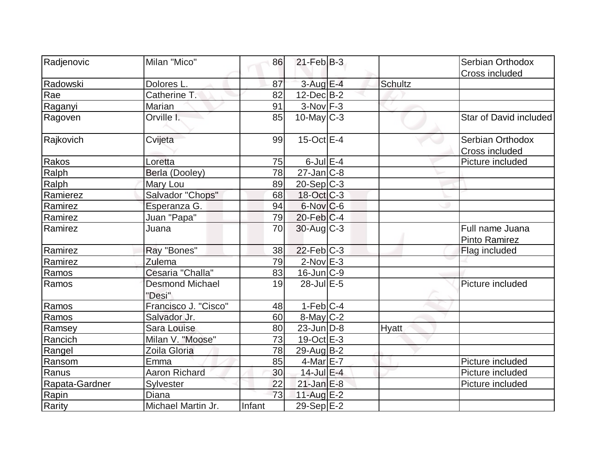| Radjenovic     | Milan "Mico"                     | 86     | $21$ -Feb $ B-3 $ |              | Serbian Orthodox       |
|----------------|----------------------------------|--------|-------------------|--------------|------------------------|
|                |                                  |        |                   |              |                        |
| Radowski       | Dolores L.                       | 87     | $3$ -Aug $E-4$    | Schultz      | Cross included         |
| Rae            | Catherine T.                     | 82     | $12$ -Dec $B-2$   |              |                        |
|                | Marian                           | 91     | $3-Nov$ $F-3$     |              |                        |
| Raganyi        | Orville I.                       |        | $10$ -May $ C-3 $ |              | Star of David included |
| Ragoven        |                                  | 85     |                   |              |                        |
| Rajkovich      | Cvijeta                          | 99     | $15$ -Oct $E$ -4  |              | Serbian Orthodox       |
|                |                                  |        |                   |              | Cross included         |
| Rakos          | Loretta                          | 75     | $6$ -Jul $E-4$    |              | Picture included       |
| Ralph          | Berla (Dooley)                   | 78     | $27$ -Jan $ C-8$  |              |                        |
| Ralph          | Mary Lou                         | 89     | $20 - Sep$ C-3    |              |                        |
| Ramierez       | Salvador "Chops"                 | 68     | 18-Oct C-3        |              |                        |
| Ramirez        | Esperanza G.                     | 94     | $6$ -Nov $C$ -6   |              |                        |
| Ramirez        | Juan "Papa"                      | 79     | $20$ -Feb $ C-4$  |              |                        |
| Ramirez        | Juana                            | 70     | $30$ -Aug C-3     |              | Full name Juana        |
|                |                                  |        | $22$ -Feb $C-3$   |              | Pinto Ramirez          |
| Ramirez        | Ray "Bones"                      | 38     |                   |              | Flag included          |
| Ramirez        | Zulema                           | 79     | $2$ -Nov $E-3$    |              |                        |
| Ramos          | Cesaria "Challa"                 | 83     | $16$ -Jun $C-9$   |              |                        |
| Ramos          | <b>Desmond Michael</b><br>"Desi" | 19     | 28-Jul E-5        |              | Picture included       |
| Ramos          | Francisco J. "Cisco"             | 48     | $1-Feb C-4$       |              |                        |
| Ramos          | Salvador Jr.                     | 60     | $8$ -May $C-2$    |              |                        |
| Ramsey         | Sara Louise                      | 80     | $23$ -Jun $ D-8$  | <b>Hyatt</b> |                        |
| Rancich        | Milan V. "Moose"                 | 73     | 19-Oct E-3        |              |                        |
| Rangel         | Zoila Gloria                     | 78     | $29$ -Aug $B$ -2  |              |                        |
| Ransom         | Emma                             | 85     | 4-Mar E-7         |              | Picture included       |
| Ranus          | <b>Aaron Richard</b>             | 30     | 14-Jul E-4        |              | Picture included       |
| Rapata-Gardner | Sylvester                        | 22     | $21$ -Jan $E-8$   |              | Picture included       |
| Rapin          | Diana                            | 73     | $11$ -Aug $E-2$   |              |                        |
| Rarity         | Michael Martin Jr.               | Infant | 29-Sep E-2        |              |                        |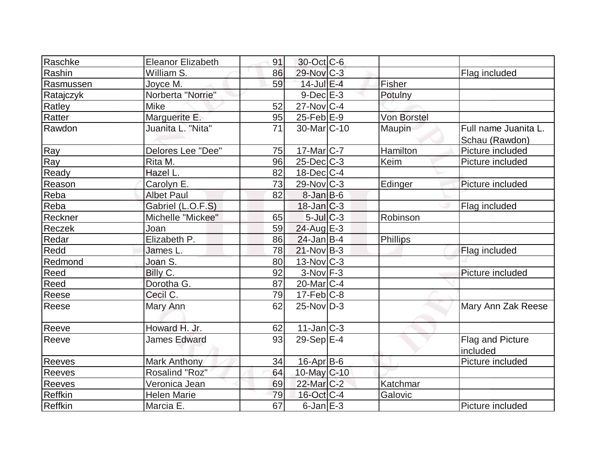| Raschke        | <b>Eleanor Elizabeth</b> | 91 | 30-Oct C-6               |                    |                              |
|----------------|--------------------------|----|--------------------------|--------------------|------------------------------|
| Rashin         | William S.               | 86 | 29-Nov C-3               |                    | Flag included                |
| Rasmussen      | Joyce M.                 | 59 | 14-Jul E-4               | Fisher             |                              |
| Ratajczyk      | Norberta "Norrie"        |    | $9$ -Dec $E-3$           | Potulny            |                              |
| Ratley         | Mike                     | 52 | $27$ -Nov $ C-4 $        |                    |                              |
| Ratter         | Marguerite E.            | 95 | $25$ -Feb $E-9$          | <b>Von Borstel</b> |                              |
| Rawdon         | Juanita L. "Nita"        | 71 | 30-Mar <sub>IC</sub> -10 | Maupin             | Full name Juanita L.         |
|                |                          |    |                          |                    | Schau (Rawdon)               |
| Ray            | Delores Lee "Dee"        | 75 | $17$ -Mar $ C-7 $        | Hamilton           | Picture included             |
| Ray            | Rita M.                  | 96 | $25$ -Dec $ C-3 $        | Keim               | Picture included             |
| Ready          | Hazel L.                 | 82 | $18$ -Dec $C$ -4         |                    |                              |
| Reason         | Carolyn E.               | 73 | 29-Nov C-3               | Edinger            | Picture included             |
| Reba           | <b>Albet Paul</b>        | 82 | $8 - Jan$ $B - 6$        |                    |                              |
| Reba           | Gabriel (L.O.F.S)        |    | $18$ -Jan $ C-3 $        |                    | Flag included                |
| Reckner        | Michelle "Mickee"        | 65 | $5$ -Jul $C$ -3          | Robinson           |                              |
| Reczek         | Joan                     | 59 | $24$ -Aug E-3            |                    |                              |
| Redar          | Elizabeth P.             | 86 | $24$ -Jan B-4            | Phillips           |                              |
| Redd           | James L.                 | 78 | $21-Nov B-3$             |                    | Flag included                |
| Redmond        | Joan S.                  | 80 | 13-Nov C-3               |                    |                              |
| Reed           | Billy C.                 | 92 | $3-Nov$ F-3              |                    | Picture included             |
| Reed           | Dorotha G.               | 87 | $20$ -Mar $C-4$          |                    |                              |
| Reese          | Cecil C.                 | 79 | $17$ -Feb $ C-8$         |                    |                              |
| Reese          | Mary Ann                 | 62 | $25$ -Nov $D-3$          |                    | Mary Ann Zak Reese           |
| Reeve          | Howard H. Jr.            | 62 | $11$ -Jan $ C-3 $        |                    |                              |
| Reeve          | <b>James Edward</b>      | 93 | 29-Sep $E-4$             |                    | Flag and Picture<br>included |
| <b>Reeves</b>  | <b>Mark Anthony</b>      | 34 | 16-Apr B-6               |                    | Picture included             |
| Reeves         | Rosalind "Roz"           | 64 | 10-May C-10              |                    |                              |
| Reeves         | Veronica Jean            | 69 | $22$ -Mar $C-2$          | Katchmar           |                              |
| Reffkin        | <b>Helen Marie</b>       | 79 | 16-Oct C-4               | Galovic            |                              |
| <b>Reffkin</b> | Marcia E.                | 67 | $6$ -Jan $E-3$           |                    | Picture included             |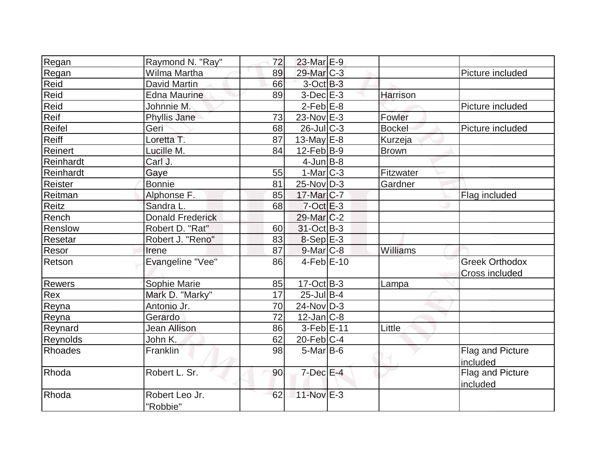|                |                                  | 72 | 23-Mar E-9             |               |                       |
|----------------|----------------------------------|----|------------------------|---------------|-----------------------|
| Regan          | Raymond N. "Ray"<br>Wilma Martha |    |                        |               |                       |
| Regan          | <b>David Martin</b>              | 89 | 29-Mar C-3             |               | Picture included      |
| Reid           |                                  | 66 | $3$ -Oct $B-3$         |               |                       |
| Reid           | <b>Edna Maurine</b>              | 89 | $3-Dec$ $E-3$          | Harrison      |                       |
| Reid           | Johnnie M.                       |    | $2-Feb$ E-8            |               | Picture included      |
| Reif           | Phyllis Jane                     | 73 | 23-Nov E-3             | Fowler        |                       |
| Reifel         | Geri                             | 68 | $26$ -Jul $C-3$        | <b>Bockel</b> | Picture included      |
| Reiff          | Loretta T.                       | 87 | 13-May $E-8$           | Kurzeja       |                       |
| Reinert        | Lucille M.                       | 84 | $12$ -Feb $ B-9 $      | <b>Brown</b>  |                       |
| Reinhardt      | Carl J.                          |    | $4$ -Jun $B$ -8        |               |                       |
| Reinhardt      | Gaye                             | 55 | $1-Mar$ $C-3$          | Fitzwater     |                       |
| Reister        | <b>Bonnie</b>                    | 81 | $25$ -Nov $ D-3 $      | Gardner       |                       |
| Reitman        | Alphonse F.                      | 85 | 17-Mar C-7             |               | Flag included         |
| Reitz          | Sandra L.                        | 68 | $7-Oct$ <sub>E-3</sub> |               |                       |
| Rench          | <b>Donald Frederick</b>          |    | 29-Mar <sub>IC-2</sub> |               |                       |
| Renslow        | Robert D. "Rat"                  | 60 | 31-Oct B-3             |               |                       |
| Resetar        | Robert J. "Reno"                 | 83 | $8-Sep$ E-3            |               |                       |
| Resor          | Irene                            | 87 | $9$ -Mar $ C-8$        | Williams      |                       |
| Retson         | Evangeline "Vee"                 | 86 | $4-Feb$ E-10           |               | <b>Greek Orthodox</b> |
|                |                                  |    |                        |               | Cross included        |
| <b>Rewers</b>  | Sophie Marie                     | 85 | $17-Oct$ B-3           | Lampa         |                       |
| Rex            | Mark D. "Marky"                  | 17 | $25$ -Jul B-4          |               |                       |
| Reyna          | Antonio Jr.                      | 70 | $24$ -Nov $ D-3 $      |               |                       |
| Reyna          | Gerardo                          | 72 | $12$ -Jan $ C-8 $      |               |                       |
| Reynard        | Jean Allison                     | 86 | $3-Feb$ E-11           | Little        |                       |
| Reynolds       | John K.                          | 62 | $20$ -Feb $ C-4 $      |               |                       |
| <b>Rhoades</b> | Franklin                         | 98 | $5$ -Mar $ B-6$        |               | Flag and Picture      |
|                |                                  |    |                        |               | included              |
| Rhoda          | Robert L. Sr.                    | 90 | $7$ -Dec $E-4$         |               | Flag and Picture      |
|                |                                  |    |                        |               | included              |
| Rhoda          | Robert Leo Jr.                   | 62 | 11-Nov E-3             |               |                       |
|                | "Robbie"                         |    |                        |               |                       |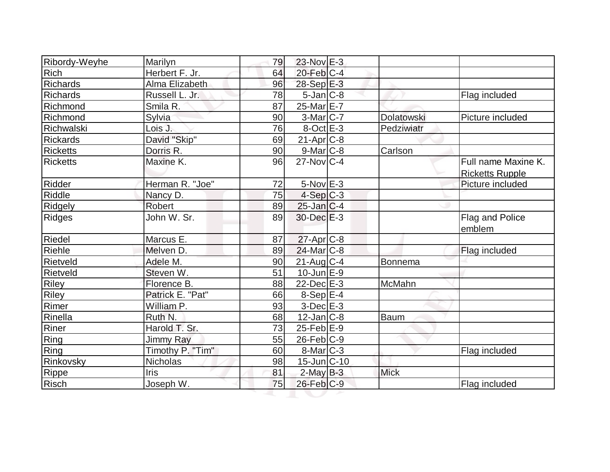| Ribordy-Weyhe     | Marilyn          | 79 | $23$ -Nov $E-3$       |               |                        |
|-------------------|------------------|----|-----------------------|---------------|------------------------|
| Rich              | Herbert F. Jr.   | 64 | $20$ -Feb $C-4$       |               |                        |
| Richards          | Alma Elizabeth   | 96 | 28-Sep E-3            |               |                        |
| Richards          | Russell L. Jr.   | 78 | $5$ -Jan $ C-8 $      |               | Flag included          |
| Richmond          | Smila R.         | 87 | 25-Mar E-7            |               |                        |
| Richmond          | Sylvia           | 90 | $3-Mar$ $C-7$         | Dolatowski    | Picture included       |
| <b>Richwalski</b> | Lois J.          | 76 | $8-Oct$ $E-3$         | Pedziwiatr    |                        |
| <b>Rickards</b>   | David "Skip"     | 69 | $21-Apr$ $C-8$        |               |                        |
| <b>Ricketts</b>   | Dorris R.        | 90 | $9$ -Mar $ C-8 $      | Carlson       |                        |
| <b>Ricketts</b>   | Maxine K.        | 96 | $27$ -Nov $ C-4$      |               | Full name Maxine K.    |
|                   |                  |    |                       |               | <b>Ricketts Rupple</b> |
| Ridder            | Herman R. "Joe"  | 72 | $5-Nov$ $E-3$         |               | Picture included       |
| Riddle            | Nancy D.         | 75 | $4-Sep C-3$           |               |                        |
| Ridgely           | Robert           | 89 | $25$ -Jan $ C-4 $     |               |                        |
| <b>Ridges</b>     | John W. Sr.      | 89 | $30$ -Dec $E-3$       |               | Flag and Police        |
|                   |                  |    |                       |               | emblem                 |
| Riedel            | Marcus E.        | 87 | 27-Apr <sub>C-8</sub> |               |                        |
| Riehle            | Melven D.        | 89 | 24-Mar C-8            |               | Flag included          |
| Rietveld          | Adele M.         | 90 | $21$ -Aug $C-4$       | Bonnema       |                        |
| Rietveld          | Steven W.        | 51 | $10$ -Jun $E-9$       |               |                        |
| <b>Riley</b>      | Florence B.      | 88 | $22$ -Dec $E-3$       | <b>McMahn</b> |                        |
| Riley             | Patrick E. "Pat" | 66 | $8-Sep$ $E-4$         |               |                        |
| Rimer             | William P.       | 93 | $3-Dec$ $E-3$         |               |                        |
| Rinella           | Ruth N.          | 68 | $12$ -Jan $ C-8 $     | Baum          |                        |
| Riner             | Harold T. Sr.    | 73 | $25$ -Feb $E-9$       |               |                        |
| Ring              | Jimmy Ray        | 55 | $26$ -Feb $ C-9 $     |               |                        |
| Ring              | Timothy P. "Tim" | 60 | $8$ -Mar $C-3$        |               | Flag included          |
| Rinkovsky         | Nicholas         | 98 | $15$ -Jun $ C-10 $    |               |                        |
| Rippe             | <b>Iris</b>      | 81 | $2$ -May $B-3$        | <b>Mick</b>   |                        |
| Risch             | Joseph W.        | 75 | $26$ -Feb $ C-9 $     |               | Flag included          |
|                   |                  |    |                       |               |                        |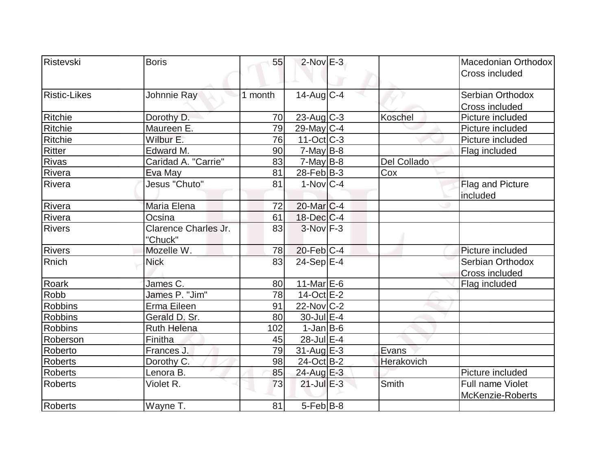| Ristevski           | <b>Boris</b>                    | 55      | $2$ -Nov $E-3$         |             | Macedonian Orthodox<br>Cross included |
|---------------------|---------------------------------|---------|------------------------|-------------|---------------------------------------|
| <b>Ristic-Likes</b> | Johnnie Ray                     | 1 month | $14$ -Aug $C-4$        |             | Serbian Orthodox<br>Cross included    |
| Ritchie             | Dorothy D.                      | 70      | $23$ -Aug C-3          | Koschel     | Picture included                      |
| Ritchie             | Maureen E.                      | 79      | $29$ -May C-4          |             | Picture included                      |
| Ritchie             | Wilbur E.                       | 76      | $11-Oct$ $C-3$         |             | Picture included                      |
| Ritter              | Edward M.                       | 90      | $7$ -May B-8           |             | Flag included                         |
| <b>Rivas</b>        | Caridad A. "Carrie"             | 83      | $7$ -May B-8           | Del Collado |                                       |
| Rivera              | Eva May                         | 81      | $28$ -Feb $ B-3 $      | Cox         |                                       |
| Rivera              | Jesus "Chuto"                   | 81      | $1-Nov$ <sub>C-4</sub> |             | Flag and Picture<br>included          |
| Rivera              | Maria Elena                     | 72      | 20-Mar <sub>IC-4</sub> |             |                                       |
| Rivera              | Ocsina                          | 61      | $18$ -Dec $ C-4 $      |             |                                       |
| <b>Rivers</b>       | Clarence Charles Jr.<br>"Chuck" | 83      | $3-Nov$ F-3            |             |                                       |
| <b>Rivers</b>       | Mozelle W.                      | 78      | $20$ -Feb $ C-4$       |             | Picture included                      |
| Rnich               | <b>Nick</b>                     | 83      | $24-Sep$ E-4           |             | Serbian Orthodox<br>Cross included    |
| Roark               | James C.                        | 80      | $11$ -Mar $E$ -6       |             | Flag included                         |
| Robb                | James P. "Jim"                  | 78      | $14-Oct$ $E-2$         |             |                                       |
| <b>Robbins</b>      | Erma Eileen                     | 91      | $22$ -Nov $ C-2 $      |             |                                       |
| <b>Robbins</b>      | Gerald D. Sr.                   | 80      | 30-Jul E-4             |             |                                       |
| <b>Robbins</b>      | <b>Ruth Helena</b>              | 102     | $1-Jan$ B-6            |             |                                       |
| Roberson            | Finitha                         | 45      | 28-Jul E-4             |             |                                       |
| Roberto             | Frances J.                      | 79      | $31$ -Aug $E-3$        | Evans       |                                       |
| <b>Roberts</b>      | Dorothy C.                      | 98      | 24-Oct B-2             | Herakovich  |                                       |
| <b>Roberts</b>      | Lenora B.                       | 85      | 24-Aug E-3             |             | Picture included                      |
| <b>Roberts</b>      | Violet R.                       | 73      | $21$ -Jul $E-3$        | Smith       | Full name Violet<br>McKenzie-Roberts  |
| <b>Roberts</b>      | Wayne T.                        | 81      | 5-Feb B-8              |             |                                       |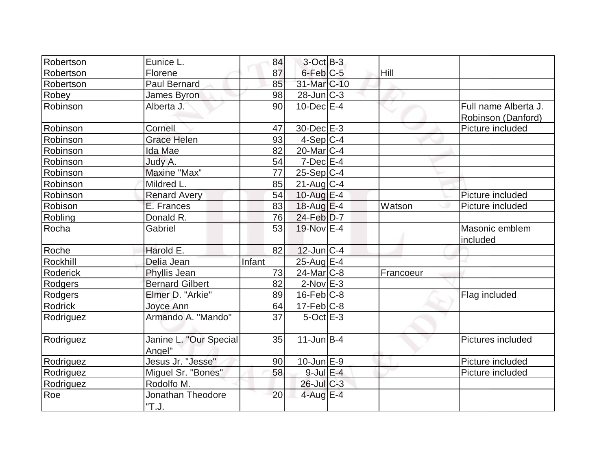| Robertson      | Eunice L.                        | 84     | $3-Oct$ B-3       |           |                                            |
|----------------|----------------------------------|--------|-------------------|-----------|--------------------------------------------|
| Robertson      | Florene                          | 87     | 6-Feb C-5         | Hill      |                                            |
| Robertson      | <b>Paul Bernard</b>              | 85     | 31-Mar C-10       |           |                                            |
| Robey          | James Byron                      | 98     | $28$ -Jun $C-3$   |           |                                            |
| Robinson       | Alberta J.                       | 90     | $10$ -Dec $E-4$   |           | Full name Alberta J.<br>Robinson (Danford) |
| Robinson       | Cornell                          | 47     | 30-Dec E-3        |           | Picture included                           |
| Robinson       | <b>Grace Helen</b>               | 93     | $4-Sep C-4$       |           |                                            |
| Robinson       | Ida Mae                          | 82     | $20$ -Mar $ C-4 $ |           |                                            |
| Robinson       | Judy A.                          | 54     | $7$ -Dec $E-4$    |           |                                            |
| Robinson       | Maxine "Max"                     | 77     | $25-Sep C-4$      |           |                                            |
| Robinson       | Mildred L.                       | 85     | $21$ -Aug $C-4$   |           |                                            |
| Robinson       | <b>Renard Avery</b>              | 54     | 10-Aug E-4        |           | Picture included                           |
| Robison        | E. Frances                       | 83     | $18$ -Aug $E-4$   | Watson    | Picture included                           |
| Robling        | Donald R.                        | 76     | 24-Feb D-7        |           |                                            |
| Rocha          | Gabriel                          | 53     | 19-Nov E-4        |           | Masonic emblem<br>included                 |
| Roche          | Harold E.                        | 82     | $12$ -Jun $ C-4$  |           |                                            |
| Rockhill       | Delia Jean                       | Infant | 25-Aug E-4        |           |                                            |
| Roderick       | Phyllis Jean                     | 73     | $24$ -Mar $C-8$   | Francoeur |                                            |
| Rodgers        | <b>Bernard Gilbert</b>           | 82     | $2$ -Nov $E-3$    |           |                                            |
| Rodgers        | Elmer D. "Arkie"                 | 89     | $16$ -Feb $ C-8$  |           | Flag included                              |
| <b>Rodrick</b> | Joyce Ann                        | 64     | $17-Feb$ C-8      |           |                                            |
| Rodriguez      | Armando A. "Mando"               | 37     | $5$ -Oct $E-3$    |           |                                            |
| Rodriguez      | Janine L. "Our Special<br>Angel" | 35     | $11$ -Jun $B-4$   |           | Pictures included                          |
| Rodriguez      | Jesus Jr. "Jesse"                | 90     | $10$ -Jun $E-9$   |           | Picture included                           |
| Rodriguez      | Miguel Sr. "Bones"               | 58     | $9$ -Jul $E-4$    |           | Picture included                           |
| Rodriguez      | Rodolfo M.                       |        | $26$ -Jul $C-3$   |           |                                            |
| Roe            | Jonathan Theodore<br>"T.J.       | 20     | 4-Aug $E-4$       |           |                                            |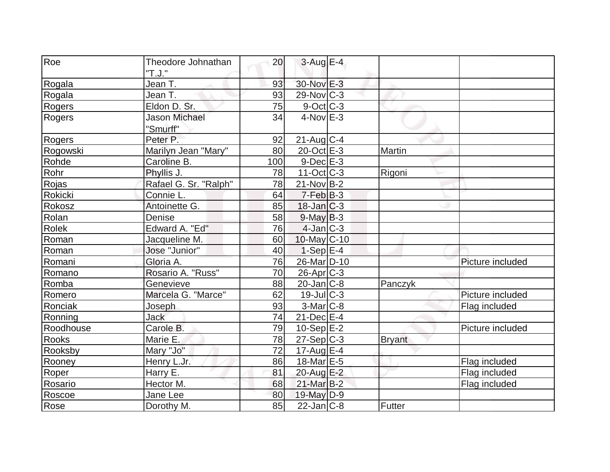| Roe            | Theodore Johnathan    | 20  | $3-AugE-4$              |               |                  |
|----------------|-----------------------|-----|-------------------------|---------------|------------------|
|                | "T.J."                |     |                         |               |                  |
| Rogala         | Jean T.               | 93  | 30-Nov E-3              |               |                  |
| Rogala         | Jean T.               | 93  | $29$ -Nov $ C-3 $       |               |                  |
| Rogers         | Eldon D. Sr.          | 75  | $9-Oct$ <sub>C</sub> -3 |               |                  |
| <b>Rogers</b>  | <b>Jason Michael</b>  | 34  | $4$ -Nov $E-3$          |               |                  |
|                | "Smurff"              |     |                         |               |                  |
| Rogers         | Peter P.              | 92  | $21$ -Aug C-4           |               |                  |
| Rogowski       | Marilyn Jean "Mary"   | 80  | $20$ -Oct $E-3$         | Martin        |                  |
| Rohde          | Caroline B.           | 100 | $9$ -Dec $E-3$          |               |                  |
| Rohr           | Phyllis J.            | 78  | $11-Oct$ $C-3$          | Rigoni        |                  |
| Rojas          | Rafael G. Sr. "Ralph" | 78  | $21-Nov B-2$            |               |                  |
| <b>Rokicki</b> | Connie L.             | 64  | $7-FebB-3$              |               |                  |
| Rokosz         | Antoinette G.         | 85  | $18$ -Jan $C-3$         |               |                  |
| Rolan          | Denise                | 58  | $9$ -May $B-3$          |               |                  |
| <b>Rolek</b>   | Edward A. "Ed"        | 76  | $4$ -Jan $ C-3 $        |               |                  |
| Roman          | Jacqueline M.         | 60  | $10$ -May $C$ -10       |               |                  |
| Roman          | Jose "Junior"         | 40  | $1-Sep E-4$             |               |                  |
| Romani         | Gloria A.             | 76  | 26-Mar D-10             |               | Picture included |
| Romano         | Rosario A. "Russ"     | 70  | $26$ -Apr $C-3$         |               |                  |
| Romba          | Genevieve             | 88  | $20$ -Jan $ C-8 $       | Panczyk       |                  |
| Romero         | Marcela G. "Marce"    | 62  | $19$ -Jul $C-3$         |               | Picture included |
| Ronciak        | Joseph                | 93  | $3-Mar$ $C-8$           |               | Flag included    |
| Ronning        | Jack                  | 74  | $21$ -Dec $E-4$         |               |                  |
| Roodhouse      | Carole B.             | 79  | $10-Sep$ $E-2$          |               | Picture included |
| Rooks          | Marie E.              | 78  | $27-Sep C-3$            | <b>Bryant</b> |                  |
| Rooksby        | Mary "Jo"             | 72  | 17-Aug $E-4$            |               |                  |
| Rooney         | Henry L.Jr.           | 86  | 18-Mar E-5              |               | Flag included    |
| Roper          | Harry E.              | 81  | 20-Aug E-2              |               | Flag included    |
| Rosario        | Hector M.             | 68  | $21$ -Mar $B-2$         |               | Flag included    |
| Roscoe         | Jane Lee              | 80  | 19-May D-9              |               |                  |
| Rose           | Dorothy M.            | 85  | $22$ -Jan $C-8$         | Futter        |                  |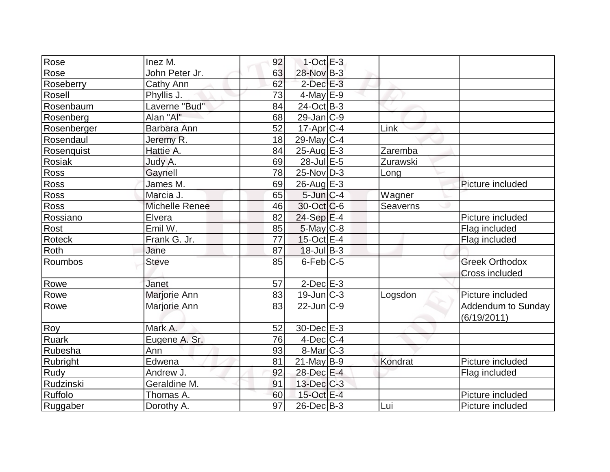| Rose          | Inez M.               | 92 | $1$ -Oct $E-3$    |          |                           |
|---------------|-----------------------|----|-------------------|----------|---------------------------|
| Rose          | John Peter Jr.        | 63 | 28-Nov B-3        |          |                           |
| Roseberry     | Cathy Ann             | 62 | $2$ -Dec $E-3$    |          |                           |
| Rosell        | Phyllis J.            | 73 | $4$ -May $E-9$    |          |                           |
| Rosenbaum     | Laverne "Bud"         | 84 | 24-Oct B-3        |          |                           |
| Rosenberg     | Alan "Al"             | 68 | $29$ -Jan $ C-9 $ |          |                           |
| Rosenberger   | Barbara Ann           | 52 | $17$ -Apr $ C-4$  | Link     |                           |
| Rosendaul     | Jeremy R.             | 18 | $29$ -May C-4     |          |                           |
| Rosenquist    | Hattie A.             | 84 | $25$ -Aug $E-3$   | Zaremba  |                           |
| <b>Rosiak</b> | Judy A.               | 69 | 28-Jul E-5        | Zurawski |                           |
| <b>Ross</b>   | Gaynell               | 78 | $25$ -Nov $ D-3 $ | Long     |                           |
| <b>Ross</b>   | James M.              | 69 | $26$ -Aug $E-3$   |          | Picture included          |
| Ross          | Marcia J.             | 65 | $5$ -Jun $C-4$    | Wagner   |                           |
| Ross          | <b>Michelle Renee</b> | 46 | 30-Oct C-6        | Seaverns |                           |
| Rossiano      | Elvera                | 82 | $24-Sep$ $E-4$    |          | Picture included          |
| Rost          | Emil W.               | 85 | 5-May C-8         |          | Flag included             |
| <b>Roteck</b> | Frank G. Jr.          | 77 | $15$ -Oct $E-4$   |          | Flag included             |
| Roth          | Jane                  | 87 | $18$ -Jul B-3     |          |                           |
| Roumbos       | <b>Steve</b>          | 85 | $6$ -Feb $C$ -5   |          | <b>Greek Orthodox</b>     |
|               |                       |    |                   |          | Cross included            |
| Rowe          | Janet                 | 57 | $2$ -Dec $E-3$    |          |                           |
| Rowe          | Marjorie Ann          | 83 | $19$ -Jun $C-3$   | Logsdon  | Picture included          |
| Rowe          | Marjorie Ann          | 83 | $22$ -Jun $ C-9 $ |          | <b>Addendum to Sunday</b> |
|               |                       |    |                   |          | (6/19/2011)               |
| Roy           | Mark A.               | 52 | $30$ -Dec $E-3$   |          |                           |
| Ruark         | Eugene A. Sr.         | 76 | $4$ -Dec $ C-4 $  |          |                           |
| Rubesha       | Ann                   | 93 | $8$ -Mar $C-3$    |          |                           |
| Rubright      | Edwena                | 81 | $21$ -May B-9     | Kondrat  | Picture included          |
| Rudy          | Andrew J.             | 92 | 28-Dec E-4        |          | Flag included             |
| Rudzinski     | Geraldine M.          | 91 | 13-Dec C-3        |          |                           |
| Ruffolo       | Thomas A.             | 60 | 15-Oct E-4        |          | Picture included          |
| Ruggaber      | Dorothy A.            | 97 | $26$ -Dec $B-3$   | Lui      | Picture included          |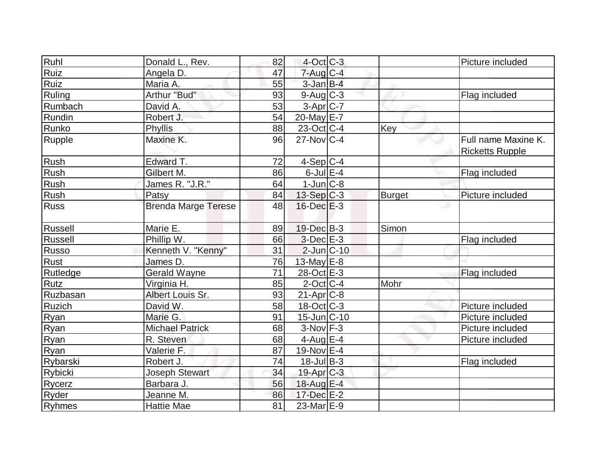| Ruhl        | Donald L., Rev.            | 82              | $4$ -Oct C-3      |               | Picture included                              |
|-------------|----------------------------|-----------------|-------------------|---------------|-----------------------------------------------|
| Ruiz        | Angela D.                  | 47              | $7$ -Aug $C-4$    |               |                                               |
| Ruiz        | Maria A.                   | 55              | $3$ -Jan $B-4$    |               |                                               |
| Ruling      | Arthur "Bud"               | 93              | $9$ -Aug $C$ -3   |               | Flag included                                 |
| Rumbach     | David A.                   | 53              | $3-Apr$ $C-7$     |               |                                               |
| Rundin      | Robert J.                  | 54              | 20-May E-7        |               |                                               |
| Runko       | Phyllis                    | 88              | 23-Oct C-4        | Key           |                                               |
| Rupple      | Maxine K.                  | 96              | $27$ -Nov $ C-4 $ |               | Full name Maxine K.<br><b>Ricketts Rupple</b> |
| Rush        | Edward T.                  | 72              | $4-Sep C-4$       |               |                                               |
| Rush        | Gilbert M.                 | 86              | $6$ -Jul $E-4$    |               | Flag included                                 |
| Rush        | James R. "J.R."            | 64              | $1$ -Jun $ C-8 $  |               |                                               |
| Rush        | Patsy                      | 84              | $13-Sep C-3$      | <b>Burget</b> | Picture included                              |
| <b>Russ</b> | <b>Brenda Marge Terese</b> | 48              | $16$ -Dec $E-3$   |               |                                               |
| Russell     | Marie E.                   | 89              | 19-Dec B-3        | Simon         |                                               |
| Russell     | Phillip W.                 | 66              | $3-Dec$ $E-3$     |               | Flag included                                 |
| Russo       | Kenneth V. "Kenny"         | 31              | $2$ -Jun $ C-10 $ |               |                                               |
| Rust        | James D.                   | 76              | 13-May $E-8$      |               |                                               |
| Rutledge    | <b>Gerald Wayne</b>        | $\overline{71}$ | 28-Oct E-3        |               | Flag included                                 |
| <b>Rutz</b> | Virginia H.                | 85              | $2$ -Oct $ C-4 $  | Mohr          |                                               |
| Ruzbasan    | Albert Louis Sr.           | 93              | $21-Apr$ $C-8$    |               |                                               |
| Ruzich      | David W.                   | 58              | $18$ -Oct C-3     |               | Picture included                              |
| Ryan        | Marie G.                   | 91              | $15$ -Jun $C-10$  |               | Picture included                              |
| Ryan        | <b>Michael Patrick</b>     | 68              | $3-Nov$ F-3       |               | Picture included                              |
| Ryan        | R. Steven                  | 68              | 4-Aug $E-4$       |               | Picture included                              |
| Ryan        | Valerie F.                 | 87              | 19-Nov E-4        |               |                                               |
| Rybarski    | Robert J.                  | 74              | $18$ -Jul B-3     |               | Flag included                                 |
| Rybicki     | Joseph Stewart             | 34              | 19-Apr C-3        |               |                                               |
| Rycerz      | Barbara J.                 | 56              | 18-Aug E-4        |               |                                               |
| Ryder       | Jeanne M.                  | 86              | $17 - Dec$ E-2    |               |                                               |
| Ryhmes      | <b>Hattie Mae</b>          | 81              | $23$ -Mar $E-9$   |               |                                               |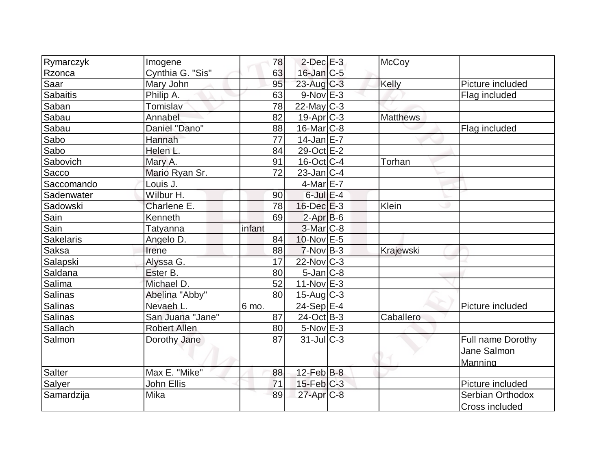| Rymarczyk        | Imogene             | 78     | $2$ -Dec $E-3$             | <b>McCoy</b>    |                   |
|------------------|---------------------|--------|----------------------------|-----------------|-------------------|
| Rzonca           | Cynthia G. "Sis"    | 63     | $16$ -Jan $C$ -5           |                 |                   |
| Saar             | Mary John           | 95     | $23$ -Aug C-3              | Kelly           | Picture included  |
| Sabaitis         | Philip A.           | 63     | $9-Nov$ $E-3$              |                 | Flag included     |
| Saban            | Tomislav            | 78     | $22$ -May C-3              |                 |                   |
| Sabau            | Annabel             | 82     | $19-Apr$ $C-3$             | <b>Matthews</b> |                   |
| Sabau            | Daniel "Dano"       | 88     | $16$ -Mar $ C-8$           |                 | Flag included     |
| Sabo             | Hannah              | 77     | $14$ -Jan $E-7$            |                 |                   |
| Sabo             | Helen L.            | 84     | 29-Oct E-2                 |                 |                   |
| Sabovich         | Mary A.             | 91     | $16$ -Oct $ C-4 $          | Torhan          |                   |
| Sacco            | Mario Ryan Sr.      | 72     | $23$ -Jan $ C-4$           |                 |                   |
| Saccomando       | Louis J.            |        | $4$ -Mar $E$ -7            |                 |                   |
| Sadenwater       | Wilbur H.           | 90     | $6$ -Jul $E-4$             |                 |                   |
| Sadowski         | Charlene E.         | 78     | $16$ -Dec $E-3$            | Klein           |                   |
| Sain             | Kenneth             | 69     | $2-Apr$ B-6                |                 |                   |
| Sain             | Tatyanna            | infant | $3-Mar$ C-8                |                 |                   |
| <b>Sakelaris</b> | Angelo D.           | 84     | 10-Nov E-5                 |                 |                   |
| Saksa            | Irene               | 88     | $7-Nov B-3$                | Krajewski       |                   |
| Salapski         | Alyssa G.           | 17     | $22$ -Nov $ C-3 $          |                 |                   |
| Saldana          | Ester B.            | 80     | $5$ -Jan $ C-8 $           |                 |                   |
| Salima           | Michael D.          | 52     | $11-Nov$ E-3               |                 |                   |
| Salinas          | Abelina "Abby"      | 80     | $15$ -Aug $C-3$            |                 |                   |
| Salinas          | Nevaeh L.           | 6 mo.  | $24-Sep$ $E-4$             |                 | Picture included  |
| <b>Salinas</b>   | San Juana "Jane"    | 87     | $24-Oct$ B-3               | Caballero       |                   |
| Sallach          | <b>Robert Allen</b> | 80     | $5-Nov$ E-3                |                 |                   |
| Salmon           | Dorothy Jane        | 87     | $31$ -JulC-3               |                 | Full name Dorothy |
|                  |                     |        |                            |                 | Jane Salmon       |
|                  |                     |        |                            |                 | Manning           |
| Salter           | Max E. "Mike"       | 88     | $12$ -Feb $\overline{B-8}$ |                 |                   |
| Salyer           | John Ellis          | 71     | $15$ -Feb $ C-3 $          |                 | Picture included  |
| Samardzija       | Mika                | 89     | 27-Apr <sub>C-8</sub>      |                 | Serbian Orthodox  |
|                  |                     |        |                            |                 | Cross included    |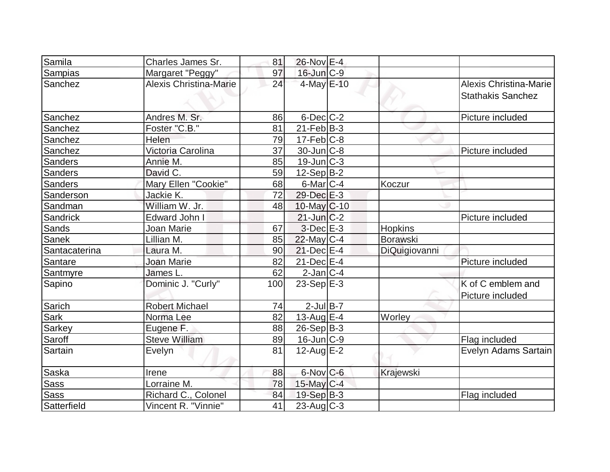| Samila         | Charles James Sr.             | 81  | 26-Nov E-4        |                 |                                                    |
|----------------|-------------------------------|-----|-------------------|-----------------|----------------------------------------------------|
| Sampias        | Margaret "Peggy"              | 97  | 16-Jun C-9        |                 |                                                    |
| Sanchez        | <b>Alexis Christina-Marie</b> | 24  | 4-May E-10        |                 | Alexis Christina-Marie<br><b>Stathakis Sanchez</b> |
| Sanchez        | Andres M. Sr.                 | 86  | $6$ -Dec $C$ -2   |                 | Picture included                                   |
| Sanchez        | Foster "C.B."                 | 81  | $21$ -Feb $ B-3 $ |                 |                                                    |
| Sanchez        | Helen                         | 79  | $17-Feb C-8$      |                 |                                                    |
| Sanchez        | Victoria Carolina             | 37  | $30 - Jun$ $C-8$  |                 | Picture included                                   |
| <b>Sanders</b> | Annie M.                      | 85  | $19$ -Jun $ C-3 $ |                 |                                                    |
| Sanders        | David C.                      | 59  | $12-Sep B-2$      |                 |                                                    |
| <b>Sanders</b> | Mary Ellen "Cookie"           | 68  | $6$ -Mar $C$ -4   | Koczur          |                                                    |
| Sanderson      | Jackie K.                     | 72  | $29$ -Dec $E-3$   |                 |                                                    |
| Sandman        | William W. Jr.                | 48  | $10$ -May C-10    |                 |                                                    |
| Sandrick       | Edward John I                 |     | $21$ -Jun $C-2$   |                 | Picture included                                   |
| Sands          | Joan Marie                    | 67  | $3-Dec$ $E-3$     | Hopkins         |                                                    |
| Sanek          | Lillian M.                    | 85  | 22-May C-4        | <b>Borawski</b> |                                                    |
| Santacaterina  | Laura M.                      | 90  | $21$ -Dec $E-4$   | DiQuigiovanni   |                                                    |
| Santare        | Joan Marie                    | 82  | $21$ -Dec $E$ -4  |                 | Picture included                                   |
| Santmyre       | James L.                      | 62  | $2$ -Jan $ C-4 $  |                 |                                                    |
| Sapino         | Dominic J. "Curly"            | 100 | 23-Sep $E-3$      |                 | K of C emblem and                                  |
|                |                               |     |                   |                 | Picture included                                   |
| Sarich         | <b>Robert Michael</b>         | 74  | $2$ -Jul $B-7$    |                 |                                                    |
| Sark           | Norma Lee                     | 82  | 13-Aug $E-4$      | Worley          |                                                    |
| <b>Sarkey</b>  | Eugene F.                     | 88  | $26-Sep B-3$      |                 |                                                    |
| Saroff         | <b>Steve William</b>          | 89  | $16$ -Jun $C-9$   |                 | Flag included                                      |
| Sartain        | Evelyn                        | 81  | $12$ -Aug $E-2$   |                 | Evelyn Adams Sartain                               |
| Saska          | Irene                         | 88  | $6$ -Nov $C$ -6   | Krajewski       |                                                    |
| <b>Sass</b>    | Lorraine M.                   | 78  | $15$ -May C-4     |                 |                                                    |
| <b>Sass</b>    | Richard C., Colonel           | 84  | 19-Sep B-3        |                 | Flag included                                      |
| Satterfield    | Vincent R. "Vinnie"           | 41  | $23$ -Aug C-3     |                 |                                                    |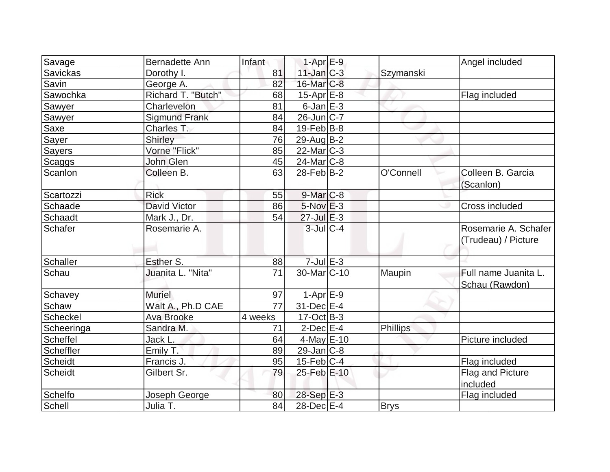|                    | Bernadette Ann       | Infant  | $1-Apr$ E-9            |             | Angel included                              |
|--------------------|----------------------|---------|------------------------|-------------|---------------------------------------------|
| Savage<br>Savickas | Dorothy I.           | 81      | $11$ -Jan $C-3$        | Szymanski   |                                             |
| Savin              | George A.            | 82      | $16$ -Mar $ C-8 $      |             |                                             |
| Sawochka           | Richard T. "Butch"   | 68      | $15$ -Apr $E$ -8       |             | Flag included                               |
|                    | Charlevelon          | 81      | $6$ -Jan $E-3$         |             |                                             |
| Sawyer<br>Sawyer   | <b>Sigmund Frank</b> | 84      | $26$ -Jun $ C-7 $      |             |                                             |
| Saxe               | Charles T.           | 84      | $19$ -Feb $ B-8$       |             |                                             |
|                    | Shirley              | 76      | 29-Aug B-2             |             |                                             |
| Sayer              | Vorne "Flick"        |         |                        |             |                                             |
| <b>Sayers</b>      |                      | 85      | $22$ -Mar $C-3$        |             |                                             |
| <b>Scaggs</b>      | John Glen            | 45      | $24$ -Mar $C-8$        |             |                                             |
| Scanlon            | Colleen B.           | 63      | $28$ -Feb $ B-2 $      | O'Connell   | Colleen B. Garcia<br>(Scanlon)              |
| Scartozzi          | <b>Rick</b>          | 55      | $9$ -Mar $C$ -8        |             |                                             |
| Schaade            | <b>David Victor</b>  | 86      | $5-Nov$ $E-3$          |             | Cross included                              |
| <b>Schaadt</b>     | Mark J., Dr.         | 54      | $27$ -Jul $E-3$        |             |                                             |
| Schafer            | Rosemarie A.         |         | $3$ -Jul $C-4$         |             | Rosemarie A. Schafer<br>(Trudeau) / Picture |
| Schaller           | Esther S.            | 88      | $7$ -Jul $E-3$         |             |                                             |
| Schau              | Juanita L. "Nita"    | 71      | 30-Mar <sub>C-10</sub> | Maupin      | Full name Juanita L.<br>Schau (Rawdon)      |
| Schavey            | <b>Muriel</b>        | 97      | $1-Apr$ E-9            |             |                                             |
| Schaw              | Walt A., Ph.D CAE    | 77      | 31-Dec E-4             |             |                                             |
| Scheckel           | <b>Ava Brooke</b>    | 4 weeks | $17-Oct$ B-3           |             |                                             |
| Scheeringa         | Sandra M.            | 71      | $2$ -Dec $E-4$         | Phillips    |                                             |
| Scheffel           | Jack L.              | 64      | 4-May $E-10$           |             | Picture included                            |
| Scheffler          | Emily T.             | 89      | $29$ -Jan $ C-8 $      |             |                                             |
| <b>Scheidt</b>     | Francis J.           | 95      | $15$ -Feb $ C-4$       |             | Flag included                               |
| <b>Scheidt</b>     | Gilbert Sr.          | 79      | 25-Feb E-10            |             | Flag and Picture<br>included                |
| Schelfo            | Joseph George        | 80      | $28-Sep$ $E-3$         |             | Flag included                               |
| Schell             | Julia T.             | 84      | 28-Dec E-4             | <b>Brys</b> |                                             |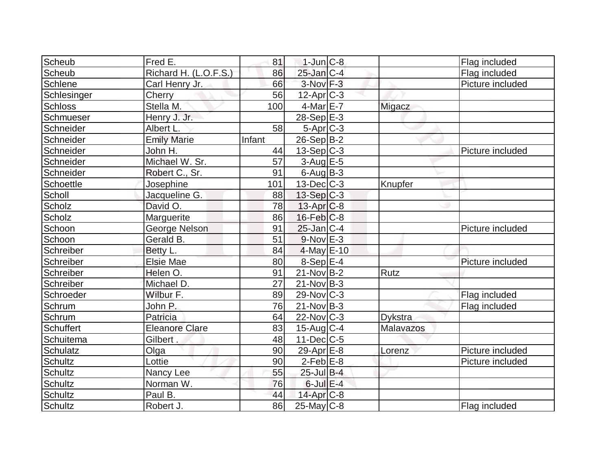| Scheub         | Fred E.               | 81     | $1$ -Jun $C-8$    |                | Flag included    |
|----------------|-----------------------|--------|-------------------|----------------|------------------|
| Scheub         | Richard H. (L.O.F.S.) | 86     | $25$ -Jan $ C-4 $ |                | Flag included    |
| Schlene        | Carl Henry Jr.        | 66     | $3-Nov$ F-3       |                | Picture included |
| Schlesinger    | Cherry                | 56     | $12$ -Apr $ C-3 $ |                |                  |
| <b>Schloss</b> | Stella M.             | 100    | $4$ -Mar $E$ -7   | Migacz         |                  |
| Schmueser      | Henry J. Jr.          |        | 28-Sep E-3        |                |                  |
| Schneider      | Albert L.             | 58     | $5-Apr$ $C-3$     |                |                  |
| Schneider      | <b>Emily Marie</b>    | Infant | $26-Sep B-2$      |                |                  |
| Schneider      | John H.               | 44     | $13-Sep C-3$      |                | Picture included |
| Schneider      | Michael W. Sr.        | 57     | $3-Aug$ $E-5$     |                |                  |
| Schneider      | Robert C., Sr.        | 91     | $6$ -Aug $B$ -3   |                |                  |
| Schoettle      | Josephine             | 101    | $13$ -Dec $ C-3 $ | Knupfer        |                  |
| Scholl         | Jacqueline G.         | 88     | $13-Sep C-3$      |                |                  |
| Scholz         | David O.              | 78     | $13$ -Apr $ C-8$  |                |                  |
| Scholz         | Marguerite            | 86     | $16$ -Feb $ C-8$  |                |                  |
| Schoon         | George Nelson         | 91     | $25$ -Jan $ C-4 $ |                | Picture included |
| Schoon         | Gerald B.             | 51     | $9-Nov$ E-3       |                |                  |
| Schreiber      | Betty L.              | 84     | $4$ -May $E-10$   |                |                  |
| Schreiber      | <b>Elsie Mae</b>      | 80     | $8-Sep E-4$       |                | Picture included |
| Schreiber      | Helen O.              | 91     | $21-Nov B-2$      | Rutz           |                  |
| Schreiber      | Michael D.            | 27     | $21-Nov B-3$      |                |                  |
| Schroeder      | Wilbur F.             | 89     | 29-Nov C-3        |                | Flag included    |
| Schrum         | John P.               | 76     | $21-Nov B-3$      |                | Flag included    |
| Schrum         | Patricia              | 64     | $22$ -Nov $ C-3 $ | <b>Dykstra</b> |                  |
| Schuffert      | <b>Eleanore Clare</b> | 83     | $15$ -Aug C-4     | Malavazos      |                  |
| Schuitema      | Gilbert.              | 48     | $11$ -Dec $ C$ -5 |                |                  |
| Schulatz       | Olga                  | 90     | 29-Apr $E-8$      | Lorenz         | Picture included |
| <b>Schultz</b> | Lottie                | 90     | $2-Feb$ $E-8$     |                | Picture included |
| Schultz        | Nancy Lee             | 55     | $25$ -Jul B-4     |                |                  |
| Schultz        | Norman W.             | 76     | $6$ -Jul $E-4$    |                |                  |
| Schultz        | Paul B.               | 44     | $14$ -Apr $C-8$   |                |                  |
| <b>Schultz</b> | Robert J.             | 86     | $25$ -May C-8     |                | Flag included    |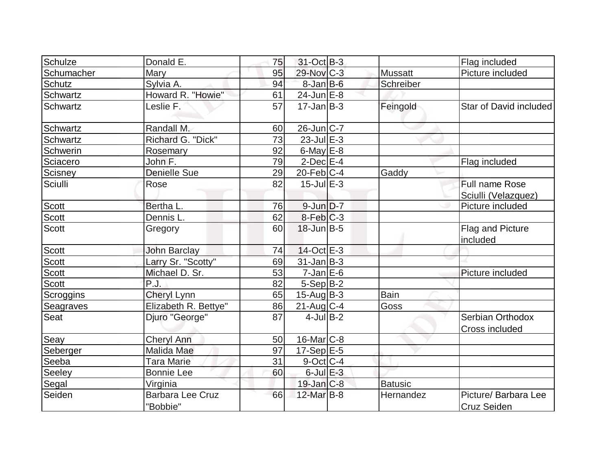| Schulze         | Donald E.                           | 75 | 31-Oct B-3            |                | Flag included                       |
|-----------------|-------------------------------------|----|-----------------------|----------------|-------------------------------------|
| Schumacher      | <b>Mary</b>                         | 95 | $29$ -Nov $C-3$       | <b>Mussatt</b> | Picture included                    |
| Schutz          | Sylvia A.                           | 94 | $8$ -Jan $B$ -6       | Schreiber      |                                     |
| <b>Schwartz</b> | Howard R. "Howie"                   | 61 | $24$ -Jun $E-8$       |                |                                     |
| <b>Schwartz</b> | Leslie F.                           | 57 | $17 - Jan$ $B-3$      |                | Star of David included              |
|                 |                                     |    |                       | Feingold       |                                     |
| Schwartz        | Randall M.                          | 60 | $26$ -Jun $ C-7$      |                |                                     |
| <b>Schwartz</b> | Richard G. "Dick"                   | 73 | $23$ -Jul $E-3$       |                |                                     |
| Schwerin        | Rosemary                            | 92 | $6$ -May $E$ -8       |                |                                     |
| Sciacero        | John F.                             | 79 | $2$ -Dec $E-4$        |                | Flag included                       |
| Scisney         | <b>Denielle Sue</b>                 | 29 | $20$ -Feb $ C-4$      | Gaddy          |                                     |
| Sciulli         | Rose                                | 82 | $15$ -Jul $E-3$       |                | <b>Full name Rose</b>               |
|                 |                                     |    |                       |                | Sciulli (Velazquez)                 |
| <b>Scott</b>    | Bertha L.                           | 76 | $9$ -Jun $D-7$        |                | Picture included                    |
| Scott           | Dennis L.                           | 62 | 8-Feb C-3             |                |                                     |
| <b>Scott</b>    | Gregory                             | 60 | $18$ -Jun $B - 5$     |                | Flag and Picture<br>included        |
| <b>Scott</b>    | <b>John Barclay</b>                 | 74 | $14$ -Oct $E$ -3      |                |                                     |
| <b>Scott</b>    | Larry Sr. "Scotty"                  | 69 | $31$ -Jan $ B-3 $     |                |                                     |
| <b>Scott</b>    | Michael D. Sr.                      | 53 | $7$ -Jan $E$ -6       |                | Picture included                    |
| <b>Scott</b>    | P.J.                                | 82 | $5-Sep B-2$           |                |                                     |
| Scroggins       | <b>Cheryl Lynn</b>                  | 65 | $15$ -Aug $B-3$       | <b>Bain</b>    |                                     |
| Seagraves       | Elizabeth R. Bettye"                | 86 | $21$ -Aug C-4         | Goss           |                                     |
| Seat            | Djuro "George"                      | 87 | $4$ -Jul B-2          |                | Serbian Orthodox                    |
|                 |                                     |    |                       |                | Cross included                      |
| Seay            | <b>Cheryl Ann</b>                   | 50 | 16-Mar <sub>C-8</sub> |                |                                     |
| Seberger        | Malida Mae                          | 97 | $17-Sep$ $E-5$        |                |                                     |
| Seeba           | <b>Tara Marie</b>                   | 31 | $9$ -Oct C-4          |                |                                     |
| Seeley          | <b>Bonnie Lee</b>                   | 60 | $6$ -Jul $E-3$        |                |                                     |
| Segal           | Virginia                            |    | $19$ -Jan $ C-8 $     | <b>Batusic</b> |                                     |
| Seiden          | <b>Barbara Lee Cruz</b><br>"Bobbie" | 66 | 12-Mar B-8            | Hernandez      | Picture/ Barbara Lee<br>Cruz Seiden |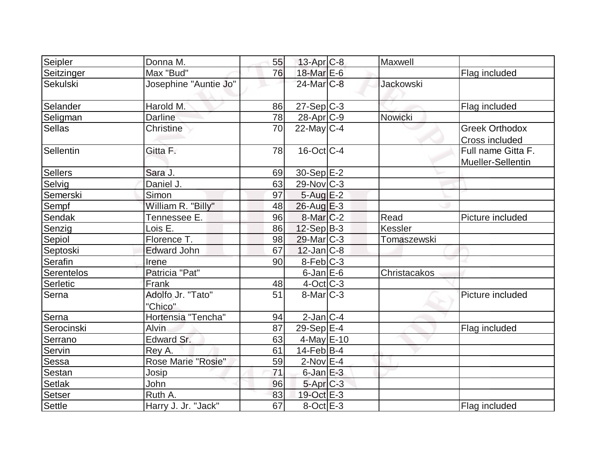| Seipler    | Donna M.                     | 55 | $13$ -Apr $C-8$   | Maxwell          |                                         |
|------------|------------------------------|----|-------------------|------------------|-----------------------------------------|
| Seitzinger | Max "Bud"                    | 76 | 18-Mar E-6        |                  | Flag included                           |
| Sekulski   | Josephine "Auntie Jo"        |    | $24$ -Mar $C-8$   | <b>Jackowski</b> |                                         |
| Selander   | Harold M.                    | 86 | $27-Sep C-3$      |                  | Flag included                           |
| Seligman   | <b>Darline</b>               | 78 | $28$ -Apr $C-9$   | Nowicki          |                                         |
| Sellas     | Christine                    | 70 | $22$ -May C-4     |                  | <b>Greek Orthodox</b><br>Cross included |
| Sellentin  | Gitta F.                     | 78 | $16$ -Oct $ C-4 $ |                  | Full name Gitta F.<br>Mueller-Sellentin |
| Sellers    | Sara J.                      | 69 | $30-Sep$ E-2      |                  |                                         |
| Selvig     | Daniel J.                    | 63 | $29-Nov$ C-3      |                  |                                         |
| Semerski   | Simon                        | 97 | $5 - Aug$ E-2     |                  |                                         |
| Sempf      | William R. "Billy"           | 48 | $26$ -Aug $E-3$   |                  |                                         |
| Sendak     | Tennessee E.                 | 96 | $8$ -Mar $ C-2 $  | Read             | Picture included                        |
| Senzig     | Lois E.                      | 86 | $12-Sep$ B-3      | <b>Kessler</b>   |                                         |
| Sepiol     | Florence T.                  | 98 | $29$ -Mar $ C-3 $ | Tomaszewski      |                                         |
| Septoski   | <b>Edward John</b>           | 67 | $12$ -Jan $ C-8 $ |                  |                                         |
| Serafin    | Irene                        | 90 | $8-Feb C-3$       |                  |                                         |
| Serentelos | Patricia "Pat"               |    | $6$ -Jan $E$ -6   | Christacakos     |                                         |
| Serletic   | Frank                        | 48 | $4$ -Oct C-3      |                  |                                         |
| Serna      | Adolfo Jr. "Tato"<br>"Chico" | 51 | $8$ -Mar $ C-3 $  |                  | Picture included                        |
| Serna      | Hortensia "Tencha"           | 94 | $2$ -Jan $ C-4 $  |                  |                                         |
| Serocinski | <b>Alvin</b>                 | 87 | $29-Sep$ $E-4$    |                  | Flag included                           |
| Serrano    | Edward Sr.                   | 63 | $4$ -May $E$ -10  |                  |                                         |
| Servin     | Rey A.                       | 61 | $14$ -Feb $ B-4 $ |                  |                                         |
| Sessa      | Rose Marie "Rosie"           | 59 | $2$ -Nov $E-4$    |                  |                                         |
| Sestan     | <b>Josip</b>                 | 71 | $6$ -Jan $E-3$    |                  |                                         |
| Setlak     | John                         | 96 | $5-Apr$ $C-3$     |                  |                                         |
| Setser     | Ruth A.                      | 83 | 19-Oct E-3        |                  |                                         |
| Settle     | Harry J. Jr. "Jack"          | 67 | $8-Oct$ $E-3$     |                  | Flag included                           |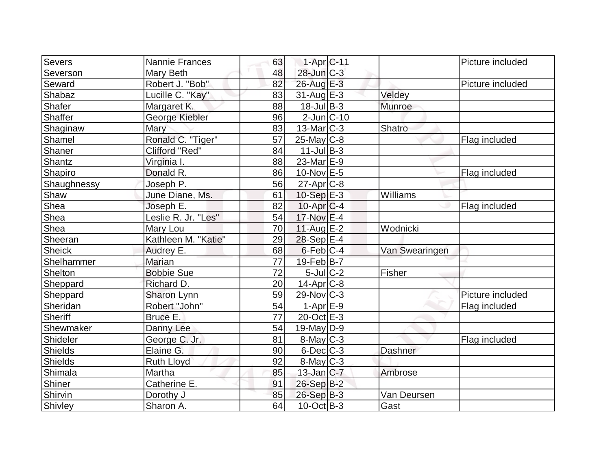| Severs<br>1-Apr C-11<br>Nannie Frances<br>63<br>Severson<br>$28$ -Jun $C-3$<br>48<br>Mary Beth<br>Seward<br>Robert J. "Bob"<br>82<br>26-Aug E-3<br>Shabaz<br>Lucille C. "Kay"<br>83<br>$31$ -Aug $E-3$<br>Veldey | Picture included<br>Picture included |
|------------------------------------------------------------------------------------------------------------------------------------------------------------------------------------------------------------------|--------------------------------------|
|                                                                                                                                                                                                                  |                                      |
|                                                                                                                                                                                                                  |                                      |
|                                                                                                                                                                                                                  |                                      |
|                                                                                                                                                                                                                  |                                      |
| Shafer<br>$18 -$ Jul $B - 3$<br>88<br>Munroe<br>Margaret K.                                                                                                                                                      |                                      |
| Shaffer<br>$2$ -Jun $ C-10$<br>George Kiebler<br>96                                                                                                                                                              |                                      |
| Shaginaw<br>Mary<br>83<br>$13$ -Mar $ C-3 $<br>Shatro                                                                                                                                                            |                                      |
| Shamel<br>Ronald C. "Tiger"<br>57<br>$25$ -May C-8                                                                                                                                                               | Flag included                        |
| Shaner<br>Clifford "Red"<br>$11$ -Jul B-3<br>84                                                                                                                                                                  |                                      |
| Shantz<br>$23$ -Mar $E-9$<br>Virginia I.<br>88                                                                                                                                                                   |                                      |
| Shapiro<br>Donald R.<br>86<br>10-Nov E-5                                                                                                                                                                         | Flag included                        |
| Shaughnessy<br>$27$ -Apr $C-8$<br>56<br>Joseph P.                                                                                                                                                                |                                      |
| Shaw<br>10-Sep $E-3$<br>Williams<br>June Diane, Ms.<br>61                                                                                                                                                        |                                      |
| Shea<br>82<br>$10$ -Apr $ C$ -4<br>Joseph E.                                                                                                                                                                     | Flag included                        |
| Shea<br>Leslie R. Jr. "Les"<br>54<br>$17-Nov$ E-4                                                                                                                                                                |                                      |
| Shea<br>11-Aug E-2<br>70<br>Mary Lou<br>Wodnicki                                                                                                                                                                 |                                      |
| Sheeran<br>Kathleen M. "Katie"<br>$28-Sep$ E-4<br>29                                                                                                                                                             |                                      |
| <b>Sheick</b><br>$6$ -Feb $ C-4$<br>68<br>Audrey E.<br>Van Swearingen                                                                                                                                            |                                      |
| Shelhammer<br>$19$ -Feb $ B-7 $<br>77<br>Marian                                                                                                                                                                  |                                      |
| $5$ -Jul $C-2$<br>72<br>Fisher<br>Shelton<br><b>Bobbie Sue</b>                                                                                                                                                   |                                      |
| Sheppard<br>Richard D.<br>20<br>14-Apr <sub>IC-8</sub>                                                                                                                                                           |                                      |
| Sheppard<br>59<br>$29-Nov$ C-3<br>Sharon Lynn                                                                                                                                                                    | Picture included                     |
| Sheridan<br>54<br>$1-Apr$ $E-9$<br>Robert "John"                                                                                                                                                                 | Flag included                        |
| 77<br>$20$ -Oct $E-3$<br>Sheriff<br>Bruce E.                                                                                                                                                                     |                                      |
| Shewmaker<br>54<br>$19$ -May D-9<br>Danny Lee                                                                                                                                                                    |                                      |
| Shideler<br>8-May C-3<br>George C. Jr.<br>81                                                                                                                                                                     | Flag included                        |
| <b>Shields</b><br>Elaine G.<br>90<br>$6$ -Dec $C-3$<br>Dashner                                                                                                                                                   |                                      |
| Shields<br>92<br><b>Ruth Lloyd</b><br>$8$ -May $C$ -3                                                                                                                                                            |                                      |
| Shimala<br>Martha<br>$13$ -Jan $ C-7 $<br>85<br>Ambrose                                                                                                                                                          |                                      |
| Shiner<br>Catherine E.<br>26-Sep B-2<br>91                                                                                                                                                                       |                                      |
| Shirvin<br>85<br>$26-Sep$ B-3<br>Dorothy J<br>Van Deursen                                                                                                                                                        |                                      |
| Shivley<br>Sharon A.<br>64<br>$10$ -Oct B-3<br>Gast                                                                                                                                                              |                                      |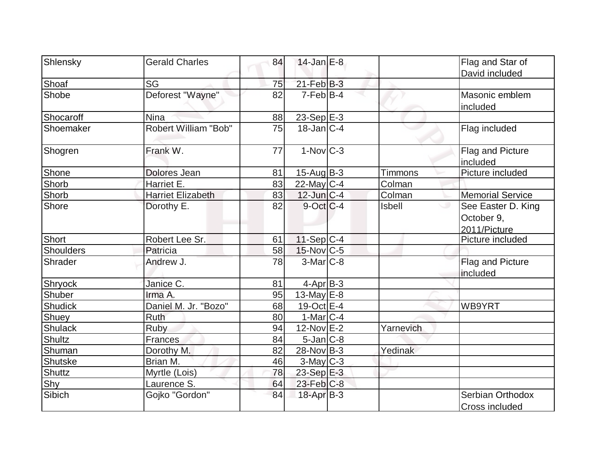| Shlensky         | <b>Gerald Charles</b>       | 84 | $14$ -Jan $E-8$   |               | Flag and Star of        |
|------------------|-----------------------------|----|-------------------|---------------|-------------------------|
|                  |                             |    |                   |               | David included          |
| Shoaf            | <b>SG</b>                   | 75 | $21$ -Feb $B-3$   |               |                         |
| Shobe            | Deforest "Wayne"            | 82 | $7-Feb B-4$       |               | Masonic emblem          |
|                  |                             |    |                   |               | included                |
| Shocaroff        | <b>Nina</b>                 | 88 | 23-Sep $E-3$      |               |                         |
| Shoemaker        | <b>Robert William "Bob"</b> | 75 | $18$ -Jan $ C-4 $ |               | Flag included           |
| Shogren          | Frank W.                    | 77 | $1-Nov$ $C-3$     |               | Flag and Picture        |
|                  |                             |    |                   |               | included                |
| Shone            | Dolores Jean                | 81 | $15$ -Aug $B-3$   | Timmons       | Picture included        |
| Shorb            | Harriet E.                  | 83 | $22$ -May C-4     | Colman        |                         |
| Shorb            | <b>Harriet Elizabeth</b>    | 83 | $12$ -Jun $ C-4 $ | Colman        | <b>Memorial Service</b> |
| Shore            | Dorothy E.                  | 82 | $9$ -Oct $ C-4 $  | <b>Isbell</b> | See Easter D. King      |
|                  |                             |    |                   |               | October 9,              |
|                  |                             |    |                   |               | 2011/Picture            |
| Short            | Robert Lee Sr.              | 61 | $11-Sep C-4$      |               | Picture included        |
| <b>Shoulders</b> | Patricia                    | 58 | $15$ -Nov $ C-5 $ |               |                         |
| Shrader          | Andrew J.                   | 78 | $3-Mar$ $C-8$     |               | Flag and Picture        |
|                  |                             |    |                   |               | included                |
| Shryock          | Janice C.                   | 81 | $4$ -Apr $B-3$    |               |                         |
| <b>Shuber</b>    | Irma A.                     | 95 | 13-May E-8        |               |                         |
| <b>Shudick</b>   | Daniel M. Jr. "Bozo"        | 68 | $19-Oct$ $E-4$    |               | WB9YRT                  |
| Shuey            | Ruth                        | 80 | $1-MarlC-4$       |               |                         |
| Shulack          | <b>Ruby</b>                 | 94 | 12-Nov E-2        | Yarnevich     |                         |
| <b>Shultz</b>    | Frances                     | 84 | $5$ -Jan $C-8$    |               |                         |
| Shuman           | Dorothy M.                  | 82 | $28-Nov B-3$      | Yedinak       |                         |
| Shutske          | Brian M.                    | 46 | $3$ -May $C-3$    |               |                         |
| Shuttz           | Myrtle (Lois)               | 78 | 23-Sep E-3        |               |                         |
| Shy              | Laurence S.                 | 64 | 23-Feb C-8        |               |                         |
| Sibich           | Gojko "Gordon"              | 84 | 18-Apr B-3        |               | Serbian Orthodox        |
|                  |                             |    |                   |               | Cross included          |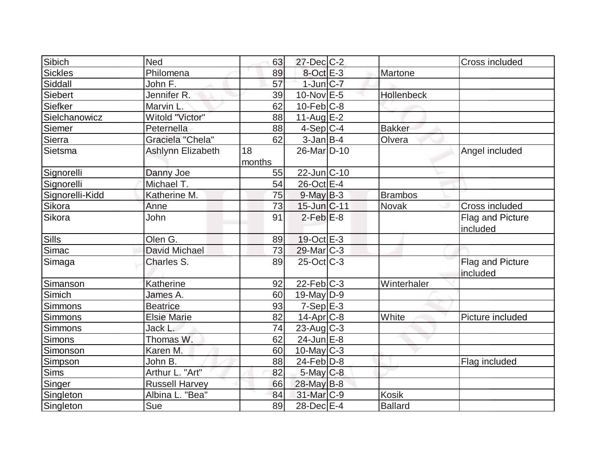| Sibich          | Ned                   | 63     | 27-Dec C-2              |                | Cross included               |
|-----------------|-----------------------|--------|-------------------------|----------------|------------------------------|
| Sickles         | Philomena             | 89     | 8-Oct E-3               | Martone        |                              |
| Siddall         | John F.               | 57     | $1$ -Jun $C-7$          |                |                              |
| Siebert         | Jennifer R.           | 39     | $10$ -Nov $E - 5$       | Hollenbeck     |                              |
| Siefker         | Marvin L.             | 62     | $10$ -Feb $ C-8$        |                |                              |
| Sielchanowicz   | Witold "Victor"       | 88     | $11-Aug$ $E-2$          |                |                              |
| Siemer          | Peternella            | 88     | $4-Sep C-4$             | <b>Bakker</b>  |                              |
| Sierra          | Graciela "Chela"      | 62     | $3 - Jan$ $B-4$         | Olvera         |                              |
| Sietsma         | Ashlynn Elizabeth     | 18     | 26-Mar <sub>D</sub> -10 |                | Angel included               |
|                 |                       | months |                         |                |                              |
| Signorelli      | Danny Joe             | 55     | $22$ -Jun $C-10$        |                |                              |
| Signorelli      | Michael T.            | 54     | $26$ -Oct $E-4$         |                |                              |
| Signorelli-Kidd | Katherine M.          | 75     | $9$ -May $B-3$          | <b>Brambos</b> |                              |
| Sikora          | Anne                  | 73     | $15$ -Jun $C-11$        | <b>Novak</b>   | Cross included               |
| Sikora          | John                  | 91     | $2$ -Feb $E-8$          |                | Flag and Picture             |
|                 |                       |        |                         |                | included                     |
| <b>Sills</b>    | Olen G.               | 89     | $19-Oct$ $E-3$          |                |                              |
| Simac           | <b>David Michael</b>  | 73     | $29$ -Mar $ C-3 $       |                |                              |
| Simaga          | Charles S.            | 89     | $25$ -Oct $ C-3 $       |                | Flag and Picture<br>included |
| Simanson        | Katherine             | 92     | $22$ -Feb $ C-3$        | Winterhaler    |                              |
| Simich          | James A.              | 60     | $19$ -May D-9           |                |                              |
| <b>Simmons</b>  | <b>Beatrice</b>       | 93     | $7-Sep$ $E-3$           |                |                              |
| Simmons         | <b>Elsie Marie</b>    | 82     | $14$ -Apr $C-8$         | White          | Picture included             |
| Simmons         | Jack L.               | 74     | $23$ -Aug C-3           |                |                              |
| Simons          | Thomas W.             | 62     | 24-Jun E-8              |                |                              |
| Simonson        | Karen M.              | 60     | $10$ -May C-3           |                |                              |
| Simpson         | John B.               | 88     | $24$ -Feb $D-8$         |                | Flag included                |
| <b>Sims</b>     | Arthur L. "Art"       | 82     | $5$ -May $C$ -8         |                |                              |
| Singer          | <b>Russell Harvey</b> | 66     | 28-May B-8              |                |                              |
| Singleton       | Albina L. "Bea"       | 84     | 31-Mar <sub>IC-9</sub>  | <b>Kosik</b>   |                              |
| Singleton       | Sue                   | 89     | 28-Dec E-4              | Ballard        |                              |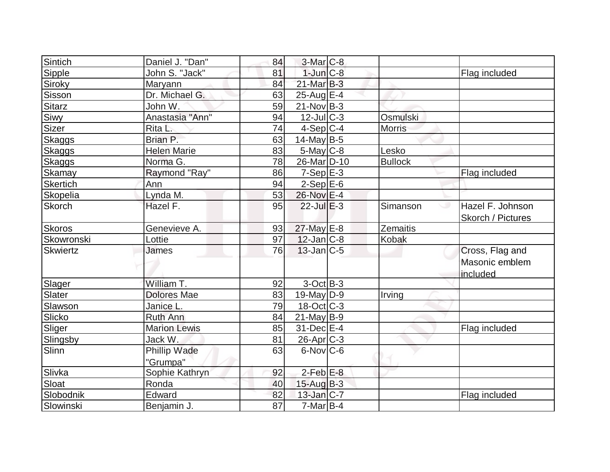| Sintich         | Daniel J. "Dan"     | 84 | $3-Mar$ $C-8$          |                 |                                       |
|-----------------|---------------------|----|------------------------|-----------------|---------------------------------------|
| Sipple          | John S. "Jack"      | 81 | $1$ -Jun $C-8$         |                 | Flag included                         |
| Siroky          | Maryann             | 84 | $21$ -Mar $B-3$        |                 |                                       |
| Sisson          | Dr. Michael G.      | 63 | $25$ -Aug $E-4$        |                 |                                       |
| Sitarz          | John W.             | 59 | $21$ -Nov $ B-3 $      |                 |                                       |
| Siwy            | Anastasia "Ann"     | 94 | $12$ -Jul $C-3$        | <b>Osmulski</b> |                                       |
| Sizer           | Rita L.             | 74 | $4-Sep C-4$            | <b>Morris</b>   |                                       |
| Skaggs          | Brian P.            | 63 | $14$ -May B-5          |                 |                                       |
| <b>Skaggs</b>   | <b>Helen Marie</b>  | 83 | 5-May C-8              | Lesko           |                                       |
| <b>Skaggs</b>   | Norma G.            | 78 | 26-Mar <sub>D-10</sub> | <b>Bullock</b>  |                                       |
| Skamay          | Raymond "Ray"       | 86 | $7-Sep$ $E-3$          |                 | Flag included                         |
| <b>Skertich</b> | Ann                 | 94 | $2-Sep$ $E-6$          |                 |                                       |
| Skopelia        | Lynda M.            | 53 | 26-Nov E-4             |                 |                                       |
| Skorch          | Hazel F.            | 95 | $22$ -Jul $E-3$        | Simanson        | Hazel F. Johnson<br>Skorch / Pictures |
| <b>Skoros</b>   | Genevieve A.        | 93 | 27-May E-8             | Zemaitis        |                                       |
| Skowronski      | Lottie              | 97 | $12$ -Jan $ C-8 $      | Kobak           |                                       |
| Skwiertz        | James               | 76 | $13$ -Jan $ C-5 $      |                 | Cross, Flag and                       |
|                 |                     |    |                        |                 | Masonic emblem<br>included            |
| Slager          | William T.          | 92 | $3-Oct$ B-3            |                 |                                       |
| Slater          | <b>Dolores Mae</b>  | 83 | $19$ -May D-9          | Irving          |                                       |
| Slawson         | Janice L.           | 79 | $18-Oct$ $C-3$         |                 |                                       |
| Slicko          | Ruth Ann            | 84 | $21$ -May B-9          |                 |                                       |
| Sliger          | <b>Marion Lewis</b> | 85 | $31$ -Dec $E-4$        |                 | Flag included                         |
| Slingsby        | Jack W.             | 81 | 26-Apr <sub>C-3</sub>  |                 |                                       |
| Slinn           | Phillip Wade        | 63 | $6$ -Nov $C$ -6        |                 |                                       |
|                 | "Grumpa"            |    |                        |                 |                                       |
| Slivka          | Sophie Kathryn      | 92 | $2$ -Feb $E-8$         |                 |                                       |
| Sloat           | Ronda               | 40 | $15$ -Aug $B-3$        |                 |                                       |
| Slobodnik       | Edward              | 82 | $13$ -Jan $ C-7 $      |                 | Flag included                         |
| Slowinski       | Benjamin J.         | 87 | $7$ -Mar $ B-4 $       |                 |                                       |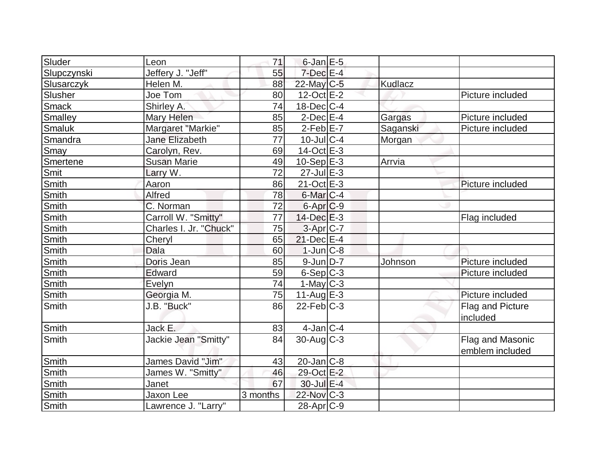| Sluder       | Leon                   | 71              | $6$ -Jan $E$ -5      |          |                  |
|--------------|------------------------|-----------------|----------------------|----------|------------------|
| Slupczynski  | Jeffery J. "Jeff"      | 55              | $7$ -Dec $E-4$       |          |                  |
| Slusarczyk   | Helen M.               | 88              | 22-May C-5           | Kudlacz  |                  |
| Slusher      | Joe Tom                | 80              | $12-Oct$ $E-2$       |          | Picture included |
| <b>Smack</b> | Shirley A.             | 74              | $18$ -Dec $ C-4 $    |          |                  |
| Smalley      | Mary Helen             | 85              | $2$ -Dec $E-4$       | Gargas   | Picture included |
| Smaluk       | Margaret "Markie"      | 85              | $2-Feb$ $E-7$        | Saganski | Picture included |
| Smandra      | Jane Elizabeth         | 77              | $10$ -Jul $C-4$      | Morgan   |                  |
| Smay         | Carolyn, Rev.          | 69              | 14-Oct E-3           |          |                  |
| Smertene     | <b>Susan Marie</b>     | 49              | $10-Sep$ $E-3$       | Arrvia   |                  |
| Smit         | Larry W.               | $\overline{72}$ | $27$ -Jul $E-3$      |          |                  |
| Smith        | Aaron                  | 86              | $21-Oct$ $E-3$       |          | Picture included |
| Smith        | Alfred                 | 78              | $6$ -Mar $ C-4 $     |          |                  |
| <b>Smith</b> | C. Norman              | 72              | 6-Apr <sub>C-9</sub> |          |                  |
| Smith        | Carroll W. "Smitty"    | 77              | $14$ -Dec $E-3$      |          | Flag included    |
| <b>Smith</b> | Charles I. Jr. "Chuck" | 75              | 3-Apr C-7            |          |                  |
| Smith        | Cheryl                 | 65              | $21$ -Dec $E-4$      |          |                  |
| Smith        | Dala                   | 60              | $1$ -Jun $C-8$       |          |                  |
| <b>Smith</b> | Doris Jean             | 85              | $9$ -Jun $D-7$       | Johnson  | Picture included |
| Smith        | Edward                 | 59              | $6-Sep C-3$          |          | Picture included |
| Smith        | Evelyn                 | 74              | $1$ -May C-3         |          |                  |
| Smith        | Georgia M.             | 75              | $11$ -Aug $E-3$      |          | Picture included |
| Smith        | J.B. "Buck"            | 86              | $22$ -Feb $ C-3 $    |          | Flag and Picture |
|              |                        |                 |                      |          | included         |
| <b>Smith</b> | Jack E.                | 83              | $4$ -Jan C- $4$      |          |                  |
| Smith        | Jackie Jean "Smitty"   | 84              | $30$ -Aug C-3        |          | Flag and Masonic |
|              |                        |                 |                      |          | emblem included  |
| Smith        | James David "Jim"      | 43              | 20-Jan C-8           |          |                  |
| Smith        | James W. "Smitty"      | 46              | 29-Oct E-2           |          |                  |
| Smith        | Janet                  | 67              | 30-Jul E-4           |          |                  |
| Smith        | Jaxon Lee              | 3 months        | 22-Nov C-3           |          |                  |
| Smith        | Lawrence J. "Larry"    |                 | $28$ -Apr $C-9$      |          |                  |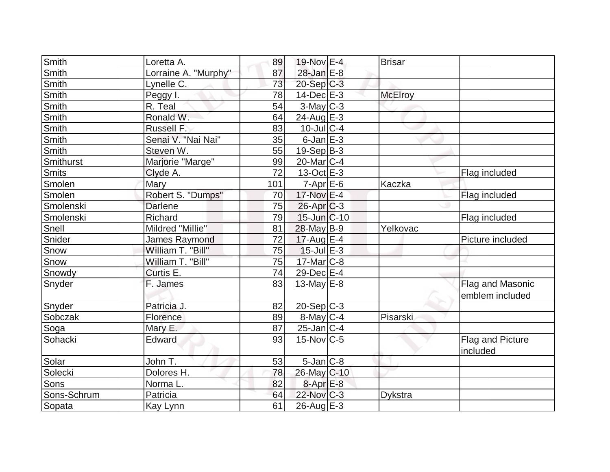| Smith        | Loretta A.           | 89  | 19-Nov E-4        | <b>Brisar</b>  |                              |
|--------------|----------------------|-----|-------------------|----------------|------------------------------|
| Smith        | Lorraine A. "Murphy" | 87  | 28-Jan E-8        |                |                              |
| <b>Smith</b> | Lynelle C.           | 73  | $20-Sep C-3$      |                |                              |
| <b>Smith</b> | Peggy I.             | 78  | $14$ -Dec $E-3$   | <b>McElroy</b> |                              |
| <b>Smith</b> | R. Teal              | 54  | $3$ -May $C-3$    |                |                              |
| Smith        | Ronald W.            | 64  | 24-Aug $E-3$      |                |                              |
| Smith        | Russell F.           | 83  | $10$ -Jul $C-4$   |                |                              |
| Smith        | Senai V. "Nai Nai"   | 35  | $6$ -Jan $E-3$    |                |                              |
| Smith        | Steven W.            | 55  | $19-Sep$ B-3      |                |                              |
| Smithurst    | Marjorie "Marge"     | 99  | $20$ -Mar $ C-4 $ |                |                              |
| Smits        | Clyde A.             | 72  | $13-Oct$ $E-3$    |                | Flag included                |
| Smolen       | Mary                 | 101 | $7-Apr$ $E-6$     | Kaczka         |                              |
| Smolen       | Robert S. "Dumps"    | 70  | 17-Nov E-4        |                | Flag included                |
| Smolenski    | <b>Darlene</b>       | 75  | $26$ -Apr $C-3$   |                |                              |
| Smolenski    | Richard              | 79  | $15$ -Jun $ C-10$ |                | Flag included                |
| Snell        | Mildred "Millie"     | 81  | 28-May B-9        | Yelkovac       |                              |
| Snider       | <b>James Raymond</b> | 72  | $17$ -Aug E-4     |                | Picture included             |
| Snow         | William T. "Bill"    | 75  | $15$ -Jul $E-3$   |                |                              |
| Snow         | William T. "Bill"    | 75  | $17$ -Mar $ C-8 $ |                |                              |
| Snowdy       | Curtis E.            | 74  | 29-Dec E-4        |                |                              |
| Snyder       | F. James             | 83  | 13-May $E-8$      |                | Flag and Masonic             |
|              |                      |     |                   |                | emblem included              |
| Snyder       | Patricia J.          | 82  | $20-Sep C-3$      |                |                              |
| Sobczak      | Florence             | 89  | $8$ -May C-4      | Pisarski       |                              |
| Soga         | Mary E.              | 87  | $25$ -Jan $C-4$   |                |                              |
| Sohacki      | Edward               | 93  | $15$ -Nov $ C-5 $ |                | Flag and Picture<br>included |
| Solar        | John T.              | 53  | $5$ -Jan $ C-8 $  |                |                              |
| Solecki      | Dolores H.           | 78  | 26-May C-10       |                |                              |
| Sons         | Norma L.             | 82  | 8-Apr E-8         |                |                              |
| Sons-Schrum  | Patricia             | 64  | 22-Nov C-3        | Dykstra        |                              |
| Sopata       | Kay Lynn             | 61  | $26$ -Aug $E-3$   |                |                              |
|              |                      |     |                   |                |                              |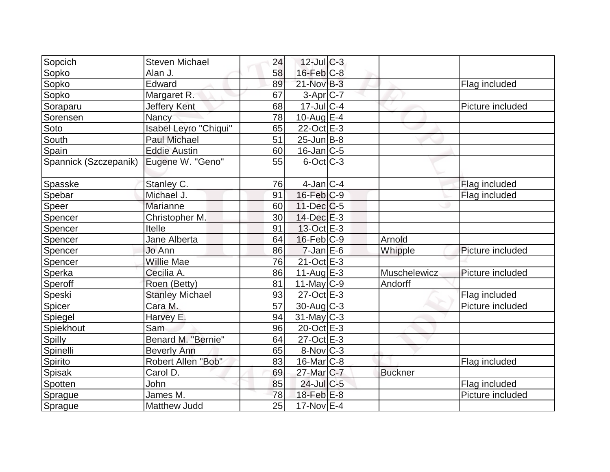| Sopcich               | <b>Steven Michael</b>  | 24 | $12$ -Jul $C-3$        |                |                  |
|-----------------------|------------------------|----|------------------------|----------------|------------------|
| Sopko                 | Alan J.                | 58 | $16$ -Feb $C-8$        |                |                  |
| Sopko                 | Edward                 | 89 | 21-Nov B-3             |                | Flag included    |
| Sopko                 | Margaret R.            | 67 | $3-Apr$ $C-7$          |                |                  |
| Soraparu              | Jeffery Kent           | 68 | $17$ -Jul $C-4$        |                | Picture included |
| Sorensen              | Nancy                  | 78 | 10-Aug $E-4$           |                |                  |
| Soto                  | Isabel Leyro "Chiqui"  | 65 | $22$ -Oct $E-3$        |                |                  |
| South                 | <b>Paul Michael</b>    | 51 | $25$ -Jun $B$ -8       |                |                  |
| Spain                 | <b>Eddie Austin</b>    | 60 | $16$ -Jan $ C-5 $      |                |                  |
| Spannick (Szczepanik) | Eugene W. "Geno"       | 55 | $6$ -Oct $ C-3 $       |                |                  |
| Spasske               | Stanley C.             | 76 | $4$ -Jan $ C-4 $       |                | Flag included    |
| Spebar                | Michael J.             | 91 | $16$ -Feb $C-9$        |                | Flag included    |
| Speer                 | Marianne               | 60 | $11$ -Dec $C$ -5       |                |                  |
| Spencer               | Christopher M.         | 30 | $14$ -Dec $E-3$        |                |                  |
| Spencer               | Itelle                 | 91 | 13-Oct E-3             |                |                  |
| Spencer               | Jane Alberta           | 64 | $16$ -Feb $ C-9$       | Arnold         |                  |
| Spencer               | Jo Ann                 | 86 | $7$ -Jan $E$ -6        | Whipple        | Picture included |
| Spencer               | Willie Mae             | 76 | $21$ -Oct $E-3$        |                |                  |
| Sperka                | Cecilia A.             | 86 | $11-Auq$ $E-3$         | Muschelewicz   | Picture included |
| Speroff               | Roen (Betty)           | 81 | $11$ -May C-9          | Andorff        |                  |
| Speski                | <b>Stanley Michael</b> | 93 | $27$ -Oct $E-3$        |                | Flag included    |
| Spicer                | Cara M.                | 57 | $30$ -Aug $C-3$        |                | Picture included |
| Spiegel               | Harvey E.              | 94 | $31$ -May C-3          |                |                  |
| Spiekhout             | Sam                    | 96 | 20-Oct E-3             |                |                  |
| Spilly                | Benard M. "Bernie"     | 64 | $27-Oct$ $E-3$         |                |                  |
| Spinelli              | <b>Beverly Ann</b>     | 65 | $8-Nov$ <sub>C-3</sub> |                |                  |
| Spirito               | Robert Allen "Bob"     | 83 | $16$ -Mar $ C-8$       |                | Flag included    |
| Spisak                | Carol D.               | 69 | 27-Mar <sub>C-7</sub>  | <b>Buckner</b> |                  |
| Spotten               | John                   | 85 | 24-Jul C-5             |                | Flag included    |
| Sprague               | James M.               | 78 | $18$ -Feb $E-8$        |                | Picture included |
| Sprague               | Matthew Judd           | 25 | 17-Nov E-4             |                |                  |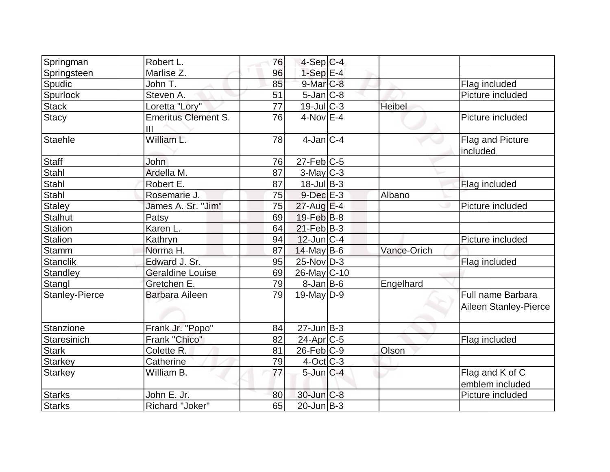| Springman       | Robert L.                                    | 76 | $4-Sep$ C-4               |               |                                            |
|-----------------|----------------------------------------------|----|---------------------------|---------------|--------------------------------------------|
| Springsteen     | Marlise Z.                                   | 96 | $1-SepE-4$                |               |                                            |
| Spudic          | John T.                                      | 85 | $9$ -Mar $C$ -8           |               | Flag included                              |
| Spurlock        | Steven A.                                    | 51 | $5$ -Jan $C-8$            |               | Picture included                           |
| <b>Stack</b>    | Loretta "Lory"                               | 77 | $19 - \text{Jul}$ $C - 3$ | <b>Heibel</b> |                                            |
| <b>Stacy</b>    | <b>Emeritus Clement S.</b><br>$\mathbf{III}$ | 76 | $4-NovE-4$                |               | Picture included                           |
| <b>Staehle</b>  | William L.                                   | 78 | $4$ -Jan $ C-4 $          |               | Flag and Picture<br>included               |
| <b>Staff</b>    | <b>John</b>                                  | 76 | $27$ -Feb $ C$ -5         |               |                                            |
| Stahl           | Ardella M.                                   | 87 | $3$ -May C-3              |               |                                            |
| Stahl           | Robert E.                                    | 87 | $18$ -Jul B-3             |               | Flag included                              |
| Stahl           | Rosemarie J.                                 | 75 | $9$ -Dec $E-3$            | Albano        |                                            |
| <b>Staley</b>   | James A. Sr. "Jim"                           | 75 | $27$ -Aug $E-4$           |               | Picture included                           |
| <b>Stalhut</b>  | Patsy                                        | 69 | $19$ -Feb $ B-8 $         |               |                                            |
| <b>Stalion</b>  | Karen L.                                     | 64 | $21$ -Feb $ B-3 $         |               |                                            |
| Stalion         | Kathryn                                      | 94 | $12$ -Jun $ C-4$          |               | Picture included                           |
| <b>Stamm</b>    | Norma H.                                     | 87 | $14$ -May B-6             | Vance-Orich   |                                            |
| <b>Stanclik</b> | Edward J. Sr.                                | 95 | $25$ -Nov $D-3$           |               | Flag included                              |
| <b>Standley</b> | <b>Geraldine Louise</b>                      | 69 | 26-May C-10               |               |                                            |
| Stangl          | Gretchen E.                                  | 79 | $8$ -Jan B-6              | Engelhard     |                                            |
| Stanley-Pierce  | <b>Barbara Aileen</b>                        | 79 | $19$ -May D-9             |               | Full name Barbara<br>Aileen Stanley-Pierce |
| Stanzione       | Frank Jr. "Popo"                             | 84 | $27$ -Jun $B-3$           |               |                                            |
| Staresinich     | Frank "Chico"                                | 82 | $24$ -Apr $C$ -5          |               | Flag included                              |
| <b>Stark</b>    | Colette R.                                   | 81 | $26$ -Feb $C-9$           | Olson         |                                            |
| <b>Starkey</b>  | Catherine                                    | 79 | $4$ -Oct C-3              |               |                                            |
| <b>Starkey</b>  | William B.                                   | 77 | $5$ -Jun $C-4$            |               | Flag and K of C<br>emblem included         |
| <b>Starks</b>   | John E. Jr.                                  | 80 | 30-Jun C-8                |               | Picture included                           |
| <b>Starks</b>   | Richard "Joker"                              | 65 | $20$ -Jun $ B-3 $         |               |                                            |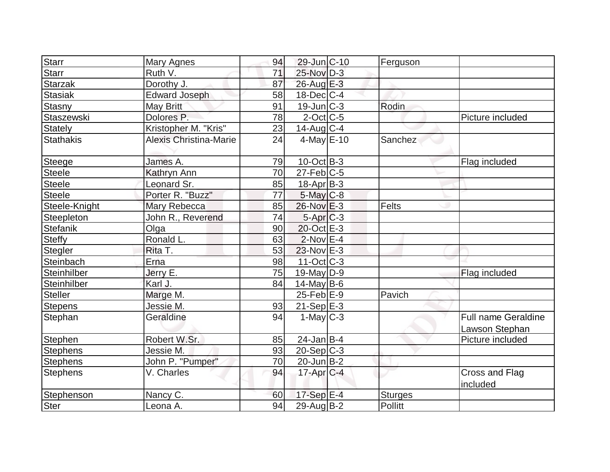| <b>Starr</b>     |                        | 94 | 29-Jun C-10             |                |                            |
|------------------|------------------------|----|-------------------------|----------------|----------------------------|
|                  | Mary Agnes             |    |                         | Ferguson       |                            |
| <b>Starr</b>     | Ruth V.                | 71 | 25-Nov D-3              |                |                            |
| <b>Starzak</b>   | Dorothy J.             | 87 | 26-Aug E-3              |                |                            |
| <b>Stasiak</b>   | <b>Edward Joseph</b>   | 58 | $18$ -Dec $ C-4 $       |                |                            |
| Stasny           | May Britt              | 91 | $19$ -Jun $C-3$         | Rodin          |                            |
| Staszewski       | Dolores P.             | 78 | $2$ -Oct C-5            |                | Picture included           |
| <b>Stately</b>   | Kristopher M. "Kris"   | 23 | $14$ -Aug $C-4$         |                |                            |
| <b>Stathakis</b> | Alexis Christina-Marie | 24 | $4$ -May $E$ -10        | Sanchez        |                            |
| Steege           | James A.               | 79 | $10$ -Oct B-3           |                | Flag included              |
| <b>Steele</b>    | Kathryn Ann            | 70 | $27$ -Feb $ C$ -5       |                |                            |
| Steele           | Leonard Sr.            | 85 | $18$ -Apr $ B-3 $       |                |                            |
| Steele           | Porter R. "Buzz"       | 77 | $5$ -May $C$ -8         |                |                            |
| Steele-Knight    | Mary Rebecca           | 85 | $26$ -Nov $E-3$         | Felts          |                            |
| Steepleton       | John R., Reverend      | 74 | $5-Apr$ $C-3$           |                |                            |
| <b>Stefanik</b>  | Olga                   | 90 | 20-Oct E-3              |                |                            |
| <b>Steffy</b>    | Ronald L.              | 63 | $2$ -Nov $E-4$          |                |                            |
| Stegler          | Rita T.                | 53 | $23$ -Nov $E-3$         |                |                            |
| Steinbach        | Erna                   | 98 | $11-Oct$ $C-3$          |                |                            |
| Steinhilber      | Jerry E.               | 75 | $19$ -May D-9           |                | Flag included              |
| Steinhilber      | Karl J.                | 84 | $14$ -May B-6           |                |                            |
| Steller          | Marge M.               |    | $25$ -Feb $E-9$         | Pavich         |                            |
| <b>Stepens</b>   | Jessie M.              | 93 | $21-Sep$ $E-3$          |                |                            |
| Stephan          | Geraldine              | 94 | $1-May$ <sub>C</sub> -3 |                | <b>Full name Geraldine</b> |
|                  |                        |    |                         |                | Lawson Stephan             |
| Stephen          | Robert W.Sr.           | 85 | $24$ -Jan B-4           |                | Picture included           |
| <b>Stephens</b>  | Jessie M.              | 93 | $20-Sep C-3$            |                |                            |
| <b>Stephens</b>  | John P. "Pumper"       | 70 | 20-Jun B-2              |                |                            |
| <b>Stephens</b>  | V. Charles             | 94 | $17$ -Apr $ C-4 $       |                | Cross and Flag<br>included |
| Stephenson       | Nancy C.               | 60 | 17-Sep E-4              | <b>Sturges</b> |                            |
| Ster             | Leona A.               | 94 | $29$ -Aug $B-2$         | Pollitt        |                            |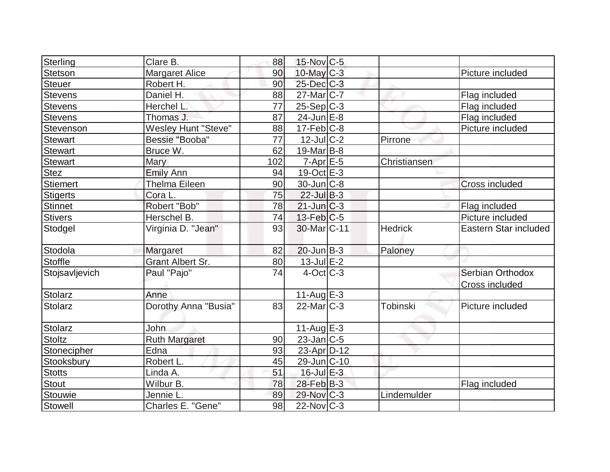| Sterling        | Clare B.                   | 88  | $15$ -Nov $ C$ -5  |                 |                                    |
|-----------------|----------------------------|-----|--------------------|-----------------|------------------------------------|
| Stetson         | <b>Margaret Alice</b>      | 90  | $10$ -May C-3      |                 | Picture included                   |
| <b>Steuer</b>   | Robert H.                  | 90  | 25-Dec C-3         |                 |                                    |
| <b>Stevens</b>  | Daniel H.                  | 88  | $27$ -Mar $ C-7 $  |                 | Flag included                      |
| <b>Stevens</b>  | Herchel L.                 | 77  | $25-SepC-3$        |                 | Flag included                      |
| <b>Stevens</b>  | Thomas J.                  | 87  | $24$ -Jun $E-8$    |                 | Flag included                      |
| Stevenson       | <b>Wesley Hunt "Steve"</b> | 88  | $17$ -Feb $ C-8$   |                 | Picture included                   |
| <b>Stewart</b>  | Bessie "Booba"             | 77  | 12-Jul C-2         | Pirrone         |                                    |
| <b>Stewart</b>  | Bruce W.                   | 62  | $19$ -Mar $ B-8 $  |                 |                                    |
| <b>Stewart</b>  | Mary                       | 102 | $7-Apr$ $E-5$      | Christiansen    |                                    |
| <b>Stez</b>     | <b>Emily Ann</b>           | 94  | $19-Oct \tE-3$     |                 |                                    |
| <b>Stiemert</b> | <b>Thelma Eileen</b>       | 90  | $30$ -Jun $C$ -8   |                 | <b>Cross included</b>              |
| <b>Stigerts</b> | Cora L.                    | 75  | $22$ -Jul B-3      |                 |                                    |
| Stinnet         | Robert "Bob"               | 78  | $21$ -Jun $C-3$    |                 | Flag included                      |
| <b>Stivers</b>  | Herschel B.                | 74  | $13$ -Feb $ C-5 $  |                 | Picture included                   |
| Stodgel         | Virginia D. "Jean"         | 93  | 30-Mar C-11        | <b>Hedrick</b>  | Eastern Star included              |
| Stodola         | Margaret                   | 82  | $20$ -Jun $B-3$    | Paloney         |                                    |
| <b>Stoffle</b>  | <b>Grant Albert Sr.</b>    | 80  | $13$ -Jul $E-2$    |                 |                                    |
| Stojsavljevich  | Paul "Pajo"                | 74  | $4$ -Oct $C$ -3    |                 | Serbian Orthodox<br>Cross included |
| Stolarz         | Anne                       |     | 11-Aug $E-3$       |                 |                                    |
| <b>Stolarz</b>  | Dorothy Anna "Busia"       | 83  | $22$ -Mar $ C-3 $  | <b>Tobinski</b> | Picture included                   |
| <b>Stolarz</b>  | John                       |     | $11-AugE-3$        |                 |                                    |
| <b>Stoltz</b>   | <b>Ruth Margaret</b>       | 90  | 23-Jan C-5         |                 |                                    |
| Stonecipher     | Edna                       | 93  | $23$ -Apr $ D-12 $ |                 |                                    |
| Stooksbury      | Robert L.                  | 45  | 29-Jun C-10        |                 |                                    |
| <b>Stotts</b>   | Linda A.                   | 51  | $16$ -Jul $E-3$    |                 |                                    |
| <b>Stout</b>    | Wilbur B.                  | 78  | $28$ -Feb $B-3$    |                 | Flag included                      |
| Stouwie         | Jennie L                   | 89  | 29-Nov C-3         | Lindemulder     |                                    |
| <b>Stowell</b>  | Charles E. "Gene"          | 98  | $22$ -Nov $ C-3 $  |                 |                                    |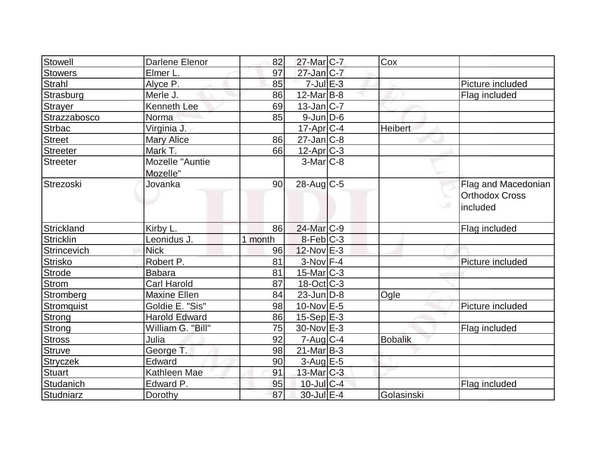| Stowell           | Darlene Elenor       | 82      | $27$ -Mar $C-7$   | Cox            |                       |
|-------------------|----------------------|---------|-------------------|----------------|-----------------------|
| <b>Stowers</b>    | Elmer L.             | 97      | $27$ -Jan $C-7$   |                |                       |
| <b>Strahl</b>     | Alyce P.             | 85      | $7$ -Jul $E-3$    |                | Picture included      |
| Strasburg         | Merle J.             | 86      | $12$ -Mar $ B-8 $ |                | Flag included         |
| <b>Strayer</b>    | <b>Kenneth Lee</b>   | 69      | $13$ -Jan $ C-7 $ |                |                       |
| Strazzabosco      | Norma                | 85      | $9$ -Jun $D$ -6   |                |                       |
| <b>Strbac</b>     | Virginia J.          |         | $17$ -Apr $ C-4 $ | Heibert        |                       |
| <b>Street</b>     | <b>Mary Alice</b>    | 86      | $27$ -Jan $ C-8 $ |                |                       |
| <b>Streeter</b>   | Mark T.              | 66      | $12$ -Apr $C-3$   |                |                       |
| <b>Streeter</b>   | Mozelle "Auntie      |         | $3-MarlC-8$       |                |                       |
|                   | Mozelle"             |         |                   |                |                       |
| Strezoski         | Jovanka              | 90      | 28-Aug C-5        |                | Flag and Macedonian   |
|                   |                      |         |                   |                | <b>Orthodox Cross</b> |
|                   |                      |         |                   |                | ی<br>included         |
|                   |                      |         |                   |                |                       |
| Strickland        | Kirby L.             | 86      | 24-Mar C-9        |                | Flag included         |
| <b>Stricklin</b>  | Leonidus J           | 1 month | $8-Feb C-3$       |                |                       |
| Strincevich       | <b>Nick</b>          | 96      | $12$ -Nov $E-3$   |                |                       |
| <b>Strisko</b>    | Robert P.            | 81      | $3-Nov$ F-4       |                | Picture included      |
| <b>Strode</b>     | <b>Babara</b>        | 81      | $15$ -Mar $ C-3 $ |                |                       |
| <b>Strom</b>      | <b>Carl Harold</b>   | 87      | $18$ -Oct $ C-3 $ |                |                       |
| Stromberg         | <b>Maxine Ellen</b>  | 84      | $23$ -Jun $ D-8 $ | Ogle           |                       |
| <b>Stromquist</b> | Goldie E. "Sis"      | 98      | $10$ -Nov $E - 5$ |                | Picture included      |
| <b>Strong</b>     | <b>Harold Edward</b> | 86      | $15-Sep$ E-3      |                |                       |
| Strong            | William G. "Bill"    | 75      | 30-Nov E-3        |                | Flag included         |
| <b>Stross</b>     | Julia                | 92      | $7 - Aug   C-4$   | <b>Bobalik</b> |                       |
| <b>Struve</b>     | George T.            | 98      | $21$ -Mar $ B-3 $ |                |                       |
| Stryczek          | Edward               | 90      | $3$ -Aug E-5      |                |                       |
| <b>Stuart</b>     | Kathleen Mae         | 91      | 13-Mar C-3        |                |                       |
| Studanich         | Edward P.            | 95      | $10$ -Jul $C-4$   |                | Flag included         |
| Studniarz         | Dorothy              | 87      | 30-Jul E-4        | Golasinski     |                       |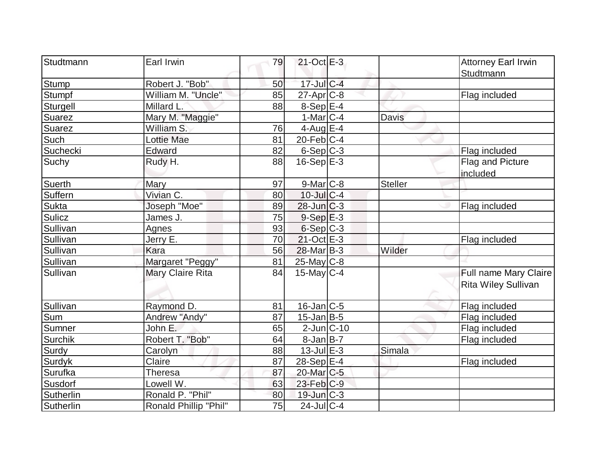| Studtmann      | Earl Irwin            | 79              | $21$ -Oct $E-3$       |                | <b>Attorney Earl Irwin</b><br>Studtmann             |
|----------------|-----------------------|-----------------|-----------------------|----------------|-----------------------------------------------------|
| <b>Stump</b>   | Robert J. "Bob"       | 50              | 17-Jul C-4            |                |                                                     |
| Stumpf         | William M. "Uncle"    | 85              | 27-Apr <sub>C-8</sub> |                | Flag included                                       |
| Sturgell       | Millard L.            | 88              | 8-Sep E-4             |                |                                                     |
| Suarez         | Mary M. "Maggie"      |                 | $1-Mar$ C-4           | <b>Davis</b>   |                                                     |
| <b>Suarez</b>  | William S.            | 76              | 4-Aug $E-4$           |                |                                                     |
| Such           | Lottie Mae            | $\overline{81}$ | $20$ -Feb $ C-4 $     |                |                                                     |
| Suchecki       | Edward                | 82              | $6-Sep$ $C-3$         |                | Flag included                                       |
| Suchy          | Rudy H.               | 88              | $16-Sep$ $E-3$        |                | Flag and Picture<br>included                        |
| Suerth         | Mary                  | 97              | $9-Mar$ $C-8$         | <b>Steller</b> |                                                     |
| Suffern        | Vivian C.             | 80              | $10$ -Jul $C-4$       |                |                                                     |
| Sukta          | Joseph "Moe"          | 89              | $28$ -Jun $C-3$       |                | Flag included                                       |
| Sulicz         | James J.              | 75              | $9-Sep$ $E-3$         |                |                                                     |
| Sullivan       | Agnes                 | 93              | 6-Sep C-3             |                |                                                     |
| Sullivan       | Jerry E.              | 70              | $21$ -Oct $E-3$       |                | Flag included                                       |
| Sullivan       | Kara                  | 56              | 28-Mar B-3            | Wilder         |                                                     |
| Sullivan       | Margaret "Peggy"      | 81              | 25-May C-8            |                |                                                     |
| Sullivan       | Mary Claire Rita      | 84              | $15$ -May C-4         |                | Full name Mary Claire<br><b>Rita Wiley Sullivan</b> |
| Sullivan       | Raymond D.            | 81              | $16$ -Jan $C$ -5      |                | Flag included                                       |
| Sum            | Andrew "Andy"         | 87              | $15$ -Jan $ B-5 $     |                | Flag included                                       |
| <b>Sumner</b>  | John E.               | 65              | $2$ -Jun $ C-10$      |                | Flag included                                       |
| Surchik        | Robert T. "Bob"       | 64              | 8-Jan B-7             |                | Flag included                                       |
| Surdy          | Carolyn               | 88              | $13$ -Jul $E-3$       | Simala         |                                                     |
| <b>Surdyk</b>  | Claire                | 87              | $28-Sep$ E-4          |                | Flag included                                       |
| <b>Surufka</b> | Theresa               | 87              | 20-Mar C-5            |                |                                                     |
| Susdorf        | Lowell W.             | 63              | $23$ -Feb $ C-9 $     |                |                                                     |
| Sutherlin      | Ronald P. "Phil"      | 80              | $19$ -Jun $C-3$       |                |                                                     |
| Sutherlin      | Ronald Phillip "Phil" | 75              | $24$ -Jul C-4         |                |                                                     |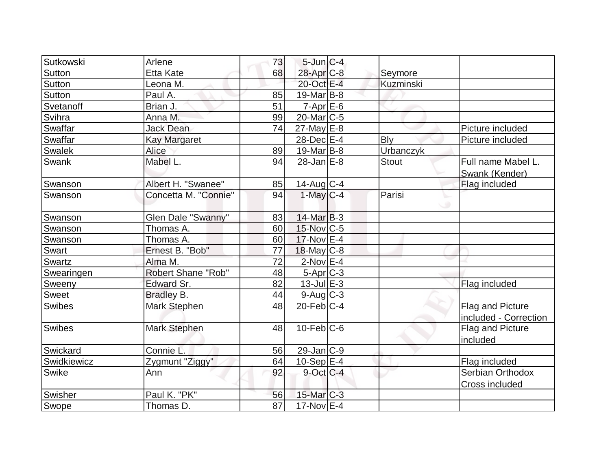| Sutkowski     | Arlene                    | 73       | $5$ -Jun $C-4$    |              |                       |
|---------------|---------------------------|----------|-------------------|--------------|-----------------------|
| <b>Sutton</b> | <b>Etta Kate</b>          | 68       | 28-Apr C-8        | Seymore      |                       |
| <b>Sutton</b> | Leona M.                  |          | 20-Oct E-4        | Kuzminski    |                       |
| Sutton        | Paul A.                   | 85       | $19$ -Mar $ B-8 $ |              |                       |
| Svetanoff     | Brian J.                  | 51       | $7-Apr$ $E-6$     |              |                       |
| Svihra        | Anna M.                   | 99       | $20$ -Mar $ C-5 $ |              |                       |
| Swaffar       | <b>Jack Dean</b>          | 74       | $27$ -May $E-8$   |              | Picture included      |
| Swaffar       | <b>Kay Margaret</b>       |          | 28-Dec E-4        | <b>Bly</b>   | Picture included      |
| Swalek        | Alice                     | 89       | $19$ -Mar $ B-8 $ | Urbanczyk    |                       |
| Swank         | Mabel L.                  | 94       | $28$ -Jan $E-8$   | <b>Stout</b> | Full name Mabel L.    |
|               |                           |          |                   |              | Swank (Kender)        |
| Swanson       | Albert H. "Swanee"        | 85       | $14$ -Aug C-4     |              | Flag included         |
| Swanson       | Concetta M. "Connie"      | 94       | $1$ -May $C-4$    | Parisi       |                       |
| Swanson       | Glen Dale "Swanny"        | 83       | $14$ -Mar $ B-3 $ |              |                       |
|               |                           |          | 15-Nov C-5        |              |                       |
| Swanson       | Thomas A.<br>Thomas A.    | 60<br>60 | $17$ -Nov $E-4$   |              |                       |
| Swanson       | Ernest B. "Bob"           | 77       | $18$ -May C-8     |              |                       |
| Swart         |                           | 72       | $2$ -Nov $E-4$    |              |                       |
| Swartz        | Alma M.                   |          |                   |              |                       |
| Swearingen    | <b>Robert Shane "Rob"</b> | 48       | $5-Apr$ $C-3$     |              |                       |
| Sweeny        | Edward Sr.                | 82       | $13$ -Jul $E-3$   |              | Flag included         |
| <b>Sweet</b>  | <b>Bradley B.</b>         | 44       | $9$ -Aug $C$ -3   |              |                       |
| Swibes        | <b>Mark Stephen</b>       | 48       | $20$ -Feb $C-4$   |              | Flag and Picture      |
|               |                           |          |                   |              | included - Correction |
| Swibes        | Mark Stephen              | 48       | $10$ -Feb $C$ -6  |              | Flag and Picture      |
|               |                           |          |                   |              | included              |
| Swickard      | Connie L.                 | 56       | 29-Jan C-9        |              |                       |
| Swidkiewicz   | Zygmunt "Ziggy"           | 64       | $10-Sep$ $E-4$    |              | Flag included         |
| Swike         | Ann                       | 92       | $9$ -Oct C-4      |              | Serbian Orthodox      |
|               |                           |          |                   |              | Cross included        |
| Swisher       | Paul K. "PK"              | 56       | $15$ -Mar $C-3$   |              |                       |
| Swope         | Thomas D.                 | 87       | 17-Nov E-4        |              |                       |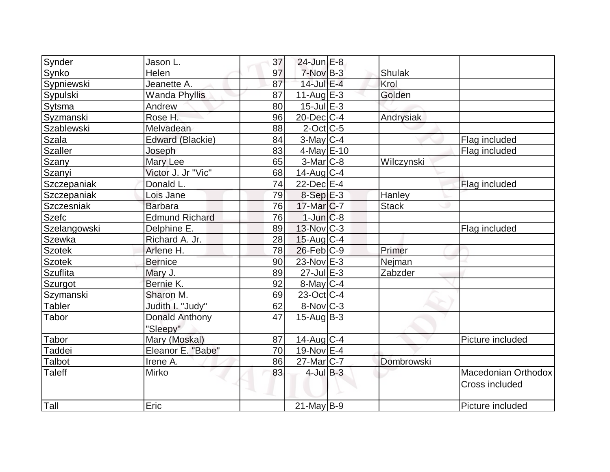| Synder         | Jason L.              | 37 | 24-Jun E-8              |               |                     |
|----------------|-----------------------|----|-------------------------|---------------|---------------------|
| Synko          | Helen                 | 97 | $7-NovB-3$              | Shulak        |                     |
| Sypniewski     | Jeanette A.           | 87 | 14-Jul E-4              | Krol          |                     |
| Sypulski       | <b>Wanda Phyllis</b>  | 87 | $11-Auq$ $E-3$          | Golden        |                     |
| Sytsma         | Andrew                | 80 | $15$ -Jul $E-3$         |               |                     |
| Syzmanski      | Rose H.               | 96 | $20$ -Dec $ C-4 $       | Andrysiak     |                     |
| Szablewski     | Melvadean             | 88 | $2$ -Oct $ C$ -5        |               |                     |
| Szala          | Edward (Blackie)      | 84 | $3$ -May $ C-4 $        |               | Flag included       |
| <b>Szaller</b> | Joseph                | 83 | 4-May $E-10$            |               | Flag included       |
| Szany          | Mary Lee              | 65 | $3-Mar$ $C-8$           | Wilczynski    |                     |
| Szanyi         | Victor J. Jr "Vic"    | 68 | $14$ -Aug $C-4$         |               |                     |
| Szczepaniak    | Donald L.             | 74 | 22-Dec E-4              |               | Flag included       |
| Szczepaniak    | Lois Jane             | 79 | $8-SepE-3$              | Hanley        |                     |
| Szczesniak     | <b>Barbara</b>        | 76 | 17-Mar C-7              | <b>Stack</b>  |                     |
| <b>Szefc</b>   | <b>Edmund Richard</b> | 76 | $1$ -Jun $C-8$          |               |                     |
| Szelangowski   | Delphine E.           | 89 | $13$ -Nov $ C-3 $       |               | Flag included       |
| Szewka         | Richard A. Jr.        | 28 | $15$ -Aug C-4           |               |                     |
| <b>Szotek</b>  | Arlene H.             | 78 | $26$ -Feb $ C-9$        | Primer        |                     |
| <b>Szotek</b>  | <b>Bernice</b>        | 90 | 23-Nov E-3              | <b>Nejman</b> |                     |
| Szuflita       | Mary J.               | 89 | $27$ -Jul $E-3$         | Zabzder       |                     |
| Szurgot        | Bernie K.             | 92 | $8$ -May $C$ -4         |               |                     |
| Szymanski      | Sharon M.             | 69 | $23-Oct$ <sub>C-4</sub> |               |                     |
| Tabler         | Judith I. "Judy"      | 62 | $8-Nov$ $C-3$           |               |                     |
| Tabor          | <b>Donald Anthony</b> | 47 | $15$ -Aug $B$ -3        |               |                     |
|                | "Sleepy"              |    |                         |               |                     |
| Tabor          | Mary (Moskal)         | 87 | $14$ -Aug C-4           |               | Picture included    |
| Taddei         | Eleanor E. "Babe"     | 70 | $19-Nov$ E-4            |               |                     |
| Talbot         | Irene A.              | 86 | $27$ -Mar $ C-7 $       | Dombrowski    |                     |
| <b>Taleff</b>  | Mirko                 | 83 | $4$ -Jul B-3            |               | Macedonian Orthodox |
|                |                       |    |                         |               | Cross included      |
|                |                       |    |                         |               |                     |
| Tall           | Eric                  |    | $21$ -May B-9           |               | Picture included    |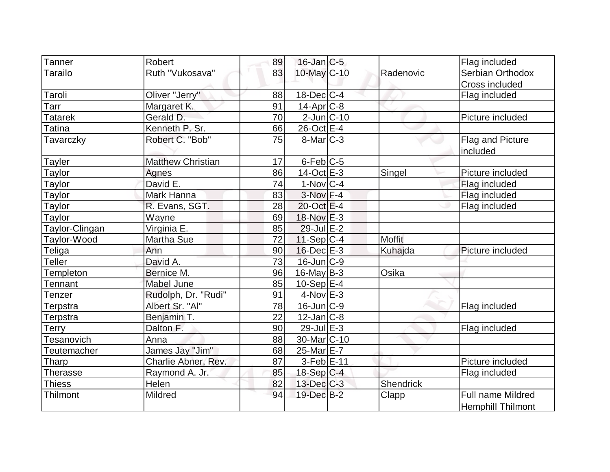| <b>Tanner</b>    | Robert                   | 89 | $16$ -Jan $C-5$        |               | Flag included            |
|------------------|--------------------------|----|------------------------|---------------|--------------------------|
| Tarailo          | Ruth "Vukosava"          | 83 | 10-May C-10            | Radenovic     | Serbian Orthodox         |
|                  |                          |    |                        |               | Cross included           |
| Taroli           | Oliver "Jerry"           | 88 | $18$ -Dec $ C-4 $      |               | Flag included            |
| Гаrr             | Margaret K.              | 91 | $14$ -Apr $ C-8 $      |               |                          |
| Tatarek          | Gerald D.                | 70 | $2$ -Jun $ C-10$       |               | Picture included         |
| Tatina           | Kenneth P. Sr.           | 66 | 26-Oct E-4             |               |                          |
| Tavarczky        | Robert C. "Bob"          | 75 | $8$ -Mar $C-3$         |               | Flag and Picture         |
|                  |                          |    |                        |               | included                 |
| <b>Tayler</b>    | <b>Matthew Christian</b> | 17 | $6$ -Feb $ C$ -5       |               |                          |
| Taylor           | Agnes                    | 86 | $14$ -Oct $E-3$        | Singel        | Picture included         |
| Taylor           | David E.                 | 74 | $1-Nov C-4$            |               | Flag included            |
| <b>Taylor</b>    | Mark Hanna               | 83 | $3-Nov$ F-4            |               | Flag included            |
| Taylor           | R. Evans, SGT.           | 28 | $20$ -Oct $E-4$        |               | Flag included            |
| Taylor           | Wayne                    | 69 | 18-Nov E-3             |               |                          |
| Taylor-Clingan   | Virginia E.              | 85 | 29-Jul E-2             |               |                          |
| Taylor-Wood      | Martha Sue               | 72 | $11-Sep C-4$           | <b>Moffit</b> |                          |
| <b>Teliga</b>    | Ann                      | 90 | $16$ -Dec $E-3$        | Kuhajda       | Picture included         |
| <b>Teller</b>    | David A.                 | 73 | $16$ -Jun $C-9$        |               |                          |
| <b>Fempleton</b> | Bernice M.               | 96 | $16$ -May B-3          | Osika         |                          |
| Tennant          | <b>Mabel June</b>        | 85 | $10-Sep$ $E-4$         |               |                          |
| Tenzer           | Rudolph, Dr. "Rudi"      | 91 | $4$ -Nov $E-3$         |               |                          |
| Terpstra         | Albert Sr. "Al"          | 78 | $16$ -Jun $C-9$        |               | Flag included            |
| Terpstra         | Benjamin T.              | 22 | $12$ -Jan $ C-8 $      |               |                          |
| <b>Terry</b>     | Dalton F.                | 90 | $29$ -Jul $E-3$        |               | Flag included            |
| Tesanovich       | Anna                     | 88 | 30-Mar <sub>C-10</sub> |               |                          |
| Teutemacher      | James Jay "Jim"          | 68 | 25-Mar E-7             |               |                          |
| Tharp            | Charlie Abner, Rev.      | 87 | $3-Feb$ $E-11$         |               | Picture included         |
| <b>Therasse</b>  | Raymond A. Jr.           | 85 | 18-Sep C-4             |               | Flag included            |
| <b>Thiess</b>    | Helen                    | 82 | $13$ -Dec $C$ -3       | Shendrick     |                          |
| Thilmont         | Mildred                  | 94 | 19-Dec B-2             | Clapp         | <b>Full name Mildred</b> |
|                  |                          |    |                        |               | <b>Hemphill Thilmont</b> |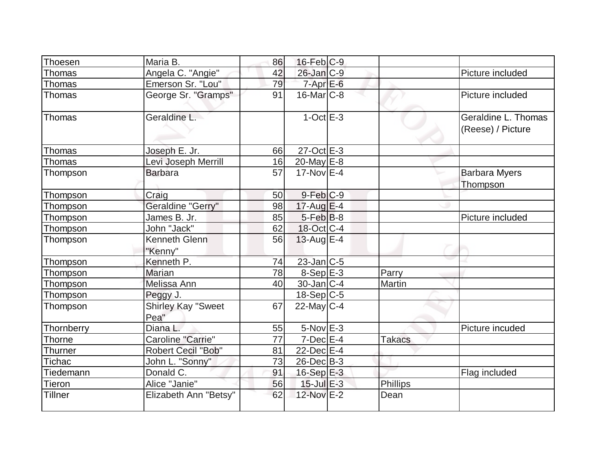| Thoesen       | Maria B.                          | 86 | $16$ -Feb $C-9$    |                 |                                          |
|---------------|-----------------------------------|----|--------------------|-----------------|------------------------------------------|
| Thomas        | Angela C. "Angie"                 | 42 | $26$ -Jan $ C-9 $  |                 | Picture included                         |
| Thomas        | Emerson Sr. "Lou"                 | 79 | $7 - Apr$ $E-6$    |                 |                                          |
| Thomas        | George Sr. "Gramps"               | 91 | $16$ -Mar $C$ -8   |                 | Picture included                         |
| Thomas        | Geraldine L.                      |    | $1$ -Oct $E-3$     |                 | Geraldine L. Thomas<br>(Reese) / Picture |
| <b>Thomas</b> | Joseph E. Jr.                     | 66 | $27$ -Oct $E$ -3   |                 |                                          |
| Thomas        | Levi Joseph Merrill               | 16 | $20$ -May $E-8$    |                 |                                          |
| Thompson      | <b>Barbara</b>                    | 57 | $17-NovE-4$        |                 | <b>Barbara Myers</b><br>Thompson         |
| Thompson      | Craig                             | 50 | $9$ -Feb $C-9$     |                 |                                          |
| Thompson      | Geraldine "Gerry"                 | 98 | $17$ -Aug E-4      |                 |                                          |
| Thompson      | James B. Jr.                      | 85 | $5$ -Feb $ B-8 $   |                 | Picture included                         |
| Thompson      | John "Jack"                       | 62 | 18-Oct C-4         |                 |                                          |
| Thompson      | Kenneth Glenn<br>"Kenny"          | 56 | $13$ -Aug E-4      |                 |                                          |
| Thompson      | Kenneth P.                        | 74 | $23$ -Jan $C$ -5   |                 |                                          |
| Thompson      | <b>Marian</b>                     | 78 | $8-Sep$ E-3        | Parry           |                                          |
| Thompson      | Melissa Ann                       | 40 | $30 - Jan$ $C - 4$ | Martin          |                                          |
| Thompson      | Peggy J.                          |    | $18-Sep C-5$       |                 |                                          |
| Thompson      | <b>Shirley Kay "Sweet</b><br>Pea" | 67 | $22$ -May C-4      |                 |                                          |
| Thornberry    | Diana L.                          | 55 | $5-NovE-3$         |                 | Picture incuded                          |
| Thorne        | Caroline "Carrie"                 | 77 | $7$ -Dec $E-4$     | <b>Takacs</b>   |                                          |
| Thurner       | <b>Robert Cecil "Bob"</b>         | 81 | $22$ -Dec $E-4$    |                 |                                          |
| Tichac        | John L. "Sonny"                   | 73 | $26$ -Dec $B-3$    |                 |                                          |
| Tiedemann     | Donald C.                         | 91 | $16-Sep$ E-3       |                 | Flag included                            |
| Tieron        | Alice "Janie"                     | 56 | $15$ -Jul $E-3$    | <b>Phillips</b> |                                          |
| Tillner       | Elizabeth Ann "Betsy"             | 62 | 12-Nov E-2         | Dean            |                                          |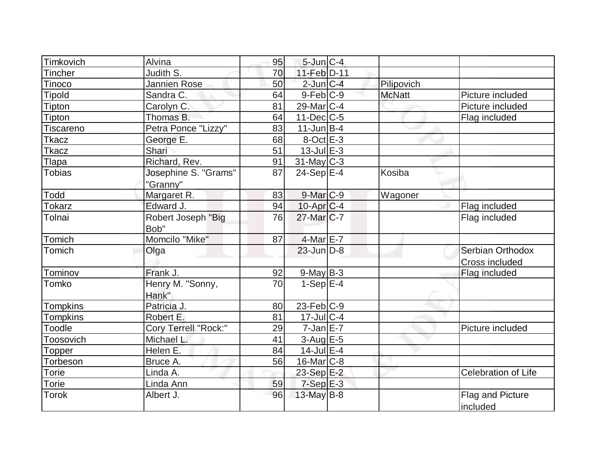| Timkovich       | Alvina               | 95 | $5$ -Jun $C-4$    |               |                     |
|-----------------|----------------------|----|-------------------|---------------|---------------------|
| <b>Tincher</b>  | Judith S.            | 70 | 11-Feb D-11       |               |                     |
| Tinoco          | Jannien Rose         | 50 | $2$ -Jun $C-4$    | Pilipovich    |                     |
| <b>Tipold</b>   | Sandra C.            | 64 | $9$ -Feb $ C-9 $  | <b>McNatt</b> | Picture included    |
| Tipton          | Carolyn C.           | 81 | $29$ -Mar $ C-4 $ |               | Picture included    |
| Tipton          | Thomas B.            | 64 | $11$ -Dec $C$ -5  |               | Flag included       |
| Tiscareno       | Petra Ponce "Lizzy"  | 83 | $11$ -Jun $B-4$   |               |                     |
| Tkacz           | George E.            | 68 | $8$ -Oct $E$ -3   |               |                     |
| <b>Tkacz</b>    | Shari                | 51 | $13$ -Jul $E-3$   |               |                     |
| Tlapa           | Richard, Rev.        | 91 | $31$ -May C-3     |               |                     |
| <b>Tobias</b>   | Josephine S. "Grams" | 87 | $24-Sep$ $E-4$    | Kosiba        |                     |
|                 | "Granny"             |    |                   |               |                     |
| Todd            | Margaret R.          | 83 | $9$ -Mar $C-9$    | Wagoner       |                     |
| <b>Tokarz</b>   | Edward J.            | 94 | $10$ -Apr $C$ -4  |               | Flag included       |
| Tolnai          | Robert Joseph "Big   | 76 | $27$ -Mar $ C-7 $ |               | Flag included       |
|                 | Bob"                 |    |                   |               |                     |
| Tomich          | Momcilo "Mike"       | 87 | $4-MarE-7$        |               |                     |
| Tomich          | Olga                 |    | $23$ -Jun $D-8$   |               | Serbian Orthodox    |
|                 |                      |    |                   |               | Cross included      |
| Tominov         | Frank J.             | 92 | $9$ -May B-3      |               | Flag included       |
| Tomko           | Henry M. "Sonny,     | 70 | $1-Sep$ $E-4$     |               |                     |
|                 | Hank"                |    |                   |               |                     |
| <b>Tompkins</b> | Patricia J.          | 80 | $23$ -Feb $ C-9 $ |               |                     |
| <b>Tompkins</b> | Robert E.            | 81 | $17$ -Jul $ C-4 $ |               |                     |
| Toodle          | Cory Terrell "Rock:" | 29 | $7$ -Jan $E-7$    |               | Picture included    |
| Toosovich       | Michael L.           | 41 | $3$ -Aug E-5      |               |                     |
| Topper          | Helen E.             | 84 | $14$ -Jul $E-4$   |               |                     |
| Torbeson        | Bruce A.             | 56 | 16-Mar C-8        |               |                     |
| Torie           | Linda A.             |    | 23-Sep E-2        |               | Celebration of Life |
| Torie           | Linda Ann            | 59 | $7-Sep$ $E-3$     |               |                     |
| <b>Torok</b>    | Albert J.            | 96 | 13-May B-8        |               | Flag and Picture    |
|                 |                      |    |                   |               | included            |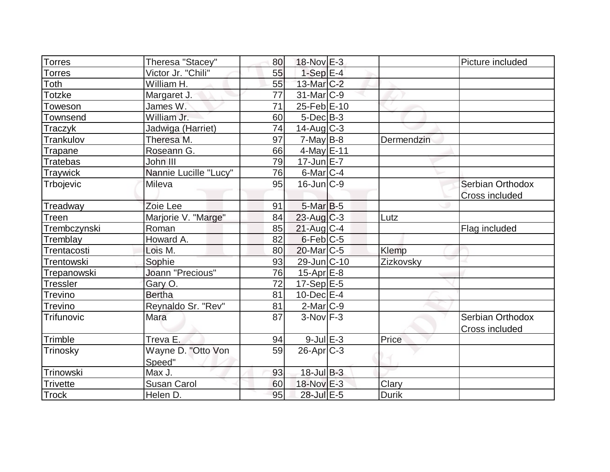| <b>Torres</b><br>18-Nov E-3<br>Theresa "Stacey"<br>80<br>Victor Jr. "Chili"<br>$1-Sep$ $E-4$<br>55<br><b>Torres</b><br>William H.<br>55<br>13-Mar C-2<br>Toth | Picture included      |
|---------------------------------------------------------------------------------------------------------------------------------------------------------------|-----------------------|
|                                                                                                                                                               |                       |
|                                                                                                                                                               |                       |
|                                                                                                                                                               |                       |
| $31$ -Mar $ C-9 $<br><b>Totzke</b><br>77<br>Margaret J.                                                                                                       |                       |
| 71<br>25-Feb E-10<br>James W.<br>Toweson                                                                                                                      |                       |
| William Jr.<br>60<br>$5$ -Dec $B-3$<br>Townsend                                                                                                               |                       |
| $14$ -Aug C-3<br>74<br>Jadwiga (Harriet)<br>Traczyk                                                                                                           |                       |
| Theresa M.<br>97<br>$7$ -May B-8<br>Trankulov<br>Dermendzin                                                                                                   |                       |
| $4$ -May E-11<br>Roseann G.<br>66<br>Trapane                                                                                                                  |                       |
| $17 - \text{Jun} E - 7$<br>79<br>John III<br><b>Tratebas</b>                                                                                                  |                       |
| Nannie Lucille "Lucy"<br>76<br>$6$ -Mar $ C-4$<br>Traywick                                                                                                    |                       |
| $16$ -Jun $C-9$<br>95<br>Trbojevic<br>Mileva                                                                                                                  | Serbian Orthodox      |
|                                                                                                                                                               | <b>Cross included</b> |
| $5$ -Mar $B$ -5<br>Treadway<br>Zoie Lee<br>91                                                                                                                 |                       |
| Marjorie V. "Marge"<br>$23$ -Aug C-3<br>84<br>Treen<br>Lutz                                                                                                   |                       |
| Trembczynski<br>$21$ -Aug $C-4$<br>Roman<br>85                                                                                                                | Flag included         |
| Howard A.<br>$6$ -Feb $ C$ -5<br>Tremblay<br>82                                                                                                               |                       |
| $20$ -Mar $ C-5 $<br>Klemp<br>Trentacosti<br>Lois M.<br>80                                                                                                    |                       |
| Trentowski<br>Sophie<br>93<br>29-Jun C-10<br>Zizkovsky                                                                                                        |                       |
| <b>Joann "Precious"</b><br>76<br>$15$ -Apr $E$ -8<br>Trepanowski                                                                                              |                       |
| $17-Sep$ <sup>E-5</sup><br><b>Tressler</b><br>Gary O.<br>72                                                                                                   |                       |
| <b>Bertha</b><br>81<br>$10$ -Dec $E-4$<br><b>Trevino</b>                                                                                                      |                       |
| Reynaldo Sr. "Rev"<br>81<br>$2$ -Mar $ C-9 $<br>Trevino                                                                                                       |                       |
| $3-Nov$ F-3<br>Trifunovic<br>Mara<br>87                                                                                                                       | Serbian Orthodox      |
|                                                                                                                                                               | Cross included        |
| $9$ -Jul $E-3$<br>Treva E.<br>Price<br>Trimble<br>94                                                                                                          |                       |
| $26$ -Apr $C-3$<br>Wayne D. "Otto Von<br>59<br>Trinosky                                                                                                       |                       |
| Speed"                                                                                                                                                        |                       |
| $18$ -Jul $B-3$<br>Max J.<br>Trinowski<br>93                                                                                                                  |                       |
| 18-Nov E-3<br>60<br>Clary<br><b>Susan Carol</b><br><b>Trivette</b>                                                                                            |                       |
| <b>Trock</b><br>95<br>28-Jul E-5<br><b>Durik</b><br>Helen D.                                                                                                  |                       |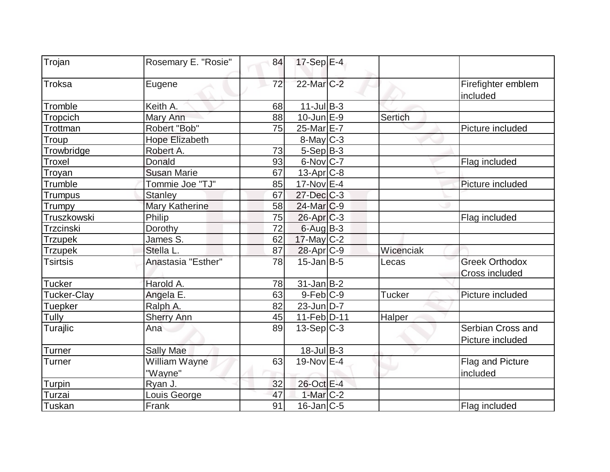| Trojan          | Rosemary E. "Rosie"      | 84 | 17-Sep E-4             |                |                                         |
|-----------------|--------------------------|----|------------------------|----------------|-----------------------------------------|
| <b>Troksa</b>   | Eugene                   | 72 | 22-Mar <sub>IC-2</sub> |                | Firefighter emblem<br>included          |
| Tromble         | Keith A.                 | 68 | $11$ -Jul B-3          |                |                                         |
| Tropcich        | Mary Ann                 | 88 | $10$ -Jun $E-9$        | <b>Sertich</b> |                                         |
| Trottman        | Robert "Bob"             | 75 | 25-Mar E-7             |                | Picture included                        |
| <b>Troup</b>    | <b>Hope Elizabeth</b>    |    | 8-May C-3              |                |                                         |
| Trowbridge      | Robert A.                | 73 | $5-Sep$ B-3            |                |                                         |
| Troxel          | <b>Donald</b>            | 93 | $6$ -Nov $ C-7 $       |                | Flag included                           |
| Troyan          | <b>Susan Marie</b>       | 67 | $13$ -Apr $ C-8 $      |                |                                         |
| Trumble         | Tommie Joe "TJ"          | 85 | $17$ -Nov $E-4$        |                | Picture included                        |
| Trumpus         | <b>Stanley</b>           | 67 | 27-Dec C-3             |                |                                         |
| <b>Trumpy</b>   | <b>Mary Katherine</b>    | 58 | $24$ -Mar $ C-9 $      |                |                                         |
| Truszkowski     | Philip                   | 75 | $26$ -Apr $C-3$        |                | Flag included                           |
| Trzcinski       | Dorothy                  | 72 | $6$ -Aug $B$ -3        |                |                                         |
| <b>Trzupek</b>  | James S.                 | 62 | $17$ -May C-2          |                |                                         |
| <b>Trzupek</b>  | Stella L.                | 87 | 28-Apr C-9             | Wicenciak      |                                         |
| <b>Tsirtsis</b> | Anastasia "Esther"       | 78 | $15$ -Jan $B$ -5       | Lecas          | <b>Greek Orthodox</b><br>Cross included |
| <b>Tucker</b>   | Harold A.                | 78 | $31$ -Jan $ B-2 $      |                |                                         |
| Tucker-Clay     | Angela E.                | 63 | $9-Feb C-9$            | <b>Tucker</b>  | Picture included                        |
| Tuepker         | Ralph A.                 | 82 | $23$ -Jun $D-7$        |                |                                         |
| Tully           | <b>Sherry Ann</b>        | 45 | 11-Feb D-11            | Halper         |                                         |
| Turajlic        | Ana                      | 89 | $13-Sep C-3$           |                | Serbian Cross and<br>Picture included   |
| Turner          | <b>Sally Mae</b>         |    | $18$ -Jul B-3          |                |                                         |
| Turner          | William Wayne<br>"Wayne" | 63 | 19-Nov E-4             |                | Flag and Picture<br>included            |
| Turpin          | Ryan J.                  | 32 | 26-Oct E-4             |                |                                         |
| Turzai          | Louis George             | 47 | $1-Mar$ $C-2$          |                |                                         |
| Tuskan          | Frank                    | 91 | $16$ -Jan $ C-5 $      |                | Flag included                           |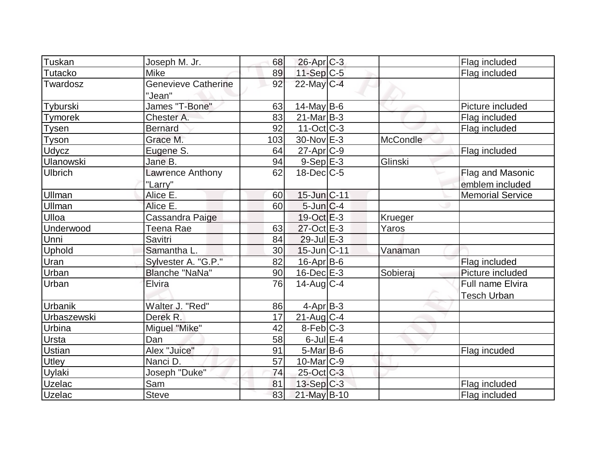| Tuskan           | Joseph M. Jr.                        | 68  | $26$ -Apr $C-3$   |                 | Flag included                          |
|------------------|--------------------------------------|-----|-------------------|-----------------|----------------------------------------|
| Tutacko          | <b>Mike</b>                          | 89  | 11-Sep C-5        |                 | Flag included                          |
| Twardosz         | <b>Genevieve Catherine</b><br>"Jean" | 92  | 22-May C-4        |                 |                                        |
| Tyburski         | James "T-Bone"                       | 63  | $14$ -May B-6     |                 | Picture included                       |
| <b>Tymorek</b>   | Chester A.                           | 83  | $21$ -Mar $ B-3 $ |                 | Flag included                          |
| Tysen            | <b>Bernard</b>                       | 92  | $11-Oct$ $C-3$    |                 | Flag included                          |
| Tyson            | Grace M.                             | 103 | $30$ -Nov $E-3$   | <b>McCondle</b> |                                        |
| Udycz            | Eugene S.                            | 64  | $27$ -Apr $ C-9 $ |                 | Flag included                          |
| <b>Ulanowski</b> | Jane B.                              | 94  | $9-Sep$ E-3       | Glinski         |                                        |
| <b>Ulbrich</b>   | Lawrence Anthony                     | 62  | $18$ -Dec $C$ -5  |                 | Flag and Masonic                       |
|                  | "Larry"                              |     |                   |                 | emblem included                        |
| Ullman           | Alice E.                             | 60  | 15-Jun C-11       |                 | <b>Memorial Service</b>                |
| Ullman           | Alice E.                             | 60  | $5$ -Jun $C-4$    |                 |                                        |
| Ulloa            | Cassandra Paige                      |     | $19-Oct$ $E-3$    | Krueger         |                                        |
| Underwood        | Teena Rae                            | 63  | 27-Oct E-3        | Yaros           |                                        |
| Unni             | Savitri                              | 84  | $29$ -Jul $E-3$   |                 |                                        |
| Uphold           | Samantha L.                          | 30  | 15-Jun C-11       | Vanaman         |                                        |
| Uran             | Sylvester A. "G.P."                  | 82  | $16$ -Apr $B$ -6  |                 | Flag included                          |
| Urban            | Blanche "NaNa"                       | 90  | $16$ -Dec $E-3$   | Sobieraj        | Picture included                       |
| Urban            | Elvira                               | 76  | $14$ -Aug C-4     |                 | Full name Elvira<br><b>Tesch Urban</b> |
| Urbanik          | Walter J. "Red"                      | 86  | $4-Apr$ B-3       |                 |                                        |
| Urbaszewski      | Derek R.                             | 17  | $21$ -Aug $C-4$   |                 |                                        |
| Urbina           | Miguel "Mike"                        | 42  | $8-Feb$ C-3       |                 |                                        |
| <b>Ursta</b>     | Dan                                  | 58  | $6$ -Jul $E-4$    |                 |                                        |
| Ustian           | Alex "Juice"                         | 91  | $5$ -Mar $ B$ -6  |                 | Flag incuded                           |
| Utley            | Nanci D.                             | 57  | $10$ -Mar $ C-9 $ |                 |                                        |
| Uylaki           | Joseph "Duke"                        | 74  | 25-Oct C-3        |                 |                                        |
| <b>Uzelac</b>    | Sam                                  | 81  | $13-Sep C-3$      |                 | Flag included                          |
| Uzelac           | <b>Steve</b>                         | 83  | $21$ -May B-10    |                 | Flag included                          |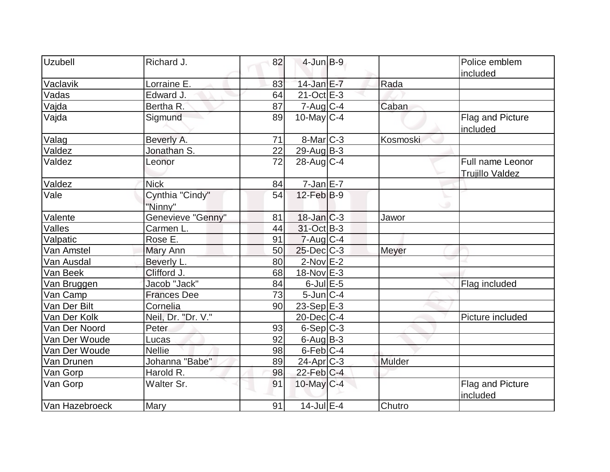| Uzubell        | Richard J.                 | 82 | $4$ -Jun $B-9$           |          | Police emblem                              |
|----------------|----------------------------|----|--------------------------|----------|--------------------------------------------|
|                |                            |    |                          |          | included                                   |
| Vaclavik       | Lorraine E.                | 83 | $14$ -Jan E-7            | Rada     |                                            |
| Vadas          | Edward J.                  | 64 | $21-Oct$ $E-3$           |          |                                            |
| Vajda          | Bertha R.                  | 87 | $7 - Aug$ <sub>C-4</sub> | Caban    |                                            |
| Vajda          | Sigmund                    | 89 | $10$ -May C-4            |          | Flag and Picture<br>included               |
| Valag          | Beverly A.                 | 71 | $8$ -Mar $C$ -3          | Kosmoski |                                            |
| Valdez         | Jonathan S.                | 22 | $29$ -Aug $B-3$          |          |                                            |
| Valdez         | Leonor                     | 72 | $28$ -Aug $C-4$          |          | Full name Leonor<br><b>Trujillo Valdez</b> |
| Valdez         | <b>Nick</b>                | 84 | $7$ -Jan $E$ -7          |          |                                            |
| Vale           | Cynthia "Cindy"<br>"Ninny" | 54 | $12$ -Feb $B-9$          |          |                                            |
| Valente        | Genevieve "Genny"          | 81 | $18$ -Jan $ C-3 $        | Jawor    |                                            |
| Valles         | Carmen L.                  | 44 | 31-Oct B-3               |          |                                            |
| Valpatic       | Rose E.                    | 91 | $7 - Aug   C-4$          |          |                                            |
| Van Amstel     | Mary Ann                   | 50 | $25$ -Dec $C$ -3         | Meyer    |                                            |
| Van Ausdal     | Beverly L.                 | 80 | $2$ -Nov $E-2$           |          |                                            |
| Van Beek       | Clifford J.                | 68 | 18-Nov E-3               |          |                                            |
| Van Bruggen    | Jacob "Jack"               | 84 | $6$ -Jul $E$ -5          |          | Flag included                              |
| Van Camp       | <b>Frances Dee</b>         | 73 | $5$ -Jun $ C-4 $         |          |                                            |
| Van Der Bilt   | Cornelia                   | 90 | $23-Sep$ $E-3$           |          |                                            |
| Van Der Kolk   | Neil, Dr. "Dr. V."         |    | $20$ -Dec $C$ -4         |          | Picture included                           |
| Van Der Noord  | Peter                      | 93 | $6-Sep C-3$              |          |                                            |
| Van Der Woude  | Lucas                      | 92 | $6$ -Aug B-3             |          |                                            |
| Van Der Woude  | <b>Nellie</b>              | 98 | $6$ -Feb $ C-4 $         |          |                                            |
| Van Drunen     | Johanna "Babe"             | 89 | $24$ -Apr $ C-3 $        | Mulder   |                                            |
| Van Gorp       | Harold R.                  | 98 | $22$ -Feb $ C-4 $        |          |                                            |
| Van Gorp       | Walter Sr.                 | 91 | $10$ -May C-4            |          | Flag and Picture<br>included               |
| Van Hazebroeck | Mary                       | 91 | $14$ -Jul $E-4$          | Chutro   |                                            |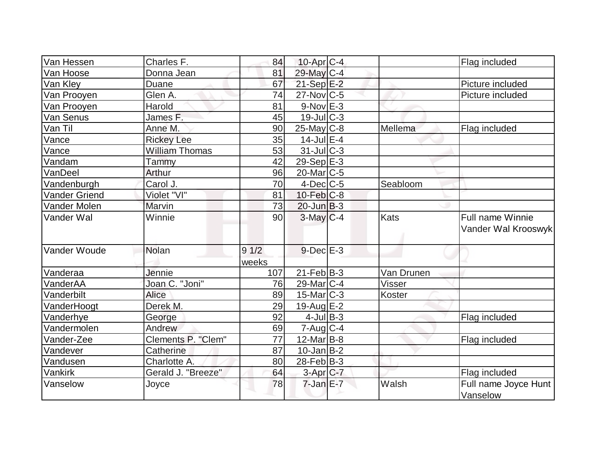| Van Hessen           | Charles F.            | 84    | $10$ -Apr $ C-4$  |               | Flag included                           |
|----------------------|-----------------------|-------|-------------------|---------------|-----------------------------------------|
| Van Hoose            | Donna Jean            | 81    | 29-May C-4        |               |                                         |
| Van Kley             | Duane                 | 67    | $21-Sep$ $E-2$    |               | Picture included                        |
| Van Prooyen          | Glen A.               | 74    | $27$ -Nov $ C$ -5 |               | Picture included                        |
| Van Prooyen          | Harold                | 81    | $9-Nov$ $E-3$     |               |                                         |
| Van Senus            | James F.              | 45    | $19$ -JulC-3      |               |                                         |
| Van Til              | Anne M.               | 90    | $25$ -May C-8     | Mellema       | Flag included                           |
| Vance                | <b>Rickey Lee</b>     | 35    | $14$ -Jul $E-4$   |               |                                         |
| Vance                | <b>William Thomas</b> | 53    | $31$ -JulC-3      |               |                                         |
| Vandam               | Tammy                 | 42    | 29-Sep $E-3$      |               |                                         |
| VanDeel              | Arthur                | 96    | $20$ -Mar $ C-5 $ |               |                                         |
| Vandenburgh          | Carol J.              | 70    | $4$ -Dec $ C-5$   | Seabloom      |                                         |
| <b>Vander Griend</b> | Violet "VI"           | 81    | $10$ -Feb $ C-8$  |               |                                         |
| Vander Molen         | Marvin                | 73    | $20$ -Jun $B-3$   |               |                                         |
| Vander Wal           | Winnie                | 90    | $3$ -May $C-4$    | Kats          | Full name Winnie<br>Vander Wal Krooswyk |
| Vander Woude         | Nolan                 | 91/2  | $9$ -Dec $E-3$    |               |                                         |
|                      |                       | weeks |                   |               |                                         |
| Vanderaa             | Jennie                | 107   | $21$ -Feb $B-3$   | Van Drunen    |                                         |
| VanderAA             | Joan C. "Joni"        | 76    | $29$ -Mar $ C-4 $ | <b>Visser</b> |                                         |
| Vanderbilt           | Alice                 | 89    | $15$ -Mar $ C-3 $ | Koster        |                                         |
| VanderHoogt          | Derek M.              | 29    | $19$ -Aug $E-2$   |               |                                         |
| Vanderhye            | George                | 92    | $4$ -Jul B-3      |               | Flag included                           |
| Vandermolen          | Andrew                | 69    | $7 - Aug   C-4$   |               |                                         |
| Vander-Zee           | Clements P. "Clem"    | 77    | 12-Mar B-8        |               | Flag included                           |
| Vandever             | Catherine             | 87    | $10$ -Jan $ B-2 $ |               |                                         |
| Vandusen             | Charlotte A.          | 80    | $28$ -Feb $ B-3 $ |               |                                         |
| Vankirk              | Gerald J. "Breeze"    | 64    | 3-Apr C-7         |               | Flag included                           |
| Vanselow             | Joyce                 | 78    | $7$ -Jan $E-7$    | Walsh         | Full name Joyce Hunt<br>Vanselow        |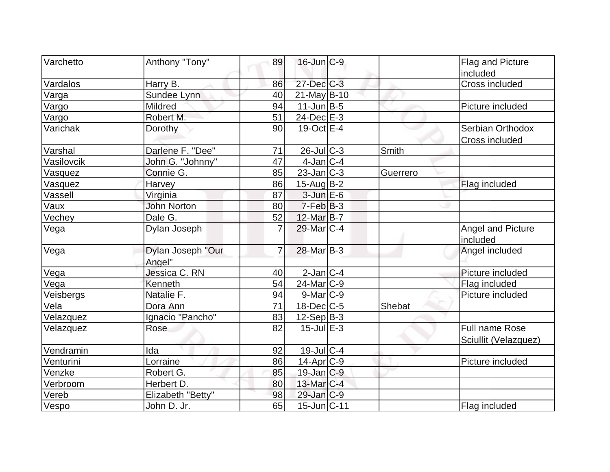| <b>Varchetto</b> | Anthony "Tony"     | 89             | $16$ -Jun $ C-9$       |          | Flag and Picture     |
|------------------|--------------------|----------------|------------------------|----------|----------------------|
|                  |                    |                |                        |          | included             |
| Vardalos         | Harry B.           | 86             | 27-Dec C-3             |          | Cross included       |
| Varga            | Sundee Lynn        | 40             | $21$ -May B-10         |          |                      |
| Vargo            | Mildred            | 94             | $11$ -Jun $B-5$        |          | Picture included     |
| Vargo            | Robert M.          | 51             | $24$ -Dec $E-3$        |          |                      |
| Varichak         | Dorothy            | 90             | $19-Oct$ $E-4$         |          | Serbian Orthodox     |
|                  |                    |                |                        |          | Cross included       |
| Varshal          | Darlene F. "Dee"   | 71             | 26-Jul C-3             | Smith    |                      |
| Vasilovcik       | John G. "Johnny"   | 47             | $4$ -Jan $ C-4 $       |          |                      |
| Vasquez          | Connie G.          | 85             | $23$ -Jan $ C-3 $      | Guerrero |                      |
| Vasquez          | Harvey             | 86             | $15$ -Aug $B$ -2       |          | Flag included        |
| Vassell          | Virginia           | 87             | $3$ -Jun $E$ -6        |          |                      |
| Vaux             | <b>John Norton</b> | 80             | $7-Feb B-3$            |          |                      |
| Vechey           | Dale G.            | 52             | $12$ -Mar $B$ -7       |          |                      |
| Vega             | Dylan Joseph       | $\overline{7}$ | 29-Mar C-4             |          | Angel and Picture    |
|                  |                    |                |                        |          | included             |
| Vega             | Dylan Joseph "Our  | 7              | $28$ -Mar $ B-3 $      |          | Angel included       |
|                  | Angel"             |                |                        |          |                      |
| Vega             | Jessica C. RN      | 40             | $2$ -Jan $ C-4 $       |          | Picture included     |
| Vega             | Kenneth            | 54             | 24-Mar <sub>IC-9</sub> |          | Flag included        |
| Veisbergs        | Natalie F.         | 94             | $9$ -Mar $ C-9 $       |          | Picture included     |
| Vela             | Dora Ann           | 71             | $18$ -Dec $ C$ -5      | Shebat   |                      |
| Velazquez        | Ignacio "Pancho"   | 83             | $12-Sep B-3$           |          |                      |
| Velazquez        | Rose               | 82             | $15$ -Jul $E-3$        |          | Full name Rose       |
|                  |                    |                |                        |          | Sciullit (Velazquez) |
| Vendramin        | Ida                | 92             | $19$ -JulC-4           |          |                      |
| Venturini        | Lorraine           | 86             | $14$ -Apr $ C-9$       |          | Picture included     |
| Venzke           | Robert G.          | 85             | $19$ -Jan $ C-9 $      |          |                      |
| Verbroom         | Herbert D.         | 80             | $13$ -Mar $ C-4 $      |          |                      |
| Vereb            | Elizabeth "Betty"  | 98             | $29$ -Jan $ C-9 $      |          |                      |
| Vespo            | John D. Jr.        | 65             | $15$ -Jun $ C-11$      |          | Flag included        |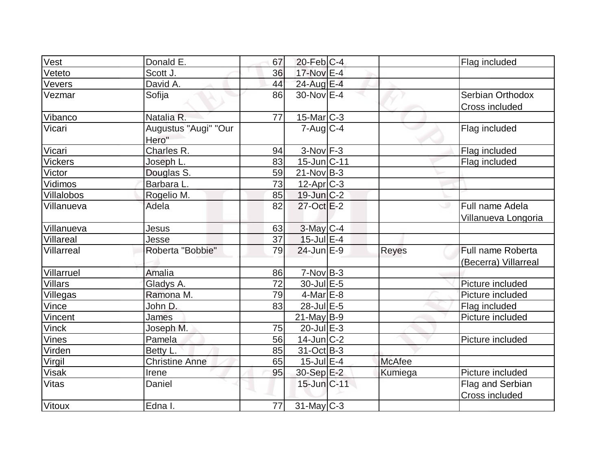| Vest              | Donald E.             | 67 | $20$ -Feb $ C-4$  |              | Flag included        |
|-------------------|-----------------------|----|-------------------|--------------|----------------------|
| Veteto            | Scott J.              | 36 | 17-Nov E-4        |              |                      |
| Vevers            | David A.              | 44 | 24-Aug E-4        |              |                      |
| Vezmar            | Sofija                | 86 | 30-Nov E-4        |              | Serbian Orthodox     |
|                   |                       |    |                   |              | Cross included       |
| Vibanco           | Natalia R.            | 77 | $15$ -Mar $C-3$   |              |                      |
| Vicari            | Augustus "Augi" "Our  |    | $7$ -Aug $C-4$    |              | Flag included        |
|                   | Hero"                 |    |                   |              |                      |
| Vicari            | Charles <sub>R.</sub> | 94 | $3-Nov$ F-3       |              | Flag included        |
| <b>Vickers</b>    | Joseph L.             | 83 | 15-Jun C-11       |              | Flag included        |
| Victor            | Douglas S.            | 59 | $21-Nov B-3$      |              |                      |
| <b>Vidimos</b>    | Barbara L.            | 73 | $12$ -Apr $C-3$   |              |                      |
| <b>Villalobos</b> | Rogelio M.            | 85 | $19$ -Jun $C-2$   |              |                      |
| Villanueva        | Adela                 | 82 | $27$ -Oct $E-2$   |              | Full name Adela      |
|                   |                       |    |                   |              | Villanueva Longoria  |
| Villanueva        | Jesus                 | 63 | $3$ -May $C-4$    |              |                      |
| Villareal         | Jesse                 | 37 | $15$ -Jul $E-4$   |              |                      |
| Villarreal        | Roberta "Bobbie"      | 79 | $24$ -Jun $E-9$   | <b>Reyes</b> | Full name Roberta    |
|                   |                       |    |                   |              | (Becerra) Villarreal |
| Villarruel        | <b>Amalia</b>         | 86 | $7-NovB-3$        |              |                      |
| <b>Villars</b>    | Gladys A.             | 72 | 30-Jul E-5        |              | Picture included     |
| Villegas          | Ramona M.             | 79 | $4$ -Mar $E-8$    |              | Picture included     |
| Vince             | John D.               | 83 | 28-Jul E-5        |              | Flag included        |
| Vincent           | James                 |    | $21$ -May B-9     |              | Picture included     |
| <b>Vinck</b>      | Joseph M.             | 75 | $20$ -Jul $E-3$   |              |                      |
| <b>Vines</b>      | Pamela                | 56 | $14$ -Jun $ C-2 $ |              | Picture included     |
| Virden            | Betty L.              | 85 | $31-Oct$ B-3      |              |                      |
| Virgil            | <b>Christine Anne</b> | 65 | $15$ -Jul $E-4$   | McAfee       |                      |
| <b>Visak</b>      | Irene                 | 95 | $30-Sep$ E-2      | Kumiega      | Picture included     |
| <b>Vitas</b>      | Daniel                |    | $15$ -Jun $C-11$  |              | Flag and Serbian     |
|                   |                       |    |                   |              | Cross included       |
| Vitoux            | Edna I.               | 77 | $31$ -May C-3     |              |                      |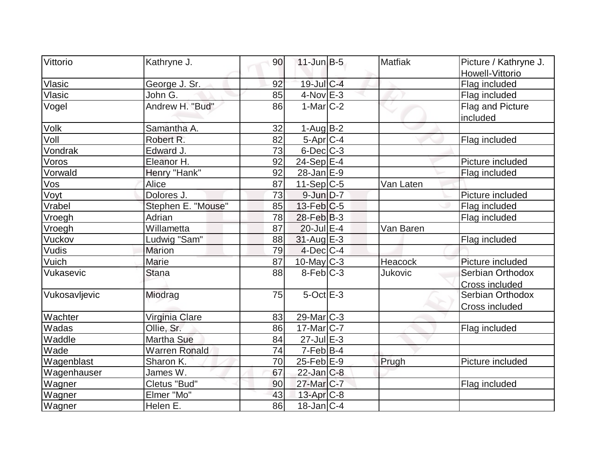| Vittorio      | Kathryne J.          | 90 | $11$ -Jun $B-5$        | <b>Matfiak</b> | Picture / Kathryne J.                     |
|---------------|----------------------|----|------------------------|----------------|-------------------------------------------|
|               |                      |    |                        |                | Howell-Vittorio                           |
| Vlasic        | George J. Sr.        | 92 | 19-Jul C-4             |                | Flag included                             |
| Vlasic        | John G.              | 85 | $4$ -Nov $E-3$         |                | Flag included                             |
| Vogel         | Andrew H. "Bud"      | 86 | $1-Mar$ $C-2$          |                | Flag and Picture<br>included              |
| <b>Volk</b>   | Samantha A.          | 32 | $1-Aug B-2$            |                |                                           |
| Voll          | Robert R.            | 82 | 5-Apr $ C-4 $          |                | Flag included                             |
| Vondrak       | Edward J.            | 73 | $6$ -Dec $C$ -3        |                |                                           |
| Voros         | Eleanor H.           | 92 | $24-Sep$ $E-4$         |                | Picture included                          |
| Vorwald       | Henry "Hank"         | 92 | $28$ -Jan $E-9$        |                | Flag included                             |
| Vos           | Alice                | 87 | $11-Sep C-5$           | Van Laten      |                                           |
| Voyt          | Dolores J.           | 73 | $9$ -Jun $D-7$         |                | Picture included                          |
| Vrabel        | Stephen E. "Mouse"   | 85 | $13$ -Feb $ C-5$       |                | Flag included                             |
| Vroegh        | Adrian               | 78 | $28$ -Feb $ B-3 $      |                | Flag included                             |
| Vroegh        | Willametta           | 87 | $20 -$ Jul $E - 4$     | Van Baren      |                                           |
| Vuckov        | Ludwig "Sam"         | 88 | $31$ -Aug $E-3$        |                | Flag included                             |
| Vudis         | <b>Marion</b>        | 79 | $4$ -Dec $ C-4 $       |                |                                           |
| Vuich         | Marie                | 87 | $10$ -May C-3          | Heacock        | Picture included                          |
| Vukasevic     | <b>Stana</b>         | 88 | $8-Feb$ <sub>C-3</sub> | Jukovic        | Serbian Orthodox<br>Cross included        |
| Vukosavljevic | Miodrag              | 75 | $5$ -Oct $E-3$         |                | Serbian Orthodox<br><b>Cross included</b> |
| Wachter       | Virginia Clare       | 83 | $29$ -Mar $ C-3 $      |                |                                           |
| Wadas         | Ollie, Sr.           | 86 | $17$ -Mar $ C-7 $      |                | Flag included                             |
| Waddle        | Martha Sue           | 84 | $27$ -Jul $E-3$        |                |                                           |
| Wade          | <b>Warren Ronald</b> | 74 | $7-Feb$ B-4            |                |                                           |
| Wagenblast    | Sharon K.            | 70 | $25$ -Feb $E-9$        | Prugh          | Picture included                          |
| Wagenhauser   | James W.             | 67 | $22$ -Jan $C-8$        |                |                                           |
| Wagner        | Cletus "Bud"         | 90 | 27-Mar <sub>C-7</sub>  |                | Flag included                             |
| Wagner        | Elmer "Mo"           | 43 | $13$ -Apr $C-8$        |                |                                           |
| Wagner        | Helen E.             | 86 | $18$ -Jan $ C-4 $      |                |                                           |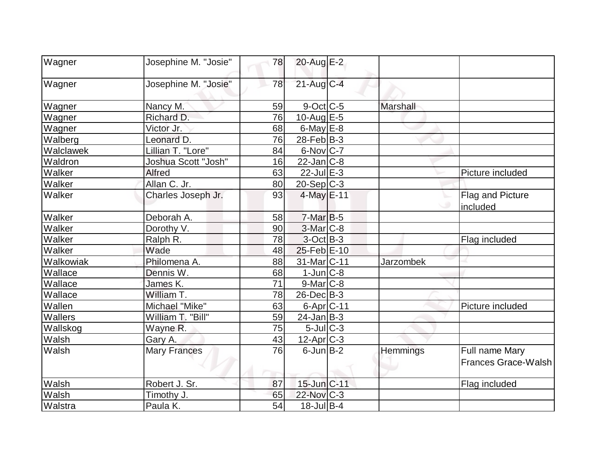| <b>Wagner</b> | Josephine M. "Josie" | 78 | $20$ -Aug E-2     |                  |                                       |
|---------------|----------------------|----|-------------------|------------------|---------------------------------------|
| Wagner        | Josephine M. "Josie" | 78 | $21$ -Aug $C-4$   |                  |                                       |
| Wagner        | Nancy M.             | 59 | $9$ -Oct $ C$ -5  | Marshall         |                                       |
| Wagner        | Richard D.           | 76 | 10-Aug $E-5$      |                  |                                       |
| Wagner        | Victor Jr.           | 68 | $6$ -May $E$ -8   |                  |                                       |
| Walberg       | Leonard D.           | 76 | 28-Feb $ B-3 $    |                  |                                       |
| Walclawek     | Lillian T. "Lore"    | 84 | $6$ -Nov $ C-7 $  |                  |                                       |
| Waldron       | Joshua Scott "Josh"  | 16 | $22$ -Jan $ C-8 $ |                  |                                       |
| Walker        | <b>Alfred</b>        | 63 | $22$ -Jul $E-3$   |                  | Picture included                      |
| Walker        | Allan C. Jr.         | 80 | $20 - Sep$ C-3    |                  |                                       |
| Walker        | Charles Joseph Jr.   | 93 | $4$ -May $E-11$   |                  | Flag and Picture<br>included          |
| Walker        | Deborah A.           | 58 | $7-Mar$ B-5       |                  |                                       |
| Walker        | Dorothy V.           | 90 | $3-Mar$ $C-8$     |                  |                                       |
| Walker        | Ralph R.             | 78 | $3-Oct$ B-3       |                  | Flag included                         |
| Walker        | Wade                 | 48 | 25-Feb E-10       |                  |                                       |
| Walkowiak     | Philomena A.         | 88 | 31-Mar C-11       | <b>Jarzombek</b> |                                       |
| Wallace       | Dennis W.            | 68 | $1$ -Jun $ C-8 $  |                  |                                       |
| Wallace       | James K.             | 71 | $9$ -Mar $C$ -8   |                  |                                       |
| Wallace       | William T.           | 78 | $26$ -Dec $B-3$   |                  |                                       |
| Wallen        | Michael "Mike"       | 63 | $6$ -Apr $ C$ -11 |                  | Picture included                      |
| Wallers       | William T. "Bill"    | 59 | $24$ -Jan B-3     |                  |                                       |
| Wallskog      | Wayne R.             | 75 | $5$ -Jul $C-3$    |                  |                                       |
| Walsh         | Gary A.              | 43 | 12-Apr C-3        |                  |                                       |
| Walsh         | <b>Mary Frances</b>  | 76 | $6$ -Jun $B-2$    | Hemmings         | Full name Mary<br>Frances Grace-Walsh |
| Walsh         | Robert J. Sr.        | 87 | 15-Jun C-11       |                  | Flag included                         |
| Walsh         | Timothy J.           | 65 | 22-Nov C-3        |                  |                                       |
| Walstra       | Paula K.             | 54 | $18$ -Jul B-4     |                  |                                       |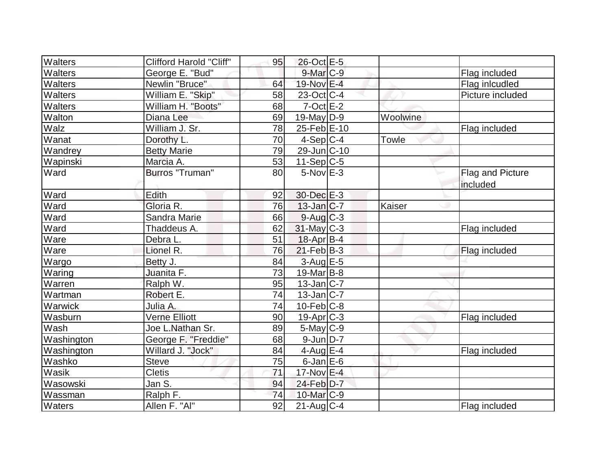| <b>Walters</b> | <b>Clifford Harold "Cliff"</b> | 95              | 26-Oct E-5        |              |                  |
|----------------|--------------------------------|-----------------|-------------------|--------------|------------------|
| <b>Walters</b> | George E. "Bud"                |                 | 9-Mar C-9         |              | Flag included    |
| Walters        | Newlin "Bruce"                 | 64              | 19-Nov E-4        |              | Flag inlcudled   |
| <b>Walters</b> | William E. "Skip"              | 58              | $23-Oct$ $C-4$    |              | Picture included |
| <b>Walters</b> | William H. "Boots"             | 68              | $7$ -Oct E-2      |              |                  |
| Walton         | Diana Lee                      | 69              | $19$ -May D-9     | Woolwine     |                  |
| Walz           | William J. Sr.                 | 78              | 25-Feb E-10       |              | Flag included    |
| Wanat          | Dorothy L.                     | 70              | $4-Sep C-4$       | <b>Towle</b> |                  |
| Wandrey        | <b>Betty Marie</b>             | 79              | 29-Jun C-10       |              |                  |
| Wapinski       | Marcia A.                      | 53              | $11-Sep C-5$      |              |                  |
| Ward           | Burros "Truman"                | 80              | $5-Nov$ E-3       |              | Flag and Picture |
|                |                                |                 |                   |              | included         |
| Ward           | Edith                          | 92              | 30-Dec E-3        |              |                  |
| Ward           | Gloria R.                      | 76              | $13$ -Jan $ C-7 $ | Kaiser       |                  |
| Ward           | Sandra Marie                   | 66              | $9$ -Aug $C$ -3   |              |                  |
| Ward           | Thaddeus A.                    | 62              | $31$ -May C-3     |              | Flag included    |
| Ware           | Debra L.                       | 51              | $18$ -Apr $ B-4 $ |              |                  |
| Ware           | Lionel R.                      | 76              | $21$ -Feb $ B-3 $ |              | Flag included    |
| Wargo          | Betty J.                       | 84              | 3-Aug E-5         |              |                  |
| Waring         | Juanita F.                     | $\overline{73}$ | $19$ -Mar $ B-8 $ |              |                  |
| Warren         | Ralph W.                       | 95              | $13$ -Jan $ C-7 $ |              |                  |
| Wartman        | Robert E.                      | 74              | $13$ -Jan $ C-7 $ |              |                  |
| Warwick        | Julia A.                       | 74              | $10$ -Feb $ C-8$  |              |                  |
| Wasburn        | <b>Verne Elliott</b>           | 90              | $19$ -Apr $ C-3 $ |              | Flag included    |
| Wash           | Joe L.Nathan Sr.               | 89              | $5$ -May $C$ -9   |              |                  |
| Washington     | George F. "Freddie"            | 68              | $9$ -JunD-7       |              |                  |
| Washington     | Willard J. "Jock"              | 84              | $4$ -Aug $E-4$    |              | Flag included    |
| Washko         | <b>Steve</b>                   | 75              | $6$ -Jan $E$ -6   |              |                  |
| Wasik          | <b>Cletis</b>                  | 71              | 17-Nov E-4        |              |                  |
| Wasowski       | Jan S.                         | 94              | 24-Feb D-7        |              |                  |
| Wassman        | Ralph F.                       | 74              | 10-Mar C-9        |              |                  |
| <b>Waters</b>  | Allen F. "Al"                  | 92              | $21$ -Aug $C-4$   |              | Flag included    |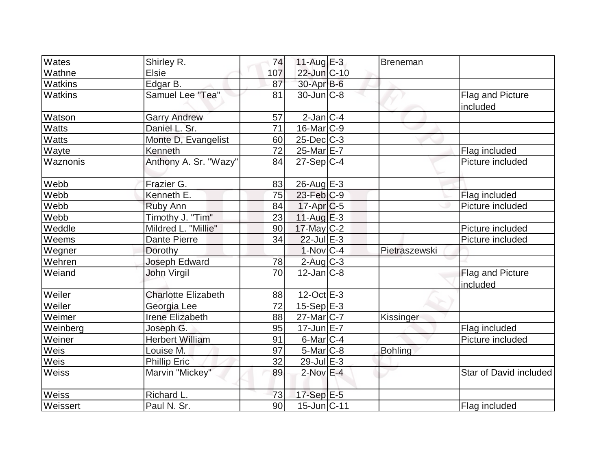| Wates    | Shirley R.                 | 74  | 11-Aug $E-3$      | Breneman       |                              |
|----------|----------------------------|-----|-------------------|----------------|------------------------------|
| Wathne   | <b>Elsie</b>               | 107 | 22-Jun C-10       |                |                              |
| Watkins  | Edgar B.                   | 87  | $30$ -Apr $B$ -6  |                |                              |
| Watkins  | Samuel Lee "Tea"           | 81  | $30$ -Jun $ C-8 $ |                | Flag and Picture<br>included |
| Watson   | <b>Garry Andrew</b>        | 57  | $2$ -Jan $ C-4 $  |                |                              |
| Watts    | Daniel L. Sr.              | 71  | $16$ -Mar $ C-9 $ |                |                              |
| Watts    | Monte D, Evangelist        | 60  | $25$ -Dec $ C-3 $ |                |                              |
| Wayte    | Kenneth                    | 72  | $25$ -Mar $E$ -7  |                | Flag included                |
| Waznonis | Anthony A. Sr. "Wazy"      | 84  | $27-Sep C-4$      |                | Picture included             |
| Webb     | Frazier G.                 | 83  | $26$ -Aug $E-3$   |                |                              |
| Webb     | Kenneth E.                 | 75  | $23$ -Feb $ C-9 $ |                | Flag included                |
| Webb     | Ruby Ann                   | 84  | $17$ -Apr $C$ -5  |                | Picture included             |
| Webb     | Timothy J. "Tim"           | 23  | 11-Aug $E-3$      |                |                              |
| Weddle   | Mildred L. "Millie"        | 90  | 17-May C-2        |                | Picture included             |
| Weems    | Dante Pierre               | 34  | $22$ -Jul $E-3$   |                | Picture included             |
| Wegner   | Dorothy                    |     | $1-Nov C-4$       | Pietraszewski  |                              |
| Wehren   | <b>Joseph Edward</b>       | 78  | $2$ -Aug $C-3$    |                |                              |
| Weiand   | John Virgil                | 70  | $12$ -Jan $C-8$   |                | Flag and Picture<br>included |
| Weiler   | <b>Charlotte Elizabeth</b> | 88  | $12$ -Oct $E - 3$ |                |                              |
| Weiler   | Georgia Lee                | 72  | $15-Sep$ E-3      |                |                              |
| Weimer   | Irene Elizabeth            | 88  | $27$ -Mar $ C-7 $ | Kissinger      |                              |
| Weinberg | Joseph G.                  | 95  | $17$ -Jun $E - 7$ |                | Flag included                |
| Weiner   | <b>Herbert William</b>     | 91  | 6-Mar C-4         |                | Picture included             |
| Weis     | Louise M.                  | 97  | $5-Mar$ C-8       | <b>Bohling</b> |                              |
| Weis     | <b>Phillip Eric</b>        | 32  | 29-Jul E-3        |                |                              |
| Weiss    | Marvin "Mickey"            | 89  | $2$ -Nov $E-4$    |                | Star of David included       |
| Weiss    | Richard L.                 | 73  | 17-Sep E-5        |                |                              |
| Weissert | Paul N. Sr.                | 90  | $15$ -Jun $ C-11$ |                | Flag included                |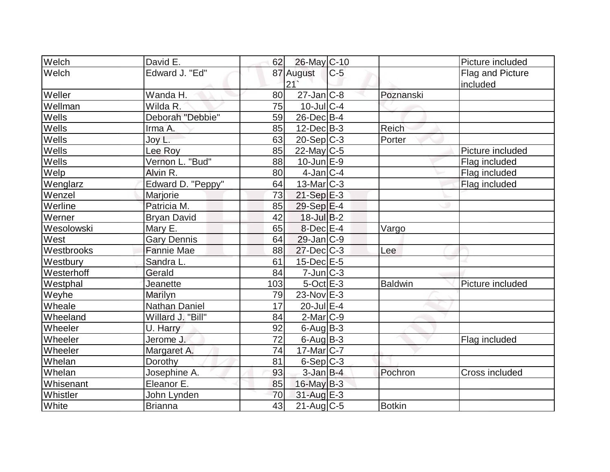| Welch      | David E.           | 62  | 26-May C-10       |       |               | Picture included |
|------------|--------------------|-----|-------------------|-------|---------------|------------------|
| Welch      | Edward J. "Ed"     |     | 87 August         | $C-5$ |               | Flag and Picture |
|            |                    |     | 21                |       |               | included         |
| Weller     | Wanda H.           | 80  | $27$ -Jan $ C-8 $ |       | Poznanski     |                  |
| Wellman    | Wilda R.           | 75  | $10$ -JulC-4      |       |               |                  |
| Wells      | Deborah "Debbie"   | 59  | 26-Dec B-4        |       |               |                  |
| Wells      | Irma A.            | 85  | $12$ -Dec $B-3$   |       | <b>Reich</b>  |                  |
| Wells      | Joy L.             | 63  | $20-Sep C-3$      |       | Porter        |                  |
| Wells      | Lee Roy            | 85  | $22$ -May C-5     |       |               | Picture included |
| Wells      | Vernon L. "Bud"    | 88  | $10$ -Jun $E-9$   |       |               | Flag included    |
| Welp       | Alvin R.           | 80  | $4$ -Jan $ C-4$   |       |               | Flag included    |
| Wenglarz   | Edward D. "Peppy"  | 64  | $13$ -Mar $ C-3 $ |       |               | Flag included    |
| Wenzel     | Marjorie           | 73  | $21-Sep$ E-3      |       |               |                  |
| Werline    | Patricia M.        | 85  | $29-Sep$ $E-4$    |       |               |                  |
| Werner     | <b>Bryan David</b> | 42  | $18$ -Jul B-2     |       |               |                  |
| Wesolowski | Mary E.            | 65  | $8$ -Dec $E-4$    |       | Vargo         |                  |
| West       | <b>Gary Dennis</b> | 64  | $29$ -Jan $ C-9 $ |       |               |                  |
| Westbrooks | <b>Fannie Mae</b>  | 88  | $27 - Dec$ $C-3$  |       | Lee           |                  |
| Westbury   | Sandra L.          | 61  | $15$ -Dec $E$ -5  |       |               |                  |
| Westerhoff | Gerald             | 84  | $7$ -Jun $C-3$    |       |               |                  |
| Westphal   | Jeanette           | 103 | $5$ -Oct $E-3$    |       | Baldwin       | Picture included |
| Weyhe      | Marilyn            | 79  | $23-Nov$ E-3      |       |               |                  |
| Wheale     | Nathan Daniel      | 17  | $20$ -Jul $E-4$   |       |               |                  |
| Wheeland   | Willard J. "Bill"  | 84  | $2$ -Mar $ C-9 $  |       |               |                  |
| Wheeler    | U. Harry           | 92  | $6$ -Aug B-3      |       |               |                  |
| Wheeler    | Jerome J.          | 72  | $6$ -Aug $B$ -3   |       |               | Flag included    |
| Wheeler    | Margaret A.        | 74  | $17$ -Mar $ C-7$  |       |               |                  |
| Whelan     | Dorothy            | 81  | $6-Sep$ $C-3$     |       |               |                  |
| Whelan     | Josephine A.       | 93  | $3$ -Jan B-4      |       | Pochron       | Cross included   |
| Whisenant  | Eleanor E.         | 85  | $16$ -May B-3     |       |               |                  |
| Whistler   | John Lynden        | 70  | 31-Aug E-3        |       |               |                  |
| White      | Brianna            | 43  | $21$ -Aug $C$ -5  |       | <b>Botkin</b> |                  |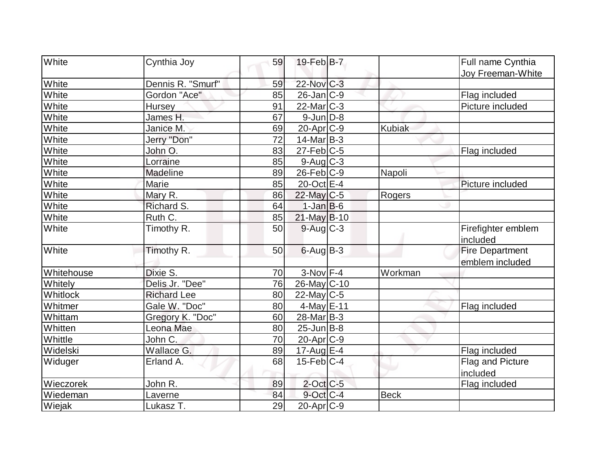| White          | Cynthia Joy        | 59 | $19$ -Feb $ B-7 $     |               | Full name Cynthia                         |
|----------------|--------------------|----|-----------------------|---------------|-------------------------------------------|
| White          | Dennis R. "Smurf"  | 59 | 22-Nov C-3            |               | <b>Joy Freeman-White</b>                  |
| White          | Gordon "Ace"       | 85 | 26-Jan C-9            |               |                                           |
|                |                    | 91 | $22$ -Mar $C-3$       |               | Flag included<br>Picture included         |
| White<br>White | <b>Hursey</b>      | 67 |                       |               |                                           |
|                | James H.           |    | $9$ -Jun $D-8$        |               |                                           |
| White          | Janice M.          | 69 | 20-Apr C-9            | <b>Kubiak</b> |                                           |
| White          | Jerry "Don"        | 72 | $14$ -Mar $ B-3 $     |               |                                           |
| White          | John O.            | 83 | 27-Feb C-5            |               | Flag included                             |
| White          | Lorraine           | 85 | $9$ -Aug $C$ -3       |               |                                           |
| White          | Madeline           | 89 | $26$ -Feb $ C-9$      | Napoli        |                                           |
| White          | Marie              | 85 | 20-Oct E-4            |               | Picture included                          |
| White          | Mary R.            | 86 | 22-May C-5            | Rogers        |                                           |
| White          | Richard S.         | 64 | $1-Jan$ B-6           |               |                                           |
| White          | Ruth C.            | 85 | $21$ -May B-10        |               |                                           |
| White          | Timothy R.         | 50 | $9$ -Aug $C$ -3       |               | Firefighter emblem<br>included            |
| White          | Timothy R.         | 50 | $6$ -Aug $B$ -3       |               | <b>Fire Department</b><br>emblem included |
| Whitehouse     | Dixie S.           | 70 | $3-Nov$ F-4           | Workman       |                                           |
| Whitely        | Delis Jr. "Dee"    | 76 | 26-May C-10           |               |                                           |
| Whitlock       | <b>Richard Lee</b> | 80 | $22$ -May C-5         |               |                                           |
| Whitmer        | Gale W. "Doc"      | 80 | $4$ -May $E-11$       |               | Flag included                             |
| Whittam        | Gregory K. "Doc"   | 60 | 28-Mar <sub>B-3</sub> |               |                                           |
| Whitten        | Leona Mae          | 80 | $25$ -Jun $B$ -8      |               |                                           |
| Whittle        | John C.            | 70 | 20-Apr <sub>C-9</sub> |               |                                           |
| Widelski       | Wallace G.         | 89 | $17$ -Aug $E-4$       |               | Flag included                             |
| Widuger        | Erland A.          | 68 | $15$ -Feb $ C-4$      |               | Flag and Picture                          |
|                |                    |    |                       |               | included                                  |
| Wieczorek      | John R.            | 89 | $2$ -Oct C-5          |               | Flag included                             |
| Wiedeman       | Laverne            | 84 | $9$ -Oct C-4          | <b>Beck</b>   |                                           |
| Wiejak         | Lukasz T.          | 29 | $20$ -Apr $ C-9 $     |               |                                           |
|                |                    |    |                       |               |                                           |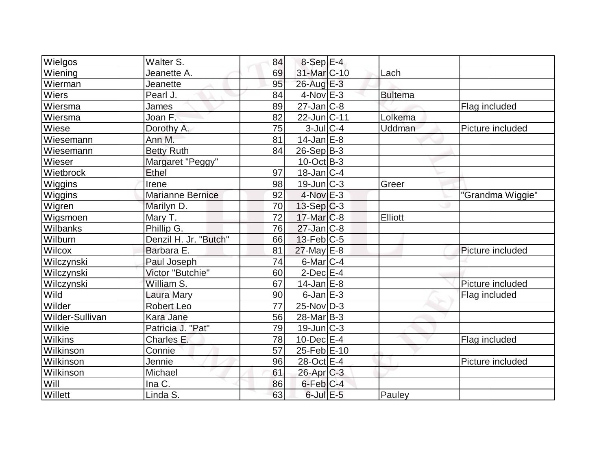| <b>Wielgos</b>  | Walter S.               | 84              | $8-Sep$ $E-4$     |                |                  |
|-----------------|-------------------------|-----------------|-------------------|----------------|------------------|
| Wiening         | Jeanette A.             | 69              | 31-Mar C-10       | Lach           |                  |
| Wierman         | Jeanette                | 95              | $26$ -Aug $E-3$   |                |                  |
| <b>Wiers</b>    | Pearl J.                | 84              | $4$ -Nov $E-3$    | <b>Bultema</b> |                  |
| Wiersma         | James                   | 89              | $27$ -Jan $C-8$   |                | Flag included    |
| Wiersma         | Joan F.                 | 82              | 22-Jun C-11       | Lolkema        |                  |
| Wiese           | Dorothy A.              | 75              | $3$ -Jul $C-4$    | Uddman         | Picture included |
| Wiesemann       | Ann M.                  | 81              | $14$ -Jan $E-8$   |                |                  |
| Wiesemann       | <b>Betty Ruth</b>       | 84              | $26-Sep B-3$      |                |                  |
| Wieser          | Margaret "Peggy"        |                 | $10$ -Oct B-3     |                |                  |
| Wietbrock       | Ethel                   | 97              | $18$ -Jan $ C-4 $ |                |                  |
| Wiggins         | Irene                   | 98              | $19$ -Jun $ C-3 $ | Greer          |                  |
| Wiggins         | <b>Marianne Bernice</b> | 92              | $4$ -Nov $E-3$    |                | "Grandma Wiggie" |
| Wigren          | Marilyn D.              | 70              | $13-Sep C-3$      |                |                  |
| Wigsmoen        | Mary T.                 | 72              | $17$ -Mar $ C-8$  | Elliott        |                  |
| Wilbanks        | Phillip G.              | 76              | $27$ -Jan $ C-8$  |                |                  |
| Wilburn         | Denzil H. Jr. "Butch"   | 66              | $13$ -Feb $ C-5$  |                |                  |
| Wilcox          | Barbara E.              | 81              | $27$ -May $E-8$   |                | Picture included |
| Wilczynski      | Paul Joseph             | 74              | $6$ -Mar $C-4$    |                |                  |
| Wilczynski      | Victor "Butchie"        | 60              | $2$ -Dec $E-4$    |                |                  |
| Wilczynski      | William S.              | 67              | $14$ -Jan $E-8$   |                | Picture included |
| Wild            | Laura Mary              | 90              | $6$ -Jan $E-3$    |                | Flag included    |
| Wilder          | <b>Robert Leo</b>       | 77              | $25$ -Nov $D-3$   |                |                  |
| Wilder-Sullivan | Kara Jane               | 56              | $28$ -Mar $B-3$   |                |                  |
| Wilkie          | Patricia J. "Pat"       | 79              | $19$ -Jun $ C-3 $ |                |                  |
| <b>Wilkins</b>  | Charles E.              | 78              | $10$ -Dec $E$ -4  |                | Flag included    |
| Wilkinson       | Connie                  | $\overline{57}$ | 25-Feb E-10       |                |                  |
| Wilkinson       | Jennie                  | 96              | 28-Oct E-4        |                | Picture included |
| Wilkinson       | Michael                 | 61              | 26-Apr C-3        |                |                  |
| Will            | Ina C.                  | 86              | $6$ -Feb $ C-4 $  |                |                  |
| Willett         | Linda S.                | 63              | $6$ -Jul $E$ -5   | Pauley         |                  |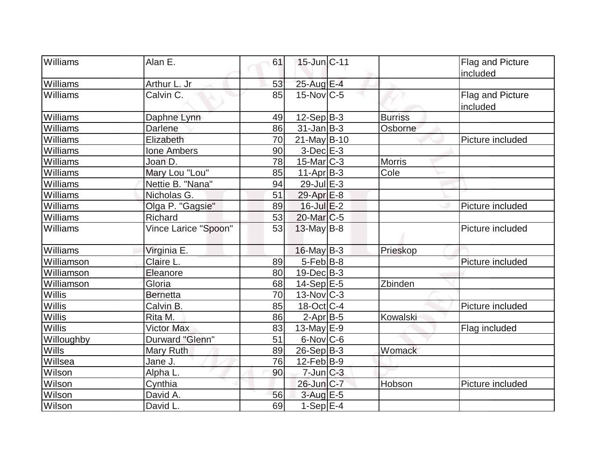| <b>Williams</b> | Alan E.              | 61 | $15$ -Jun $ C-11$     |                | <b>Flag and Picture</b>             |
|-----------------|----------------------|----|-----------------------|----------------|-------------------------------------|
|                 |                      |    |                       |                | included                            |
| Williams        | Arthur L. Jr         | 53 | 25-Aug E-4            |                |                                     |
| Williams        | Calvin C.            | 85 | $15$ -Nov $ C-5 $     |                | <b>Flag and Picture</b><br>included |
| Williams        | Daphne Lynn          | 49 | $12-Sep B-3$          | <b>Burriss</b> |                                     |
| Williams        | <b>Darlene</b>       | 86 | $31$ -Jan $ B-3 $     | Osborne        |                                     |
| Williams        | Elizabeth            | 70 | $21$ -May B-10        |                | Picture included                    |
| Williams        | <b>Ione Ambers</b>   | 90 | 3-Dec E-3             |                |                                     |
| Williams        | Joan D.              | 78 | $15$ -Mar $ C-3 $     | <b>Morris</b>  |                                     |
| Williams        | Mary Lou "Lou"       | 85 | $11-Apr B-3$          | Cole           |                                     |
| Williams        | Nettie B. "Nana"     | 94 | $29$ -Jul $E-3$       |                |                                     |
| Williams        | Nicholas G.          | 51 | 29-Apr <sub>E-8</sub> |                |                                     |
| Williams        | Olga P. "Gagsie"     | 89 | $16$ -Jul $E-2$       |                | Picture included                    |
| Williams        | <b>Richard</b>       | 53 | $20$ -Mar $C$ -5      |                |                                     |
| Williams        | Vince Larice "Spoon" | 53 | 13-May B-8            |                | Picture included                    |
| Williams        | Virginia E.          |    | $16$ -May B-3         | Prieskop       |                                     |
| Williamson      | Claire L.            | 89 | $5-Feb$ B-8           |                | Picture included                    |
| Williamson      | Eleanore             | 80 | $19$ -Dec $ B-3 $     |                |                                     |
| Williamson      | Gloria               | 68 | $14-Sep$ E-5          | Zbinden        |                                     |
| Willis          | <b>Bernetta</b>      | 70 | $13$ -Nov $ C-3 $     |                |                                     |
| Willis          | Calvin B.            | 85 | 18-Oct C-4            |                | Picture included                    |
| <b>Willis</b>   | Rita M.              | 86 | $2-Apr B-5$           | Kowalski       |                                     |
| <b>Willis</b>   | <b>Victor Max</b>    | 83 | $13$ -May $E-9$       |                | Flag included                       |
| Willoughby      | Durward "Glenn"      | 51 | 6-Nov C-6             |                |                                     |
| Wills           | Mary Ruth            | 89 | $26-Sep B-3$          | Womack         |                                     |
| Willsea         | Jane J.              | 76 | $12$ -Feb $ B-9 $     |                |                                     |
| <b>Wilson</b>   | Alpha L.             | 90 | $7$ -Jun $C-3$        |                |                                     |
| Wilson          | Cynthia              |    | 26-Jun C-7            | Hobson         | Picture included                    |
| Wilson          | David A.             | 56 | $3-Aug$ $E-5$         |                |                                     |
| Wilson          | David L.             | 69 | $1-Sep$ $E-4$         |                |                                     |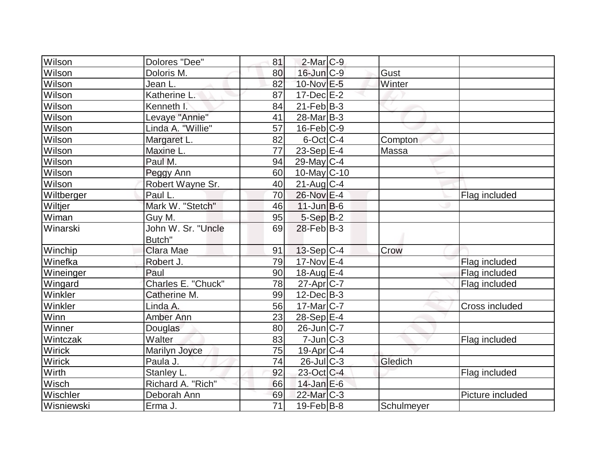| Wilson     | Dolores "Dee"      | 81              | $2$ -Mar $C-9$         |            |                       |
|------------|--------------------|-----------------|------------------------|------------|-----------------------|
| Wilson     | Doloris M.         | 80              | $16$ -Jun $C-9$        | Gust       |                       |
| Wilson     | Jean L.            | 82              | 10-Nov E-5             | Winter     |                       |
| Wilson     | Katherine L.       | 87              | $17 - Dec$ $E-2$       |            |                       |
| Wilson     | Kenneth I.         | 84              | $21$ -Feb $ B-3 $      |            |                       |
| Wilson     | Levaye "Annie"     | 41              | $28$ -Mar $ B-3 $      |            |                       |
| Wilson     | Linda A. "Willie"  | 57              | $16$ -Feb $ C-9$       |            |                       |
| Wilson     | Margaret L.        | 82              | $6$ -Oct $ C-4 $       | Compton    |                       |
| Wilson     | Maxine L.          | 77              | 23-Sep E-4             | Massa      |                       |
| Wilson     | Paul M.            | 94              | $29$ -May C-4          |            |                       |
| Wilson     | Peggy Ann          | 60              | 10-May C-10            |            |                       |
| Wilson     | Robert Wayne Sr.   | 40              | $21$ -Aug $C-4$        |            |                       |
| Wiltberger | Paul L.            | 70              | 26-Nov E-4             |            | Flag included         |
| Wiltjer    | Mark W. "Stetch"   | 46              | $11$ -Jun $B$ -6       |            |                       |
| Wiman      | Guy M.             | 95              | $5-Sep B-2$            |            |                       |
| Winarski   | John W. Sr. "Uncle | 69              | $28$ -Feb $B-3$        |            |                       |
|            | Butch"             |                 |                        |            |                       |
| Winchip    | Clara Mae          | 91              | $13-Sep C-4$           | Crow       |                       |
| Winefka    | Robert J.          | 79              | $17$ -Nov $E-4$        |            | Flag included         |
| Wineinger  | Paul               | 90              | $18$ -Aug $E-4$        |            | Flag included         |
| Wingard    | Charles E. "Chuck" | 78              | $27$ -Apr $ C-7 $      |            | Flag included         |
| Winkler    | Catherine M.       | 99              | $12$ -Dec $B-3$        |            |                       |
| Winkler    | Linda A.           | 56              | $17$ -Mar $ C-7 $      |            | <b>Cross included</b> |
| Winn       | Amber Ann          | 23              | $28-Sep$ E-4           |            |                       |
| Winner     | Douglas            | 80              | $26$ -Jun $ C-7 $      |            |                       |
| Wintczak   | Walter             | 83              | $7$ -Jun $C-3$         |            | Flag included         |
| Wirick     | Marilyn Joyce      | 75              | $19$ -Apr $ C-4 $      |            |                       |
| Wirick     | Paula J.           | 74              | $26$ -JulC-3           | Gledich    |                       |
| Wirth      | Stanley L.         | 92              | 23-Oct C-4             |            | Flag included         |
| Wisch      | Richard A. "Rich"  | 66              | $14$ -Jan $E-6$        |            |                       |
| Wischler   | Deborah Ann        | 69              | 22-Mar <sub>IC-3</sub> |            | Picture included      |
| Wisniewski | Erma J.            | $\overline{71}$ | $19$ -Feb $ B-8$       | Schulmeyer |                       |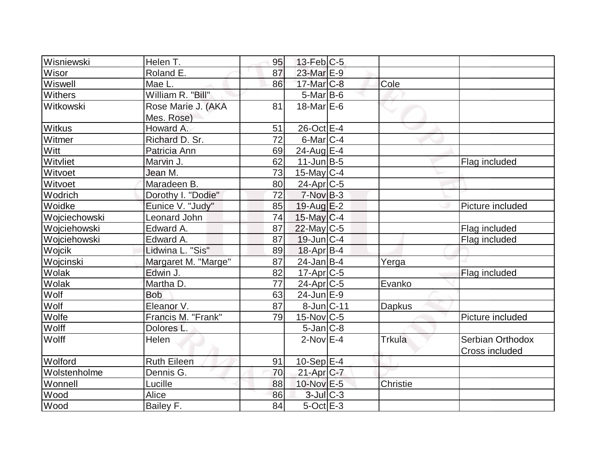| Wisniewski     | Helen T.            | 95              | $13$ -Feb $ C-5$  |          |                       |
|----------------|---------------------|-----------------|-------------------|----------|-----------------------|
| Wisor          | Roland E.           | 87              | 23-Mar E-9        |          |                       |
| Wiswell        | Mae L.              | 86              | $17$ -Mar $C-8$   | Cole     |                       |
| <b>Withers</b> | William R. "Bill"   |                 | $5$ -Mar $ B$ -6  |          |                       |
| Witkowski      | Rose Marie J. (AKA  | 81              | 18-Mar $E-6$      |          |                       |
|                | Mes. Rose)          |                 |                   |          |                       |
| <b>Witkus</b>  | Howard A.           | 51              | 26-Oct E-4        |          |                       |
| Witmer         | Richard D. Sr.      | $\overline{72}$ | $6$ -Mar $ C-4 $  |          |                       |
| Witt           | Patricia Ann        | 69              | 24-Aug E-4        |          |                       |
| Witvliet       | Marvin J.           | 62              | $11$ -Jun $B$ -5  |          | Flag included         |
| Witvoet        | Jean M.             | 73              | $15$ -May C-4     |          |                       |
| Witvoet        | Maradeen B.         | 80              | $24$ -Apr $ C-5$  |          |                       |
| Wodrich        | Dorothy I. "Dodie"  | 72              | $7-Nov$ B-3       |          |                       |
| Woidke         | Eunice V. "Judy"    | 85              | $19$ -Aug $E-2$   |          | Picture included      |
| Wojciechowski  | Leonard John        | 74              | $15$ -May C-4     |          |                       |
| Wojciehowski   | Edward A.           | 87              | 22-May C-5        |          | Flag included         |
| Wojciehowski   | Edward A.           | 87              | $19$ -Jun $ C-4 $ |          | Flag included         |
| Wojcik         | Lidwina L. "Sis"    | 89              | $18$ -Apr $ B-4 $ |          |                       |
| Wojcinski      | Margaret M. "Marge" | 87              | $24$ -Jan B-4     | Yerga    |                       |
| Wolak          | Edwin J.            | 82              | $17$ -Apr $ C-5 $ |          | Flag included         |
| Wolak          | Martha D.           | 77              | $24$ -Apr $C$ -5  | Evanko   |                       |
| Wolf           | <b>Bob</b>          | 63              | $24$ -Jun $E-9$   |          |                       |
| Wolf           | Eleanor V.          | 87              | 8-Jun C-11        | Dapkus   |                       |
| Wolfe          | Francis M. "Frank"  | 79              | $15$ -Nov $ C-5 $ |          | Picture included      |
| Wolff          | Dolores L.          |                 | $5$ -Jan $ C-8 $  |          |                       |
| Wolff          | Helen               |                 | $2$ -Nov $E-4$    | Trkula   | Serbian Orthodox      |
|                |                     |                 |                   |          | <b>Cross included</b> |
| Wolford        | <b>Ruth Eileen</b>  | 91              | $10-Sep$ E-4      |          |                       |
| Wolstenholme   | Dennis G.           | 70              | $21-Apr$ $C-7$    |          |                       |
| Wonnell        | Lucille             | 88              | 10-Nov E-5        | Christie |                       |
| Wood           | Alice               | 86              | $3$ -Jul $C-3$    |          |                       |
| Wood           | Bailey F.           | 84              | $5$ -Oct $E-3$    |          |                       |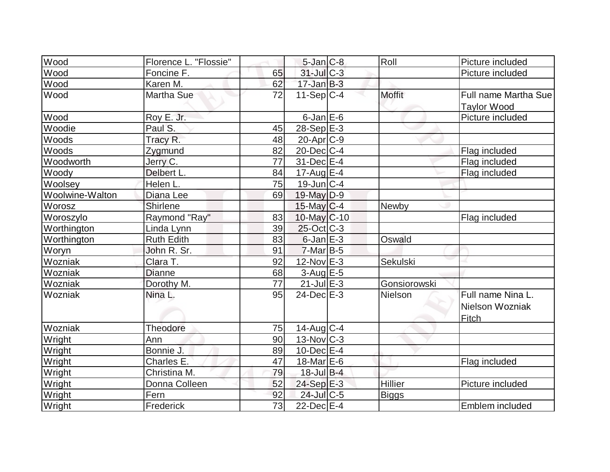| Wood            | Florence L. "Flossie" |    | $5$ -Jan $ C-8$   | Roll           | Picture included                              |
|-----------------|-----------------------|----|-------------------|----------------|-----------------------------------------------|
| Wood            | Foncine F.            | 65 | 31-Jul C-3        |                | Picture included                              |
| Wood            | Karen M.              | 62 | $17 - Jan$ $B-3$  |                |                                               |
| Wood            | <b>Martha Sue</b>     | 72 | $11-Sep C-4$      | <b>Moffit</b>  | Full name Martha Sue<br><b>Taylor Wood</b>    |
| Wood            | Roy E. Jr.            |    | $6$ -Jan $E$ -6   |                | Picture included                              |
| Woodie          | Paul S.               | 45 | $28-Sep$ $E-3$    |                |                                               |
| Woods           | Tracy R.              | 48 | $20$ -Apr $ C-9 $ |                |                                               |
| Woods           | Zygmund               | 82 | $20$ -Dec $ C-4 $ |                | Flag included                                 |
| Woodworth       | Jerry C.              | 77 | 31-Dec E-4        |                | Flag included                                 |
| Woody           | Delbert L.            | 84 | $17$ -Aug $E-4$   |                | Flag included                                 |
| Woolsey         | Helen L.              | 75 | $19$ -Jun $ C-4$  |                |                                               |
| Woolwine-Walton | Diana Lee             | 69 | 19-May D-9        |                |                                               |
| Worosz          | Shirlene              |    | $15$ -May C-4     | Newby          |                                               |
| Woroszylo       | Raymond "Ray"         | 83 | $10$ -May $C$ -10 |                | Flag included                                 |
| Worthington     | Linda Lynn            | 39 | $25$ -Oct $C-3$   |                |                                               |
| Worthington     | <b>Ruth Edith</b>     | 83 | $6$ -Jan $E-3$    | Oswald         |                                               |
| Woryn           | John R. Sr.           | 91 | $7$ -Mar $ B-5 $  |                |                                               |
| Wozniak         | Clara T.              | 92 | $12$ -Nov $E-3$   | Sekulski       |                                               |
| Wozniak         | <b>Dianne</b>         | 68 | $3-Aug$ $E-5$     |                |                                               |
| Wozniak         | Dorothy M.            | 77 | $21$ -Jul $E-3$   | Gonsiorowski   |                                               |
| Wozniak         | Nina L.               | 95 | $24$ -Dec $E-3$   | Nielson        | Full name Nina L.<br>Nielson Wozniak<br>Fitch |
| Wozniak         | Theodore              | 75 | 14-Aug C-4        |                |                                               |
| Wright          | Ann                   | 90 | $13$ -Nov $ C-3 $ |                |                                               |
| Wright          | Bonnie J.             | 89 | $10$ -Dec $E-4$   |                |                                               |
| Wright          | Charles E.            | 47 | 18-Mar $E-6$      |                | Flag included                                 |
| Wright          | Christina M.          | 79 | $18$ -Jul B-4     |                |                                               |
| Wright          | Donna Colleen         | 52 | 24-Sep E-3        | <b>Hillier</b> | Picture included                              |
| Wright          | Fern                  | 92 | 24-Jul C-5        | <b>Biggs</b>   |                                               |
| Wright          | Frederick             | 73 | $22$ -Dec $E-4$   |                | Emblem included                               |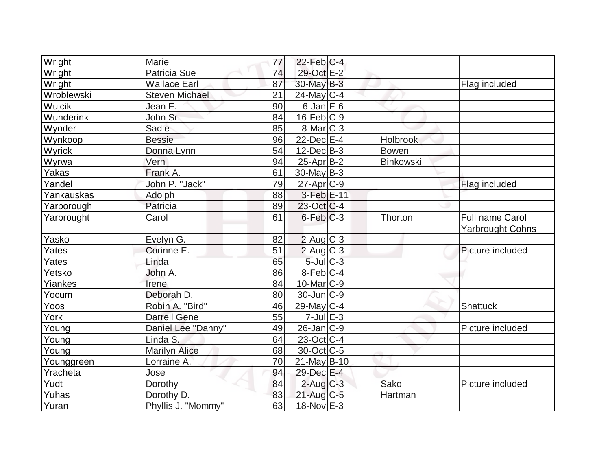| Wright        | Marie                 | 77 | $22$ -Feb $ C-4 $      |           |                                                   |
|---------------|-----------------------|----|------------------------|-----------|---------------------------------------------------|
| Wright        | Patricia Sue          | 74 | 29-Oct E-2             |           |                                                   |
| Wright        | <b>Wallace Earl</b>   | 87 | 30-May B-3             |           | Flag included                                     |
| Wroblewski    | <b>Steven Michael</b> | 21 | $24$ -May C-4          |           |                                                   |
| <b>Wujcik</b> | Jean E.               | 90 | $6$ -Jan $E$ -6        |           |                                                   |
| Wunderink     | John Sr.              | 84 | $16$ -Feb $ C-9$       |           |                                                   |
| Wynder        | Sadie                 | 85 | $8$ -Mar $ C-3 $       |           |                                                   |
| Wynkoop       | <b>Bessie</b>         | 96 | $22$ -Dec $E-4$        | Holbrook  |                                                   |
| Wyrick        | Donna Lynn            | 54 | $12$ -Dec $B-3$        | Bowen     |                                                   |
| Wyrwa         | Vern                  | 94 | $25$ -Apr $ B-2 $      | Binkowski |                                                   |
| Yakas         | Frank A.              | 61 | $30$ -May B-3          |           |                                                   |
| Yandel        | John P. "Jack"        | 79 | $27$ -Apr $C-9$        |           | Flag included                                     |
| Yankauskas    | Adolph                | 88 | 3-Feb E-11             |           |                                                   |
| Yarborough    | Patricia              | 89 | 23-Oct C-4             |           |                                                   |
| Yarbrought    | Carol                 | 61 | $6$ -Feb $ C-3 $       | Thorton   | <b>Full name Carol</b><br><b>Yarbrought Cohns</b> |
| Yasko         | Evelyn G.             | 82 | $2$ -Aug $C$ -3        |           |                                                   |
| Yates         | Corinne E.            | 51 | $2$ -Aug C-3           |           | Picture included                                  |
| Yates         | Linda                 | 65 | $5$ -Jul $C$ -3        |           |                                                   |
| Yetsko        | John A.               | 86 | $8-Feb$ <sub>C-4</sub> |           |                                                   |
| Yiankes       | Irene                 | 84 | $10$ -Mar $ C-9$       |           |                                                   |
| Yocum         | Deborah D.            | 80 | $30$ -Jun $ C-9 $      |           |                                                   |
| Yoos          | Robin A. "Bird"       | 46 | $29$ -May C-4          |           | Shattuck                                          |
| York          | <b>Darrell Gene</b>   | 55 | $7$ -Jul $E-3$         |           |                                                   |
| Young         | Daniel Lee "Danny"    | 49 | $26$ -Jan $ C-9 $      |           | Picture included                                  |
| Young         | Linda S.              | 64 | $23$ -Oct C-4          |           |                                                   |
| Young         | <b>Marilyn Alice</b>  | 68 | 30-Oct C-5             |           |                                                   |
| Younggreen    | Lorraine A.           | 70 | $21$ -May B-10         |           |                                                   |
| Yracheta      | Jose                  | 94 | 29-Dec E-4             |           |                                                   |
| Yudt          | Dorothy               | 84 | $2$ -Aug C-3           | Sako      | Picture included                                  |
| Yuhas         | Dorothy D.            | 83 | $21$ -Aug C-5          | Hartman   |                                                   |
| Yuran         | Phyllis J. "Mommy"    | 63 | $18-Nov$ E-3           |           |                                                   |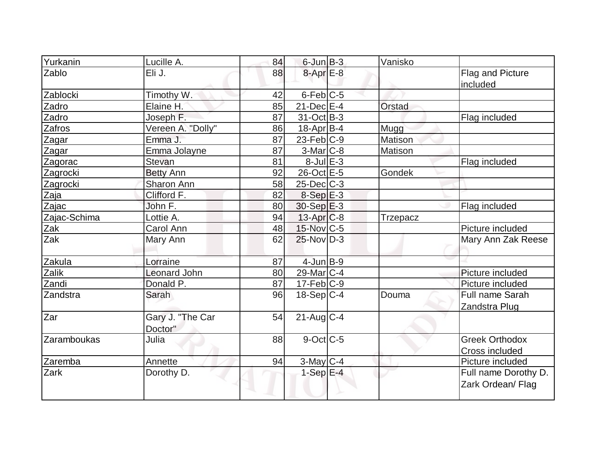| Yurkanin     | Lucille A.                  | 84 | $6$ -Jun $B-3$    | Vanisko         |                                           |
|--------------|-----------------------------|----|-------------------|-----------------|-------------------------------------------|
| Zablo        | Eli J.                      | 88 | $8$ -Apr $E-8$    |                 | Flag and Picture<br>included              |
| Zablocki     | Timothy W.                  | 42 | $6$ -Feb $C$ -5   |                 |                                           |
| Zadro        | Elaine H.                   | 85 | $21$ -Dec $E-4$   | <b>Orstad</b>   |                                           |
| Zadro        | Joseph F.                   | 87 | 31-Oct B-3        |                 | Flag included                             |
| Zafros       | Vereen A. "Dolly"           | 86 | $18$ -Apr $B$ -4  | Mugg            |                                           |
| Zagar        | Emma J.                     | 87 | $23$ -Feb $ C-9 $ | Matison         |                                           |
| Zagar        | Emma Jolayne                | 87 | $3-Mar$ $C-8$     | Matison         |                                           |
| Zagorac      | Stevan                      | 81 | $8$ -Jul $E-3$    |                 | Flag included                             |
| Zagrocki     | <b>Betty Ann</b>            | 92 | 26-Oct E-5        | Gondek          |                                           |
| Zagrocki     | Sharon Ann                  | 58 | $25$ -Dec $C$ -3  |                 |                                           |
| Zaja         | Clifford F.                 | 82 | $8-Sep$ $E-3$     |                 |                                           |
| Zajac        | John F.                     | 80 | $30-Sep$ $E-3$    |                 | Flag included                             |
| Zajac-Schima | Lottie A.                   | 94 | $13$ -Apr $ C-8 $ | <b>Trzepacz</b> |                                           |
| Zak          | Carol Ann                   | 48 | $15$ -Nov $ C-5 $ |                 | Picture included                          |
| Zak          | Mary Ann                    | 62 | $25$ -Nov $ D-3 $ |                 | Mary Ann Zak Reese                        |
| Zakula       | Lorraine                    | 87 | $4$ -Jun $B-9$    |                 |                                           |
| Zalik        | <b>Leonard John</b>         | 80 | $29$ -Mar $ C-4 $ |                 | Picture included                          |
| Zandi        | Donald P.                   | 87 | $17$ -Feb $ C-9 $ |                 | Picture included                          |
| Zandstra     | Sarah                       | 96 | $18-Sep C-4$      | Douma           | Full name Sarah<br>Zandstra Plug          |
| Zar          | Gary J. "The Car<br>Doctor" | 54 | $21$ -Aug $C-4$   |                 |                                           |
| Zaramboukas  | Julia                       | 88 | $9$ -Oct $ C$ -5  |                 | <b>Greek Orthodox</b><br>Cross included   |
| Zaremba      | Annette                     | 94 | $3$ -May C-4      |                 | Picture included                          |
| Zark         | Dorothy D.                  |    | $1-Sep$ $E-4$     |                 | Full name Dorothy D.<br>Zark Ordean/ Flag |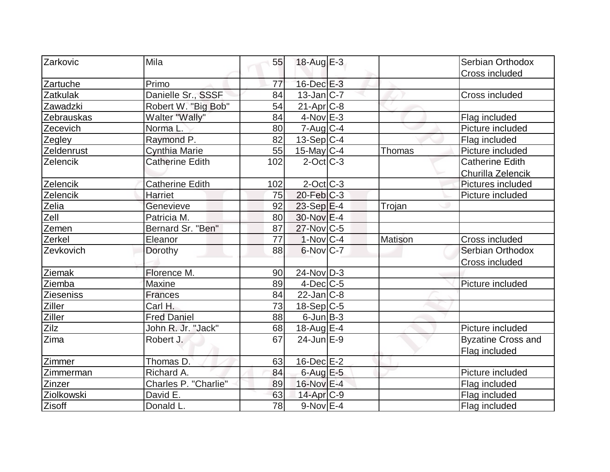| Zarkovic         | Mila                        | 55  | 18-Aug $E-3$           |         | Serbian Orthodox          |
|------------------|-----------------------------|-----|------------------------|---------|---------------------------|
|                  |                             |     |                        |         | Cross included            |
| Zartuche         | Primo                       | 77  | 16-Dec E-3             |         |                           |
| <b>Zatkulak</b>  | Danielle Sr., SSSF          | 84  | $13$ -Jan $ C-7 $      |         | Cross included            |
| Zawadzki         | Robert W. "Big Bob"         | 54  | $21-Apr$ $C-8$         |         |                           |
| Zebrauskas       | Walter "Wally"              | 84  | $4$ -Nov $E-3$         |         | Flag included             |
| Zecevich         | Norma L.                    | 80  | $7 - Aug   C-4$        |         | Picture included          |
| Zegley           | Raymond P.                  | 82  | $13-Sep C-4$           |         | Flag included             |
| Zeldenrust       | <b>Cynthia Marie</b>        | 55  | $15$ -May C-4          | Thomas  | Picture included          |
| Zelencik         | <b>Catherine Edith</b>      | 102 | $2$ -Oct $ C-3 $       |         | <b>Catherine Edith</b>    |
|                  |                             |     |                        |         | Churilla Zelencik         |
| Zelencik         | <b>Catherine Edith</b>      | 102 | $2$ -Oct C-3           |         | Pictures included         |
| Zelencik         | <b>Harriet</b>              | 75  | $20$ -Feb $ C-3 $      |         | Picture included          |
| Zelia            | Genevieve                   | 92  | 23-Sep E-4             | Trojan  |                           |
| Zell             | Patricia M.                 | 80  | 30-Nov E-4             |         |                           |
| Zemen            | Bernard Sr. "Ben"           | 87  | 27-Nov C-5             |         |                           |
| Zerkel           | Eleanor                     | 77  | $1-Nov$ <sub>C-4</sub> | Matison | Cross included            |
| Zevkovich        | Dorothy                     | 88  | $6$ -Nov $C$ -7        |         | Serbian Orthodox          |
|                  |                             |     |                        |         | Cross included            |
| Ziemak           | Florence M.                 | 90  | $24$ -Nov $ D-3 $      |         |                           |
| Ziemba           | <b>Maxine</b>               | 89  | $4$ -Dec $ C$ -5       |         | Picture included          |
| <b>Zieseniss</b> | <b>Frances</b>              | 84  | $22$ -Jan $ C-8 $      |         |                           |
| Ziller           | Carl H.                     | 73  | $18-Sep C-5$           |         |                           |
| Ziller           | <b>Fred Daniel</b>          | 88  | $6$ -Jun $B-3$         |         |                           |
| Zilz             | John R. Jr. "Jack"          | 68  | $18$ -Aug $E-4$        |         | Picture included          |
| Zima             | Robert J.                   | 67  | $24$ -Jun $E-9$        |         | <b>Byzatine Cross and</b> |
|                  |                             |     |                        |         | Flag included             |
| Zimmer           | Thomas D.                   | 63  | $16$ -Dec $E-2$        |         |                           |
| Zimmerman        | Richard A.                  | 84  | $6$ -Aug $E - 5$       |         | Picture included          |
| Zinzer           | <b>Charles P. "Charlie"</b> | 89  | 16-Nov E-4             |         | Flag included             |
| Ziolkowski       | David E.                    | 63  | $14$ -Apr $C-9$        |         | Flag included             |
| Zisoff           | Donald L.                   | 78  | $9-Nov$ E-4            |         | Flag included             |